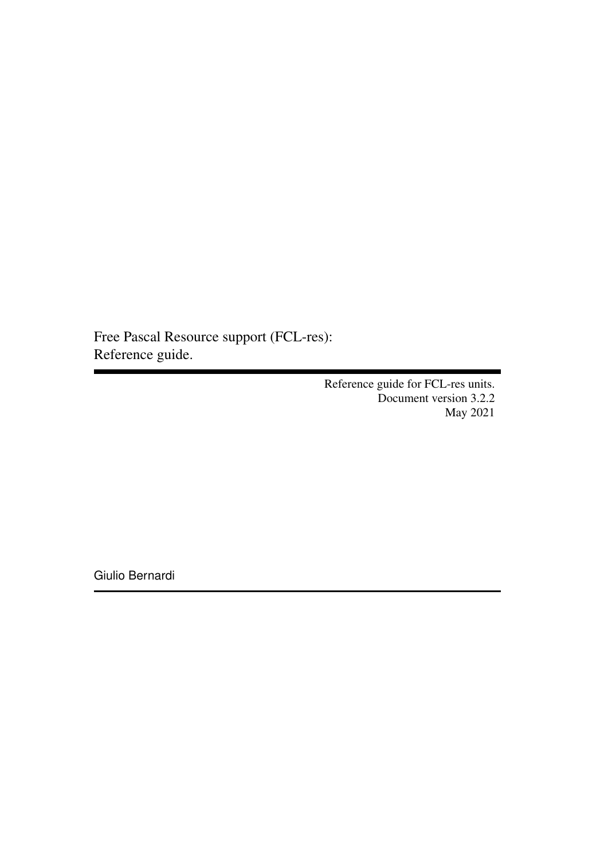Free Pascal Resource support (FCL-res): Reference guide.

> Reference guide for FCL-res units. Document version 3.2.2 May 2021

Giulio Bernardi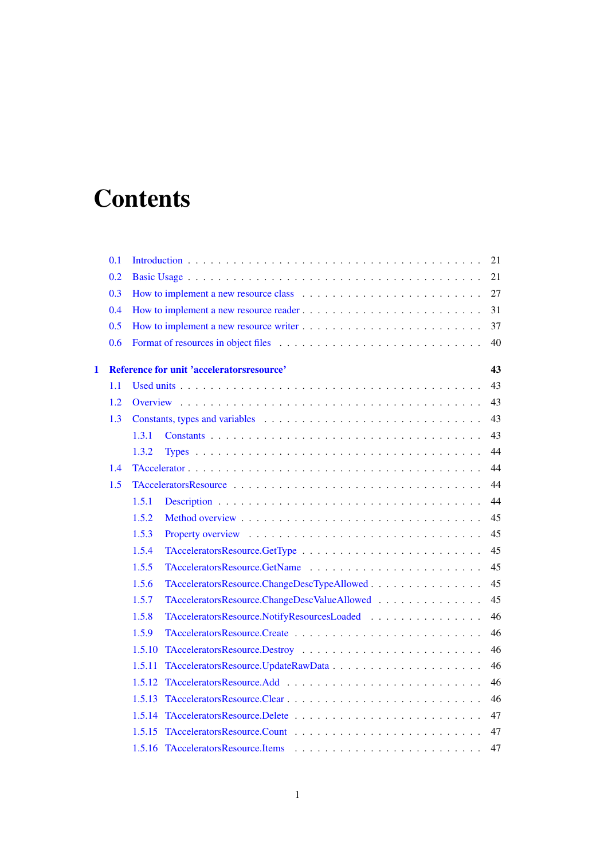# **Contents**

|              | 0.1 | 21                                                          |  |
|--------------|-----|-------------------------------------------------------------|--|
|              | 0.2 | 21                                                          |  |
|              | 0.3 | 27                                                          |  |
|              | 0.4 | 31                                                          |  |
|              | 0.5 | 37                                                          |  |
|              | 0.6 | 40                                                          |  |
| $\mathbf{1}$ |     | Reference for unit 'acceleratorsresource'<br>43             |  |
|              | 1.1 | 43                                                          |  |
|              | 1.2 | 43                                                          |  |
|              | 1.3 | 43                                                          |  |
|              |     | 1.3.1<br>43                                                 |  |
|              |     | 44<br>1.3.2                                                 |  |
|              | 1.4 | 44                                                          |  |
|              | 1.5 | 44                                                          |  |
|              |     | 1.5.1<br>44                                                 |  |
|              |     | 1.5.2<br>45                                                 |  |
|              |     | 1.5.3<br>45                                                 |  |
|              |     | 1.5.4<br>45                                                 |  |
|              |     | 1.5.5<br>45                                                 |  |
|              |     | 1.5.6<br>TAcceleratorsResource.ChangeDescTypeAllowed<br>45  |  |
|              |     | 45<br>1.5.7<br>TAcceleratorsResource.ChangeDescValueAllowed |  |
|              |     | 1.5.8<br>TAcceleratorsResource.NotifyResourcesLoaded<br>46  |  |
|              |     | 1.5.9<br>46                                                 |  |
|              |     | 46<br>1.5.10<br>TAcceleratorsResource.Destroy               |  |
|              |     | 46<br>1.5.11                                                |  |
|              |     | 46<br>1.5.12                                                |  |
|              |     | 46<br>1.5.13                                                |  |
|              |     | 47<br>1.5.14                                                |  |
|              |     | 47                                                          |  |
|              |     | 47                                                          |  |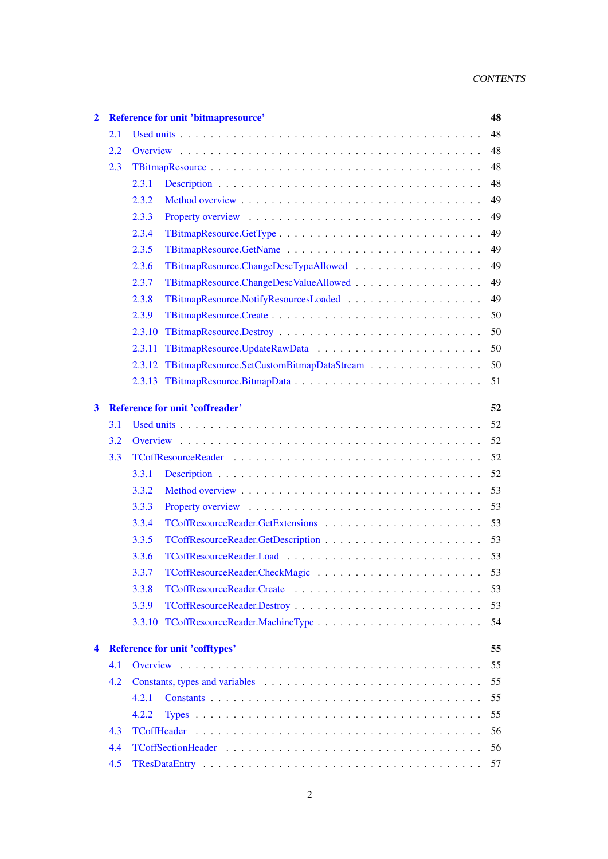| $\mathbf{2}$ |     | Reference for unit 'bitmapresource'              | 48 |
|--------------|-----|--------------------------------------------------|----|
|              | 2.1 |                                                  | 48 |
|              | 2.2 |                                                  | 48 |
|              | 2.3 |                                                  | 48 |
|              |     | 2.3.1                                            | 48 |
|              |     | 2.3.2                                            | 49 |
|              |     | 2.3.3                                            | 49 |
|              |     | 2.3.4                                            | 49 |
|              |     | 2.3.5                                            | 49 |
|              |     | 2.3.6                                            | 49 |
|              |     | 2.3.7                                            | 49 |
|              |     | 2.3.8                                            | 49 |
|              |     | 2.3.9                                            | 50 |
|              |     | 2.3.10                                           | 50 |
|              |     | 2.3.11                                           | 50 |
|              |     | 2.3.12 TBitmapResource.SetCustomBitmapDataStream | 50 |
|              |     | 2.3.13                                           | 51 |
| 3            |     | <b>Reference for unit 'coffreader'</b>           | 52 |
|              | 3.1 |                                                  | 52 |
|              | 3.2 |                                                  | 52 |
|              | 3.3 |                                                  | 52 |
|              |     | 3.3.1                                            | 52 |
|              |     | 3.3.2                                            | 53 |
|              |     | 3.3.3                                            | 53 |
|              |     | 3.3.4                                            | 53 |
|              |     | 3.3.5                                            | 53 |
|              |     | 3.3.6                                            |    |
|              |     | 3.3.7                                            | 53 |
|              |     | 3.3.8                                            | 53 |
|              |     | 3.3.9                                            | 53 |
|              |     |                                                  | 54 |
| 4            |     | <b>Reference for unit 'cofftypes'</b>            | 55 |
|              | 4.1 |                                                  | 55 |
|              | 4.2 |                                                  | 55 |
|              |     | 4.2.1                                            | 55 |
|              |     | 4.2.2                                            | 55 |
|              | 4.3 |                                                  | 56 |
|              | 4.4 |                                                  | 56 |
|              | 4.5 |                                                  | 57 |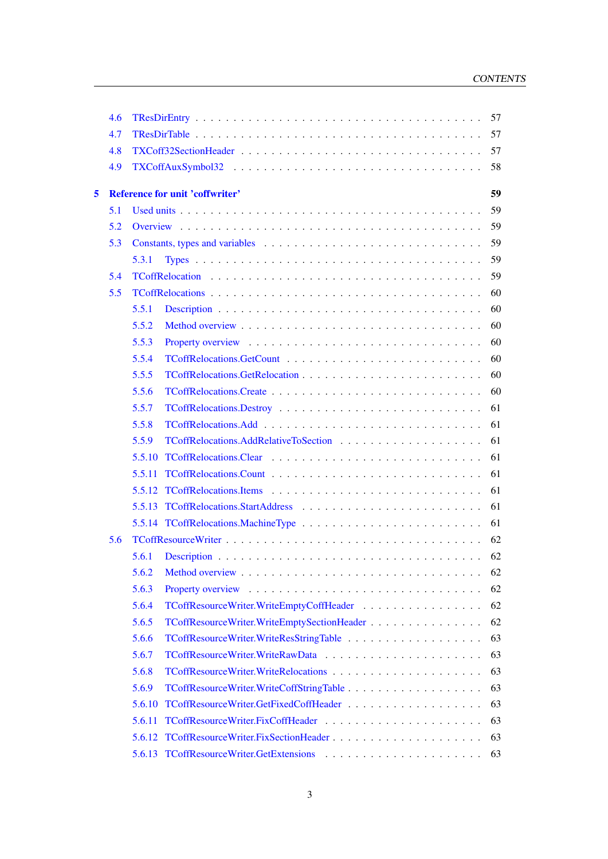|   | 4.6 | 57                                                         |  |
|---|-----|------------------------------------------------------------|--|
|   | 4.7 | 57                                                         |  |
|   | 4.8 | 57                                                         |  |
|   | 4.9 | 58                                                         |  |
| 5 |     | <b>Reference for unit 'coffwriter'</b><br>59               |  |
|   | 5.1 | 59                                                         |  |
|   | 5.2 | 59                                                         |  |
|   | 5.3 | 59                                                         |  |
|   |     | 59<br>5.3.1                                                |  |
|   | 5.4 | 59                                                         |  |
|   | 5.5 | 60                                                         |  |
|   |     | 5.5.1<br>60                                                |  |
|   |     | 5.5.2<br>60                                                |  |
|   |     | 5.5.3<br>60                                                |  |
|   |     | 5.5.4<br>60                                                |  |
|   |     | 5.5.5<br>60                                                |  |
|   |     | 5.5.6<br>60                                                |  |
|   |     | 5.5.7<br>61                                                |  |
|   |     | 5.5.8<br>61                                                |  |
|   |     | 5.5.9<br>61                                                |  |
|   |     | 5.5.10<br>61                                               |  |
|   |     | 5.5.11<br>61                                               |  |
|   |     | 61                                                         |  |
|   |     | 61                                                         |  |
|   |     | 61                                                         |  |
|   | 5.6 | 62                                                         |  |
|   |     | 5.6.1<br>62                                                |  |
|   |     | 62                                                         |  |
|   |     | 5.6.3<br>62                                                |  |
|   |     | 5.6.4<br>TCoffResourceWriter.WriteEmptyCoffHeader<br>62    |  |
|   |     | 5.6.5<br>TCoffResourceWriter.WriteEmptySectionHeader<br>62 |  |
|   |     | 5.6.6<br>63                                                |  |
|   |     | 5.6.7<br>63                                                |  |
|   |     | 5.6.8<br>63                                                |  |
|   |     | 5.6.9<br>63                                                |  |
|   |     | 5.6.10<br>63                                               |  |
|   |     | 5.6.11<br>63                                               |  |
|   |     | TCoffResourceWriter.FixSectionHeader<br>63<br>5.6.12       |  |
|   |     | 5.6.13<br>63                                               |  |
|   |     |                                                            |  |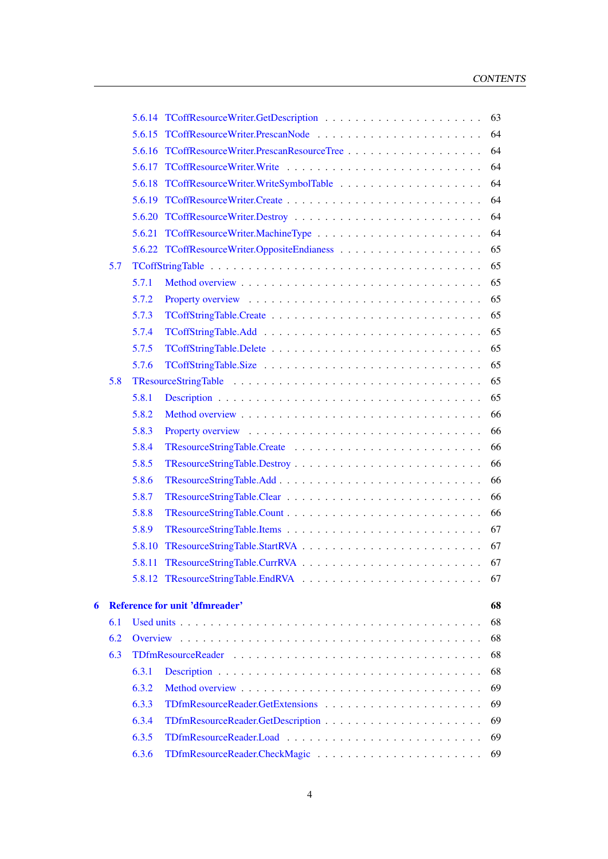|   |     |        | 63                                            |  |
|---|-----|--------|-----------------------------------------------|--|
|   |     |        | 64                                            |  |
|   |     | 5.6.16 | TCoffResourceWriter.PrescanResourceTree<br>64 |  |
|   |     |        | 64                                            |  |
|   |     |        | 64                                            |  |
|   |     |        | 64                                            |  |
|   |     |        | 64                                            |  |
|   |     |        | 5.6.21 TCoffResourceWriter.MachineType<br>64  |  |
|   |     |        | 65                                            |  |
|   | 5.7 |        | 65                                            |  |
|   |     | 5.7.1  | 65                                            |  |
|   |     | 5.7.2  | 65                                            |  |
|   |     | 5.7.3  | 65                                            |  |
|   |     | 5.7.4  | 65                                            |  |
|   |     | 5.7.5  | 65                                            |  |
|   |     | 5.7.6  | 65                                            |  |
|   | 5.8 |        | 65                                            |  |
|   |     | 5.8.1  | 65                                            |  |
|   |     | 5.8.2  | 66                                            |  |
|   |     | 5.8.3  | 66                                            |  |
|   |     | 5.8.4  | TResourceStringTable.Create<br>66             |  |
|   |     | 5.8.5  | 66                                            |  |
|   |     | 5.8.6  | 66                                            |  |
|   |     | 5.8.7  | 66                                            |  |
|   |     | 5.8.8  | 66                                            |  |
|   |     | 5.8.9  | 67                                            |  |
|   |     | 5.8.10 | 67                                            |  |
|   |     |        | 67                                            |  |
|   |     |        | 5.8.12 TResourceStringTable.EndRVA<br>67      |  |
| 6 |     |        | <b>Reference for unit 'dfmreader'</b><br>68   |  |
|   | 6.1 |        | 68                                            |  |
|   | 6.2 |        | 68                                            |  |
|   | 6.3 |        | 68                                            |  |
|   |     | 6.3.1  | 68                                            |  |
|   |     | 6.3.2  | 69                                            |  |
|   |     | 6.3.3  | TDfmResourceReader.GetExtensions<br>69        |  |
|   |     | 6.3.4  | 69                                            |  |
|   |     | 6.3.5  | 69                                            |  |
|   |     | 6.3.6  | 69                                            |  |
|   |     |        |                                               |  |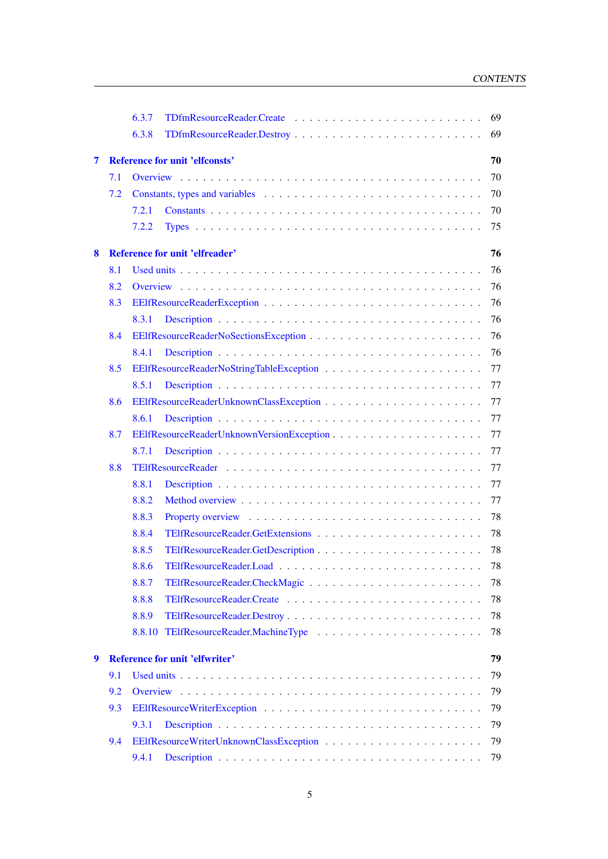|   |     | 6.3.7                                       | 69 |  |  |
|---|-----|---------------------------------------------|----|--|--|
|   |     | 6.3.8                                       | 69 |  |  |
| 7 |     | <b>Reference for unit 'elfconsts'</b><br>70 |    |  |  |
|   | 7.1 |                                             | 70 |  |  |
|   | 7.2 |                                             | 70 |  |  |
|   |     | 7.2.1                                       | 70 |  |  |
|   |     | 7.2.2                                       | 75 |  |  |
|   |     |                                             |    |  |  |
| 8 |     | <b>Reference for unit 'elfreader'</b>       | 76 |  |  |
|   | 8.1 |                                             | 76 |  |  |
|   | 8.2 |                                             | 76 |  |  |
|   | 8.3 |                                             | 76 |  |  |
|   |     | 8.3.1                                       | 76 |  |  |
|   | 8.4 |                                             | 76 |  |  |
|   |     | 8.4.1                                       | 76 |  |  |
|   | 8.5 |                                             | 77 |  |  |
|   |     | 8.5.1                                       | 77 |  |  |
|   | 8.6 |                                             | 77 |  |  |
|   |     | 8.6.1                                       | 77 |  |  |
|   | 8.7 |                                             | 77 |  |  |
|   |     | 8.7.1                                       | 77 |  |  |
|   | 8.8 |                                             | 77 |  |  |
|   |     | 8.8.1                                       | 77 |  |  |
|   |     | 8.8.2                                       | 77 |  |  |
|   |     | 8.8.3                                       | 78 |  |  |
|   |     | 8.8.4                                       | 78 |  |  |
|   |     | 8.8.5                                       | 78 |  |  |
|   |     | 8.8.6                                       | 78 |  |  |
|   |     | 8.8.7                                       | 78 |  |  |
|   |     | 8.8.8                                       | 78 |  |  |
|   |     | 8.8.9                                       | 78 |  |  |
|   |     | 8.8.10                                      | 78 |  |  |
| 9 |     | <b>Reference for unit 'elfwriter'</b>       | 79 |  |  |
|   | 9.1 |                                             | 79 |  |  |
|   | 9.2 |                                             | 79 |  |  |
|   | 9.3 |                                             | 79 |  |  |
|   |     | 9.3.1                                       | 79 |  |  |
|   | 9.4 |                                             | 79 |  |  |
|   |     | 9.4.1                                       | 79 |  |  |
|   |     |                                             |    |  |  |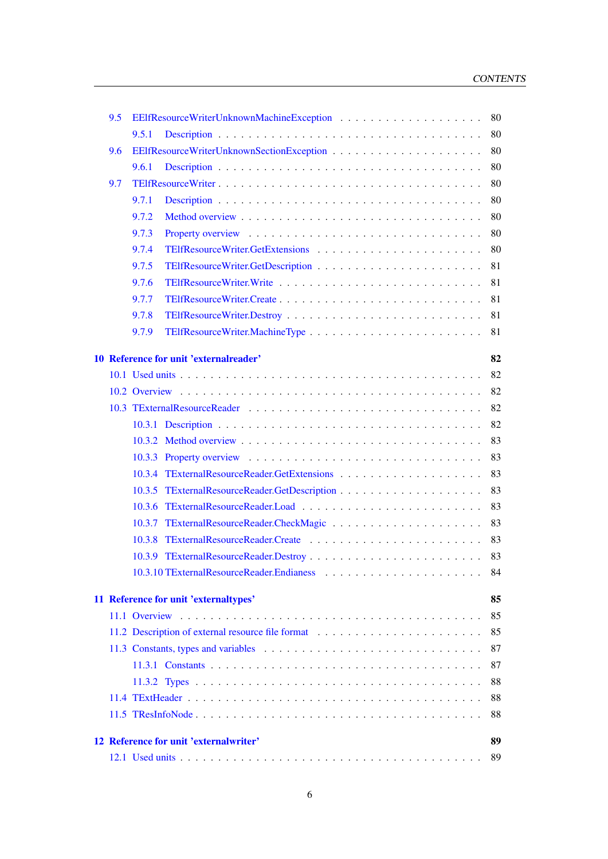| 9.5 |       |                                                   | 80       |
|-----|-------|---------------------------------------------------|----------|
|     | 9.5.1 |                                                   | 80       |
| 9.6 |       |                                                   | 80       |
|     | 9.6.1 |                                                   | 80       |
| 9.7 |       |                                                   | 80       |
|     | 9.7.1 |                                                   | 80       |
|     | 9.7.2 |                                                   | 80       |
|     | 9.7.3 |                                                   | 80       |
|     | 9.7.4 |                                                   | 80       |
|     | 9.7.5 |                                                   | 81       |
|     | 9.7.6 |                                                   | 81       |
|     | 9.7.7 |                                                   | 81       |
|     | 9.7.8 |                                                   | 81       |
|     | 9.7.9 |                                                   | 81       |
|     |       | 10 Reference for unit 'externalreader'            | 82       |
|     |       |                                                   | 82       |
|     |       |                                                   | 82       |
|     |       |                                                   | 82       |
|     |       |                                                   | 82       |
|     |       |                                                   | 83       |
|     |       |                                                   | 83       |
|     |       |                                                   | 83       |
|     |       |                                                   | 83       |
|     |       |                                                   | 83       |
|     |       |                                                   | 83       |
|     |       |                                                   | 83       |
|     |       |                                                   | 83       |
|     |       |                                                   | 84       |
|     |       |                                                   |          |
|     |       | 11 Reference for unit 'externaltypes'             | 85       |
|     |       |                                                   | 85       |
|     |       | 11.2 Description of external resource file format | 85       |
|     |       |                                                   | 87       |
|     |       |                                                   | 87       |
|     |       |                                                   | 88<br>88 |
|     |       |                                                   |          |
|     |       |                                                   | 88       |
|     |       | 12 Reference for unit 'external writer'           | 89       |
|     |       |                                                   | 89       |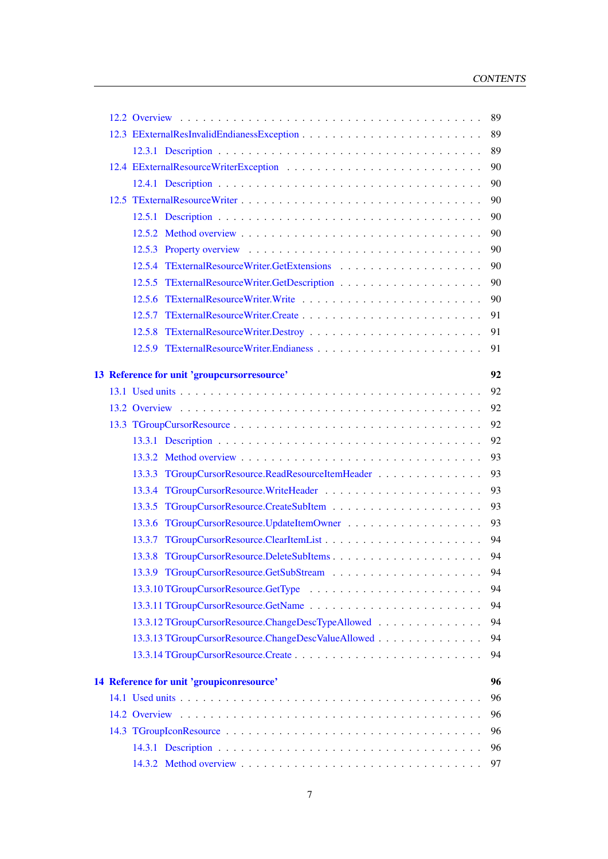|  |                                                     | 89 |
|--|-----------------------------------------------------|----|
|  |                                                     | 89 |
|  |                                                     | 89 |
|  |                                                     | 90 |
|  |                                                     | 90 |
|  |                                                     | 90 |
|  |                                                     | 90 |
|  |                                                     | 90 |
|  |                                                     | 90 |
|  |                                                     | 90 |
|  |                                                     | 90 |
|  |                                                     | 90 |
|  |                                                     | 91 |
|  |                                                     | 91 |
|  |                                                     | 91 |
|  | 13 Reference for unit 'groupcursorresource'         | 92 |
|  |                                                     | 92 |
|  |                                                     | 92 |
|  |                                                     | 92 |
|  |                                                     | 92 |
|  |                                                     | 93 |
|  | 13.3.3 TGroupCursorResource.ReadResourceItemHeader  | 93 |
|  |                                                     | 93 |
|  |                                                     | 93 |
|  |                                                     | 93 |
|  |                                                     | 94 |
|  |                                                     | 94 |
|  |                                                     | 94 |
|  |                                                     | 94 |
|  |                                                     | 94 |
|  | 13.3.12 TGroupCursorResource.ChangeDescTypeAllowed  | 94 |
|  | 13.3.13 TGroupCursorResource.ChangeDescValueAllowed | 94 |
|  |                                                     | 94 |
|  | 14 Reference for unit 'groupiconresource'           | 96 |
|  |                                                     | 96 |
|  |                                                     | 96 |
|  |                                                     | 96 |
|  |                                                     | 96 |
|  |                                                     | 97 |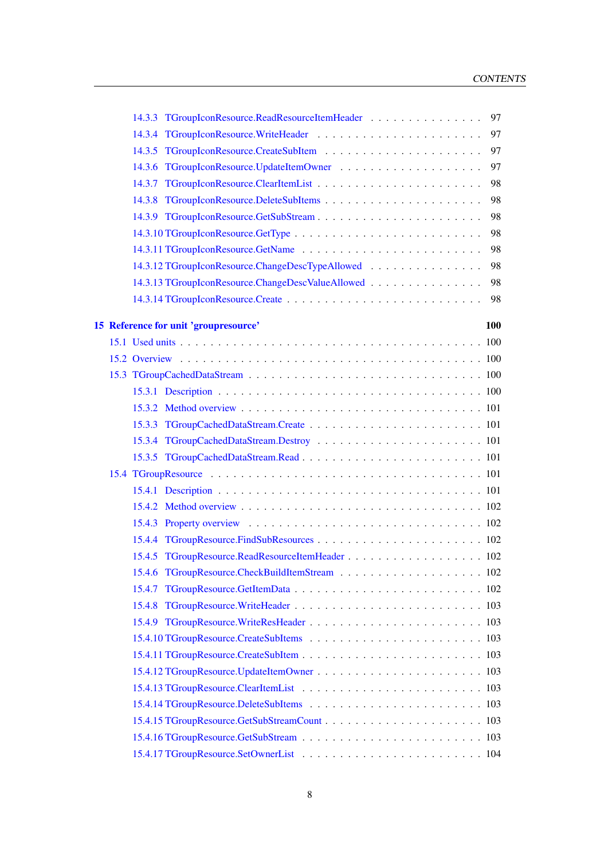|  | 14.3.3 TGroupIconResource.ReadResourceItemHeader<br>97  |
|--|---------------------------------------------------------|
|  | 14.3.4 TGroupIconResource.WriteHeader<br>97             |
|  | 97                                                      |
|  | 97                                                      |
|  | 98                                                      |
|  | 98                                                      |
|  | 98                                                      |
|  | 98                                                      |
|  | 98                                                      |
|  | 14.3.12 TGroupIconResource.ChangeDescTypeAllowed<br>98  |
|  | 14.3.13 TGroupIconResource.ChangeDescValueAllowed<br>98 |
|  | 98                                                      |
|  | 100                                                     |
|  | 15 Reference for unit 'groupresource'                   |
|  |                                                         |
|  |                                                         |
|  |                                                         |
|  |                                                         |
|  |                                                         |
|  |                                                         |
|  |                                                         |
|  |                                                         |
|  |                                                         |
|  |                                                         |
|  |                                                         |
|  |                                                         |
|  |                                                         |
|  |                                                         |
|  | 15.4.7                                                  |
|  |                                                         |
|  |                                                         |
|  |                                                         |
|  |                                                         |
|  |                                                         |
|  |                                                         |
|  |                                                         |
|  |                                                         |
|  |                                                         |
|  |                                                         |
|  |                                                         |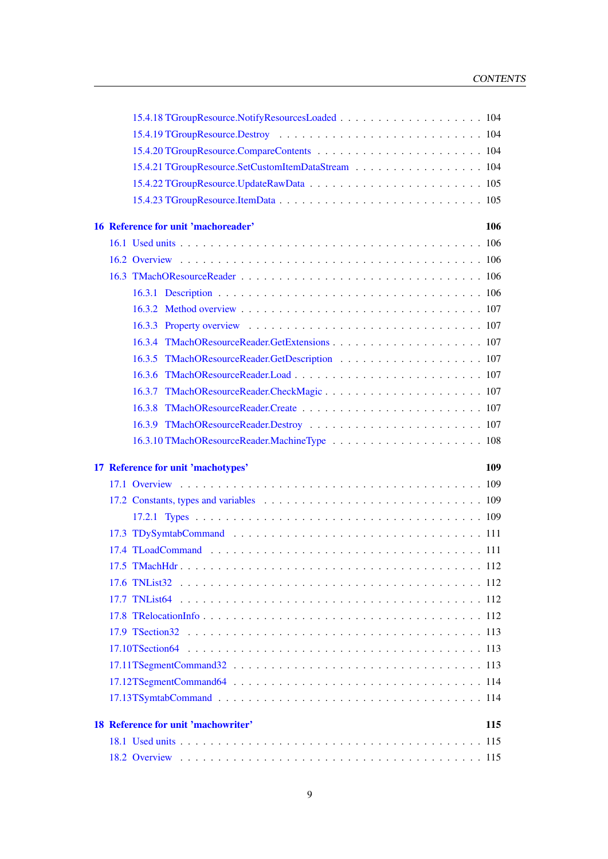| 15.4.21 TGroupResource.SetCustomItemDataStream 104 |     |
|----------------------------------------------------|-----|
|                                                    |     |
|                                                    |     |
| 16 Reference for unit 'machoreader'                | 106 |
|                                                    |     |
|                                                    |     |
|                                                    |     |
|                                                    |     |
|                                                    |     |
|                                                    |     |
|                                                    |     |
|                                                    |     |
|                                                    |     |
|                                                    |     |
|                                                    |     |
|                                                    |     |
|                                                    |     |
| 17 Reference for unit 'machotypes'                 | 109 |
|                                                    |     |
|                                                    |     |
|                                                    |     |
|                                                    |     |
|                                                    |     |
|                                                    |     |
|                                                    |     |
|                                                    |     |
|                                                    |     |
|                                                    |     |
|                                                    |     |
|                                                    |     |
|                                                    |     |
|                                                    |     |
| 18 Reference for unit 'machowriter'                | 115 |
|                                                    | 115 |
|                                                    |     |
|                                                    |     |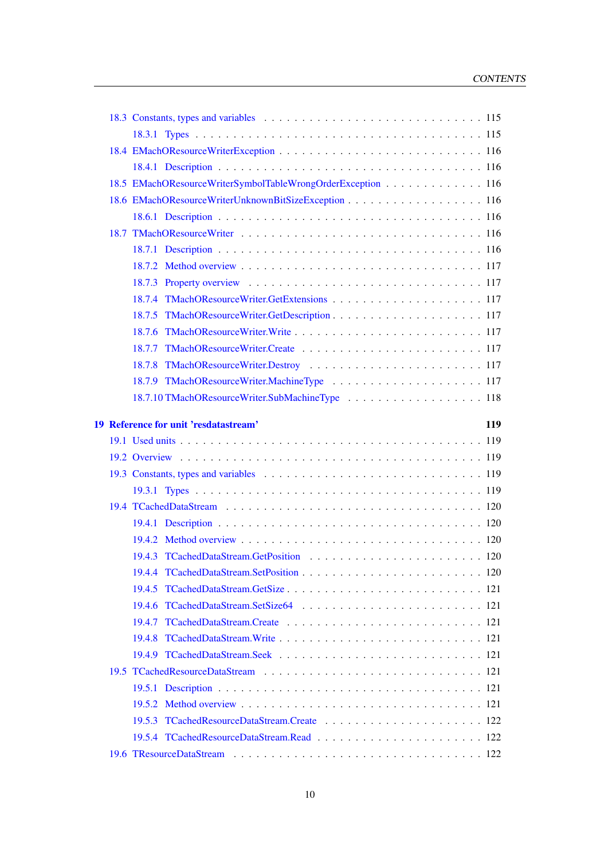|  | 18.5 EMachOResourceWriterSymbolTableWrongOrderException 116 |
|--|-------------------------------------------------------------|
|  | 18.6 EMachOResourceWriterUnknownBitSizeException 116        |
|  |                                                             |
|  |                                                             |
|  |                                                             |
|  |                                                             |
|  |                                                             |
|  |                                                             |
|  |                                                             |
|  |                                                             |
|  |                                                             |
|  |                                                             |
|  |                                                             |
|  | 18.7.10 TMachOResourceWriter.SubMachineType  118            |
|  | 19 Reference for unit 'resdatastream'<br>119                |
|  |                                                             |
|  |                                                             |
|  |                                                             |
|  |                                                             |
|  |                                                             |
|  |                                                             |
|  |                                                             |
|  |                                                             |
|  |                                                             |
|  |                                                             |
|  |                                                             |
|  |                                                             |
|  |                                                             |
|  |                                                             |
|  |                                                             |
|  |                                                             |
|  |                                                             |
|  |                                                             |
|  |                                                             |
|  |                                                             |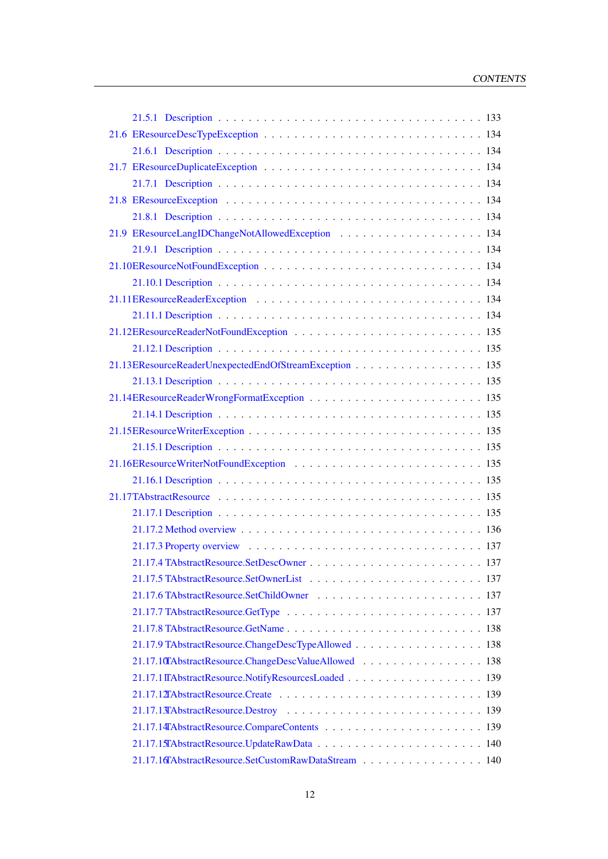| 21.13EResourceReaderUnexpectedEndOfStreamException 135 |
|--------------------------------------------------------|
|                                                        |
|                                                        |
|                                                        |
|                                                        |
|                                                        |
|                                                        |
|                                                        |
|                                                        |
|                                                        |
|                                                        |
|                                                        |
|                                                        |
|                                                        |
|                                                        |
|                                                        |
|                                                        |
| 21.17.9 TAbstractResource.ChangeDescTypeAllowed 138    |
| 21.17.10TAbstractResource.ChangeDescValueAllowed 138   |
|                                                        |
|                                                        |
|                                                        |
|                                                        |
|                                                        |
| 21.17.16TAbstractResource.SetCustomRawDataStream 140   |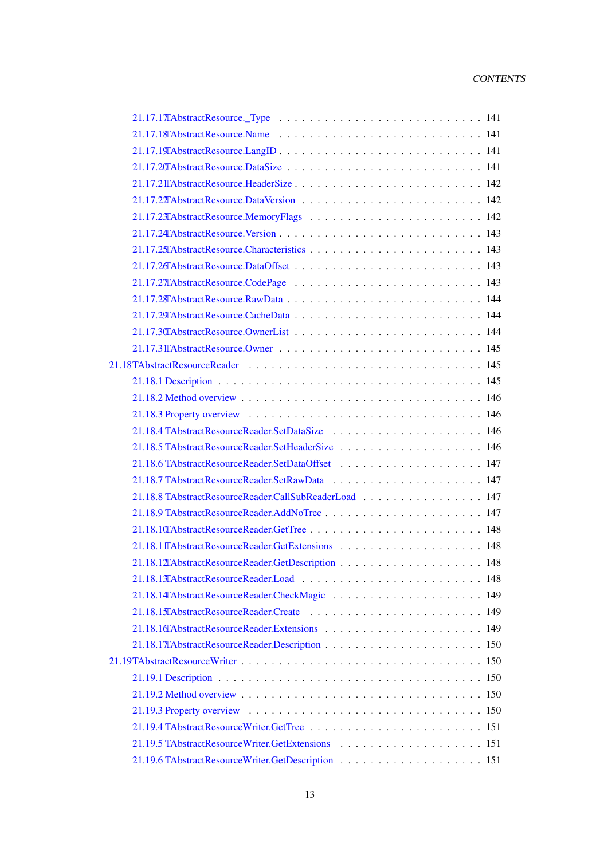| $21.17.17$ Abstract Resource. Type $\ldots \ldots \ldots \ldots \ldots \ldots \ldots \ldots \ldots 141$ |
|---------------------------------------------------------------------------------------------------------|
|                                                                                                         |
|                                                                                                         |
|                                                                                                         |
|                                                                                                         |
|                                                                                                         |
|                                                                                                         |
|                                                                                                         |
|                                                                                                         |
|                                                                                                         |
|                                                                                                         |
|                                                                                                         |
|                                                                                                         |
|                                                                                                         |
|                                                                                                         |
|                                                                                                         |
|                                                                                                         |
|                                                                                                         |
|                                                                                                         |
|                                                                                                         |
|                                                                                                         |
|                                                                                                         |
|                                                                                                         |
| 21.18.8 TAbstractResourceReader.CallSubReaderLoad 147                                                   |
|                                                                                                         |
|                                                                                                         |
|                                                                                                         |
|                                                                                                         |
|                                                                                                         |
|                                                                                                         |
|                                                                                                         |
|                                                                                                         |
|                                                                                                         |
|                                                                                                         |
|                                                                                                         |
|                                                                                                         |
|                                                                                                         |
|                                                                                                         |
|                                                                                                         |
|                                                                                                         |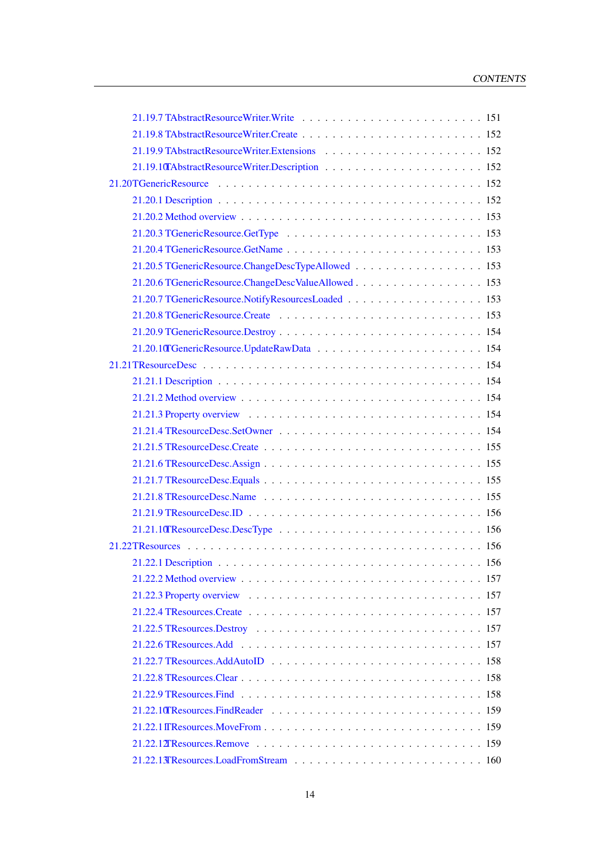| 21.20.5 TGenericResource.ChangeDescTypeAllowed 153                                                                                                                                                                             |  |
|--------------------------------------------------------------------------------------------------------------------------------------------------------------------------------------------------------------------------------|--|
|                                                                                                                                                                                                                                |  |
|                                                                                                                                                                                                                                |  |
| 21.20.8 TGenericResource.Create entertainment and the state of the state of the state of the state of the state of the state of the state of the state of the state of the state of the state of the state of the state of the |  |
|                                                                                                                                                                                                                                |  |
|                                                                                                                                                                                                                                |  |
|                                                                                                                                                                                                                                |  |
|                                                                                                                                                                                                                                |  |
|                                                                                                                                                                                                                                |  |
|                                                                                                                                                                                                                                |  |
|                                                                                                                                                                                                                                |  |
|                                                                                                                                                                                                                                |  |
|                                                                                                                                                                                                                                |  |
|                                                                                                                                                                                                                                |  |
|                                                                                                                                                                                                                                |  |
|                                                                                                                                                                                                                                |  |
|                                                                                                                                                                                                                                |  |
|                                                                                                                                                                                                                                |  |
|                                                                                                                                                                                                                                |  |
|                                                                                                                                                                                                                                |  |
|                                                                                                                                                                                                                                |  |
|                                                                                                                                                                                                                                |  |
|                                                                                                                                                                                                                                |  |
|                                                                                                                                                                                                                                |  |
|                                                                                                                                                                                                                                |  |
|                                                                                                                                                                                                                                |  |
|                                                                                                                                                                                                                                |  |
|                                                                                                                                                                                                                                |  |
|                                                                                                                                                                                                                                |  |
|                                                                                                                                                                                                                                |  |
|                                                                                                                                                                                                                                |  |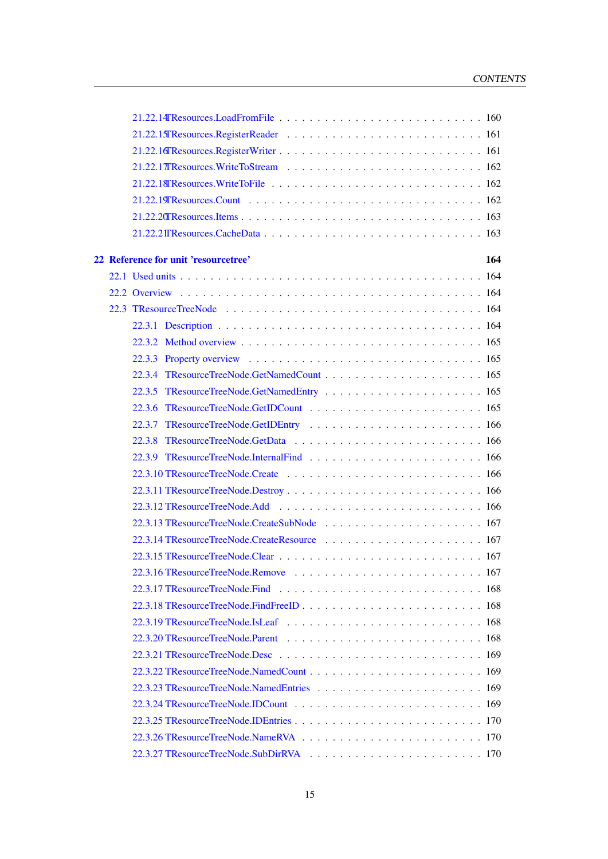|  | 22 Reference for unit 'resourcetree'<br>164                                                                                        |
|--|------------------------------------------------------------------------------------------------------------------------------------|
|  |                                                                                                                                    |
|  |                                                                                                                                    |
|  |                                                                                                                                    |
|  |                                                                                                                                    |
|  |                                                                                                                                    |
|  |                                                                                                                                    |
|  |                                                                                                                                    |
|  |                                                                                                                                    |
|  |                                                                                                                                    |
|  |                                                                                                                                    |
|  |                                                                                                                                    |
|  |                                                                                                                                    |
|  |                                                                                                                                    |
|  |                                                                                                                                    |
|  |                                                                                                                                    |
|  |                                                                                                                                    |
|  |                                                                                                                                    |
|  |                                                                                                                                    |
|  |                                                                                                                                    |
|  |                                                                                                                                    |
|  | $22.3.18$ TResource Tree Node. Find Free ID $\ldots$ , $\ldots$ , $\ldots$ , $\ldots$ , $\ldots$ , $\ldots$ , $\ldots$ , $\ldots$  |
|  |                                                                                                                                    |
|  |                                                                                                                                    |
|  | 22.3.21 TResource Tree Node. Desc $\ldots$ , $\ldots$ , $\ldots$ , $\ldots$ , $\ldots$ , $\ldots$ , $\ldots$ , $\ldots$ , $\ldots$ |
|  |                                                                                                                                    |
|  |                                                                                                                                    |
|  |                                                                                                                                    |
|  |                                                                                                                                    |
|  |                                                                                                                                    |
|  |                                                                                                                                    |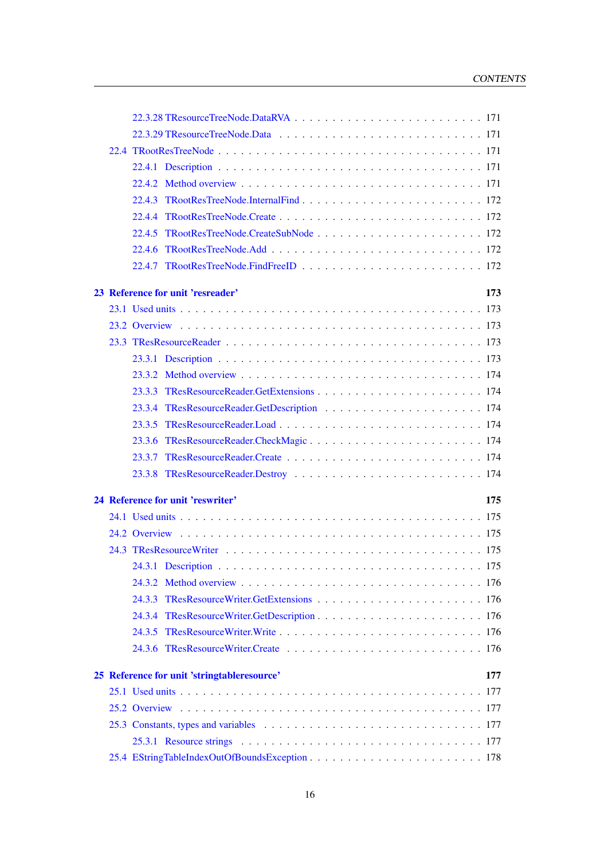| 22.4.3                                      |     |
|---------------------------------------------|-----|
|                                             |     |
|                                             |     |
| 22.4.6                                      |     |
|                                             |     |
| 23 Reference for unit 'resreader'           | 173 |
|                                             |     |
|                                             |     |
|                                             |     |
|                                             |     |
|                                             |     |
|                                             |     |
|                                             |     |
|                                             |     |
|                                             |     |
| 23.3.7                                      |     |
|                                             |     |
| 24 Reference for unit 'reswriter'           | 175 |
|                                             |     |
|                                             |     |
|                                             |     |
|                                             |     |
|                                             |     |
| 24.3.3                                      |     |
|                                             |     |
|                                             |     |
|                                             |     |
| 25 Reference for unit 'stringtableresource' | 177 |
|                                             | 177 |
|                                             |     |
|                                             |     |
|                                             |     |
|                                             |     |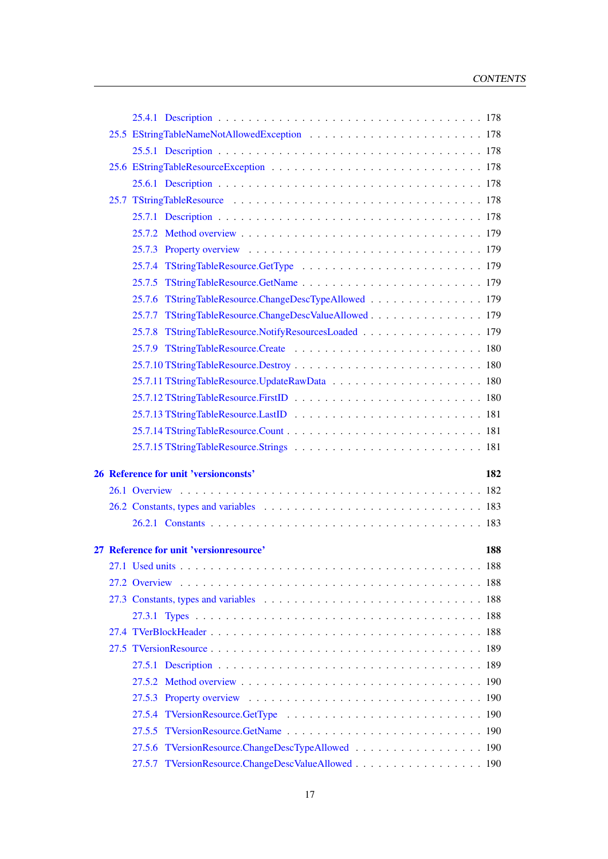|  | 25.7.6 TStringTableResource.ChangeDescTypeAllowed 179  |
|--|--------------------------------------------------------|
|  | 25.7.7 TStringTableResource.ChangeDescValueAllowed 179 |
|  | 25.7.8 TStringTableResource.NotifyResourcesLoaded  179 |
|  |                                                        |
|  |                                                        |
|  |                                                        |
|  |                                                        |
|  |                                                        |
|  |                                                        |
|  |                                                        |
|  | 26 Reference for unit 'versionconsts'<br>182           |
|  |                                                        |
|  |                                                        |
|  |                                                        |
|  |                                                        |
|  | 27 Reference for unit 'versionresource'<br>188         |
|  |                                                        |
|  |                                                        |
|  |                                                        |
|  |                                                        |
|  |                                                        |
|  |                                                        |
|  |                                                        |
|  |                                                        |
|  |                                                        |
|  |                                                        |
|  | 27.5.5                                                 |
|  |                                                        |
|  | 27.5.7 TVersionResource.ChangeDescValueAllowed 190     |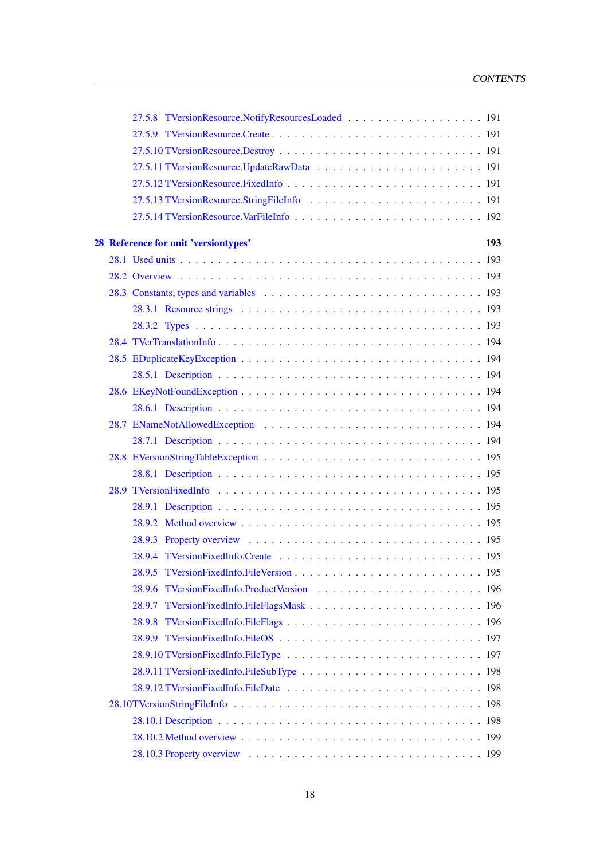|  | 28 Reference for unit 'versiontypes' | 193 |
|--|--------------------------------------|-----|
|  |                                      |     |
|  |                                      |     |
|  |                                      |     |
|  |                                      |     |
|  |                                      |     |
|  |                                      |     |
|  |                                      |     |
|  |                                      |     |
|  |                                      |     |
|  |                                      |     |
|  |                                      |     |
|  |                                      |     |
|  |                                      |     |
|  |                                      |     |
|  |                                      |     |
|  |                                      |     |
|  |                                      |     |
|  |                                      |     |
|  |                                      |     |
|  |                                      |     |
|  |                                      |     |
|  |                                      |     |
|  |                                      |     |
|  |                                      |     |
|  |                                      |     |
|  |                                      |     |
|  |                                      |     |
|  |                                      |     |
|  |                                      |     |
|  |                                      |     |
|  |                                      |     |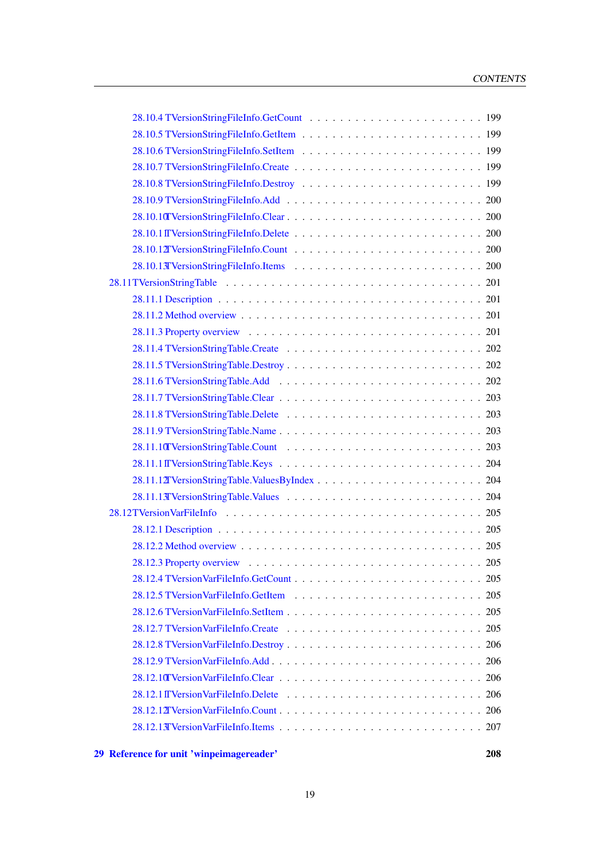[<sup>29</sup> Reference for unit 'winpeimagereader'](#page-208-0) 208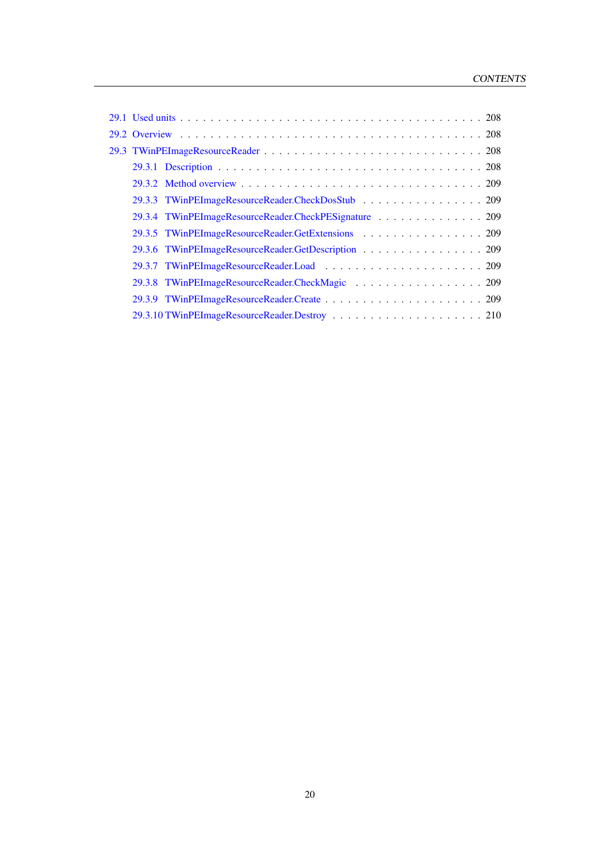| 29.3.3 TWinPEImageResourceReader.CheckDosStub 209     |
|-------------------------------------------------------|
| 29.3.4 TWinPEImageResourceReader.CheckPESignature 209 |
| 29.3.5 TWinPEImageResourceReader.GetExtensions 209    |
| 29.3.6 TWinPEImageResourceReader.GetDescription 209   |
|                                                       |
|                                                       |
|                                                       |
|                                                       |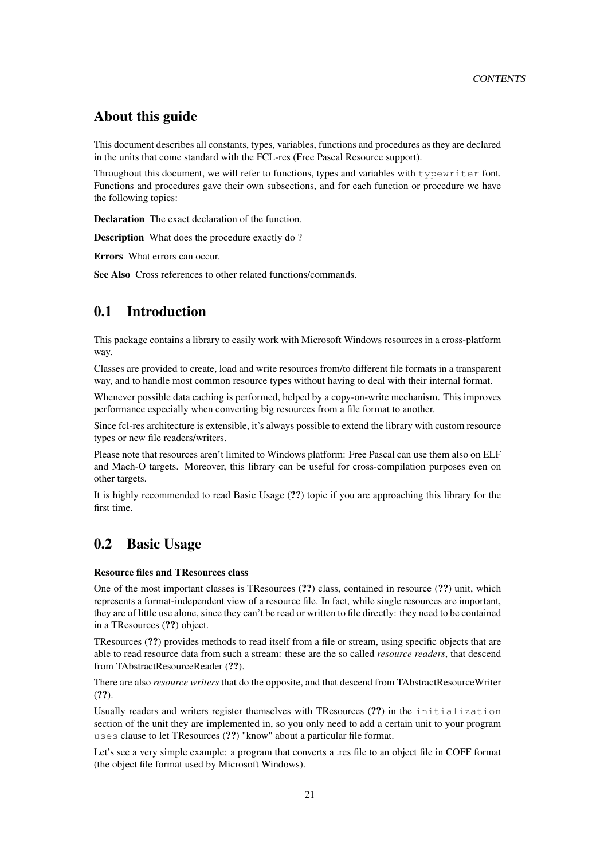## About this guide

This document describes all constants, types, variables, functions and procedures as they are declared in the units that come standard with the FCL-res (Free Pascal Resource support).

Throughout this document, we will refer to functions, types and variables with typewriter font. Functions and procedures gave their own subsections, and for each function or procedure we have the following topics:

Declaration The exact declaration of the function.

Description What does the procedure exactly do?

Errors What errors can occur.

See Also Cross references to other related functions/commands.

# <span id="page-21-0"></span>0.1 Introduction

This package contains a library to easily work with Microsoft Windows resources in a cross-platform way.

Classes are provided to create, load and write resources from/to different file formats in a transparent way, and to handle most common resource types without having to deal with their internal format.

Whenever possible data caching is performed, helped by a copy-on-write mechanism. This improves performance especially when converting big resources from a file format to another.

Since fcl-res architecture is extensible, it's always possible to extend the library with custom resource types or new file readers/writers.

Please note that resources aren't limited to Windows platform: Free Pascal can use them also on ELF and Mach-O targets. Moreover, this library can be useful for cross-compilation purposes even on other targets.

It is highly recommended to read Basic Usage (??) topic if you are approaching this library for the first time.

# <span id="page-21-1"></span>0.2 Basic Usage

#### Resource files and TResources class

One of the most important classes is TResources (??) class, contained in resource (??) unit, which represents a format-independent view of a resource file. In fact, while single resources are important, they are of little use alone, since they can't be read or written to file directly: they need to be contained in a TResources (??) object.

TResources (??) provides methods to read itself from a file or stream, using specific objects that are able to read resource data from such a stream: these are the so called *resource readers*, that descend from TAbstractResourceReader (??).

There are also *resource writers* that do the opposite, and that descend from TAbstractResourceWriter (??).

Usually readers and writers register themselves with TResources (??) in the initialization section of the unit they are implemented in, so you only need to add a certain unit to your program uses clause to let TResources (??) "know" about a particular file format.

Let's see a very simple example: a program that converts a .res file to an object file in COFF format (the object file format used by Microsoft Windows).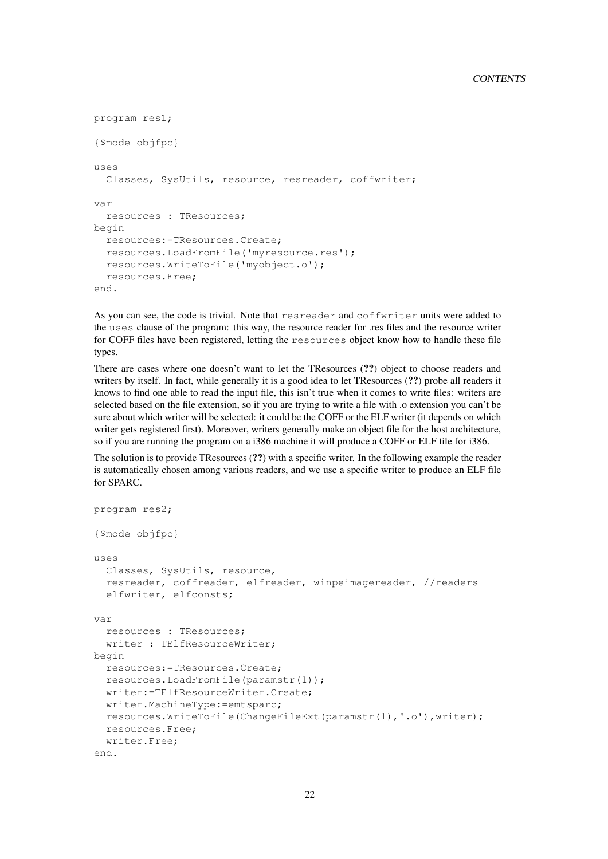```
program res1;
{$mode objfpc}
uses
 Classes, SysUtils, resource, resreader, coffwriter;
var
 resources : TResources;
begin
 resources:=TResources.Create;
 resources.LoadFromFile('myresource.res');
 resources.WriteToFile('myobject.o');
 resources.Free;
end.
```
As you can see, the code is trivial. Note that resreader and coffwriter units were added to the uses clause of the program: this way, the resource reader for .res files and the resource writer for COFF files have been registered, letting the resources object know how to handle these file types.

There are cases where one doesn't want to let the TResources (??) object to choose readers and writers by itself. In fact, while generally it is a good idea to let TResources (??) probe all readers it knows to find one able to read the input file, this isn't true when it comes to write files: writers are selected based on the file extension, so if you are trying to write a file with .o extension you can't be sure about which writer will be selected: it could be the COFF or the ELF writer (it depends on which writer gets registered first). Moreover, writers generally make an object file for the host architecture, so if you are running the program on a i386 machine it will produce a COFF or ELF file for i386.

The solution is to provide TResources (??) with a specific writer. In the following example the reader is automatically chosen among various readers, and we use a specific writer to produce an ELF file for SPARC.

```
program res2;
{$mode objfpc}
uses
 Classes, SysUtils, resource,
 resreader, coffreader, elfreader, winpeimagereader, //readers
 elfwriter, elfconsts;
var
 resources : TResources;
 writer : TElfResourceWriter;
begin
 resources:=TResources.Create;
 resources.LoadFromFile(paramstr(1));
 writer:=TElfResourceWriter.Create;
 writer.MachineType:=emtsparc;
 resources.WriteToFile(ChangeFileExt(paramstr(1),'.o'),writer);
 resources.Free;
 writer.Free;
end.
```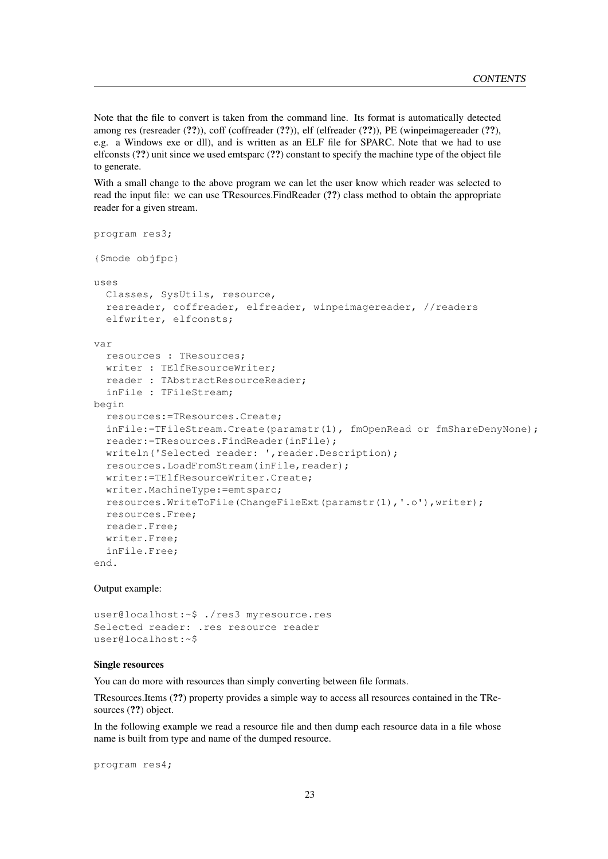Note that the file to convert is taken from the command line. Its format is automatically detected among res (resreader (??)), coff (coffreader (??)), elf (elfreader (??)), PE (winpeimagereader (??), e.g. a Windows exe or dll), and is written as an ELF file for SPARC. Note that we had to use elfconsts (??) unit since we used emtsparc (??) constant to specify the machine type of the object file to generate.

With a small change to the above program we can let the user know which reader was selected to read the input file: we can use TResources.FindReader (??) class method to obtain the appropriate reader for a given stream.

```
program res3;
{$mode objfpc}
uses
 Classes, SysUtils, resource,
 resreader, coffreader, elfreader, winpeimagereader, //readers
 elfwriter, elfconsts;
var
 resources : TResources;
 writer : TElfResourceWriter;
 reader : TAbstractResourceReader;
 inFile : TFileStream;
begin
 resources:=TResources.Create;
 inFile:=TFileStream.Create(paramstr(1), fmOpenRead or fmShareDenyNone);
 reader:=TResources.FindReader(inFile);
 writeln('Selected reader: ', reader. Description);
 resources.LoadFromStream(inFile,reader);
 writer:=TElfResourceWriter.Create;
 writer.MachineType:=emtsparc;
 resources.WriteToFile(ChangeFileExt(paramstr(1),'.o'),writer);
 resources.Free;
 reader.Free;
 writer.Free;
 inFile.Free;
end.
```
#### Output example:

user@localhost:~\$ ./res3 myresource.res Selected reader: .res resource reader user@localhost:~\$

### Single resources

You can do more with resources than simply converting between file formats.

TResources.Items (??) property provides a simple way to access all resources contained in the TResources (??) object.

In the following example we read a resource file and then dump each resource data in a file whose name is built from type and name of the dumped resource.

program res4;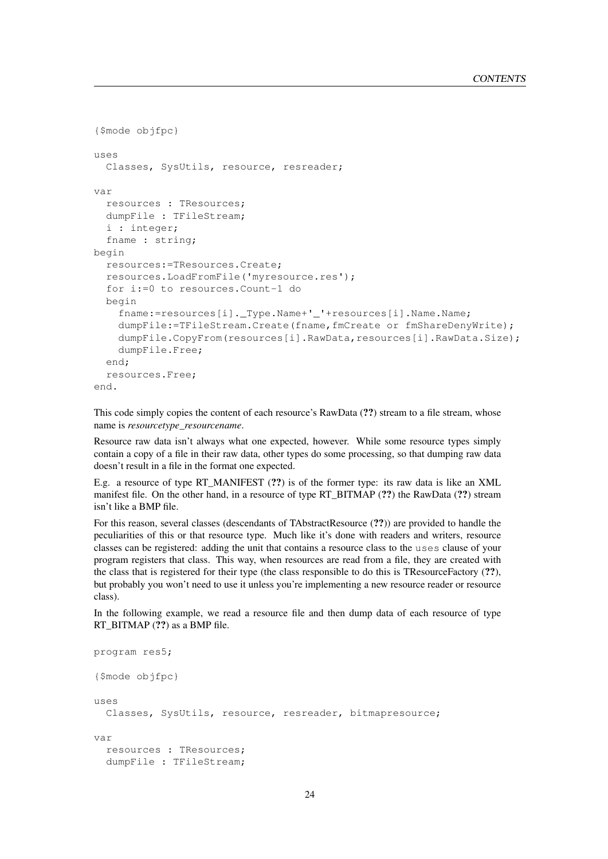```
{$mode objfpc}
11505Classes, SysUtils, resource, resreader;
var
  resources : TResources;
  dumpFile : TFileStream;
  i : integer;
  fname : string;
begin
  resources:=TResources.Create;
  resources.LoadFromFile('myresource.res');
  for i:=0 to resources.Count-1 do
  begin
    fname:=resources[i]._Type.Name+'_'+resources[i].Name.Name;
    dumpFile:=TFileStream.Create(fname,fmCreate or fmShareDenyWrite);
    dumpFile.CopyFrom(resources[i].RawData,resources[i].RawData.Size);
    dumpFile.Free;
  end;
  resources.Free;
end.
```
This code simply copies the content of each resource's RawData (??) stream to a file stream, whose name is *resourcetype\_resourcename*.

Resource raw data isn't always what one expected, however. While some resource types simply contain a copy of a file in their raw data, other types do some processing, so that dumping raw data doesn't result in a file in the format one expected.

E.g. a resource of type RT\_MANIFEST (??) is of the former type: its raw data is like an XML manifest file. On the other hand, in a resource of type RT\_BITMAP (??) the RawData (??) stream isn't like a BMP file.

For this reason, several classes (descendants of TAbstractResource (??)) are provided to handle the peculiarities of this or that resource type. Much like it's done with readers and writers, resource classes can be registered: adding the unit that contains a resource class to the uses clause of your program registers that class. This way, when resources are read from a file, they are created with the class that is registered for their type (the class responsible to do this is TResourceFactory (??), but probably you won't need to use it unless you're implementing a new resource reader or resource class).

In the following example, we read a resource file and then dump data of each resource of type RT\_BITMAP (??) as a BMP file.

```
program res5;
{$mode objfpc}
uses
 Classes, SysUtils, resource, resreader, bitmapresource;
var
 resources : TResources;
 dumpFile : TFileStream;
```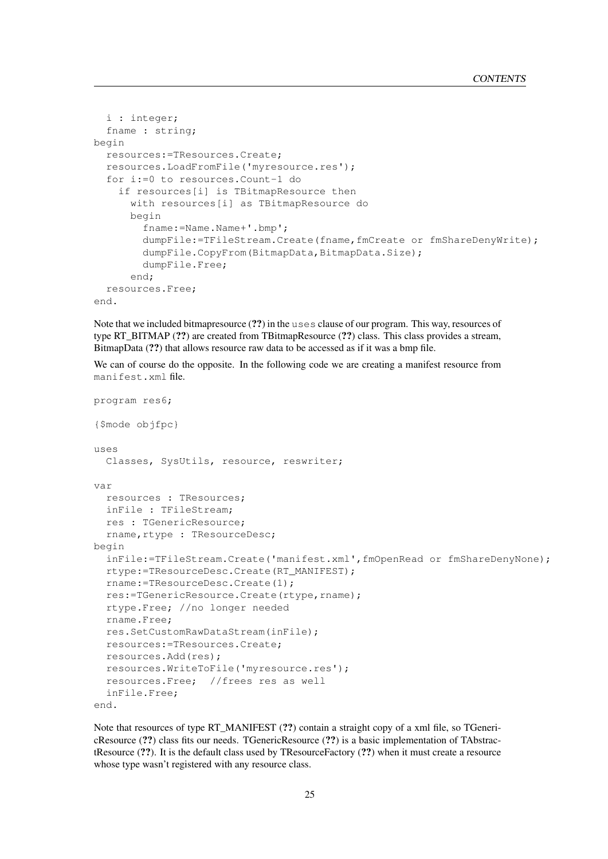```
i : integer;
 fname : string;
begin
 resources:=TResources.Create;
 resources.LoadFromFile('myresource.res');
 for i:=0 to resources.Count-1 do
    if resources[i] is TBitmapResource then
      with resources[i] as TBitmapResource do
      begin
        fname:=Name.Name+'.bmp';
        dumpFile:=TFileStream.Create(fname,fmCreate or fmShareDenyWrite);
        dumpFile.CopyFrom(BitmapData,BitmapData.Size);
        dumpFile.Free;
      end;
 resources.Free;
end.
```
Note that we included bitmapresource (??) in the uses clause of our program. This way, resources of type RT\_BITMAP (??) are created from TBitmapResource (??) class. This class provides a stream, BitmapData (??) that allows resource raw data to be accessed as if it was a bmp file.

We can of course do the opposite. In the following code we are creating a manifest resource from manifest.xml file.

```
program res6;
{$mode objfpc}
uses
 Classes, SysUtils, resource, reswriter;
var
 resources : TResources;
 inFile : TFileStream;
 res : TGenericResource;
 rname, rtype : TResourceDesc;
begin
 inFile:=TFileStream.Create('manifest.xml',fmOpenRead or fmShareDenyNone);
 rtype:=TResourceDesc.Create(RT_MANIFEST);
 rname:=TResourceDesc.Create(1);
 res:=TGenericResource.Create(rtype,rname);
 rtype.Free; //no longer needed
 rname.Free;
 res.SetCustomRawDataStream(inFile);
 resources:=TResources.Create;
 resources.Add(res);
 resources.WriteToFile('myresource.res');
 resources.Free; //frees res as well
 inFile.Free;
end.
```
Note that resources of type RT\_MANIFEST (??) contain a straight copy of a xml file, so TGenericResource (??) class fits our needs. TGenericResource (??) is a basic implementation of TAbstractResource (??). It is the default class used by TResourceFactory (??) when it must create a resource whose type wasn't registered with any resource class.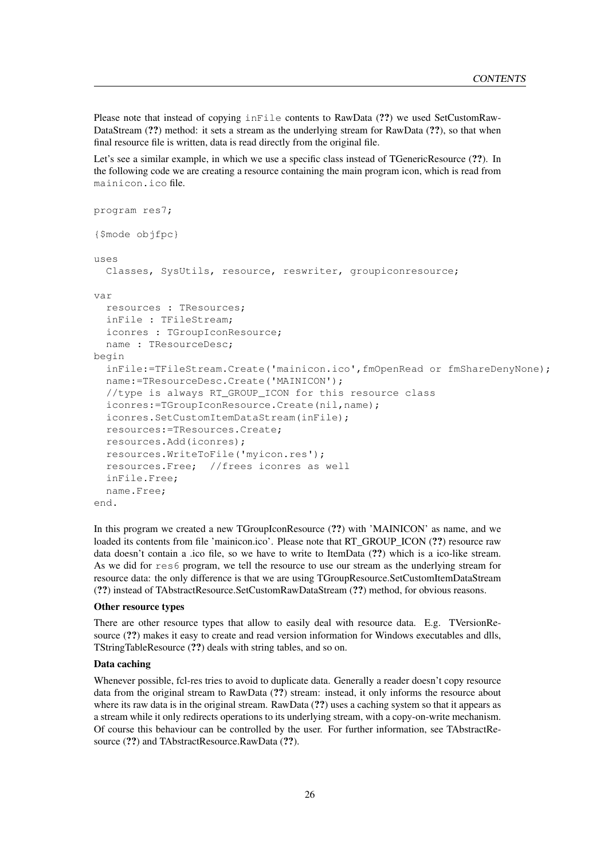Please note that instead of copying inFile contents to RawData (??) we used SetCustomRaw-DataStream (??) method: it sets a stream as the underlying stream for RawData (??), so that when final resource file is written, data is read directly from the original file.

Let's see a similar example, in which we use a specific class instead of TGenericResource  $(?)$ . In the following code we are creating a resource containing the main program icon, which is read from mainicon.ico file.

```
program res7;
{$mode objfpc}
11505Classes, SysUtils, resource, reswriter, groupiconresource;
var
 resources : TResources;
 inFile : TFileStream;
 iconres : TGroupIconResource;
 name : TResourceDesc;
begin
 inFile:=TFileStream.Create('mainicon.ico',fmOpenRead or fmShareDenyNone);
 name:=TResourceDesc.Create('MAINICON');
 //type is always RT_GROUP_ICON for this resource class
 iconres:=TGroupIconResource.Create(nil,name);
 iconres.SetCustomItemDataStream(inFile);
 resources:=TResources.Create;
 resources.Add(iconres);
 resources.WriteToFile('myicon.res');
 resources.Free; //frees iconres as well
 inFile.Free;
 name.Free;
end.
```
In this program we created a new TGroupIconResource (??) with 'MAINICON' as name, and we loaded its contents from file 'mainicon.ico'. Please note that RT\_GROUP\_ICON (??) resource raw data doesn't contain a .ico file, so we have to write to ItemData (??) which is a ico-like stream. As we did for res6 program, we tell the resource to use our stream as the underlying stream for resource data: the only difference is that we are using TGroupResource.SetCustomItemDataStream (??) instead of TAbstractResource.SetCustomRawDataStream (??) method, for obvious reasons.

#### Other resource types

There are other resource types that allow to easily deal with resource data. E.g. TVersionResource (??) makes it easy to create and read version information for Windows executables and dlls, TStringTableResource (??) deals with string tables, and so on.

#### Data caching

Whenever possible, fcl-res tries to avoid to duplicate data. Generally a reader doesn't copy resource data from the original stream to RawData (??) stream: instead, it only informs the resource about where its raw data is in the original stream. RawData (??) uses a caching system so that it appears as a stream while it only redirects operations to its underlying stream, with a copy-on-write mechanism. Of course this behaviour can be controlled by the user. For further information, see TAbstractResource (??) and TAbstractResource.RawData (??).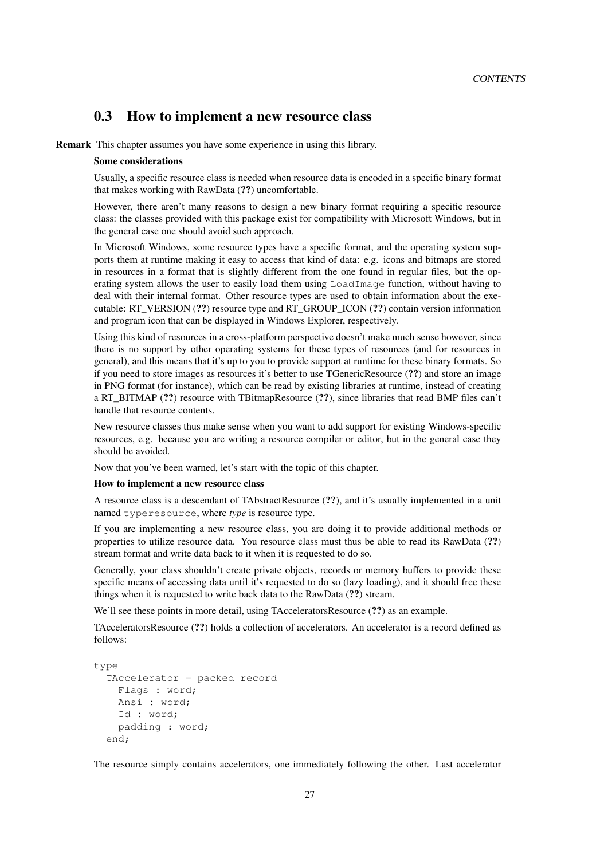## <span id="page-27-0"></span>0.3 How to implement a new resource class

Remark This chapter assumes you have some experience in using this library.

#### Some considerations

Usually, a specific resource class is needed when resource data is encoded in a specific binary format that makes working with RawData (??) uncomfortable.

However, there aren't many reasons to design a new binary format requiring a specific resource class: the classes provided with this package exist for compatibility with Microsoft Windows, but in the general case one should avoid such approach.

In Microsoft Windows, some resource types have a specific format, and the operating system supports them at runtime making it easy to access that kind of data: e.g. icons and bitmaps are stored in resources in a format that is slightly different from the one found in regular files, but the operating system allows the user to easily load them using LoadImage function, without having to deal with their internal format. Other resource types are used to obtain information about the executable: RT\_VERSION (??) resource type and RT\_GROUP\_ICON (??) contain version information and program icon that can be displayed in Windows Explorer, respectively.

Using this kind of resources in a cross-platform perspective doesn't make much sense however, since there is no support by other operating systems for these types of resources (and for resources in general), and this means that it's up to you to provide support at runtime for these binary formats. So if you need to store images as resources it's better to use TGenericResource (??) and store an image in PNG format (for instance), which can be read by existing libraries at runtime, instead of creating a RT\_BITMAP (??) resource with TBitmapResource (??), since libraries that read BMP files can't handle that resource contents.

New resource classes thus make sense when you want to add support for existing Windows-specific resources, e.g. because you are writing a resource compiler or editor, but in the general case they should be avoided.

Now that you've been warned, let's start with the topic of this chapter.

#### How to implement a new resource class

A resource class is a descendant of TAbstractResource (??), and it's usually implemented in a unit named typeresource, where *type* is resource type.

If you are implementing a new resource class, you are doing it to provide additional methods or properties to utilize resource data. You resource class must thus be able to read its RawData (??) stream format and write data back to it when it is requested to do so.

Generally, your class shouldn't create private objects, records or memory buffers to provide these specific means of accessing data until it's requested to do so (lazy loading), and it should free these things when it is requested to write back data to the RawData (??) stream.

We'll see these points in more detail, using TAcceleratorsResource (??) as an example.

TAcceleratorsResource (??) holds a collection of accelerators. An accelerator is a record defined as follows:

```
type
 TAccelerator = packed record
    Flags : word;
    Ansi : word;
    Id : word;
    padding : word;
 end;
```
The resource simply contains accelerators, one immediately following the other. Last accelerator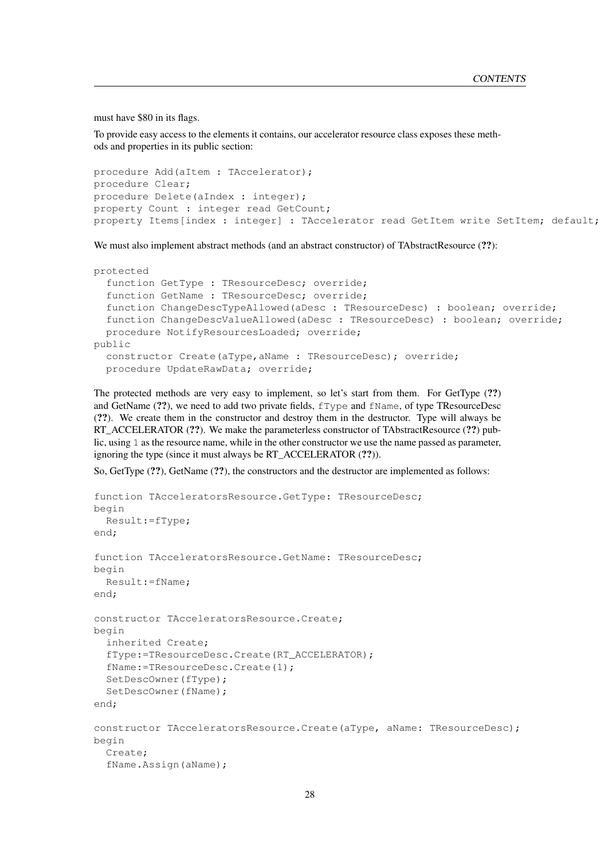must have \$80 in its flags.

To provide easy access to the elements it contains, our accelerator resource class exposes these methods and properties in its public section:

```
procedure Add(aItem : TAccelerator);
procedure Clear;
procedure Delete(aIndex : integer);
property Count : integer read GetCount;
property Items[index : integer] : TAccelerator read GetItem write SetItem; default;
```
We must also implement abstract methods (and an abstract constructor) of TAbstractResource (??):

```
protected
 function GetType : TResourceDesc; override;
 function GetName : TResourceDesc; override;
 function ChangeDescTypeAllowed(aDesc : TResourceDesc) : boolean; override;
 function ChangeDescValueAllowed(aDesc : TResourceDesc) : boolean; override;
 procedure NotifyResourcesLoaded; override;
public
 constructor Create(aType,aName : TResourceDesc); override;
 procedure UpdateRawData; override;
```
The protected methods are very easy to implement, so let's start from them. For GetType (??) and GetName (??), we need to add two private fields, fType and fName, of type TResourceDesc (??). We create them in the constructor and destroy them in the destructor. Type will always be RT\_ACCELERATOR (??). We make the parameterless constructor of TAbstractResource (??) public, using 1 as the resource name, while in the other constructor we use the name passed as parameter, ignoring the type (since it must always be RT\_ACCELERATOR (??)).

So, GetType (??), GetName (??), the constructors and the destructor are implemented as follows:

```
function TAcceleratorsResource.GetType: TResourceDesc;
begin
 Result:=fType;
end;
function TAcceleratorsResource.GetName: TResourceDesc;
begin
 Result:=fName;
end;
constructor TAcceleratorsResource.Create;
begin
 inherited Create;
 fType:=TResourceDesc.Create(RT_ACCELERATOR);
 fName:=TResourceDesc.Create(1);
 SetDescOwner(fType);
 SetDescOwner(fName);
end;
constructor TAcceleratorsResource.Create(aType, aName: TResourceDesc);
begin
 Create;
  fName.Assign(aName);
```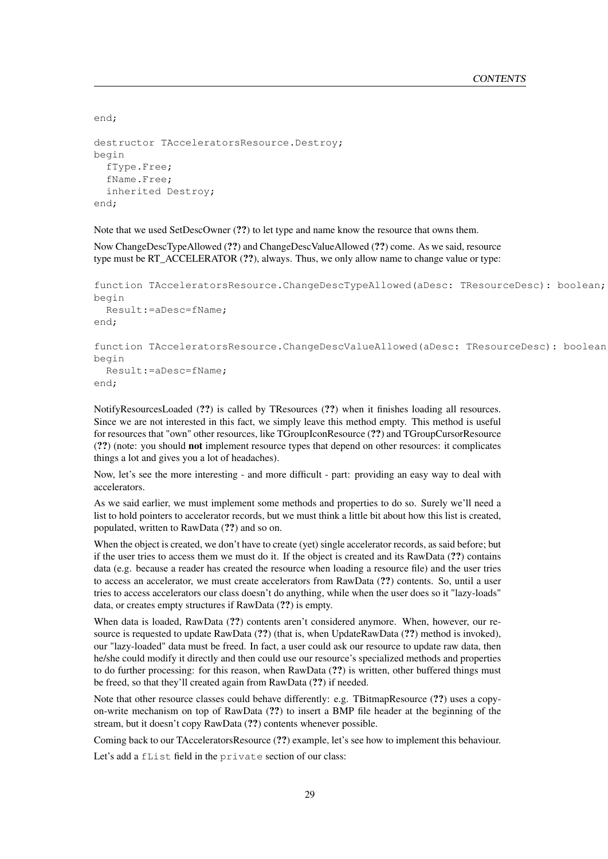```
end;
destructor TAcceleratorsResource.Destroy;
begin
  fType.Free;
  fName.Free;
  inherited Destroy;
end;
```
Note that we used SetDescOwner (??) to let type and name know the resource that owns them.

Now ChangeDescTypeAllowed (??) and ChangeDescValueAllowed (??) come. As we said, resource type must be RT\_ACCELERATOR (??), always. Thus, we only allow name to change value or type:

```
function TAcceleratorsResource.ChangeDescTypeAllowed(aDesc: TResourceDesc): boolean;
begin
 Result:=aDesc=fName;
end;
function TAcceleratorsResource.ChangeDescValueAllowed(aDesc: TResourceDesc): boolean;
begin
 Result:=aDesc=fName;
end;
```
NotifyResourcesLoaded (??) is called by TResources (??) when it finishes loading all resources. Since we are not interested in this fact, we simply leave this method empty. This method is useful for resources that "own" other resources, like TGroupIconResource (??) and TGroupCursorResource (??) (note: you should not implement resource types that depend on other resources: it complicates things a lot and gives you a lot of headaches).

Now, let's see the more interesting - and more difficult - part: providing an easy way to deal with accelerators.

As we said earlier, we must implement some methods and properties to do so. Surely we'll need a list to hold pointers to accelerator records, but we must think a little bit about how this list is created, populated, written to RawData (??) and so on.

When the object is created, we don't have to create (yet) single accelerator records, as said before; but if the user tries to access them we must do it. If the object is created and its RawData (??) contains data (e.g. because a reader has created the resource when loading a resource file) and the user tries to access an accelerator, we must create accelerators from RawData (??) contents. So, until a user tries to access accelerators our class doesn't do anything, while when the user does so it "lazy-loads" data, or creates empty structures if RawData (??) is empty.

When data is loaded, RawData (??) contents aren't considered anymore. When, however, our resource is requested to update RawData (??) (that is, when UpdateRawData (??) method is invoked), our "lazy-loaded" data must be freed. In fact, a user could ask our resource to update raw data, then he/she could modify it directly and then could use our resource's specialized methods and properties to do further processing: for this reason, when RawData (??) is written, other buffered things must be freed, so that they'll created again from RawData (??) if needed.

Note that other resource classes could behave differently: e.g. TBitmapResource (??) uses a copyon-write mechanism on top of RawData (??) to insert a BMP file header at the beginning of the stream, but it doesn't copy RawData (??) contents whenever possible.

Coming back to our TAcceleratorsResource (??) example, let's see how to implement this behaviour.

Let's add a fList field in the private section of our class: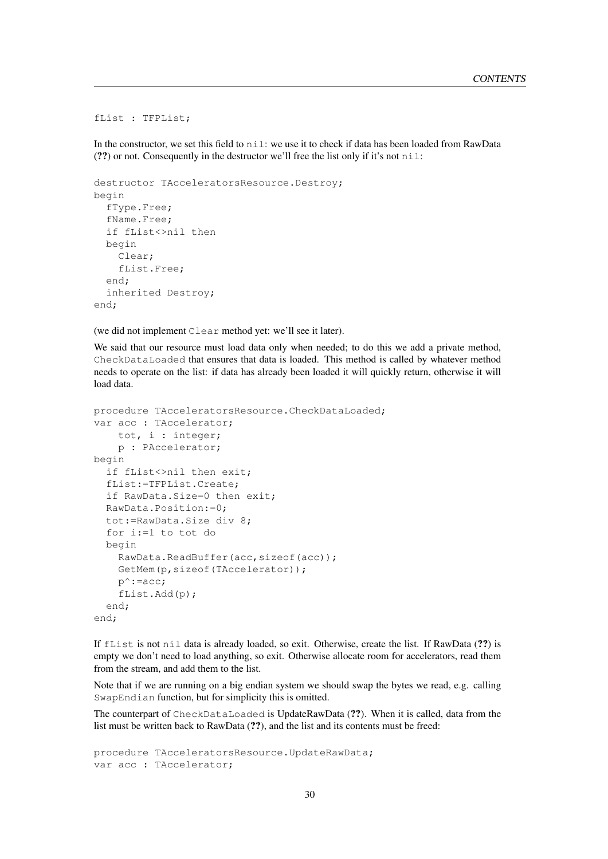```
fList : TFPList;
```
In the constructor, we set this field to  $n$  i 1: we use it to check if data has been loaded from RawData (??) or not. Consequently in the destructor we'll free the list only if it's not  $n \in \mathbb{N}$ .

```
destructor TAcceleratorsResource.Destroy;
begin
 fType.Free;
 fName.Free;
 if fList<>nil then
 begin
   Clear;
    fList.Free;
 end;
 inherited Destroy;
end;
```
(we did not implement Clear method yet: we'll see it later).

We said that our resource must load data only when needed; to do this we add a private method, CheckDataLoaded that ensures that data is loaded. This method is called by whatever method needs to operate on the list: if data has already been loaded it will quickly return, otherwise it will load data.

```
procedure TAcceleratorsResource.CheckDataLoaded;
var acc : TAccelerator;
    tot, i : integer;
    p : PAccelerator;
begin
 if fList<>nil then exit;
 fList:=TFPList.Create;
 if RawData.Size=0 then exit;
 RawData.Position:=0;
 tot:=RawData.Size div 8;
 for i:=1 to tot do
 begin
    RawData.ReadBuffer(acc,sizeof(acc));
    GetMem(p,sizeof(TAccelerator));
    p^*: =acc;
    fList.Add(p);
 end;
end;
```
If fList is not nil data is already loaded, so exit. Otherwise, create the list. If RawData (??) is empty we don't need to load anything, so exit. Otherwise allocate room for accelerators, read them from the stream, and add them to the list.

Note that if we are running on a big endian system we should swap the bytes we read, e.g. calling SwapEndian function, but for simplicity this is omitted.

The counterpart of CheckDataLoaded is UpdateRawData (??). When it is called, data from the list must be written back to RawData (??), and the list and its contents must be freed:

```
procedure TAcceleratorsResource.UpdateRawData;
var acc : TAccelerator;
```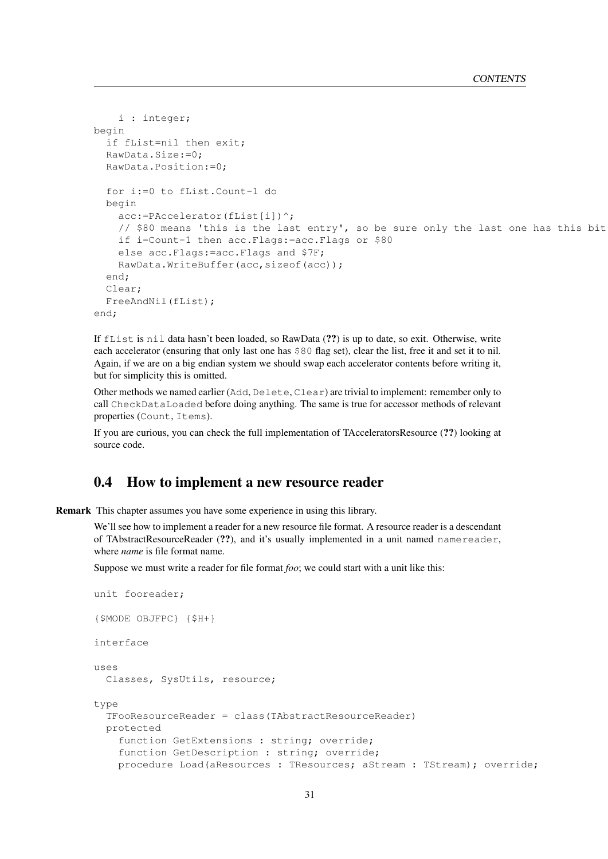```
i : integer;
begin
  if fList=nil then exit;
  RawData.Size:=0;
  RawData.Position:=0;
  for i:=0 to fList.Count-1 do
  begin
    acc:=PAccelerator(fList[i])^;
    // $80 means 'this is the last entry', so be sure only the last one has this bit
    if i=Count-1 then acc.Flags:=acc.Flags or $80
    else acc.Flags:=acc.Flags and $7F;
    RawData.WriteBuffer(acc,sizeof(acc));
  end;
  Clear;
  FreeAndNil(fList);
end;
```
If fList is nil data hasn't been loaded, so RawData (??) is up to date, so exit. Otherwise, write each accelerator (ensuring that only last one has \$80 flag set), clear the list, free it and set it to nil. Again, if we are on a big endian system we should swap each accelerator contents before writing it, but for simplicity this is omitted.

Other methods we named earlier (Add, Delete, Clear) are trivial to implement: remember only to call CheckDataLoaded before doing anything. The same is true for accessor methods of relevant properties (Count, Items).

If you are curious, you can check the full implementation of TAcceleratorsResource (??) looking at source code.

## <span id="page-31-0"></span>0.4 How to implement a new resource reader

Remark This chapter assumes you have some experience in using this library.

We'll see how to implement a reader for a new resource file format. A resource reader is a descendant of TAbstractResourceReader (??), and it's usually implemented in a unit named namereader, where *name* is file format name.

Suppose we must write a reader for file format *foo*; we could start with a unit like this:

```
unit fooreader;
{$MODE OBJFPC} {$H+}
interface
uses
 Classes, SysUtils, resource;
type
 TFooResourceReader = class(TAbstractResourceReader)
 protected
    function GetExtensions : string; override;
    function GetDescription : string; override;
    procedure Load(aResources : TResources; aStream : TStream); override;
```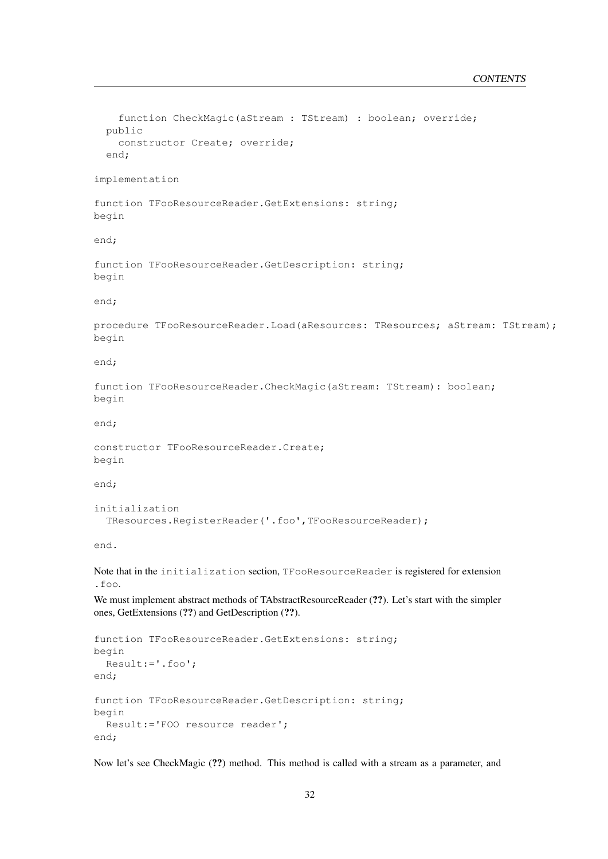```
function CheckMagic(aStream : TStream) : boolean; override;
  public
    constructor Create; override;
  end;
implementation
function TFooResourceReader.GetExtensions: string;
begin
end;
function TFooResourceReader.GetDescription: string;
begin
end;
procedure TFooResourceReader.Load(aResources: TResources; aStream: TStream);
begin
end;
function TFooResourceReader.CheckMagic(aStream: TStream): boolean;
begin
end;
constructor TFooResourceReader.Create;
begin
end;
initialization
  TResources.RegisterReader('.foo',TFooResourceReader);
end.
Note that in the initialization section, TFooResourceReader is registered for extension
.foo.
We must implement abstract methods of TAbstractResourceReader (??). Let's start with the simpler
ones, GetExtensions (??) and GetDescription (??).
function TFooResourceReader.GetExtensions: string;
begin
```

```
end;
function TFooResourceReader.GetDescription: string;
begin
 Result:='FOO resource reader';
end;
```
Result:='.foo';

Now let's see CheckMagic (??) method. This method is called with a stream as a parameter, and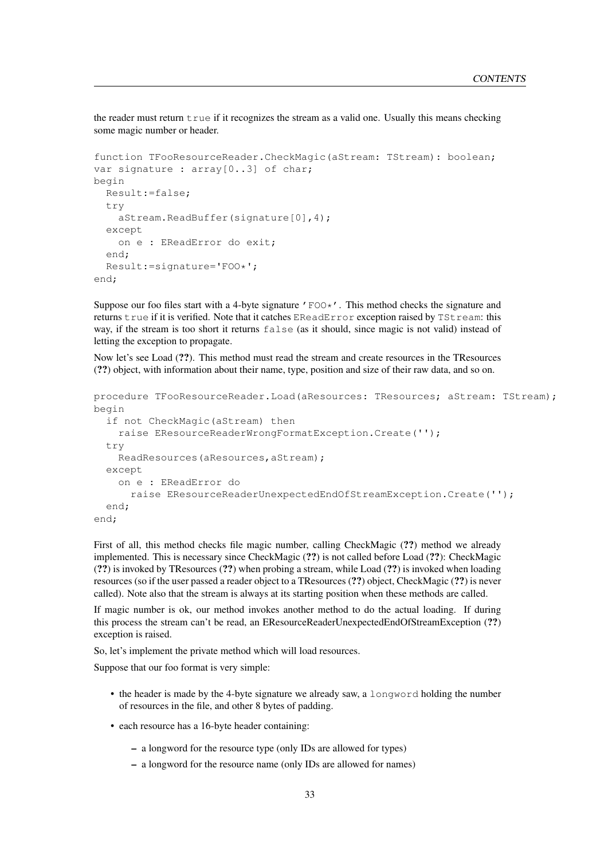the reader must return true if it recognizes the stream as a valid one. Usually this means checking some magic number or header.

```
function TFooResourceReader.CheckMagic(aStream: TStream): boolean;
var signature : array<sup>[0..3]</sup> of char;
begin
  Result:=false;
  try
    aStream.ReadBuffer(signature[0],4);
  except
    on e : EReadError do exit;
  end;
  Result:=signature='FOO*';
end;
```
Suppose our foo files start with a 4-byte signature  $\prime$  FOO $\star$ . This method checks the signature and returns true if it is verified. Note that it catches EReadError exception raised by TStream: this way, if the stream is too short it returns false (as it should, since magic is not valid) instead of letting the exception to propagate.

Now let's see Load (??). This method must read the stream and create resources in the TResources (??) object, with information about their name, type, position and size of their raw data, and so on.

```
procedure TFooResourceReader.Load(aResources: TResources; aStream: TStream);
begin
 if not CheckMagic(aStream) then
   raise EResourceReaderWrongFormatException.Create('');
 try
   ReadResources(aResources,aStream);
 except
   on e : EReadError do
      raise EResourceReaderUnexpectedEndOfStreamException.Create('');
 end;
end;
```
First of all, this method checks file magic number, calling CheckMagic (??) method we already implemented. This is necessary since CheckMagic (??) is not called before Load (??): CheckMagic (??) is invoked by TResources (??) when probing a stream, while Load (??) is invoked when loading resources (so if the user passed a reader object to a TResources (??) object, CheckMagic (??) is never called). Note also that the stream is always at its starting position when these methods are called.

If magic number is ok, our method invokes another method to do the actual loading. If during this process the stream can't be read, an EResourceReaderUnexpectedEndOfStreamException (??) exception is raised.

So, let's implement the private method which will load resources.

Suppose that our foo format is very simple:

- the header is made by the 4-byte signature we already saw, a longword holding the number of resources in the file, and other 8 bytes of padding.
- each resource has a 16-byte header containing:
	- a longword for the resource type (only IDs are allowed for types)
	- a longword for the resource name (only IDs are allowed for names)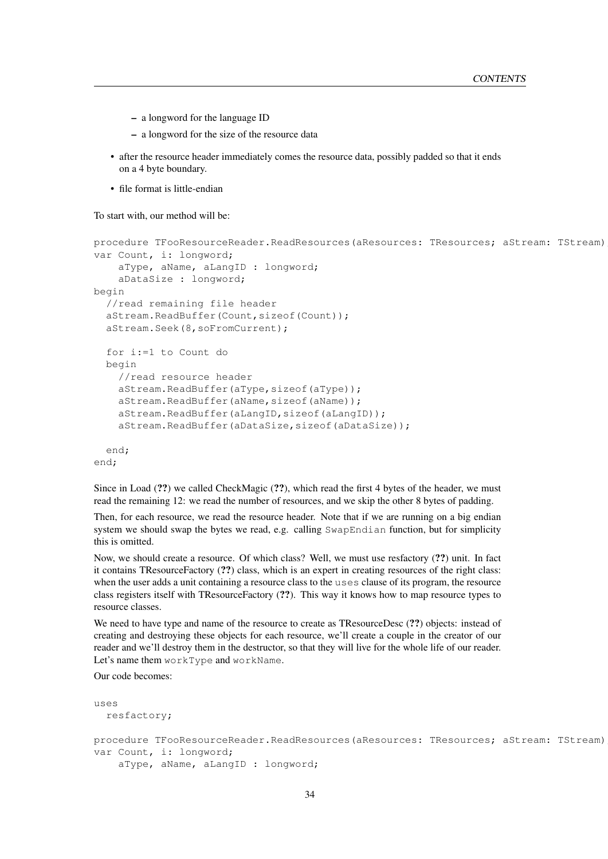- a longword for the language ID
- a longword for the size of the resource data
- after the resource header immediately comes the resource data, possibly padded so that it ends on a 4 byte boundary.
- file format is little-endian

To start with, our method will be:

```
procedure TFooResourceReader.ReadResources(aResources: TResources; aStream: TStream);
var Count, i: longword;
    aType, aName, aLangID : longword;
    aDataSize : longword;
begin
  //read remaining file header
 aStream.ReadBuffer(Count, sizeof(Count));
 aStream.Seek(8,soFromCurrent);
 for i:=1 to Count do
 begin
    //read resource header
    aStream.ReadBuffer(aType,sizeof(aType));
    aStream.ReadBuffer(aName,sizeof(aName));
    aStream.ReadBuffer(aLangID,sizeof(aLangID));
    aStream.ReadBuffer(aDataSize,sizeof(aDataSize));
 end;
end;
```
Since in Load (??) we called CheckMagic (??), which read the first 4 bytes of the header, we must read the remaining 12: we read the number of resources, and we skip the other 8 bytes of padding.

Then, for each resource, we read the resource header. Note that if we are running on a big endian system we should swap the bytes we read, e.g. calling SwapEndian function, but for simplicity this is omitted.

Now, we should create a resource. Of which class? Well, we must use resfactory (??) unit. In fact it contains TResourceFactory (??) class, which is an expert in creating resources of the right class: when the user adds a unit containing a resource class to the uses clause of its program, the resource class registers itself with TResourceFactory (??). This way it knows how to map resource types to resource classes.

We need to have type and name of the resource to create as TResourceDesc  $(?)$  objects: instead of creating and destroying these objects for each resource, we'll create a couple in the creator of our reader and we'll destroy them in the destructor, so that they will live for the whole life of our reader. Let's name them workType and workName.

Our code becomes:

```
uses
 resfactory;
procedure TFooResourceReader.ReadResources(aResources: TResources; aStream: TStream)
var Count, i: longword;
    aType, aName, aLangID : longword;
```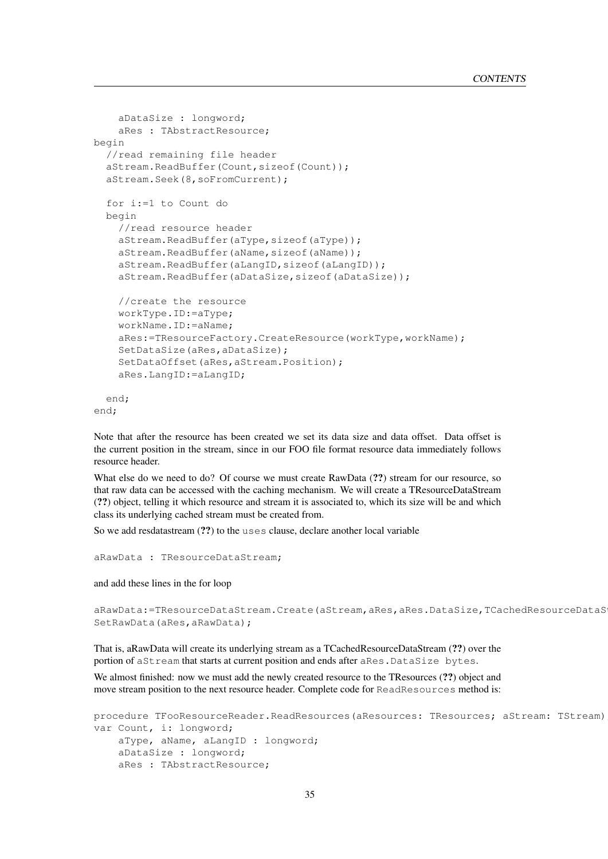```
aDataSize : longword;
    aRes : TAbstractResource;
begin
  //read remaining file header
 aStream.ReadBuffer(Count, sizeof(Count));
 aStream.Seek(8,soFromCurrent);
 for i:=1 to Count do
 begin
    //read resource header
    aStream.ReadBuffer(aType,sizeof(aType));
    aStream.ReadBuffer(aName,sizeof(aName));
    aStream.ReadBuffer(aLangID,sizeof(aLangID));
    aStream.ReadBuffer(aDataSize,sizeof(aDataSize));
    //create the resource
    workType.ID:=aType;
    workName.ID:=aName;
    aRes:=TResourceFactory.CreateResource(workType,workName);
    SetDataSize(aRes, aDataSize);
    SetDataOffset(aRes, aStream. Position);
    aRes.LangID:=aLangID;
 end;
```

```
end;
```
Note that after the resource has been created we set its data size and data offset. Data offset is the current position in the stream, since in our FOO file format resource data immediately follows resource header.

What else do we need to do? Of course we must create RawData  $(?)$  stream for our resource, so that raw data can be accessed with the caching mechanism. We will create a TResourceDataStream (??) object, telling it which resource and stream it is associated to, which its size will be and which class its underlying cached stream must be created from.

So we add resdatastream (??) to the uses clause, declare another local variable

```
aRawData : TResourceDataStream;
```
and add these lines in the for loop

```
aRawData:=TResourceDataStream.Create(aStream, aRes, aRes.DataSize, TCachedResourceDataS
SetRawData(aRes, aRawData);
```
That is, aRawData will create its underlying stream as a TCachedResourceDataStream (??) over the portion of aStream that starts at current position and ends after aRes.DataSize bytes.

We almost finished: now we must add the newly created resource to the TResources  $(?)$  object and move stream position to the next resource header. Complete code for ReadResources method is:

```
procedure TFooResourceReader.ReadResources(aResources: TResources; aStream: TStream)
var Count, i: longword;
   aType, aName, aLangID : longword;
   aDataSize : longword;
   aRes : TAbstractResource;
```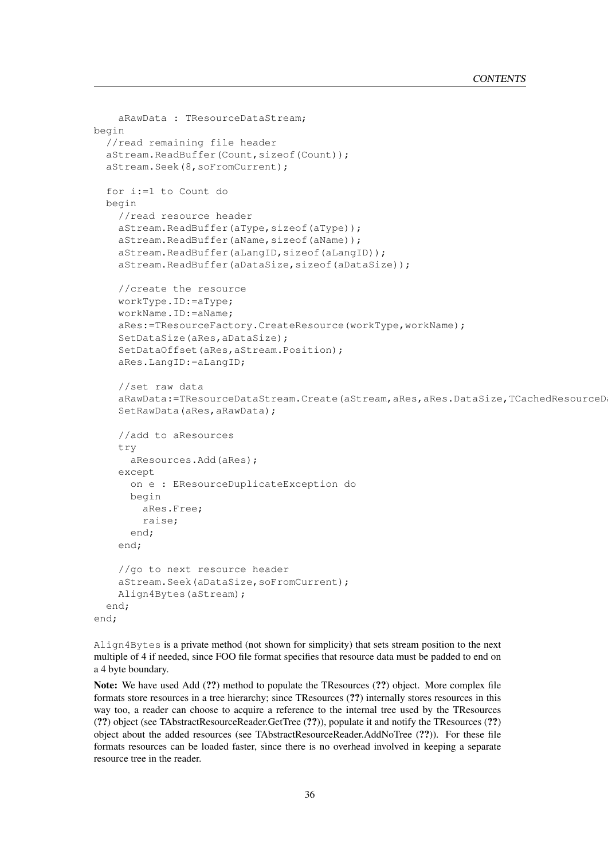```
aRawData : TResourceDataStream;
begin
  //read remaining file header
 aStream.ReadBuffer(Count, sizeof(Count));
 aStream.Seek(8,soFromCurrent);
 for i:=1 to Count do
 begin
    //read resource header
    aStream.ReadBuffer(aType,sizeof(aType));
    aStream.ReadBuffer(aName,sizeof(aName));
    aStream.ReadBuffer(aLangID,sizeof(aLangID));
    aStream.ReadBuffer(aDataSize,sizeof(aDataSize));
    //create the resource
    workType.ID:=aType;
    workName.ID:=aName;
    aRes:=TResourceFactory.CreateResource(workType,workName);
    SetDataSize(aRes,aDataSize);
    SetDataOffset(aRes, aStream.Position);
    aRes.LangID:=aLangID;
    //set raw data
    aRawData:=TResourceDataStream.Create(aStream,aRes,aRes.DataSize,TCachedResourceD
    SetRawData(aRes,aRawData);
    //add to aResources
    try
      aResources.Add(aRes);
    except
      on e : EResourceDuplicateException do
      begin
        aRes.Free;
        raise;
      end;
    end;
    //go to next resource header
    aStream.Seek(aDataSize,soFromCurrent);
    Align4Bytes(aStream);
 end;
end;
```
Align4Bytes is a private method (not shown for simplicity) that sets stream position to the next multiple of 4 if needed, since FOO file format specifies that resource data must be padded to end on a 4 byte boundary.

Note: We have used Add (??) method to populate the TResources (??) object. More complex file formats store resources in a tree hierarchy; since TResources (??) internally stores resources in this way too, a reader can choose to acquire a reference to the internal tree used by the TResources (??) object (see TAbstractResourceReader.GetTree (??)), populate it and notify the TResources (??) object about the added resources (see TAbstractResourceReader.AddNoTree (??)). For these file formats resources can be loaded faster, since there is no overhead involved in keeping a separate resource tree in the reader.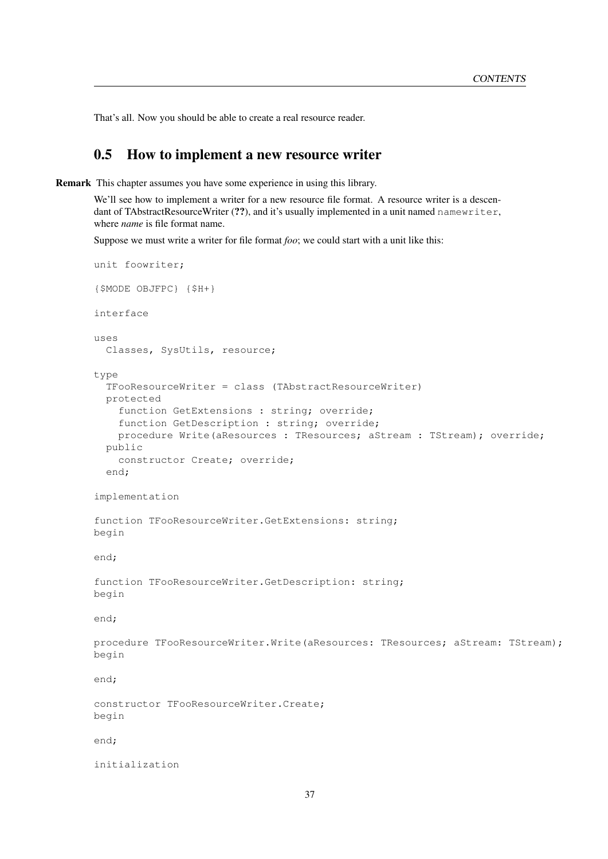That's all. Now you should be able to create a real resource reader.

## 0.5 How to implement a new resource writer

Remark This chapter assumes you have some experience in using this library.

We'll see how to implement a writer for a new resource file format. A resource writer is a descendant of TAbstractResourceWriter (??), and it's usually implemented in a unit named namewriter, where *name* is file format name.

Suppose we must write a writer for file format *foo*; we could start with a unit like this:

```
unit foowriter;
{$MODE OBJFPC} {$H+}
interface
uses
  Classes, SysUtils, resource;
type
  TFooResourceWriter = class (TAbstractResourceWriter)
 protected
    function GetExtensions : string; override;
    function GetDescription : string; override;
    procedure Write(aResources : TResources; aStream : TStream); override;
  public
    constructor Create; override;
  end;
implementation
function TFooResourceWriter.GetExtensions: string;
begin
end;
function TFooResourceWriter.GetDescription: string;
begin
end;
procedure TFooResourceWriter.Write(aResources: TResources; aStream: TStream);
begin
end;
constructor TFooResourceWriter.Create;
begin
end;
initialization
```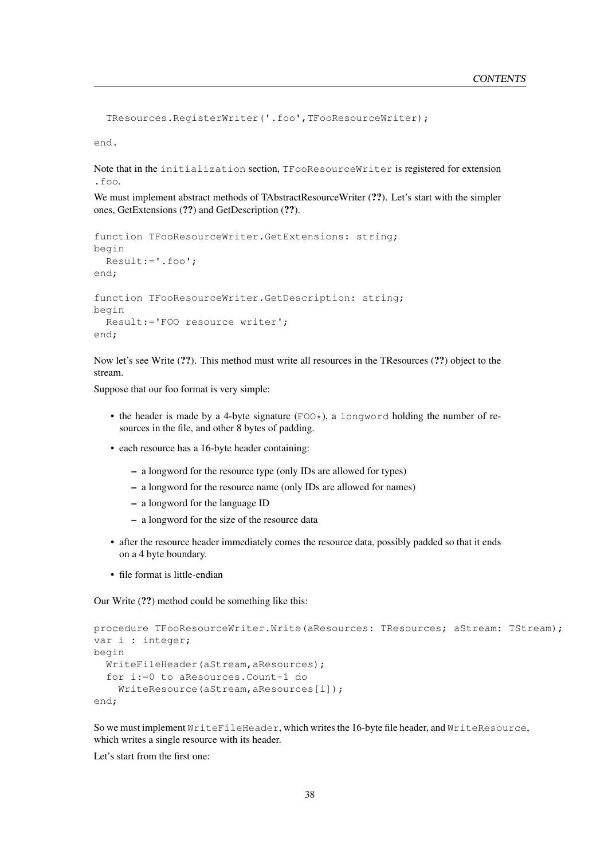```
TResources.RegisterWriter('.foo',TFooResourceWriter);
```
end.

Note that in the initialization section, TFooResourceWriter is registered for extension .foo.

We must implement abstract methods of TAbstractResourceWriter (??). Let's start with the simpler ones, GetExtensions (??) and GetDescription (??).

```
function TFooResourceWriter.GetExtensions: string;
begin
  Result:='.foo';
end;
function TFooResourceWriter.GetDescription: string;
begin
  Result:='FOO resource writer';
end;
```
Now let's see Write (??). This method must write all resources in the TResources (??) object to the stream.

Suppose that our foo format is very simple:

- the header is made by a 4-byte signature ( $FOO*$ ), a longword holding the number of resources in the file, and other 8 bytes of padding.
- each resource has a 16-byte header containing:
	- a longword for the resource type (only IDs are allowed for types)
	- a longword for the resource name (only IDs are allowed for names)
	- a longword for the language ID
	- a longword for the size of the resource data
- after the resource header immediately comes the resource data, possibly padded so that it ends on a 4 byte boundary.
- file format is little-endian

Our Write (??) method could be something like this:

```
procedure TFooResourceWriter.Write(aResources: TResources; aStream: TStream);
var i : integer;
begin
  WriteFileHeader(aStream,aResources);
  for i:=0 to aResources.Count-1 do
    WriteResource(aStream, aResources[i]);
end;
```
So we must implement WriteFileHeader, which writes the 16-byte file header, and WriteResource, which writes a single resource with its header.

Let's start from the first one: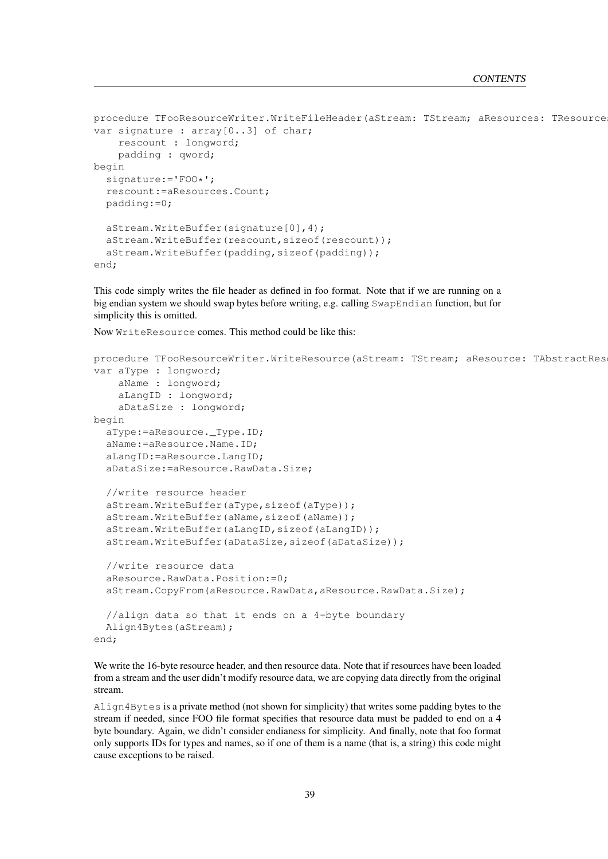```
procedure TFooResourceWriter.WriteFileHeader(aStream: TStream; aResources: TResource
var signature : array<sup>[0..3]</sup> of char;
    rescount : longword;
    padding : qword;
begin
  signature:='FOO*';
  rescount:=aResources.Count;
  padding:=0;
  aStream.WriteBuffer(signature[0],4);
  aStream.WriteBuffer(rescount, sizeof(rescount));
  aStream.WriteBuffer(padding, sizeof(padding));
end;
```
This code simply writes the file header as defined in foo format. Note that if we are running on a big endian system we should swap bytes before writing, e.g. calling SwapEndian function, but for simplicity this is omitted.

Now WriteResource comes. This method could be like this:

```
procedure TFooResourceWriter.WriteResource(aStream: TStream; aResource: TAbstractRes
var aType : longword;
   aName : longword;
   aLangID : longword;
   aDataSize : longword;
begin
 aType:=aResource._Type.ID;
 aName:=aResource.Name.ID;
 aLangID:=aResource.LangID;
 aDataSize:=aResource.RawData.Size;
  //write resource header
 aStream.WriteBuffer(aType,sizeof(aType));
 aStream.WriteBuffer(aName, sizeof(aName));
 aStream.WriteBuffer(aLangID,sizeof(aLangID));
 aStream.WriteBuffer(aDataSize,sizeof(aDataSize));
 //write resource data
 aResource.RawData.Position:=0;
 aStream.CopyFrom(aResource.RawData,aResource.RawData.Size);
 //align data so that it ends on a 4-byte boundary
 Align4Bytes(aStream);
end;
```
We write the 16-byte resource header, and then resource data. Note that if resources have been loaded from a stream and the user didn't modify resource data, we are copying data directly from the original stream.

Align4Bytes is a private method (not shown for simplicity) that writes some padding bytes to the stream if needed, since FOO file format specifies that resource data must be padded to end on a 4 byte boundary. Again, we didn't consider endianess for simplicity. And finally, note that foo format only supports IDs for types and names, so if one of them is a name (that is, a string) this code might cause exceptions to be raised.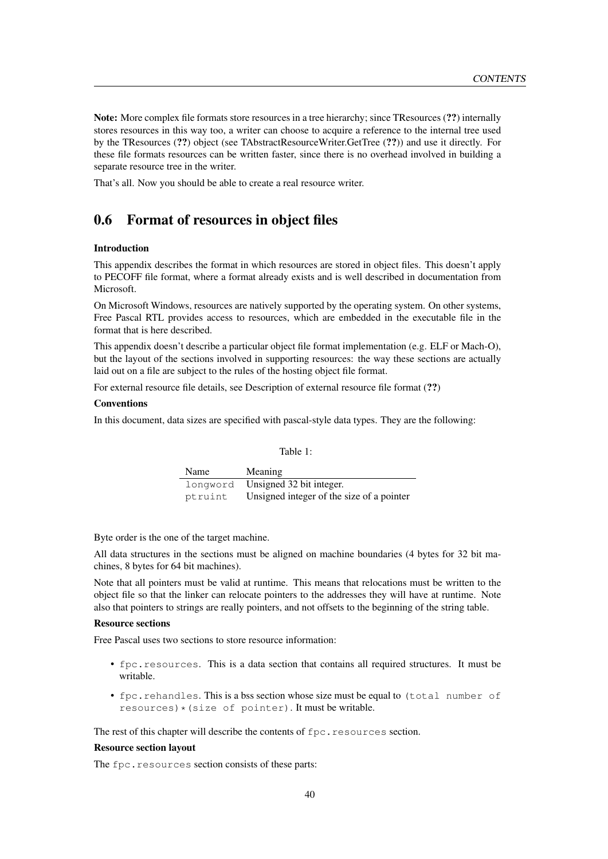Note: More complex file formats store resources in a tree hierarchy; since TResources (??) internally stores resources in this way too, a writer can choose to acquire a reference to the internal tree used by the TResources (??) object (see TAbstractResourceWriter.GetTree (??)) and use it directly. For these file formats resources can be written faster, since there is no overhead involved in building a separate resource tree in the writer.

That's all. Now you should be able to create a real resource writer.

## 0.6 Format of resources in object files

#### Introduction

This appendix describes the format in which resources are stored in object files. This doesn't apply to PECOFF file format, where a format already exists and is well described in documentation from **Microsoft** 

On Microsoft Windows, resources are natively supported by the operating system. On other systems, Free Pascal RTL provides access to resources, which are embedded in the executable file in the format that is here described.

This appendix doesn't describe a particular object file format implementation (e.g. ELF or Mach-O), but the layout of the sections involved in supporting resources: the way these sections are actually laid out on a file are subject to the rules of the hosting object file format.

For external resource file details, see Description of external resource file format (??)

#### Conventions

In this document, data sizes are specified with pascal-style data types. They are the following:

Table 1:

| Name     | <b>Meaning</b>                            |
|----------|-------------------------------------------|
| longword | Unsigned 32 bit integer.                  |
| ptruint  | Unsigned integer of the size of a pointer |

Byte order is the one of the target machine.

All data structures in the sections must be aligned on machine boundaries (4 bytes for 32 bit machines, 8 bytes for 64 bit machines).

Note that all pointers must be valid at runtime. This means that relocations must be written to the object file so that the linker can relocate pointers to the addresses they will have at runtime. Note also that pointers to strings are really pointers, and not offsets to the beginning of the string table.

#### Resource sections

Free Pascal uses two sections to store resource information:

- fpc.resources. This is a data section that contains all required structures. It must be writable.
- fpc.rehandles. This is a bss section whose size must be equal to (total number of  $resources) * (size of pointer)$ . It must be writable.

The rest of this chapter will describe the contents of fpc.resources section.

#### Resource section layout

The fpc.resources section consists of these parts: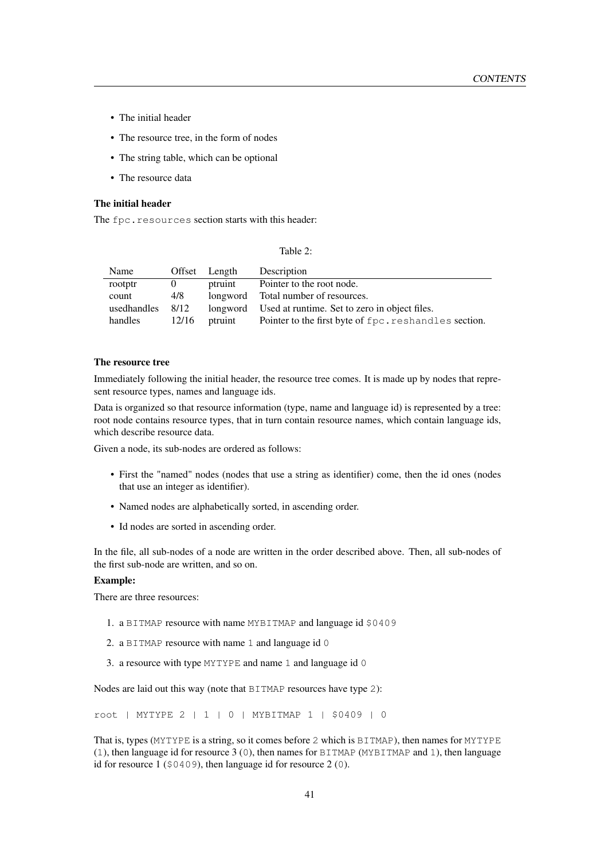- The initial header
- The resource tree, in the form of nodes
- The string table, which can be optional
- The resource data

#### The initial header

The fpc.resources section starts with this header:

| Table |
|-------|
|-------|

| Name        | Offset   | Length  | Description                                            |  |
|-------------|----------|---------|--------------------------------------------------------|--|
| rootptr     | $\theta$ | ptruint | Pointer to the root node.                              |  |
| count       | 4/8      |         | longword Total number of resources.                    |  |
| usedhandles | 8/12     |         | longword Used at runtime. Set to zero in object files. |  |
| handles     | 12/16    | ptruint | Pointer to the first byte of fpc. reshandles section.  |  |

#### The resource tree

Immediately following the initial header, the resource tree comes. It is made up by nodes that represent resource types, names and language ids.

Data is organized so that resource information (type, name and language id) is represented by a tree: root node contains resource types, that in turn contain resource names, which contain language ids, which describe resource data.

Given a node, its sub-nodes are ordered as follows:

- First the "named" nodes (nodes that use a string as identifier) come, then the id ones (nodes that use an integer as identifier).
- Named nodes are alphabetically sorted, in ascending order.
- Id nodes are sorted in ascending order.

In the file, all sub-nodes of a node are written in the order described above. Then, all sub-nodes of the first sub-node are written, and so on.

#### Example:

There are three resources:

- 1. a BITMAP resource with name MYBITMAP and language id \$0409
- 2. a BITMAP resource with name 1 and language id 0
- 3. a resource with type MYTYPE and name 1 and language id 0

Nodes are laid out this way (note that BITMAP resources have type 2):

root | MYTYPE 2 | 1 | 0 | MYBITMAP 1 | \$0409 | 0

That is, types (MYTYPE is a string, so it comes before 2 which is BITMAP), then names for MYTYPE (1), then language id for resource 3 (0), then names for BITMAP (MYBITMAP and 1), then language id for resource 1 (\$0409), then language id for resource 2 (0).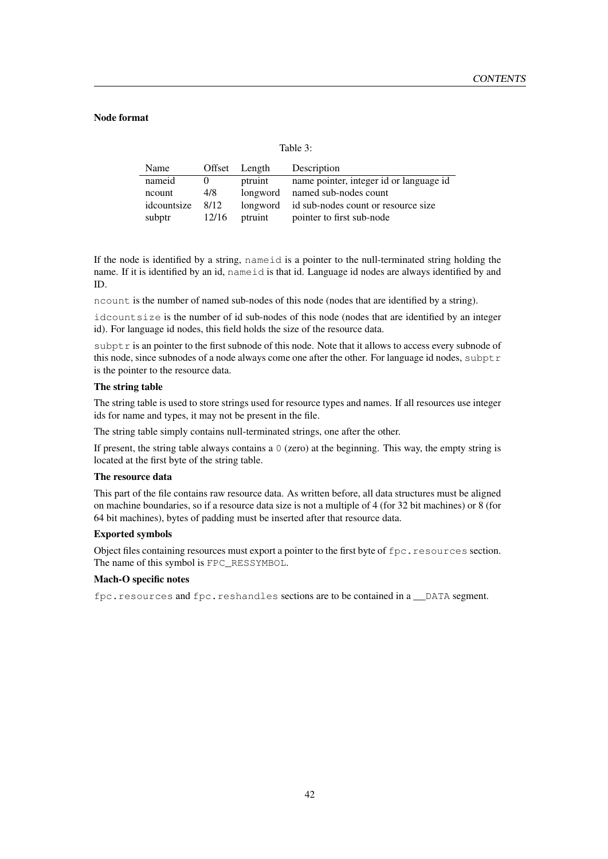#### Node format

Table 3:

| Name        |       | Offset Length | Description                             |
|-------------|-------|---------------|-----------------------------------------|
| nameid      |       | ptruint       | name pointer, integer id or language id |
| ncount      | 4/8   | longword      | named sub-nodes count                   |
| idcountsize | 8/12  | longword      | id sub-nodes count or resource size     |
| subptr      | 12/16 | ptruint       | pointer to first sub-node               |

If the node is identified by a string, nameid is a pointer to the null-terminated string holding the name. If it is identified by an id, nameid is that id. Language id nodes are always identified by and ID.

ncount is the number of named sub-nodes of this node (nodes that are identified by a string).

idcountsize is the number of id sub-nodes of this node (nodes that are identified by an integer id). For language id nodes, this field holds the size of the resource data.

subptr is an pointer to the first subnode of this node. Note that it allows to access every subnode of this node, since subnodes of a node always come one after the other. For language id nodes, subptr is the pointer to the resource data.

#### The string table

The string table is used to store strings used for resource types and names. If all resources use integer ids for name and types, it may not be present in the file.

The string table simply contains null-terminated strings, one after the other.

If present, the string table always contains a  $\theta$  (zero) at the beginning. This way, the empty string is located at the first byte of the string table.

#### The resource data

This part of the file contains raw resource data. As written before, all data structures must be aligned on machine boundaries, so if a resource data size is not a multiple of 4 (for 32 bit machines) or 8 (for 64 bit machines), bytes of padding must be inserted after that resource data.

#### Exported symbols

Object files containing resources must export a pointer to the first byte of fpc.resources section. The name of this symbol is FPC\_RESSYMBOL.

#### Mach-O specific notes

fpc.resources and fpc.reshandles sections are to be contained in a \_\_DATA segment.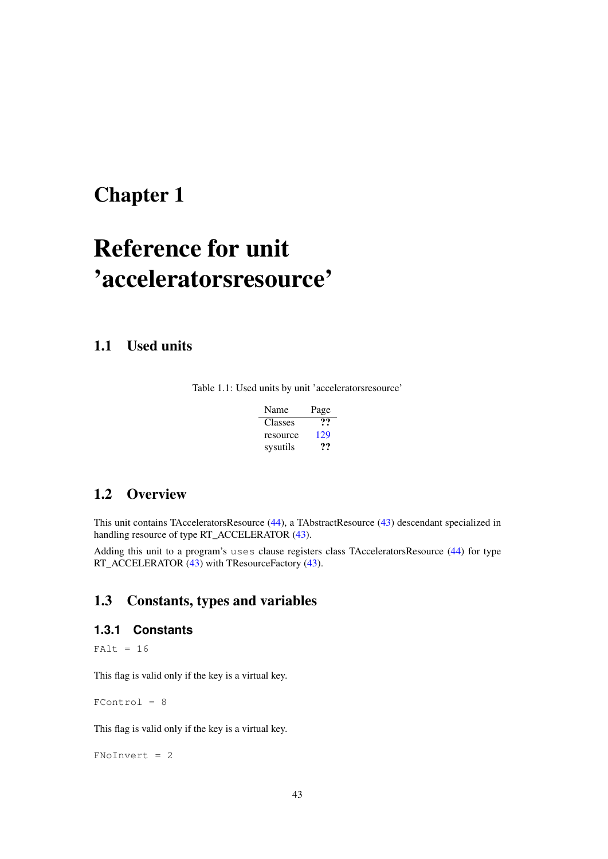# <span id="page-43-0"></span>Reference for unit 'acceleratorsresource'

## 1.1 Used units

Table 1.1: Used units by unit 'acceleratorsresource'

| Name     | Page |
|----------|------|
| Classes  | …    |
| resource | 129  |
| sysutils | 77   |

## 1.2 Overview

This unit contains TAcceleratorsResource [\(44\)](#page-44-0), a TAbstractResource [\(43\)](#page-43-0) descendant specialized in handling resource of type RT\_ACCELERATOR [\(43\)](#page-43-0).

Adding this unit to a program's uses clause registers class TAcceleratorsResource [\(44\)](#page-44-0) for type RT\_ACCELERATOR [\(43\)](#page-43-0) with TResourceFactory (43).

## 1.3 Constants, types and variables

## <span id="page-43-1"></span>**1.3.1 Constants**

 $FAlt = 16$ 

This flag is valid only if the key is a virtual key.

 $FControl = 8$ 

This flag is valid only if the key is a virtual key.

FNoInvert = 2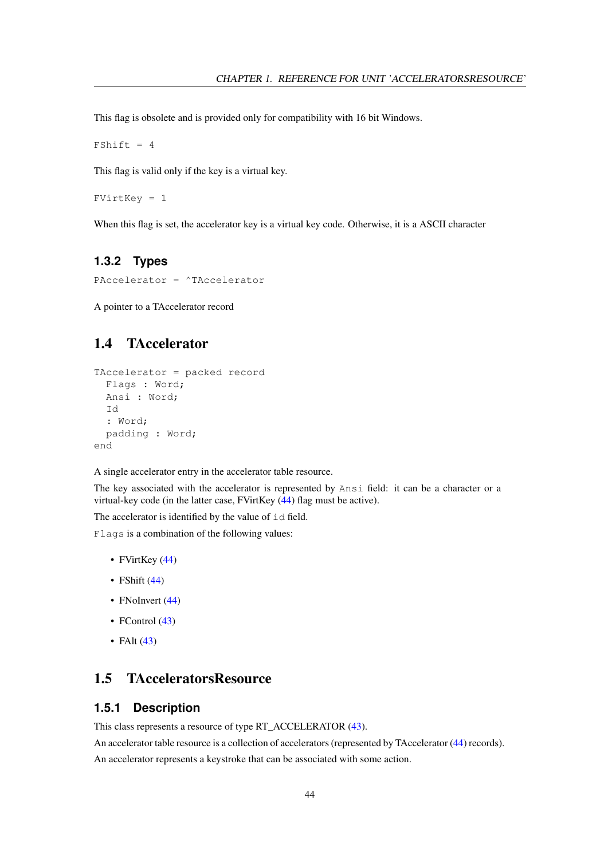This flag is obsolete and is provided only for compatibility with 16 bit Windows.

 $FShift = 4$ 

This flag is valid only if the key is a virtual key.

FVirtKey = 1

When this flag is set, the accelerator key is a virtual key code. Otherwise, it is a ASCII character

## **1.3.2 Types**

PAccelerator = ^TAccelerator

A pointer to a TAccelerator record

## <span id="page-44-1"></span>1.4 TAccelerator

```
TAccelerator = packed record
 Flags : Word;
 Ansi : Word;
 Id
  : Word;
 padding : Word;
end
```
A single accelerator entry in the accelerator table resource.

The key associated with the accelerator is represented by Ansi field: it can be a character or a virtual-key code (in the latter case, FVirtKey [\(44\)](#page-43-1) flag must be active).

The accelerator is identified by the value of id field.

Flags is a combination of the following values:

- FVirtKey [\(44\)](#page-43-1)
- FShift  $(44)$
- FNoInvert [\(44\)](#page-43-1)
- FControl [\(43\)](#page-43-1)
- FAlt  $(43)$

## <span id="page-44-0"></span>1.5 TAcceleratorsResource

### **1.5.1 Description**

This class represents a resource of type RT\_ACCELERATOR [\(43\)](#page-43-0).

An accelerator table resource is a collection of accelerators (represented by TAccelerator [\(44\)](#page-44-1) records).

An accelerator represents a keystroke that can be associated with some action.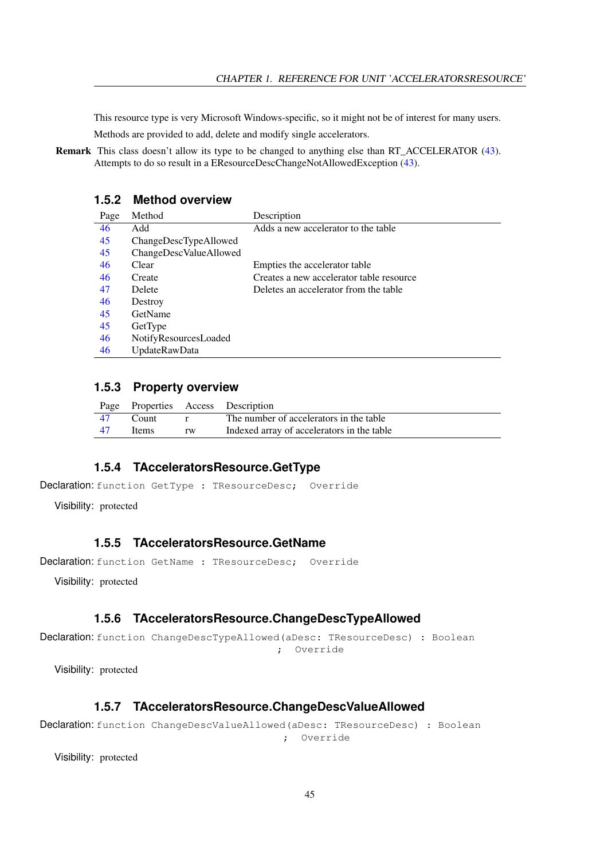This resource type is very Microsoft Windows-specific, so it might not be of interest for many users.

Methods are provided to add, delete and modify single accelerators.

Remark This class doesn't allow its type to be changed to anything else than RT\_ACCELERATOR [\(43\)](#page-43-0). Attempts to do so result in a EResourceDescChangeNotAllowedException [\(43\)](#page-43-0).

## **1.5.2 Method overview**

| Page | Method                 | Description                              |
|------|------------------------|------------------------------------------|
| 46   | Add                    | Adds a new accelerator to the table      |
| 45   | ChangeDescTypeAllowed  |                                          |
| 45   | ChangeDescValueAllowed |                                          |
| 46   | Clear                  | Empties the accelerator table            |
| 46   | Create                 | Creates a new accelerator table resource |
| 47   | Delete                 | Deletes an accelerator from the table    |
| 46   | Destroy                |                                          |
| 45   | GetName                |                                          |
| 45   | GetType                |                                          |
| 46   | NotifyResourcesLoaded  |                                          |
| 46   | <b>UpdateRawData</b>   |                                          |

#### **1.5.3 Property overview**

|      |       |    | Page Properties Access Description         |
|------|-------|----|--------------------------------------------|
| - 47 | Count |    | The number of accelerators in the table    |
| - 47 | Items | rw | Indexed array of accelerators in the table |

## <span id="page-45-3"></span>**1.5.4 TAcceleratorsResource.GetType**

```
Declaration: function GetType : TResourceDesc; Override
```
Visibility: protected

#### <span id="page-45-2"></span>**1.5.5 TAcceleratorsResource.GetName**

Declaration: function GetName : TResourceDesc; Override

Visibility: protected

#### <span id="page-45-0"></span>**1.5.6 TAcceleratorsResource.ChangeDescTypeAllowed**

```
Declaration: function ChangeDescTypeAllowed(aDesc: TResourceDesc) : Boolean
                                        ; Override
```
Visibility: protected

#### <span id="page-45-1"></span>**1.5.7 TAcceleratorsResource.ChangeDescValueAllowed**

```
Declaration: function ChangeDescValueAllowed(aDesc: TResourceDesc) : Boolean
                                         ; Override
```
Visibility: protected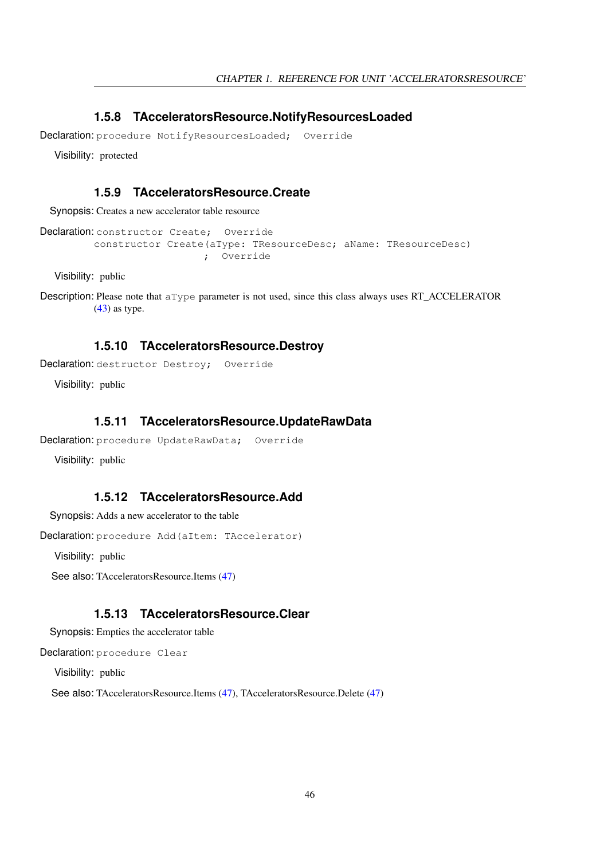## <span id="page-46-4"></span>**1.5.8 TAcceleratorsResource.NotifyResourcesLoaded**

Declaration: procedure NotifyResourcesLoaded; Override

Visibility: protected

#### <span id="page-46-2"></span>**1.5.9 TAcceleratorsResource.Create**

Synopsis: Creates a new accelerator table resource

```
Declaration: constructor Create; Override
         constructor Create(aType: TResourceDesc; aName: TResourceDesc)
                           ; Override
```
Visibility: public

```
Description: Please note that aType parameter is not used, since this class always uses RT_ACCELERATOR
            (43) as type.
```
#### <span id="page-46-3"></span>**1.5.10 TAcceleratorsResource.Destroy**

Declaration: destructor Destroy: Override

Visibility: public

#### <span id="page-46-5"></span>**1.5.11 TAcceleratorsResource.UpdateRawData**

```
Declaration: procedure UpdateRawData; Override
```
Visibility: public

## <span id="page-46-0"></span>**1.5.12 TAcceleratorsResource.Add**

Synopsis: Adds a new accelerator to the table

Declaration: procedure Add(aItem: TAccelerator)

Visibility: public

See also: TAcceleratorsResource.Items [\(47\)](#page-47-2)

## <span id="page-46-1"></span>**1.5.13 TAcceleratorsResource.Clear**

Synopsis: Empties the accelerator table

Declaration: procedure Clear

Visibility: public

See also: TAcceleratorsResource.Items [\(47\)](#page-47-2), TAcceleratorsResource.Delete [\(47\)](#page-47-0)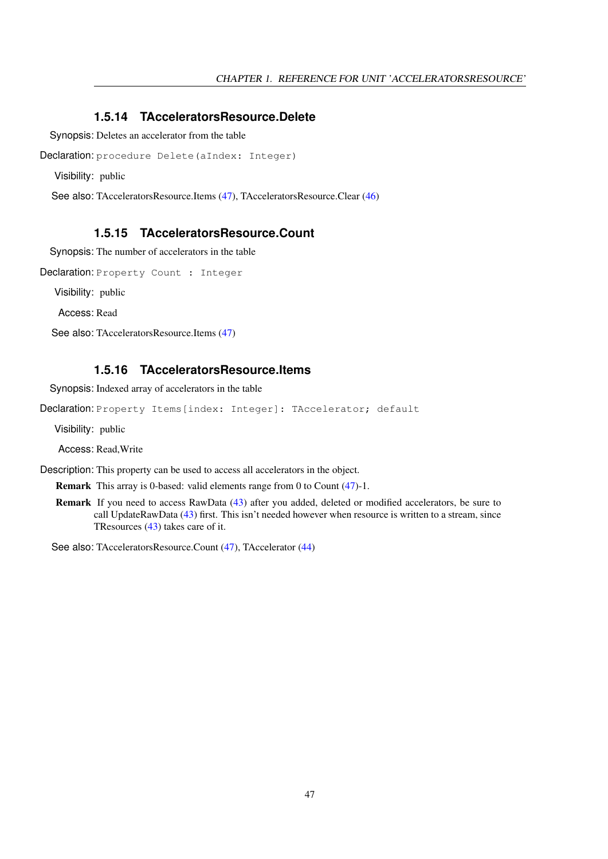## <span id="page-47-0"></span>**1.5.14 TAcceleratorsResource.Delete**

Synopsis: Deletes an accelerator from the table

```
Declaration: procedure Delete(aIndex: Integer)
```
Visibility: public

See also: TAcceleratorsResource.Items [\(47\)](#page-47-2), TAcceleratorsResource.Clear [\(46\)](#page-46-1)

## <span id="page-47-1"></span>**1.5.15 TAcceleratorsResource.Count**

Synopsis: The number of accelerators in the table

Declaration: Property Count : Integer

Visibility: public

Access: Read

See also: TAcceleratorsResource.Items [\(47\)](#page-47-2)

## <span id="page-47-2"></span>**1.5.16 TAcceleratorsResource.Items**

Synopsis: Indexed array of accelerators in the table

Declaration: Property Items [index: Integer]: TAccelerator; default

Visibility: public

Access: Read,Write

Description: This property can be used to access all accelerators in the object.

Remark This array is 0-based: valid elements range from 0 to Count [\(47\)](#page-47-1)-1.

Remark If you need to access RawData [\(43\)](#page-43-0) after you added, deleted or modified accelerators, be sure to call UpdateRawData [\(43\)](#page-43-0) first. This isn't needed however when resource is written to a stream, since TResources [\(43\)](#page-43-0) takes care of it.

See also: TAcceleratorsResource.Count [\(47\)](#page-47-1), TAccelerator [\(44\)](#page-44-1)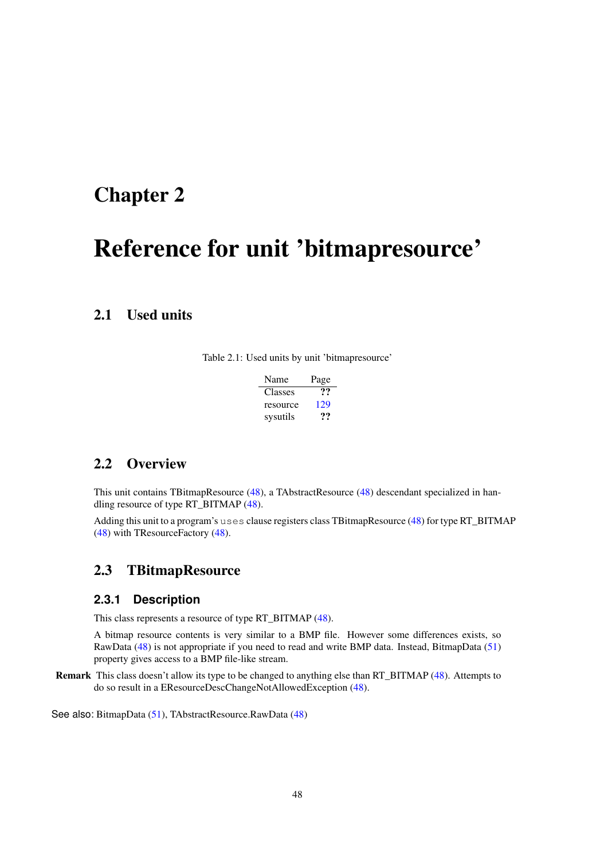# <span id="page-48-1"></span>Reference for unit 'bitmapresource'

## 2.1 Used units

Table 2.1: Used units by unit 'bitmapresource'

| Name     | Page |
|----------|------|
| Classes  | 77   |
| resource | 129  |
| sysutils | 77   |

## 2.2 Overview

This unit contains TBitmapResource [\(48\)](#page-48-0), a TAbstractResource [\(48\)](#page-48-1) descendant specialized in handling resource of type RT\_BITMAP [\(48\)](#page-48-1).

Adding this unit to a program's uses clause registers class TBitmapResource [\(48\)](#page-48-0) for type RT\_BITMAP [\(48\)](#page-48-1) with TResourceFactory [\(48\)](#page-48-1).

## <span id="page-48-0"></span>2.3 TBitmapResource

## **2.3.1 Description**

This class represents a resource of type RT\_BITMAP [\(48\)](#page-48-1).

A bitmap resource contents is very similar to a BMP file. However some differences exists, so RawData [\(48\)](#page-48-1) is not appropriate if you need to read and write BMP data. Instead, BitmapData [\(51\)](#page-51-0) property gives access to a BMP file-like stream.

Remark This class doesn't allow its type to be changed to anything else than RT\_BITMAP [\(48\)](#page-48-1). Attempts to do so result in a EResourceDescChangeNotAllowedException [\(48\)](#page-48-1).

See also: BitmapData [\(51\)](#page-51-0), TAbstractResource.RawData [\(48\)](#page-48-1)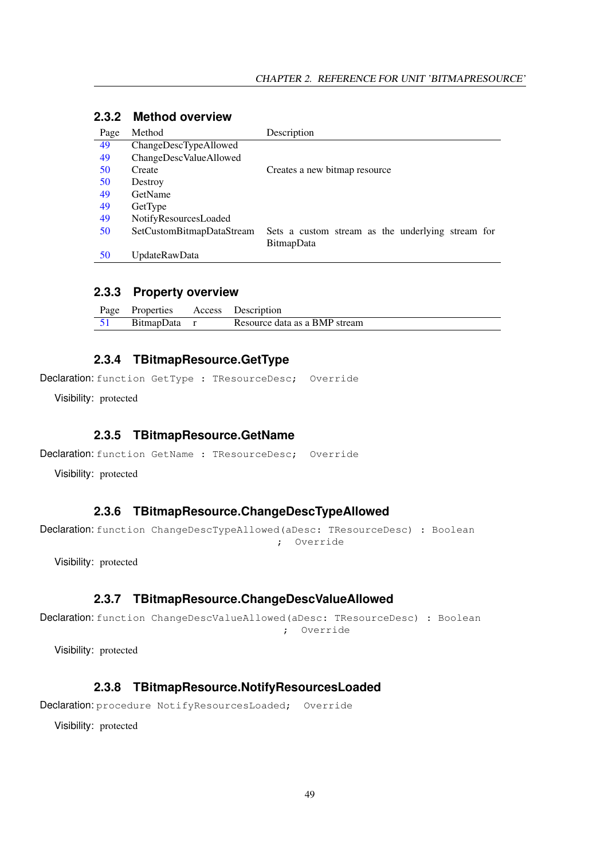| Page | Method                    | Description                                       |
|------|---------------------------|---------------------------------------------------|
| 49   | ChangeDescTypeAllowed     |                                                   |
| 49   | ChangeDescValueAllowed    |                                                   |
| 50   | Create                    | Creates a new bitmap resource                     |
| 50   | Destroy                   |                                                   |
| 49   | GetName                   |                                                   |
| 49   | GetType                   |                                                   |
| 49   | NotifyResourcesLoaded     |                                                   |
| 50   | SetCustomBitmapDataStream | Sets a custom stream as the underlying stream for |
|      |                           | BitmapData                                        |
| 50   | UpdateRawData             |                                                   |

## **2.3.2 Method overview**

## **2.3.3 Property overview**

| Page Properties Access Description |                               |
|------------------------------------|-------------------------------|
| BitmapData r                       | Resource data as a BMP stream |

## <span id="page-49-3"></span>**2.3.4 TBitmapResource.GetType**

Declaration: function GetType : TResourceDesc; Override

Visibility: protected

#### <span id="page-49-2"></span>**2.3.5 TBitmapResource.GetName**

```
Declaration: function GetName : TResourceDesc; Override
```
Visibility: protected

## <span id="page-49-0"></span>**2.3.6 TBitmapResource.ChangeDescTypeAllowed**

Declaration: function ChangeDescTypeAllowed(aDesc: TResourceDesc) : Boolean ; Override

Visibility: protected

#### <span id="page-49-1"></span>**2.3.7 TBitmapResource.ChangeDescValueAllowed**

Declaration: function ChangeDescValueAllowed(aDesc: TResourceDesc) : Boolean ; Override

Visibility: protected

## <span id="page-49-4"></span>**2.3.8 TBitmapResource.NotifyResourcesLoaded**

Declaration: procedure NotifyResourcesLoaded; Override

Visibility: protected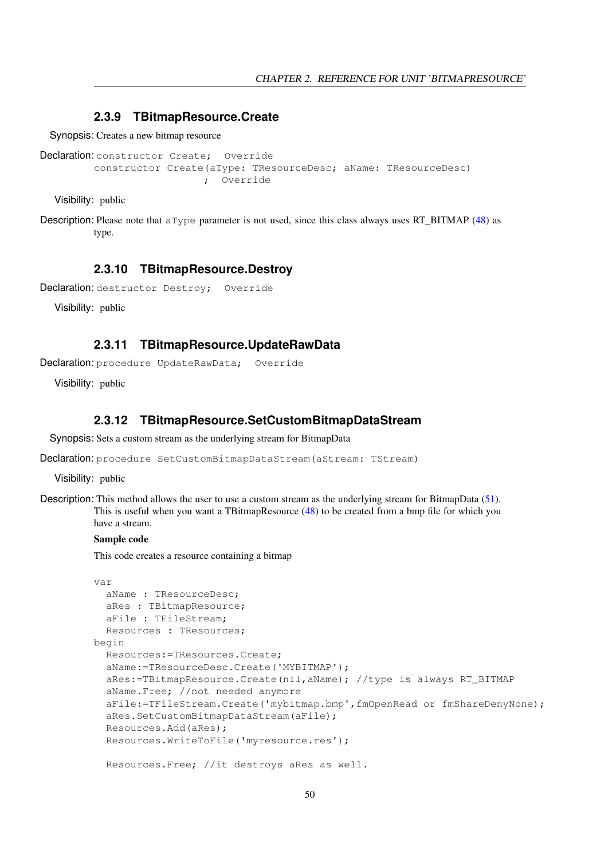## <span id="page-50-0"></span>**2.3.9 TBitmapResource.Create**

Synopsis: Creates a new bitmap resource

```
Declaration: constructor Create; Override
         constructor Create(aType: TResourceDesc; aName: TResourceDesc)
                           ; Override
```
Visibility: public

Description: Please note that  $aType$  parameter is not used, since this class always uses RT BITMAP [\(48\)](#page-48-1) as type.

#### <span id="page-50-1"></span>**2.3.10 TBitmapResource.Destroy**

```
Declaration: destructor Destroy; Override
```
Visibility: public

## <span id="page-50-3"></span>**2.3.11 TBitmapResource.UpdateRawData**

Declaration: procedure UpdateRawData; Override

Visibility: public

## <span id="page-50-2"></span>**2.3.12 TBitmapResource.SetCustomBitmapDataStream**

Synopsis: Sets a custom stream as the underlying stream for BitmapData

Declaration: procedure SetCustomBitmapDataStream (aStream: TStream)

Visibility: public

Description: This method allows the user to use a custom stream as the underlying stream for BitmapData [\(51\)](#page-51-0). This is useful when you want a TBitmapResource [\(48\)](#page-48-0) to be created from a bmp file for which you have a stream.

#### Sample code

This code creates a resource containing a bitmap

```
var
  aName : TResourceDesc;
  aRes : TBitmapResource;
  aFile : TFileStream;
 Resources : TResources;
begin
 Resources:=TResources.Create;
  aName:=TResourceDesc.Create('MYBITMAP');
  aRes:=TBitmapResource.Create(nil,aName); //type is always RT_BITMAP
  aName.Free; //not needed anymore
  aFile:=TFileStream.Create('mybitmap.bmp',fmOpenRead or fmShareDenyNone);
  aRes.SetCustomBitmapDataStream(aFile);
  Resources.Add(aRes);
  Resources.WriteToFile('myresource.res');
  Resources.Free; //it destroys aRes as well.
```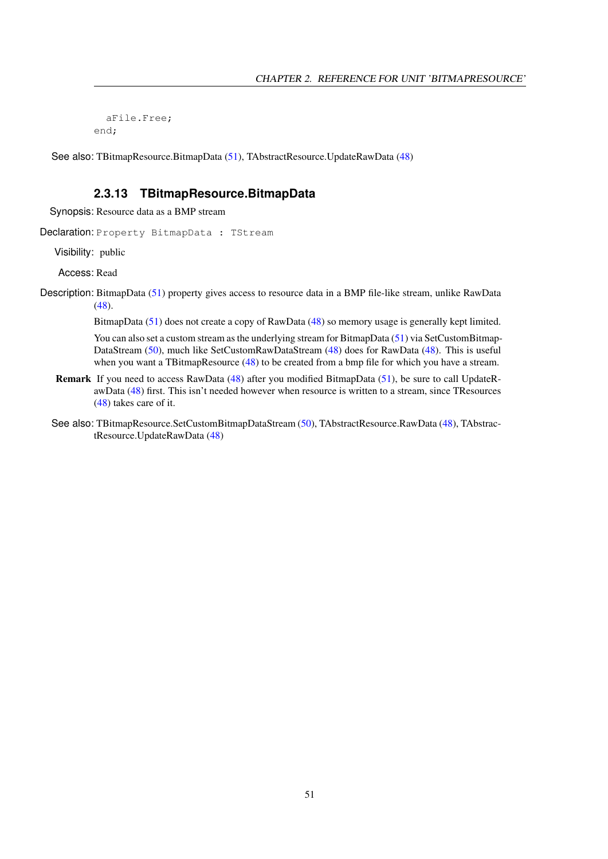aFile.Free; end;

See also: TBitmapResource.BitmapData [\(51\)](#page-51-0), TAbstractResource.UpdateRawData [\(48\)](#page-48-1)

## <span id="page-51-0"></span>**2.3.13 TBitmapResource.BitmapData**

Synopsis: Resource data as a BMP stream

Declaration: Property BitmapData : TStream

Visibility: public

Access: Read

Description: BitmapData [\(51\)](#page-51-0) property gives access to resource data in a BMP file-like stream, unlike RawData [\(48\)](#page-48-1).

BitmapData [\(51\)](#page-51-0) does not create a copy of RawData [\(48\)](#page-48-1) so memory usage is generally kept limited.

You can also set a custom stream as the underlying stream for BitmapData [\(51\)](#page-51-0) via SetCustomBitmap-DataStream [\(50\)](#page-50-2), much like SetCustomRawDataStream [\(48\)](#page-48-1) does for RawData [\(48\)](#page-48-1). This is useful when you want a TBitmapResource [\(48\)](#page-48-0) to be created from a bmp file for which you have a stream.

- Remark If you need to access RawData [\(48\)](#page-48-1) after you modified BitmapData [\(51\)](#page-51-0), be sure to call UpdateRawData [\(48\)](#page-48-1) first. This isn't needed however when resource is written to a stream, since TResources [\(48\)](#page-48-1) takes care of it.
- See also: TBitmapResource.SetCustomBitmapDataStream [\(50\)](#page-50-2), TAbstractResource.RawData [\(48\)](#page-48-1), TAbstractResource.UpdateRawData [\(48\)](#page-48-1)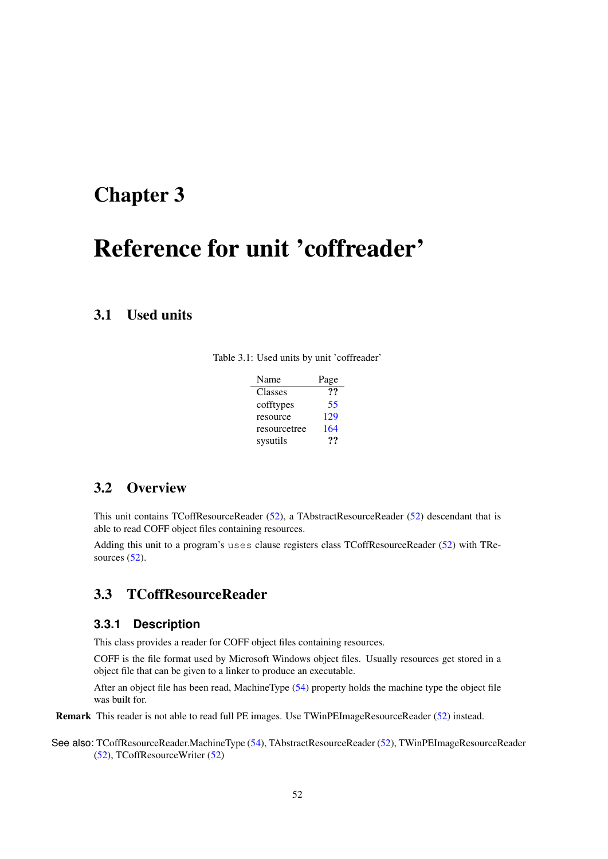# <span id="page-52-1"></span>Reference for unit 'coffreader'

## 3.1 Used units

|  |  |  |  |  | Table 3.1: Used units by unit 'coffreader' |
|--|--|--|--|--|--------------------------------------------|
|--|--|--|--|--|--------------------------------------------|

| Name         | Page |
|--------------|------|
| Classes      | 99   |
| cofftypes    | 55   |
| resource     | 129  |
| resourcetree | 164  |
| sysutils     | 77   |

## 3.2 Overview

This unit contains TCoffResourceReader [\(52\)](#page-52-0), a TAbstractResourceReader [\(52\)](#page-52-1) descendant that is able to read COFF object files containing resources.

Adding this unit to a program's uses clause registers class TCoffResourceReader [\(52\)](#page-52-0) with TResources  $(52)$ .

## <span id="page-52-0"></span>3.3 TCoffResourceReader

#### **3.3.1 Description**

This class provides a reader for COFF object files containing resources.

COFF is the file format used by Microsoft Windows object files. Usually resources get stored in a object file that can be given to a linker to produce an executable.

After an object file has been read, MachineType [\(54\)](#page-54-0) property holds the machine type the object file was built for.

Remark This reader is not able to read full PE images. Use TWinPEImageResourceReader [\(52\)](#page-52-1) instead.

See also: TCoffResourceReader.MachineType [\(54\)](#page-54-0), TAbstractResourceReader [\(52\)](#page-52-1), TWinPEImageResourceReader [\(52\)](#page-52-1), TCoffResourceWriter [\(52\)](#page-52-1)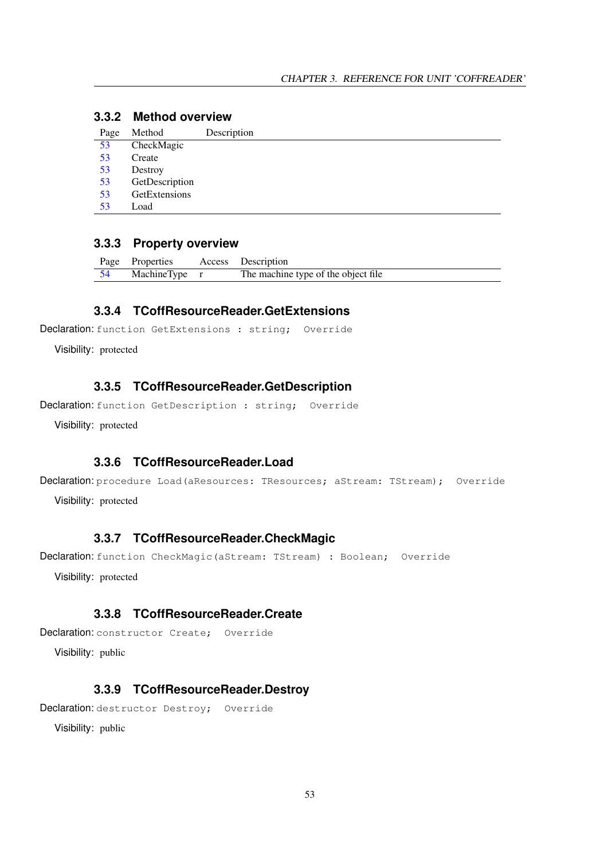## **3.3.2 Method overview**

|    |                | Description |
|----|----------------|-------------|
| 53 | CheckMagic     |             |
| 53 | Create         |             |
| 53 | Destroy        |             |
| 53 | GetDescription |             |
| 53 | GetExtensions  |             |
| 53 | Load           |             |

### **3.3.3 Property overview**

| Page Properties | Access Description                  |
|-----------------|-------------------------------------|
| MachineType r   | The machine type of the object file |

## <span id="page-53-4"></span>**3.3.4 TCoffResourceReader.GetExtensions**

```
Declaration: function GetExtensions : string; Override
```
Visibility: protected

## <span id="page-53-3"></span>**3.3.5 TCoffResourceReader.GetDescription**

```
Declaration: function GetDescription : string; Override
```
Visibility: protected

## <span id="page-53-5"></span>**3.3.6 TCoffResourceReader.Load**

```
Declaration: procedure Load (aResources: TResources; aStream: TStream); Override
```
Visibility: protected

#### <span id="page-53-0"></span>**3.3.7 TCoffResourceReader.CheckMagic**

Declaration: function CheckMagic(aStream: TStream) : Boolean; Override

Visibility: protected

#### <span id="page-53-1"></span>**3.3.8 TCoffResourceReader.Create**

```
Declaration: constructor Create; Override
```
Visibility: public

## <span id="page-53-2"></span>**3.3.9 TCoffResourceReader.Destroy**

Declaration: destructor Destroy; Override

Visibility: public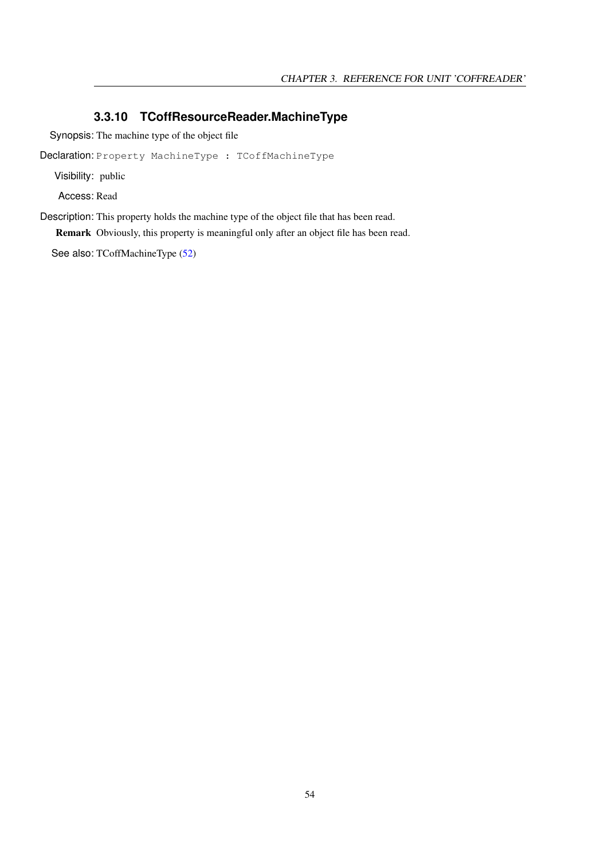## <span id="page-54-0"></span>**3.3.10 TCoffResourceReader.MachineType**

Synopsis: The machine type of the object file

Declaration: Property MachineType : TCoffMachineType

Visibility: public

Access: Read

Description: This property holds the machine type of the object file that has been read.

Remark Obviously, this property is meaningful only after an object file has been read.

See also: TCoffMachineType [\(52\)](#page-52-1)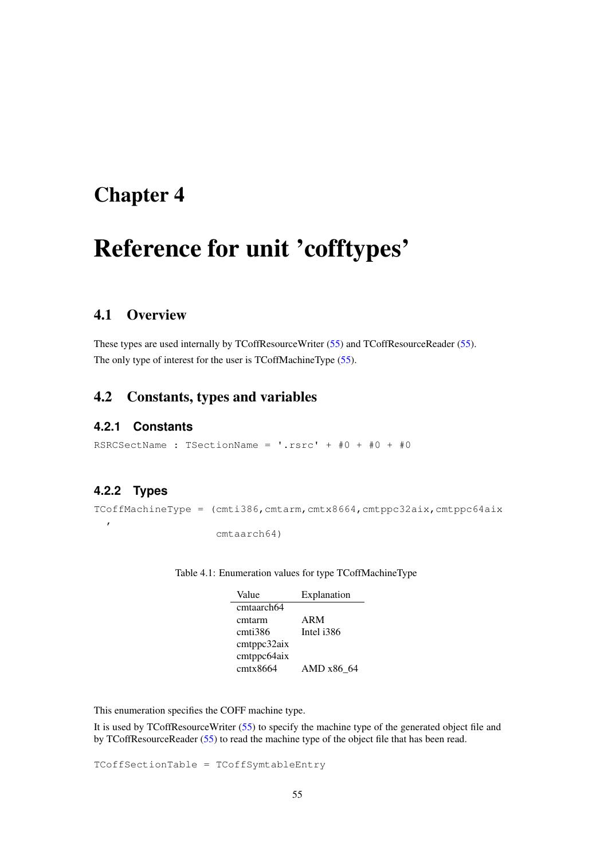# <span id="page-55-0"></span>Reference for unit 'cofftypes'

## 4.1 Overview

These types are used internally by TCoffResourceWriter [\(55\)](#page-55-0) and TCoffResourceReader [\(55\)](#page-55-0). The only type of interest for the user is TCoffMachineType [\(55\)](#page-55-1).

## 4.2 Constants, types and variables

#### **4.2.1 Constants**

RSRCSectName : TSectionName =  $\cdot$ .rsrc $+$  +  $\#0$  +  $\#0$  +  $\#0$ 

## <span id="page-55-1"></span>**4.2.2 Types**

 $\mathcal{L}_{\mathcal{A}}$ 

 $TCGfMachineType = (cmti386,cmtarm,cntx8664,cntppc32aix,cntppc64aix)$ 

cmtaarch64)

Table 4.1: Enumeration values for type TCoffMachineType

| Value       | Explanation |
|-------------|-------------|
| cmtaarch64  |             |
| cmtarm      | ARM         |
| cmti386     | Intel i386  |
| cmtppc32aix |             |
| cmtppc64aix |             |
| cmtx8664    | AMD x86 64  |

This enumeration specifies the COFF machine type.

It is used by TCoffResourceWriter [\(55\)](#page-55-0) to specify the machine type of the generated object file and by TCoffResourceReader [\(55\)](#page-55-0) to read the machine type of the object file that has been read.

TCoffSectionTable = TCoffSymtableEntry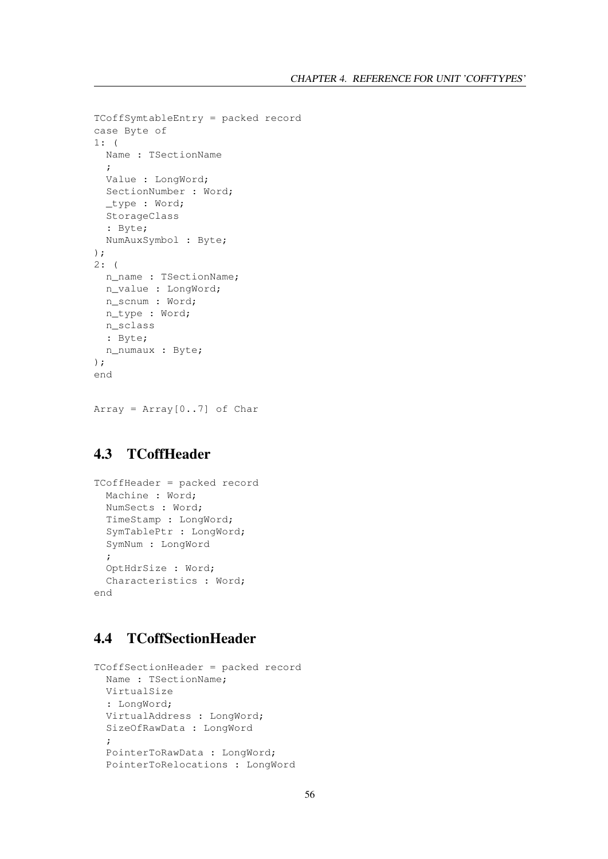```
TCoffSymtableEntry = packed record
case Byte of
1: (
 Name : TSectionName
  ;
 Value : LongWord;
 SectionNumber : Word;
 _type : Word;
 StorageClass
 : Byte;
 NumAuxSymbol : Byte;
);
2: (
 n_name : TSectionName;
 n_value : LongWord;
 n_scnum : Word;
 n_type : Word;
 n_sclass
 : Byte;
 n_numaux : Byte;
);
end
```
 $Array = Array[0..7]$  of Char

## 4.3 TCoffHeader

```
TCoffHeader = packed record
 Machine : Word;
 NumSects : Word;
 TimeStamp : LongWord;
  SymTablePtr : LongWord;
  SymNum : LongWord
  ;
 OptHdrSize : Word;
  Characteristics : Word;
end
```
## 4.4 TCoffSectionHeader

```
TCoffSectionHeader = packed record
 Name : TSectionName;
 VirtualSize
 : LongWord;
 VirtualAddress : LongWord;
 SizeOfRawData : LongWord
 ;
 PointerToRawData : LongWord;
 PointerToRelocations : LongWord
```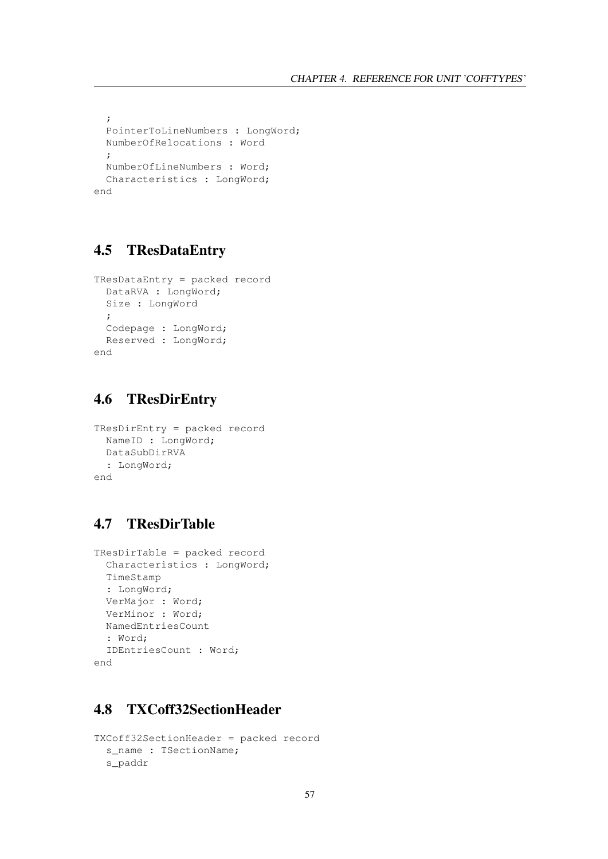```
;
 PointerToLineNumbers : LongWord;
 NumberOfRelocations : Word
 ;
 NumberOfLineNumbers : Word;
 Characteristics : LongWord;
end
```
## 4.5 TResDataEntry

```
TResDataEntry = packed record
 DataRVA : LongWord;
 Size : LongWord
 ;
 Codepage : LongWord;
 Reserved : LongWord;
end
```
## 4.6 TResDirEntry

```
TResDirEntry = packed record
 NameID : LongWord;
 DataSubDirRVA
 : LongWord;
end
```
## 4.7 TResDirTable

```
TResDirTable = packed record
 Characteristics : LongWord;
 TimeStamp
  : LongWord;
 VerMajor : Word;
 VerMinor : Word;
 NamedEntriesCount
 : Word;
 IDEntriesCount : Word;
end
```
## 4.8 TXCoff32SectionHeader

```
TXCoff32SectionHeader = packed record
 s_name : TSectionName;
 s_paddr
```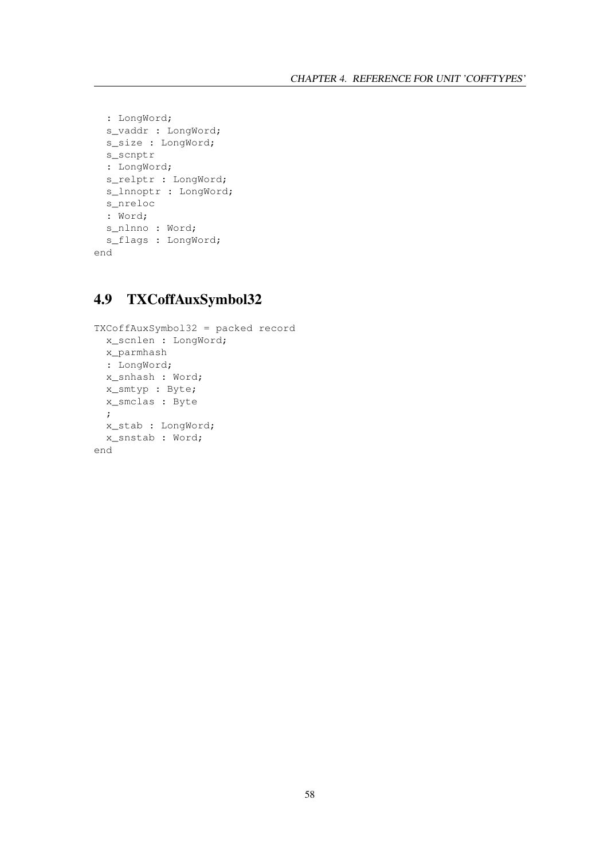```
: LongWord;
 s_vaddr : LongWord;
 s_<br>s_size : LongWord;
 s_scnptr
 : LongWord;
 s_relptr : LongWord;
 s_lnnoptr : LongWord;
 s_nreloc
 : Word;
 s_nlnno : Word;
 s_flags : LongWord;
end
```
## 4.9 TXCoffAuxSymbol32

```
TXCoffAuxSymbol32 = packed record
 x_scnlen : LongWord;
 x_parmhash
 : LongWord;
 x_snhash : Word;
 x_smtyp : Byte;
 x_smclas : Byte
 ;
 x_stab : LongWord;
 x_snstab : Word;
end
```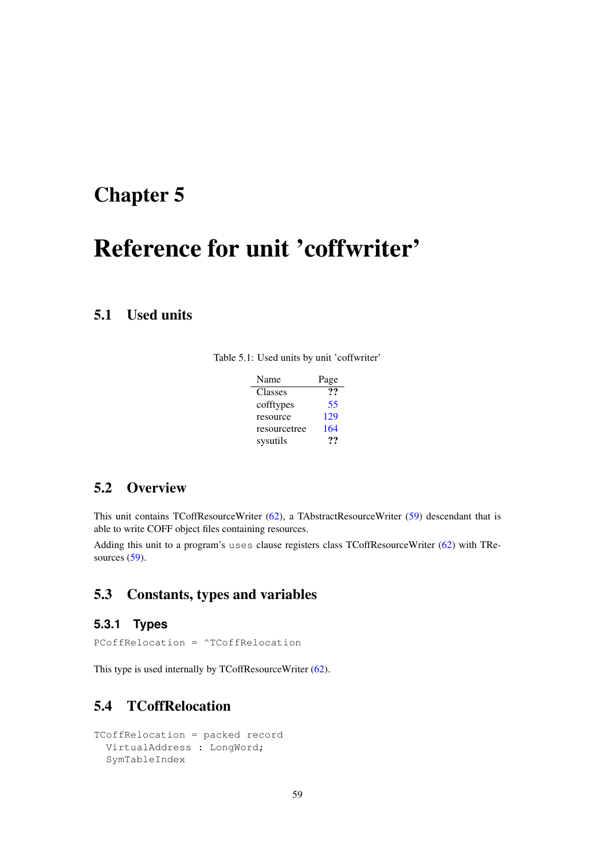# <span id="page-59-0"></span>Reference for unit 'coffwriter'

## 5.1 Used units

|  |  |  |  | Table 5.1: Used units by unit 'coffwriter' |
|--|--|--|--|--------------------------------------------|
|--|--|--|--|--------------------------------------------|

| Name         | Page |
|--------------|------|
| Classes      | 99   |
| cofftypes    | 55   |
| resource     | 129  |
| resourcetree | 164  |
| sysutils     | …    |

## 5.2 Overview

This unit contains TCoffResourceWriter [\(62\)](#page-62-0), a TAbstractResourceWriter [\(59\)](#page-59-0) descendant that is able to write COFF object files containing resources.

Adding this unit to a program's uses clause registers class TCoffResourceWriter [\(62\)](#page-62-0) with TResources  $(59)$ .

## 5.3 Constants, types and variables

## **5.3.1 Types**

PCoffRelocation = ^TCoffRelocation

This type is used internally by TCoffResourceWriter [\(62\)](#page-62-0).

## 5.4 TCoffRelocation

```
TCoffRelocation = packed record
 VirtualAddress : LongWord;
 SymTableIndex
```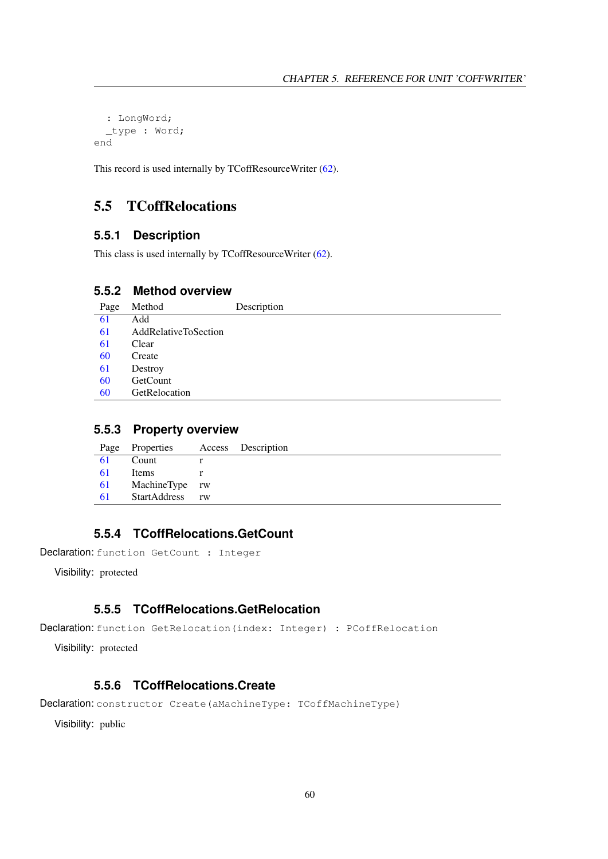```
: LongWord;
  _type : Word;
end
```
This record is used internally by TCoffResourceWriter [\(62\)](#page-62-0).

## 5.5 TCoffRelocations

## **5.5.1 Description**

This class is used internally by TCoffResourceWriter [\(62\)](#page-62-0).

## **5.5.2 Method overview**

| 61<br>Add<br>61<br>AddRelativeToSection<br>61<br>Clear<br>60<br>Create<br>61<br>Destroy<br>60<br>GetCount | Page | Method        | Description |
|-----------------------------------------------------------------------------------------------------------|------|---------------|-------------|
|                                                                                                           |      |               |             |
|                                                                                                           |      |               |             |
|                                                                                                           |      |               |             |
|                                                                                                           |      |               |             |
|                                                                                                           |      |               |             |
|                                                                                                           |      |               |             |
|                                                                                                           | 60   | GetRelocation |             |

#### **5.5.3 Property overview**

| Page | Properties     |    | Access Description |
|------|----------------|----|--------------------|
| 61   | Count          |    |                    |
| 61   | Items          |    |                    |
| 61   | MachineType rw |    |                    |
| 61   | StartAddress   | rw |                    |
|      |                |    |                    |

## <span id="page-60-1"></span>**5.5.4 TCoffRelocations.GetCount**

Declaration: function GetCount : Integer

Visibility: protected

## <span id="page-60-2"></span>**5.5.5 TCoffRelocations.GetRelocation**

```
Declaration: function GetRelocation(index: Integer) : PCoffRelocation
```
Visibility: protected

## <span id="page-60-0"></span>**5.5.6 TCoffRelocations.Create**

Declaration: constructor Create(aMachineType: TCoffMachineType)

Visibility: public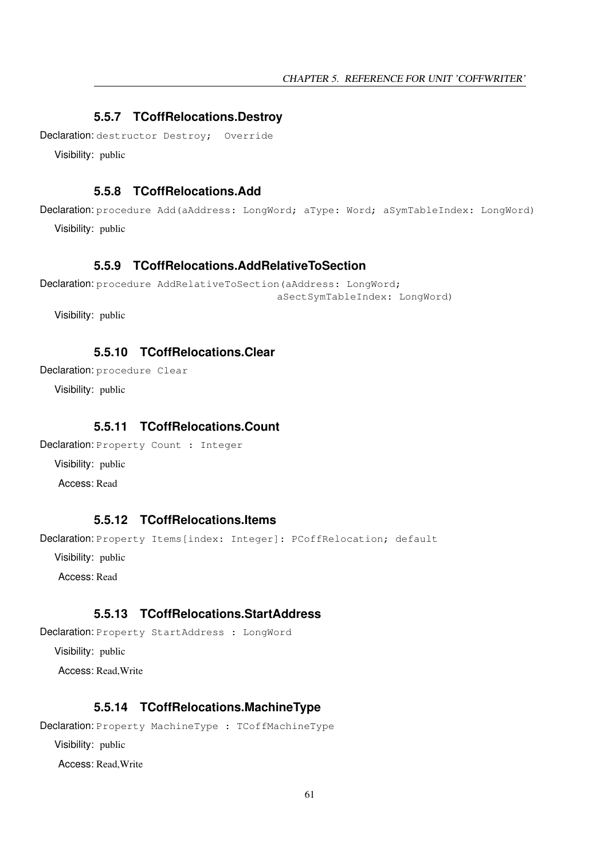## <span id="page-61-3"></span>**5.5.7 TCoffRelocations.Destroy**

Declaration: destructor Destroy; Override

Visibility: public

## <span id="page-61-0"></span>**5.5.8 TCoffRelocations.Add**

Declaration: procedure Add(aAddress: LongWord; aType: Word; aSymTableIndex: LongWord) Visibility: public

## <span id="page-61-1"></span>**5.5.9 TCoffRelocations.AddRelativeToSection**

```
Declaration: procedure AddRelativeToSection (aAddress: LongWord;
                                         aSectSymTableIndex: LongWord)
```
Visibility: public

## <span id="page-61-2"></span>**5.5.10 TCoffRelocations.Clear**

Declaration: procedure Clear

Visibility: public

## <span id="page-61-4"></span>**5.5.11 TCoffRelocations.Count**

Declaration: Property Count : Integer

Visibility: public

Access: Read

## <span id="page-61-5"></span>**5.5.12 TCoffRelocations.Items**

Declaration: Property Items[index: Integer]: PCoffRelocation; default

Visibility: public

Access: Read

## <span id="page-61-7"></span>**5.5.13 TCoffRelocations.StartAddress**

Declaration: Property StartAddress : LongWord

Visibility: public

Access: Read,Write

#### <span id="page-61-6"></span>**5.5.14 TCoffRelocations.MachineType**

Declaration: Property MachineType : TCoffMachineType Visibility: public Access: Read,Write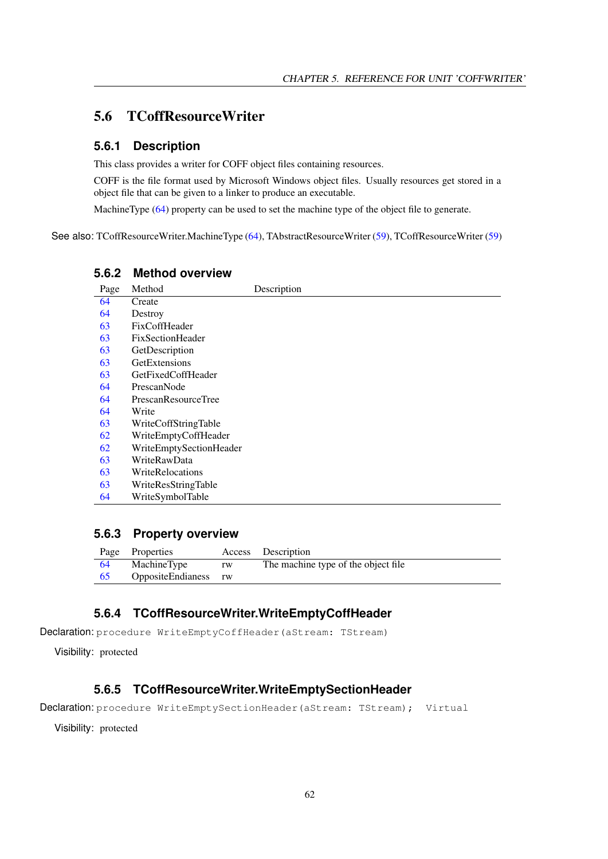## <span id="page-62-0"></span>5.6 TCoffResourceWriter

#### **5.6.1 Description**

This class provides a writer for COFF object files containing resources.

COFF is the file format used by Microsoft Windows object files. Usually resources get stored in a object file that can be given to a linker to produce an executable.

MachineType [\(64\)](#page-64-0) property can be used to set the machine type of the object file to generate.

See also: TCoffResourceWriter.MachineType [\(64\)](#page-64-0), TAbstractResourceWriter [\(59\)](#page-59-0), TCoffResourceWriter [\(59\)](#page-59-0)

| Page | Method                  | Description |
|------|-------------------------|-------------|
| 64   | Create                  |             |
| 64   | Destroy                 |             |
| 63   | FixCoffHeader           |             |
| 63   | FixSectionHeader        |             |
| 63   | GetDescription          |             |
| 63   | GetExtensions           |             |
| 63   | GetFixedCoffHeader      |             |
| 64   | PrescanNode             |             |
| 64   | PrescanResourceTree     |             |
| 64   | Write                   |             |
| 63   | WriteCoffStringTable    |             |
| 62   | WriteEmptyCoffHeader    |             |
| 62   | WriteEmptySectionHeader |             |
| 63   | WriteRawData            |             |
| 63   | WriteRelocations        |             |
| 63   | WriteResStringTable     |             |
| 64   | WriteSymbolTable        |             |

#### **5.6.2 Method overview**

## **5.6.3 Property overview**

|    | Page Properties      |    | Access Description                  |
|----|----------------------|----|-------------------------------------|
| 64 | MachineType          | rw | The machine type of the object file |
|    | OppositeEndianess rw |    |                                     |

## <span id="page-62-1"></span>**5.6.4 TCoffResourceWriter.WriteEmptyCoffHeader**

Declaration: procedure WriteEmptyCoffHeader(aStream: TStream)

Visibility: protected

#### <span id="page-62-2"></span>**5.6.5 TCoffResourceWriter.WriteEmptySectionHeader**

```
Declaration: procedure WriteEmptySectionHeader(aStream: TStream); Virtual
```
Visibility: protected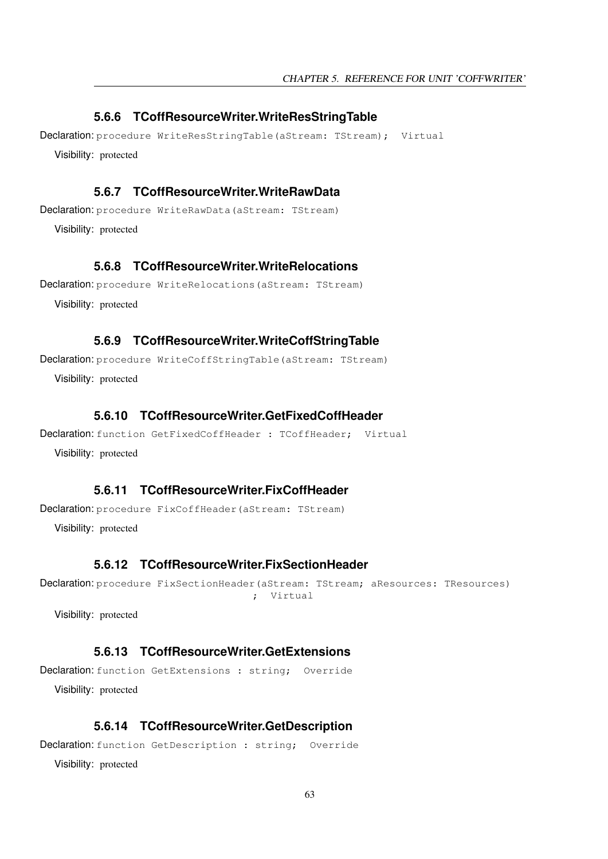## <span id="page-63-8"></span>**5.6.6 TCoffResourceWriter.WriteResStringTable**

Declaration: procedure WriteResStringTable(aStream: TStream); Virtual Visibility: protected

## <span id="page-63-6"></span>**5.6.7 TCoffResourceWriter.WriteRawData**

Declaration: procedure WriteRawData(aStream: TStream)

Visibility: protected

#### <span id="page-63-7"></span>**5.6.8 TCoffResourceWriter.WriteRelocations**

Declaration: procedure WriteRelocations(aStream: TStream)

Visibility: protected

#### <span id="page-63-5"></span>**5.6.9 TCoffResourceWriter.WriteCoffStringTable**

Declaration: procedure WriteCoffStringTable(aStream: TStream)

Visibility: protected

#### <span id="page-63-4"></span>**5.6.10 TCoffResourceWriter.GetFixedCoffHeader**

```
Declaration: function GetFixedCoffHeader : TCoffHeader; Virtual
  Visibility: protected
```
#### <span id="page-63-0"></span>**5.6.11 TCoffResourceWriter.FixCoffHeader**

Declaration: procedure FixCoffHeader(aStream: TStream)

Visibility: protected

## <span id="page-63-1"></span>**5.6.12 TCoffResourceWriter.FixSectionHeader**

Declaration: procedure FixSectionHeader(aStream: TStream; aResources: TResources) ; Virtual

Visibility: protected

## <span id="page-63-3"></span>**5.6.13 TCoffResourceWriter.GetExtensions**

Declaration: function GetExtensions : string; Override Visibility: protected

## <span id="page-63-2"></span>**5.6.14 TCoffResourceWriter.GetDescription**

Declaration: function GetDescription : string; Override

Visibility: protected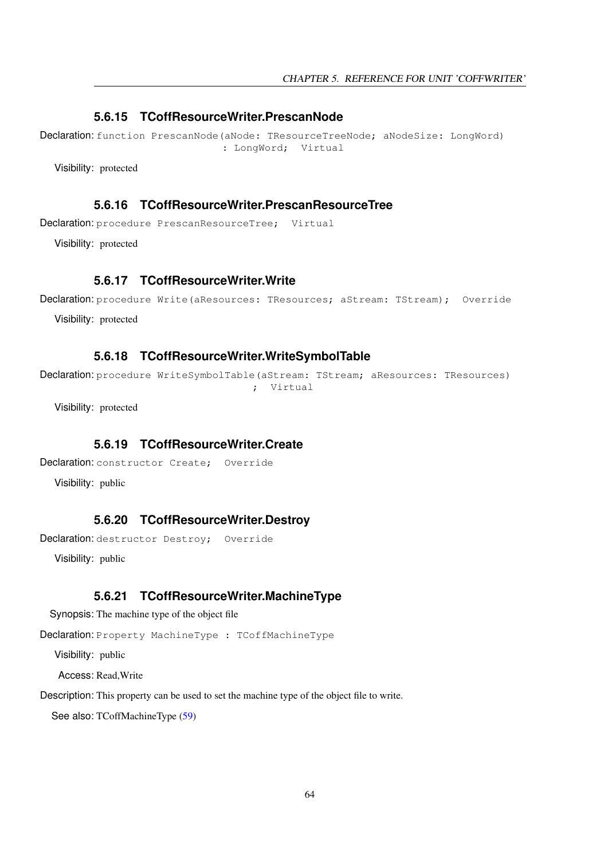#### <span id="page-64-3"></span>**5.6.15 TCoffResourceWriter.PrescanNode**

Declaration: function PrescanNode(aNode: TResourceTreeNode; aNodeSize: LongWord) : LongWord; Virtual

Visibility: protected

## <span id="page-64-4"></span>**5.6.16 TCoffResourceWriter.PrescanResourceTree**

Declaration: procedure PrescanResourceTree: Virtual

Visibility: protected

## <span id="page-64-5"></span>**5.6.17 TCoffResourceWriter.Write**

Declaration: procedure Write(aResources: TResources; aStream: TStream); Override

Visibility: protected

#### <span id="page-64-6"></span>**5.6.18 TCoffResourceWriter.WriteSymbolTable**

Declaration: procedure WriteSymbolTable(aStream: TStream; aResources: TResources) ; Virtual

Visibility: protected

## <span id="page-64-1"></span>**5.6.19 TCoffResourceWriter.Create**

Declaration: constructor Create; Override

Visibility: public

#### <span id="page-64-2"></span>**5.6.20 TCoffResourceWriter.Destroy**

Declaration: destructor Destroy; Override

Visibility: public

#### <span id="page-64-0"></span>**5.6.21 TCoffResourceWriter.MachineType**

Synopsis: The machine type of the object file

Declaration: Property MachineType : TCoffMachineType

Visibility: public

Access: Read,Write

Description: This property can be used to set the machine type of the object file to write.

See also: TCoffMachineType [\(59\)](#page-59-0)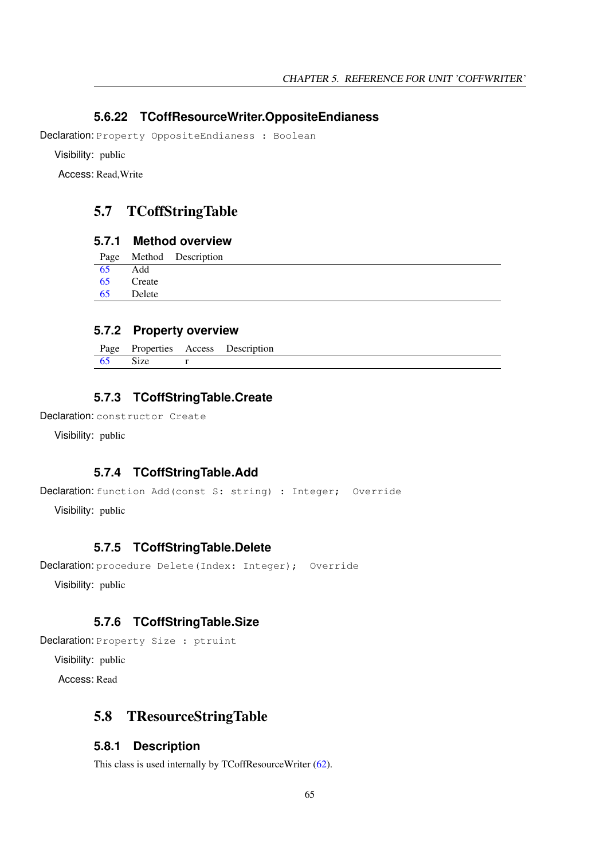## <span id="page-65-0"></span>**5.6.22 TCoffResourceWriter.OppositeEndianess**

Declaration: Property OppositeEndianess : Boolean

Visibility: public

Access: Read,Write

## 5.7 TCoffStringTable

## **5.7.1 Method overview**

|     |        | Page Method Description |
|-----|--------|-------------------------|
| 65  | Add    |                         |
| -65 | Create |                         |
| -65 | Delete |                         |
|     |        |                         |

## **5.7.2 Property overview**

|      |      | Page Properties Access Description |
|------|------|------------------------------------|
| - 65 | Size |                                    |

## <span id="page-65-2"></span>**5.7.3 TCoffStringTable.Create**

Declaration: constructor Create

Visibility: public

#### <span id="page-65-1"></span>**5.7.4 TCoffStringTable.Add**

```
Declaration: function Add(const S: string) : Integer; Override
```
Visibility: public

## <span id="page-65-3"></span>**5.7.5 TCoffStringTable.Delete**

```
Declaration: procedure Delete(Index: Integer); Override
```
Visibility: public

## <span id="page-65-4"></span>**5.7.6 TCoffStringTable.Size**

Declaration: Property Size : ptruint

Visibility: public

Access: Read

## 5.8 TResourceStringTable

#### **5.8.1 Description**

This class is used internally by TCoffResourceWriter [\(62\)](#page-62-0).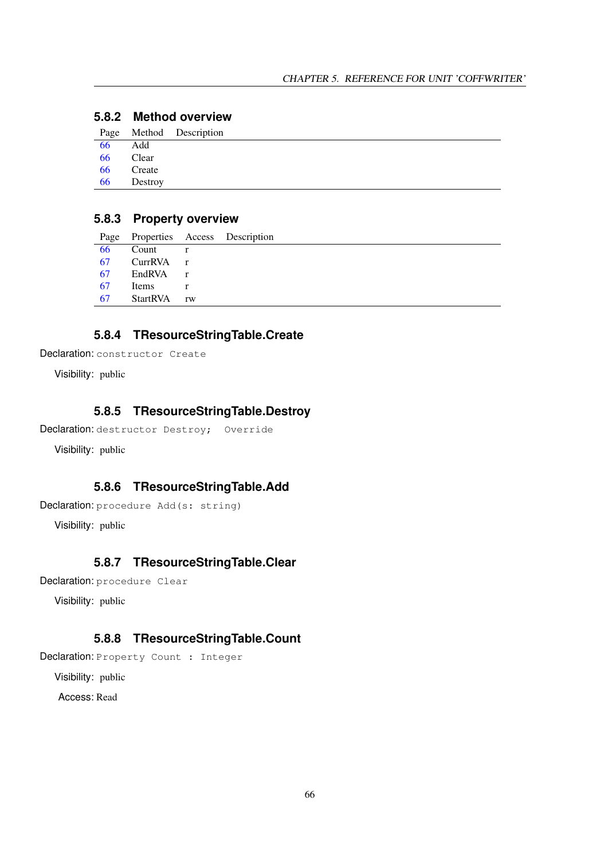|    |           | Page Method Description |
|----|-----------|-------------------------|
| 66 | Add       |                         |
|    | 66 Clear  |                         |
|    | 66 Create |                         |
| 66 | Destroy   |                         |
|    |           |                         |

## **5.8.2 Method overview**

## **5.8.3 Property overview**

| Page |              |              | Properties Access Description |
|------|--------------|--------------|-------------------------------|
| 66   | Count        | $\Gamma$     |                               |
| 67   | CurrRVA      | $\mathbf{r}$ |                               |
| 67   | EndRVA r     |              |                               |
| 67   | <b>Items</b> | r            |                               |
| 67   | StartRVA     | rw           |                               |
|      |              |              |                               |

## <span id="page-66-2"></span>**5.8.4 TResourceStringTable.Create**

```
Declaration: constructor Create
```
Visibility: public

## <span id="page-66-3"></span>**5.8.5 TResourceStringTable.Destroy**

```
Declaration: destructor Destroy; Override
```
Visibility: public

## <span id="page-66-0"></span>**5.8.6 TResourceStringTable.Add**

```
Declaration: procedure Add(s: string)
```
Visibility: public

## <span id="page-66-1"></span>**5.8.7 TResourceStringTable.Clear**

```
Declaration: procedure Clear
```
Visibility: public

## <span id="page-66-4"></span>**5.8.8 TResourceStringTable.Count**

```
Declaration: Property Count : Integer
```
Visibility: public

Access: Read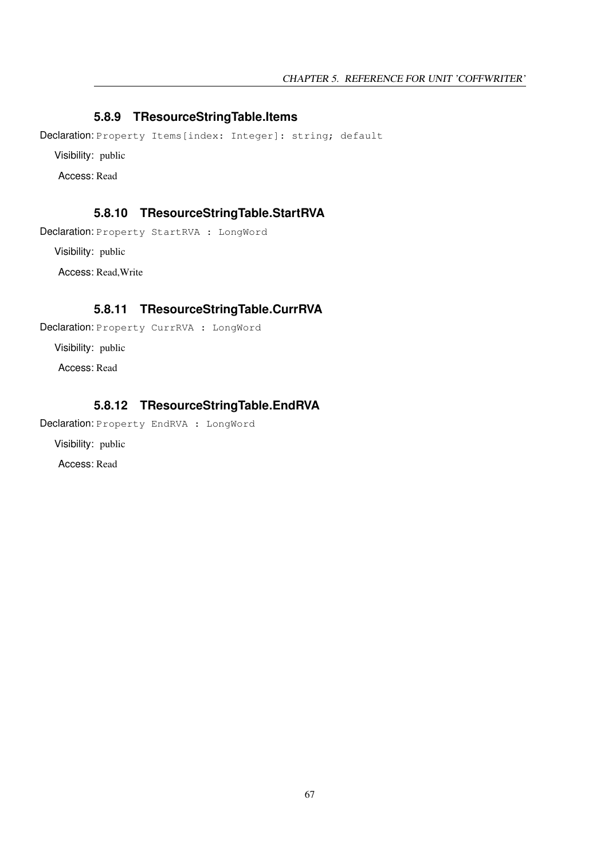## <span id="page-67-2"></span>**5.8.9 TResourceStringTable.Items**

Declaration: Property Items [index: Integer]: string; default

Visibility: public

Access: Read

## <span id="page-67-3"></span>**5.8.10 TResourceStringTable.StartRVA**

Declaration: Property StartRVA : LongWord

Visibility: public

Access: Read,Write

## <span id="page-67-0"></span>**5.8.11 TResourceStringTable.CurrRVA**

Declaration: Property CurrRVA : LongWord

Visibility: public

Access: Read

## <span id="page-67-1"></span>**5.8.12 TResourceStringTable.EndRVA**

Declaration: Property EndRVA : LongWord

Visibility: public

Access: Read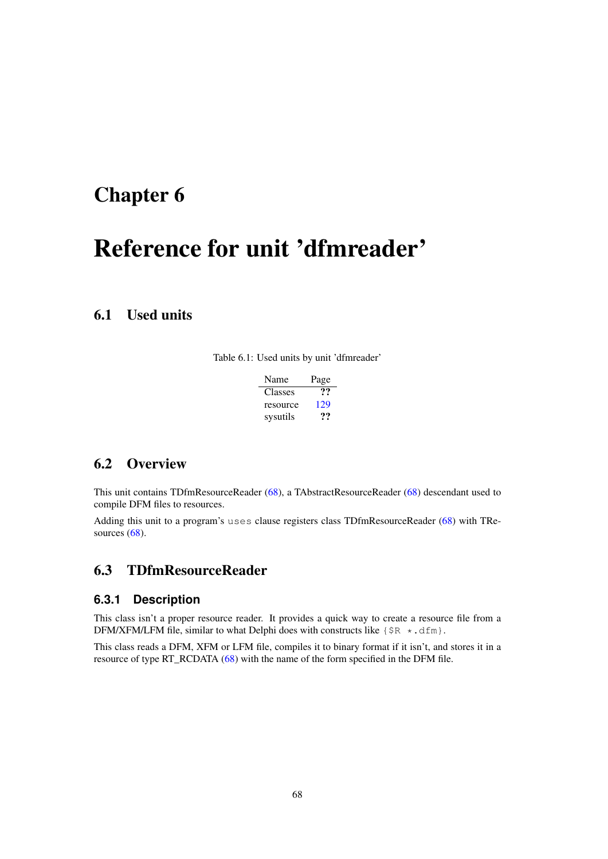# <span id="page-68-1"></span>Reference for unit 'dfmreader'

## 6.1 Used units

Table 6.1: Used units by unit 'dfmreader'

| Name     | Page |
|----------|------|
| Classes  | ??   |
| resource | 129  |
| sysutils | 77   |

## 6.2 Overview

This unit contains TDfmResourceReader [\(68\)](#page-68-0), a TAbstractResourceReader [\(68\)](#page-68-1) descendant used to compile DFM files to resources.

Adding this unit to a program's uses clause registers class TDfmResourceReader [\(68\)](#page-68-0) with TResources [\(68\)](#page-68-1).

## <span id="page-68-0"></span>6.3 TDfmResourceReader

## **6.3.1 Description**

This class isn't a proper resource reader. It provides a quick way to create a resource file from a DFM/XFM/LFM file, similar to what Delphi does with constructs like  $\{\$R \star dfm\}$ .

This class reads a DFM, XFM or LFM file, compiles it to binary format if it isn't, and stores it in a resource of type RT\_RCDATA [\(68\)](#page-68-1) with the name of the form specified in the DFM file.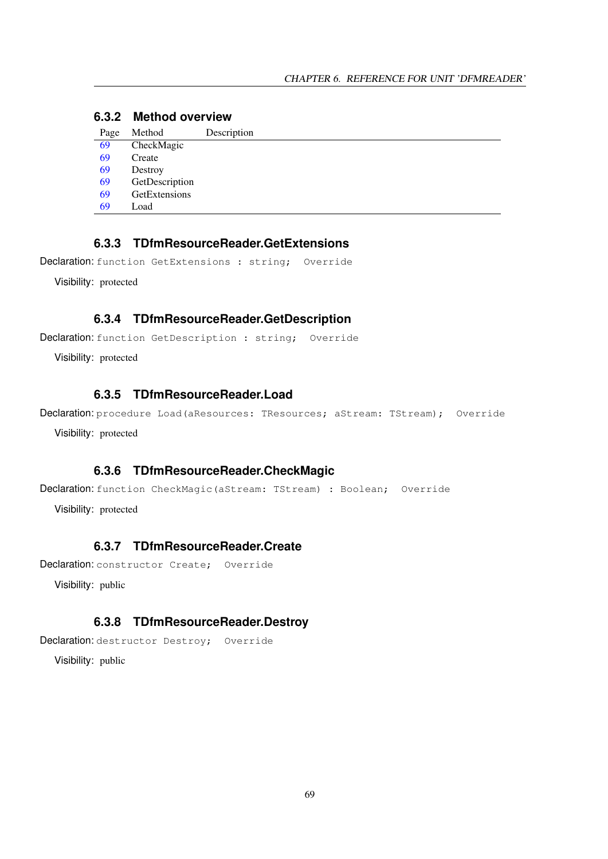## **6.3.2 Method overview**

| Page | Method         | Description |
|------|----------------|-------------|
| 69   | CheckMagic     |             |
| 69   | Create         |             |
| 69   | Destroy        |             |
| 69   | GetDescription |             |
| 69   | GetExtensions  |             |
| 69   | Load           |             |

## <span id="page-69-4"></span>**6.3.3 TDfmResourceReader.GetExtensions**

Declaration: function GetExtensions : string; Override

Visibility: protected

## <span id="page-69-3"></span>**6.3.4 TDfmResourceReader.GetDescription**

Declaration: function GetDescription : string; Override

Visibility: protected

## <span id="page-69-5"></span>**6.3.5 TDfmResourceReader.Load**

Declaration: procedure Load (aResources: TResources; aStream: TStream); Override Visibility: protected

#### <span id="page-69-0"></span>**6.3.6 TDfmResourceReader.CheckMagic**

```
Declaration: function CheckMagic(aStream: TStream) : Boolean; Override
```
Visibility: protected

## <span id="page-69-1"></span>**6.3.7 TDfmResourceReader.Create**

Declaration: constructor Create; Override

Visibility: public

## <span id="page-69-2"></span>**6.3.8 TDfmResourceReader.Destroy**

Declaration: destructor Destroy; Override

Visibility: public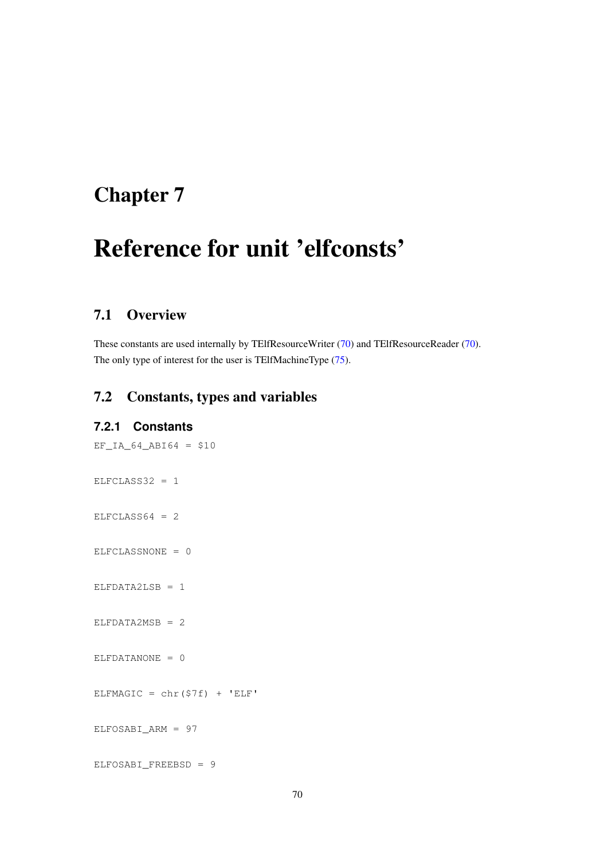# <span id="page-70-0"></span>Reference for unit 'elfconsts'

## 7.1 Overview

These constants are used internally by TElfResourceWriter [\(70\)](#page-70-0) and TElfResourceReader [\(70\)](#page-70-0). The only type of interest for the user is TElfMachineType [\(75\)](#page-75-0).

## 7.2 Constants, types and variables

#### **7.2.1 Constants**

 $EF\_IA\_64\_AB164 = $10$  $ELFCLASS32 = 1$  $ELFCLASS64 = 2$ ELFCLASSNONE = 0 ELFDATA2LSB = 1  $ELFDATA2MSB = 2$  $ELFDATANONE = 0$ ELFMAGIC =  $chr(S7f)$  + 'ELF' ELFOSABI\_ARM = 97 ELFOSABI\_FREEBSD = 9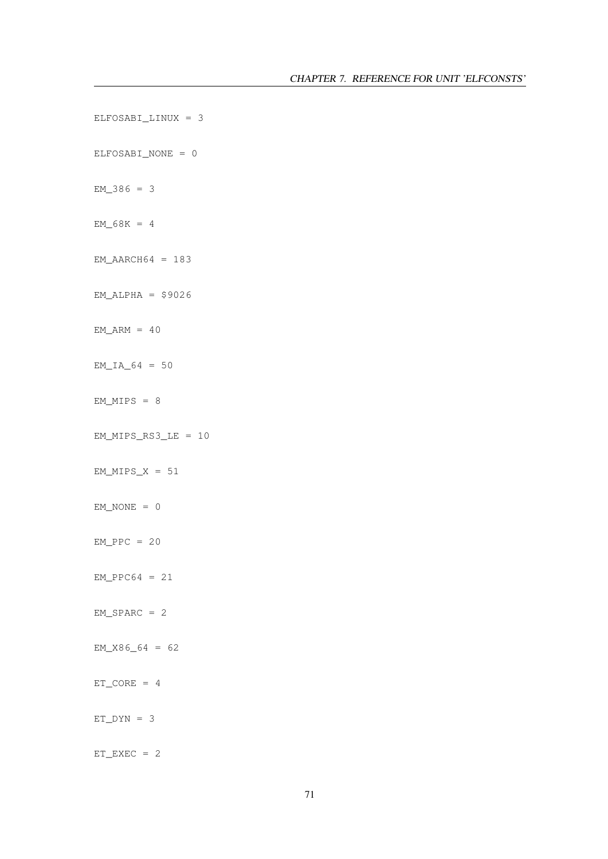```
ELFOSABI_LINUX = 3
ELFOSABI_NONE = 0
EM_386 = 3EM_68K = 4EM\_AARCH64 = 183EM\_ALPHA = $9026EM\_ARM = 40EM_IA_64 = 50EM_MIPS = 8EM_MIPS_RS3_LE = 10EM_MIPS_X = 51EM_NONE = 0EM_PPC = 20EM_PPC64 = 21EM\_SPARC = 2EM_X86_64 = 62ET CORE = 4
ET_DYN = 3ET<sub>EXEC</sub> = 2
```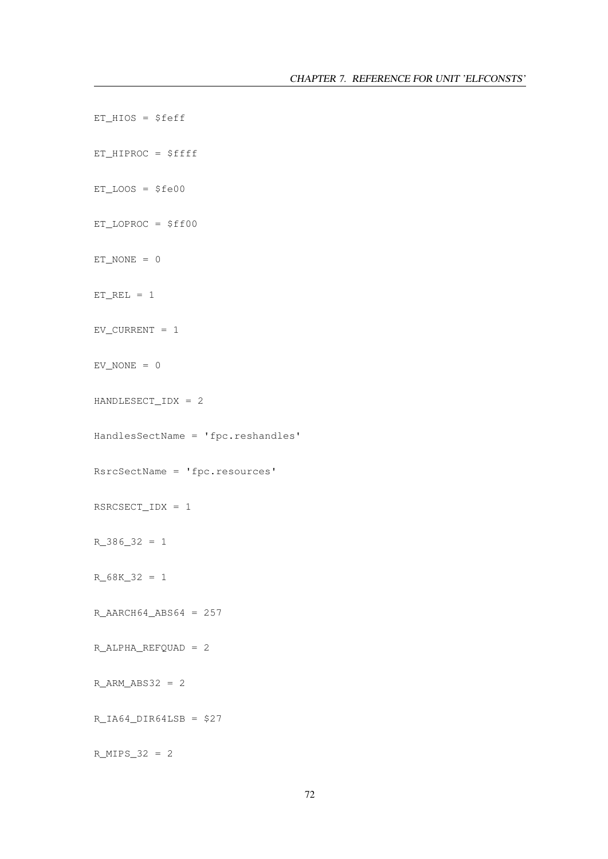```
ET_HIOS = $feff
ET_HIPROC = $ffff
ET\_LOOS = $fe00ET_LOPROC = $ff00
ET_NONE = 0ET_REL = 1EV_CURRENT = 1EV_NONE = 0HANDLESECT_IDX = 2
HandlesSectName = 'fpc.reshandles'
RsrcSectName = 'fpc.resources'
RSRCSECT_IDX = 1
R_386_32 = 1
R_68K_32 = 1
R_{AARCH64\ ABS64} = 257R_ALPHA_REFQUAD = 2
R\_ARM\_ABS32 = 2R_IA64_IDIR64LSB = $27R_MIPS_32 = 2
```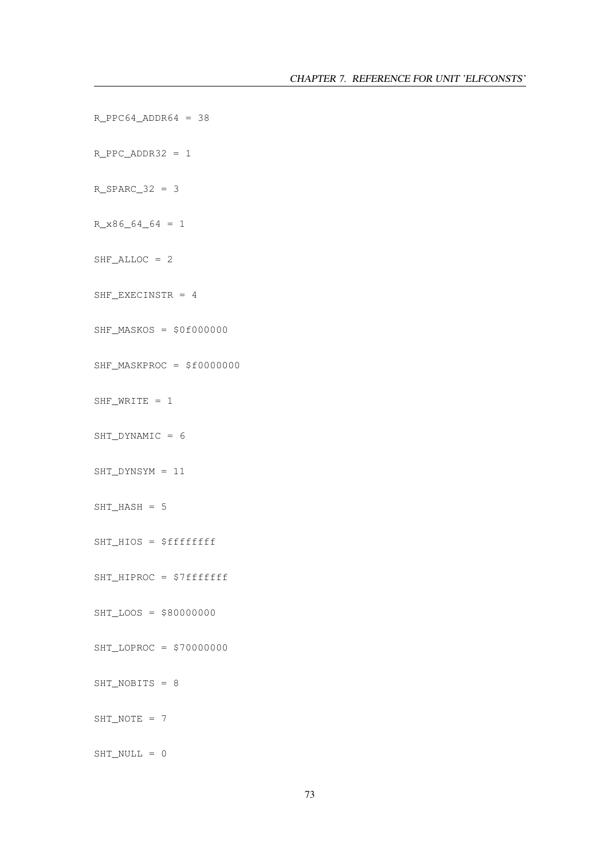```
R_PPC_ADDR32 = 1R_SPARC_32 = 3
R_X86_64_64 = 1SHF\_ALLOC = 2SHF_EXECINSTR = 4
SHF_MASKOS = $0f000000SHF_MASKPROC = $f0000000
SHF_WRITE = 1
SHT_DYNAMIC = 6
SHT_DYNSYM = 11
SHT_HASH = 5
SHT_HIOS = $fffffffSHT_HIPROC = $7fffffff
SHT_LOOS = $80000000
SHT_LOPROC = $70000000
SHT_NOBITS = 8
SHT_NOTE = 7
SHT_NULL = 0
```
 $R_PPC64\rule{0pt}{0pt}$   $R_PPC64\rule{0pt}{0pt}$   $R_PPC64\rule{0pt}{0pt}$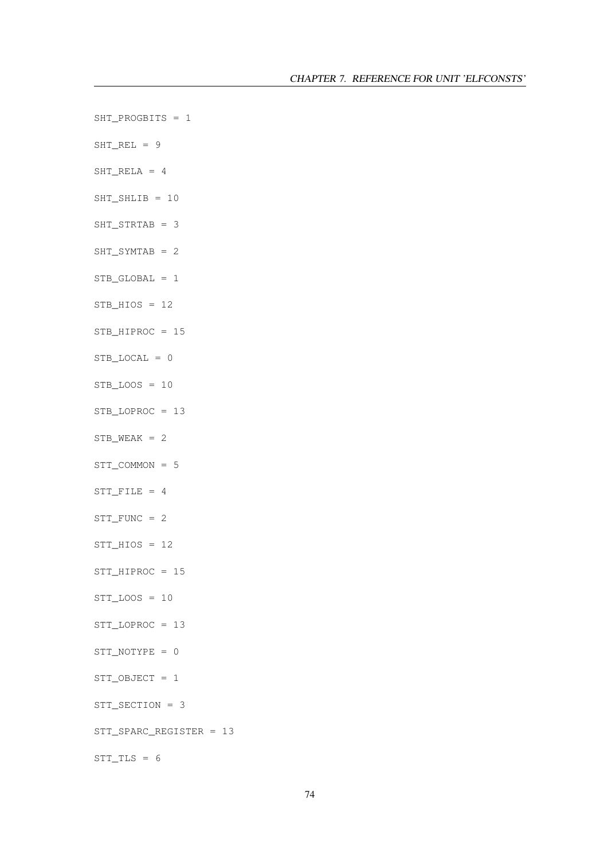- SHT\_PROGBITS = 1
- $SHT_REL = 9$
- SHT\_RELA = 4
- SHT\_SHLIB = 10
- SHT\_STRTAB = 3
- SHT\_SYMTAB = 2
- STB\_GLOBAL = 1
- $STB_HIOS = 12$
- STB\_HIPROC = 15
- STB LOCAL  $= 0$
- $STB\_LOOS = 10$
- STB\_LOPROC = 13
- $STB_WEAK = 2$
- STT\_COMMON = 5
- STT\_FILE = 4
- STT\_FUNC = 2
- STT  $HIOS = 12$
- STT\_HIPROC = 15
- $STT\_LOOS = 10$
- STT\_LOPROC = 13
- STT\_NOTYPE = 0
- STT\_OBJECT = 1
- STT\_SECTION = 3
- STT\_SPARC\_REGISTER = 13

 $STT_TLS = 6$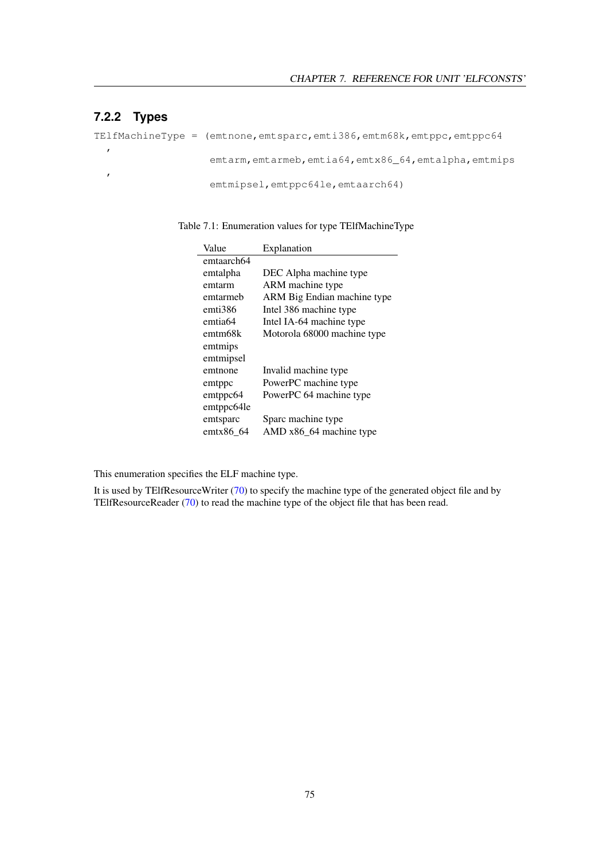# **7.2.2 Types**

,

,

TElfMachineType = (emtnone, emtsparc, emti386, emtm68k, emtppc, emtppc64

emtarm, emtarmeb, emtia64, emtx86\_64, emtalpha, emtmips

emtmipsel,emtppc64le,emtaarch64)

Table 7.1: Enumeration values for type TElfMachineType

| Value      | Explanation                 |
|------------|-----------------------------|
| emtaarch64 |                             |
| emtalpha   | DEC Alpha machine type      |
| emtarm     | ARM machine type            |
| emtarmeb   | ARM Big Endian machine type |
| emti386    | Intel 386 machine type      |
| emtia64    | Intel IA-64 machine type    |
| emtm68k    | Motorola 68000 machine type |
| emtmips    |                             |
| emtmipsel  |                             |
| emtnone    | Invalid machine type        |
| emtppc     | PowerPC machine type        |
| emtppc64   | PowerPC 64 machine type     |
| emtppc64le |                             |
| emtsparc   | Sparc machine type          |
| emtx86_64  | AMD x86_64 machine type     |

This enumeration specifies the ELF machine type.

It is used by TElfResourceWriter [\(70\)](#page-70-0) to specify the machine type of the generated object file and by TElfResourceReader [\(70\)](#page-70-0) to read the machine type of the object file that has been read.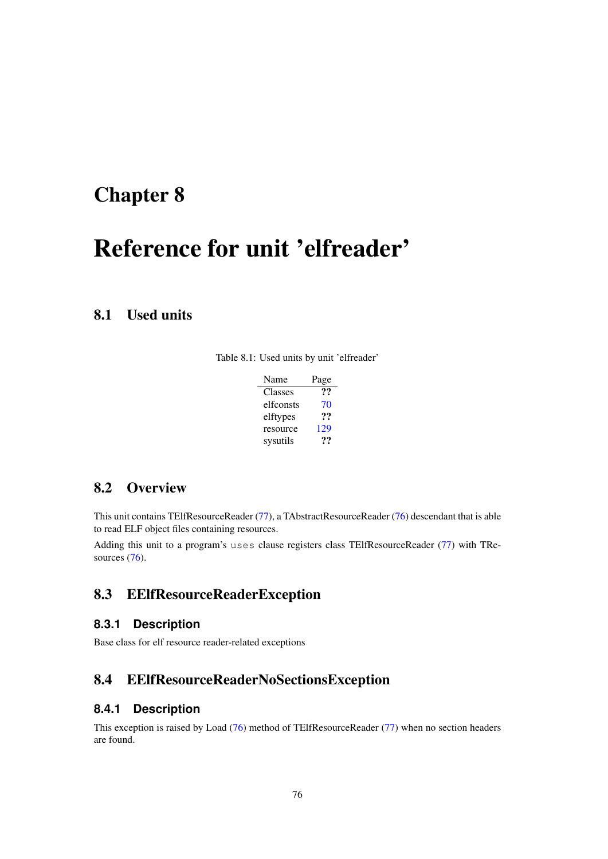# <span id="page-76-0"></span>Reference for unit 'elfreader'

# 8.1 Used units

Table 8.1: Used units by unit 'elfreader'

| Name      | Page |
|-----------|------|
| Classes   | ??   |
| elfconsts | 70   |
| elftypes  | ??   |
| resource  | 129  |
| sysutils  | 77   |

# 8.2 Overview

This unit contains TElfResourceReader [\(77\)](#page-77-0), a TAbstractResourceReader [\(76\)](#page-76-0) descendant that is able to read ELF object files containing resources.

Adding this unit to a program's uses clause registers class TElfResourceReader [\(77\)](#page-77-0) with TRe-sources [\(76\)](#page-76-0).

# 8.3 EElfResourceReaderException

### **8.3.1 Description**

Base class for elf resource reader-related exceptions

# 8.4 EElfResourceReaderNoSectionsException

### **8.4.1 Description**

This exception is raised by Load [\(76\)](#page-76-0) method of TElfResourceReader [\(77\)](#page-77-0) when no section headers are found.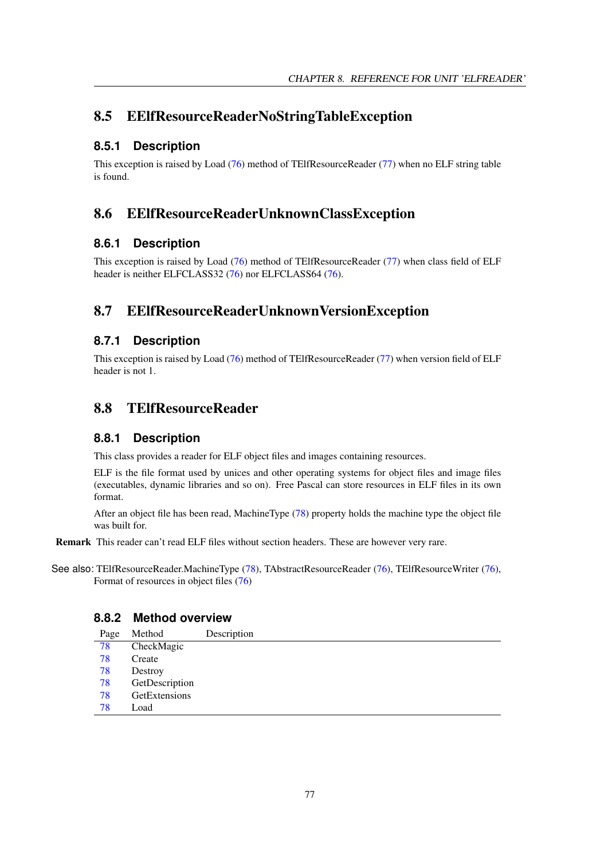# 8.5 EElfResourceReaderNoStringTableException

# **8.5.1 Description**

This exception is raised by Load [\(76\)](#page-76-0) method of TElfResourceReader [\(77\)](#page-77-0) when no ELF string table is found.

# 8.6 EElfResourceReaderUnknownClassException

# **8.6.1 Description**

This exception is raised by Load [\(76\)](#page-76-0) method of TElfResourceReader [\(77\)](#page-77-0) when class field of ELF header is neither ELFCLASS32 [\(76\)](#page-76-0) nor ELFCLASS64 (76).

# 8.7 EElfResourceReaderUnknownVersionException

# **8.7.1 Description**

This exception is raised by Load [\(76\)](#page-76-0) method of TElfResourceReader [\(77\)](#page-77-0) when version field of ELF header is not 1.

# <span id="page-77-0"></span>8.8 TElfResourceReader

## **8.8.1 Description**

This class provides a reader for ELF object files and images containing resources.

ELF is the file format used by unices and other operating systems for object files and image files (executables, dynamic libraries and so on). Free Pascal can store resources in ELF files in its own format.

After an object file has been read, MachineType [\(78\)](#page-78-0) property holds the machine type the object file was built for.

Remark This reader can't read ELF files without section headers. These are however very rare.

See also: TElfResourceReader.MachineType [\(78\)](#page-78-0), TAbstractResourceReader [\(76\)](#page-76-0), TElfResourceWriter [\(76\)](#page-76-0), Format of resources in object files [\(76\)](#page-76-0)

## **8.8.2 Method overview**

| Page | Method         | Description |
|------|----------------|-------------|
| 78   | CheckMagic     |             |
| 78   | Create         |             |
| 78   | Destroy        |             |
| 78   | GetDescription |             |
| 78   | GetExtensions  |             |
| 78   | Load           |             |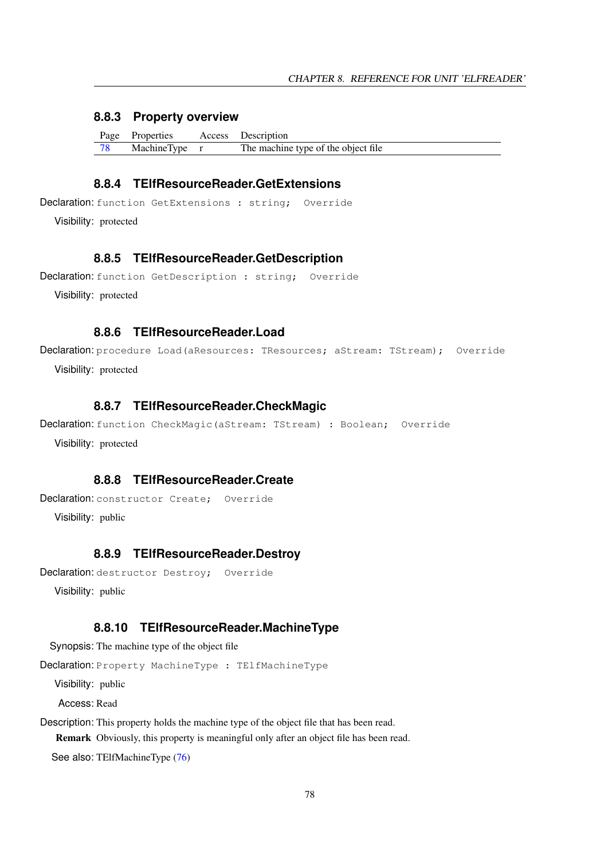### **8.8.3 Property overview**

| Page Properties | Access Description                  |
|-----------------|-------------------------------------|
| MachineType r   | The machine type of the object file |

### <span id="page-78-5"></span>**8.8.4 TElfResourceReader.GetExtensions**

```
Declaration: function GetExtensions : string; Override
```
Visibility: protected

### <span id="page-78-4"></span>**8.8.5 TElfResourceReader.GetDescription**

```
Declaration: function GetDescription : string; Override
```
Visibility: protected

## <span id="page-78-6"></span>**8.8.6 TElfResourceReader.Load**

```
Declaration: procedure Load (aResources: TResources; aStream: TStream); Override
  Visibility: protected
```
### <span id="page-78-1"></span>**8.8.7 TElfResourceReader.CheckMagic**

```
Declaration: function CheckMagic (aStream: TStream) : Boolean; Override
  Visibility: protected
```
### <span id="page-78-2"></span>**8.8.8 TElfResourceReader.Create**

```
Declaration: constructor Create: Override
  Visibility: public
```
### <span id="page-78-3"></span>**8.8.9 TElfResourceReader.Destroy**

```
Declaration: destructor Destroy; Override
  Visibility: public
```
### <span id="page-78-0"></span>**8.8.10 TElfResourceReader.MachineType**

Synopsis: The machine type of the object file

Declaration: Property MachineType : TElfMachineType

Visibility: public

Access: Read

Description: This property holds the machine type of the object file that has been read. Remark Obviously, this property is meaningful only after an object file has been read.

See also: TElfMachineType [\(76\)](#page-76-0)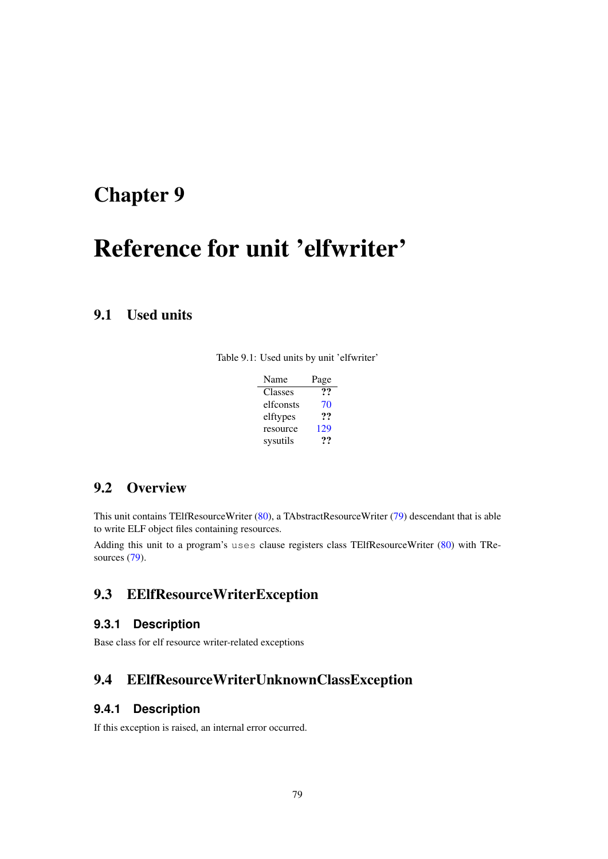# <span id="page-79-0"></span>Reference for unit 'elfwriter'

# 9.1 Used units

Table 9.1: Used units by unit 'elfwriter'

| Name      | Page |
|-----------|------|
| Classes   | "    |
| elfconsts | 70   |
| elftypes  | ??   |
| resource  | 129  |
| sysutils  | 77   |

# 9.2 Overview

This unit contains TElfResourceWriter [\(80\)](#page-80-0), a TAbstractResourceWriter [\(79\)](#page-79-0) descendant that is able to write ELF object files containing resources.

Adding this unit to a program's uses clause registers class TElfResourceWriter [\(80\)](#page-80-0) with TRe-sources [\(79\)](#page-79-0).

# 9.3 EElfResourceWriterException

### **9.3.1 Description**

Base class for elf resource writer-related exceptions

# 9.4 EElfResourceWriterUnknownClassException

### **9.4.1 Description**

If this exception is raised, an internal error occurred.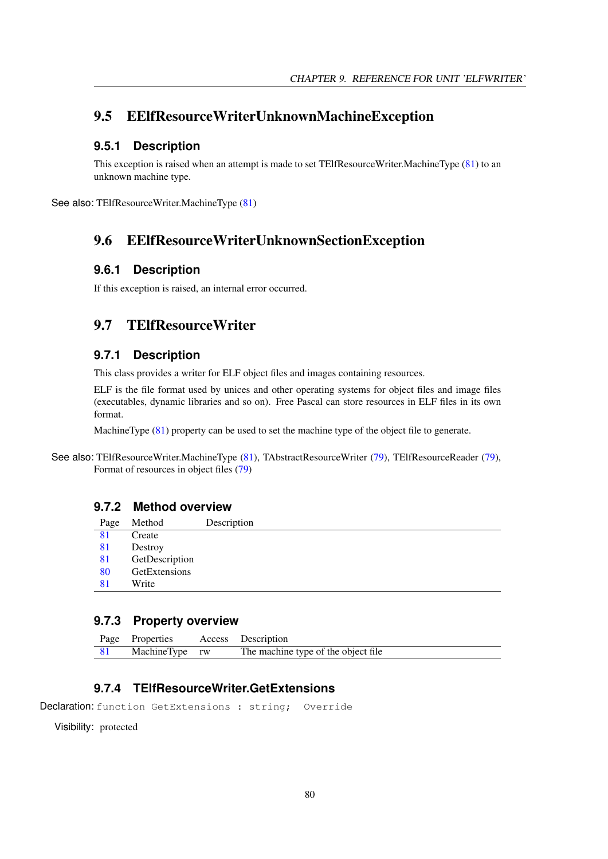# <span id="page-80-2"></span>9.5 EElfResourceWriterUnknownMachineException

### **9.5.1 Description**

This exception is raised when an attempt is made to set TElfResourceWriter.MachineType [\(81\)](#page-81-0) to an unknown machine type.

See also: TElfResourceWriter.MachineType [\(81\)](#page-81-0)

# 9.6 EElfResourceWriterUnknownSectionException

### **9.6.1 Description**

If this exception is raised, an internal error occurred.

## <span id="page-80-0"></span>9.7 TElfResourceWriter

### **9.7.1 Description**

This class provides a writer for ELF object files and images containing resources.

ELF is the file format used by unices and other operating systems for object files and image files (executables, dynamic libraries and so on). Free Pascal can store resources in ELF files in its own format.

MachineType [\(81\)](#page-81-0) property can be used to set the machine type of the object file to generate.

See also: TElfResourceWriter.MachineType [\(81\)](#page-81-0), TAbstractResourceWriter [\(79\)](#page-79-0), TElfResourceReader (79), Format of resources in object files [\(79\)](#page-79-0)

### **9.7.2 Method overview**

| Page | Method         | Description |
|------|----------------|-------------|
| 81   | Create         |             |
| 81   | Destroy        |             |
| 81   | GetDescription |             |
| 80   | GetExtensions  |             |
| 81   | Write          |             |
|      |                |             |

### **9.7.3 Property overview**

| Page Properties | Access Description                  |
|-----------------|-------------------------------------|
| MachineType rw  | The machine type of the object file |

## <span id="page-80-1"></span>**9.7.4 TElfResourceWriter.GetExtensions**

Declaration: function GetExtensions : string; Override

Visibility: protected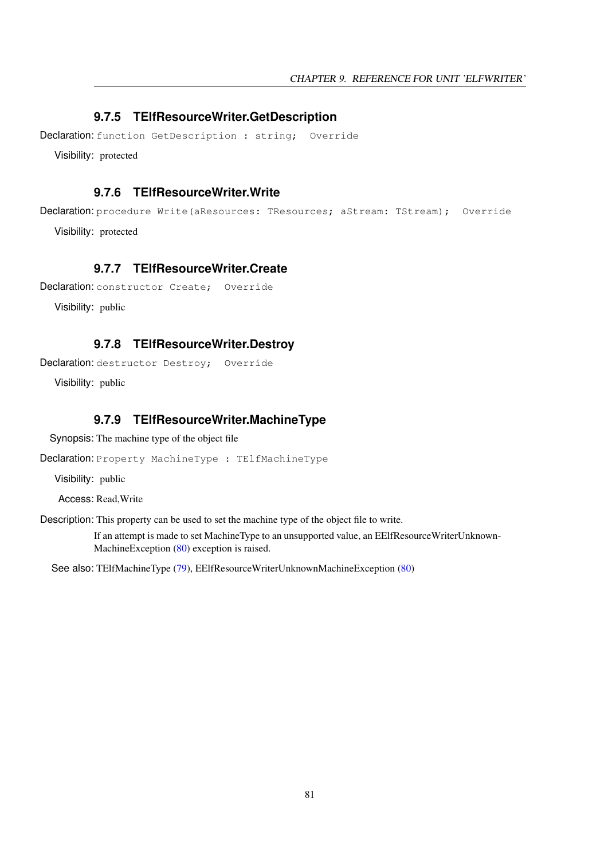### <span id="page-81-3"></span>**9.7.5 TElfResourceWriter.GetDescription**

Declaration: function GetDescription : string; Override

Visibility: protected

### <span id="page-81-4"></span>**9.7.6 TElfResourceWriter.Write**

Declaration: procedure Write(aResources: TResources; aStream: TStream); Override

Visibility: protected

### <span id="page-81-1"></span>**9.7.7 TElfResourceWriter.Create**

Declaration: constructor Create: Override

Visibility: public

### <span id="page-81-2"></span>**9.7.8 TElfResourceWriter.Destroy**

Declaration: destructor Destroy; Override

Visibility: public

### <span id="page-81-0"></span>**9.7.9 TElfResourceWriter.MachineType**

Synopsis: The machine type of the object file

Declaration: Property MachineType : TElfMachineType

Visibility: public

Access: Read,Write

Description: This property can be used to set the machine type of the object file to write.

If an attempt is made to set MachineType to an unsupported value, an EElfResourceWriterUnknown-MachineException [\(80\)](#page-80-2) exception is raised.

See also: TElfMachineType [\(79\)](#page-79-0), EElfResourceWriterUnknownMachineException [\(80\)](#page-80-2)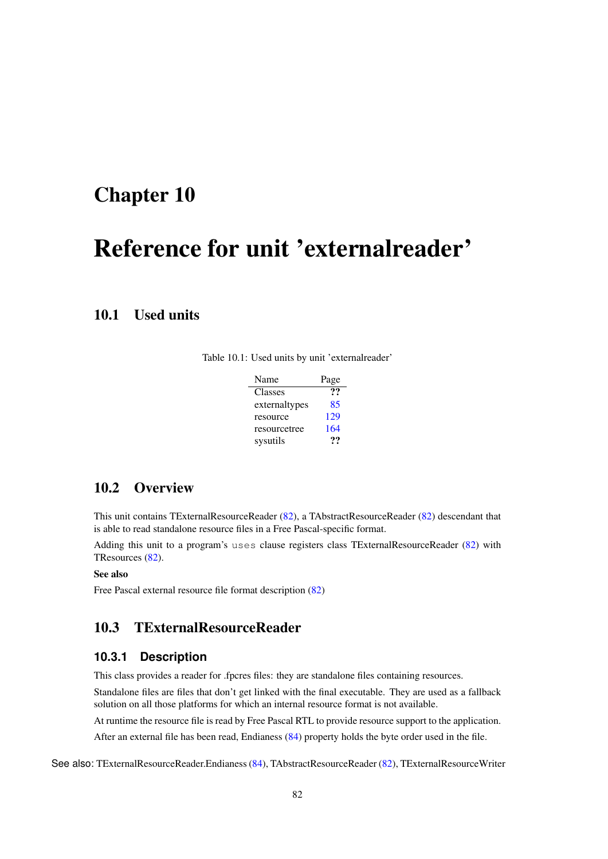# <span id="page-82-1"></span>Reference for unit 'externalreader'

# 10.1 Used units

Table 10.1: Used units by unit 'externalreader'

| Name          | Page |
|---------------|------|
| Classes       | 99   |
| externaltypes | 85   |
| resource      | 129  |
| resourcetree  | 164  |
| sysutils      | 79   |

# 10.2 Overview

This unit contains TExternalResourceReader [\(82\)](#page-82-0), a TAbstractResourceReader [\(82\)](#page-82-1) descendant that is able to read standalone resource files in a Free Pascal-specific format.

Adding this unit to a program's uses clause registers class TExternalResourceReader [\(82\)](#page-82-0) with TResources [\(82\)](#page-82-1).

### See also

Free Pascal external resource file format description [\(82\)](#page-82-1)

# <span id="page-82-0"></span>10.3 TExternalResourceReader

### **10.3.1 Description**

This class provides a reader for .fpcres files: they are standalone files containing resources.

Standalone files are files that don't get linked with the final executable. They are used as a fallback solution on all those platforms for which an internal resource format is not available.

At runtime the resource file is read by Free Pascal RTL to provide resource support to the application.

After an external file has been read, Endianess [\(84\)](#page-84-0) property holds the byte order used in the file.

See also: TExternalResourceReader.Endianess [\(84\)](#page-84-0), TAbstractResourceReader [\(82\)](#page-82-1), TExternalResourceWriter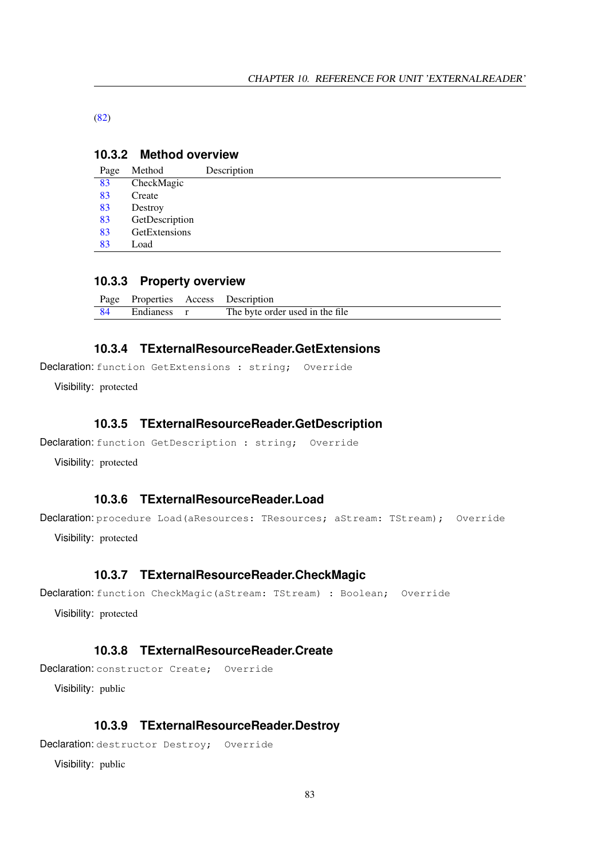[\(82\)](#page-82-1)

### **10.3.2 Method overview**

| Page | Method         | Description |
|------|----------------|-------------|
| 83   | CheckMagic     |             |
| 83   | Create         |             |
| 83   | Destroy        |             |
| 83   | GetDescription |             |
| 83   | GetExtensions  |             |
| 83   | Load           |             |

### **10.3.3 Property overview**

|             | Page Properties Access Description |
|-------------|------------------------------------|
| Endianess r | The byte order used in the file    |

### <span id="page-83-4"></span>**10.3.4 TExternalResourceReader.GetExtensions**

Declaration: function GetExtensions : string; Override

Visibility: protected

### <span id="page-83-3"></span>**10.3.5 TExternalResourceReader.GetDescription**

```
Declaration: function GetDescription : string; Override
```
Visibility: protected

### <span id="page-83-5"></span>**10.3.6 TExternalResourceReader.Load**

Declaration: procedure Load (aResources: TResources; aStream: TStream); Override

Visibility: protected

### <span id="page-83-0"></span>**10.3.7 TExternalResourceReader.CheckMagic**

```
Declaration: function CheckMagic (aStream: TStream) : Boolean; Override
```
Visibility: protected

### <span id="page-83-1"></span>**10.3.8 TExternalResourceReader.Create**

Declaration: constructor Create; Override

Visibility: public

### <span id="page-83-2"></span>**10.3.9 TExternalResourceReader.Destroy**

Declaration: destructor Destroy; Override

Visibility: public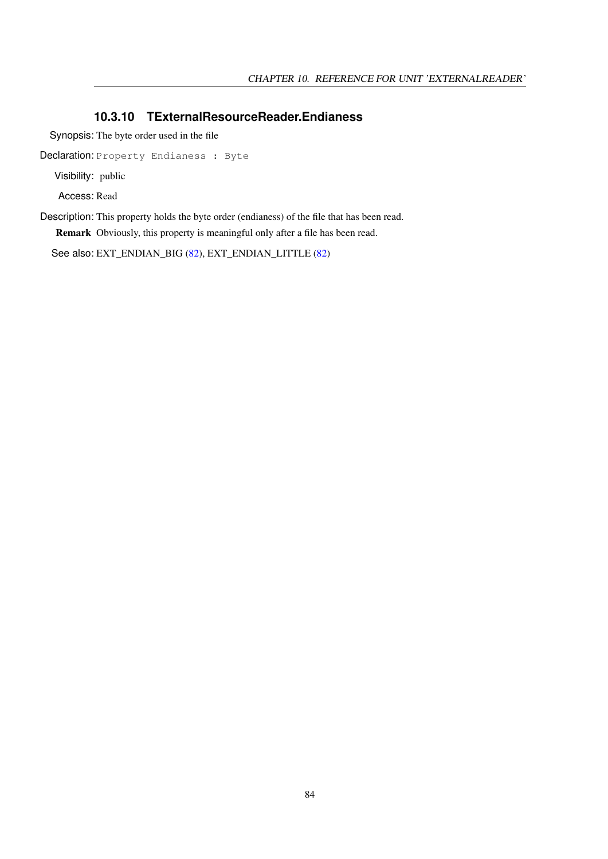### <span id="page-84-0"></span>**10.3.10 TExternalResourceReader.Endianess**

Synopsis: The byte order used in the file

Declaration: Property Endianess : Byte

Visibility: public

Access: Read

Description: This property holds the byte order (endianess) of the file that has been read. Remark Obviously, this property is meaningful only after a file has been read.

See also: EXT\_ENDIAN\_BIG [\(82\)](#page-82-1), EXT\_ENDIAN\_LITTLE [\(82\)](#page-82-1)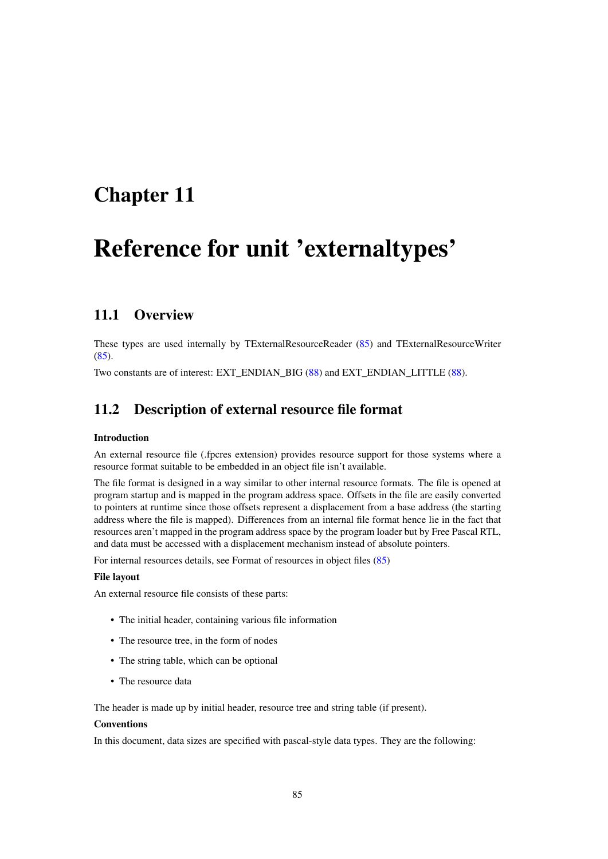# <span id="page-85-0"></span>Reference for unit 'externaltypes'

# 11.1 Overview

These types are used internally by TExternalResourceReader [\(85\)](#page-85-0) and TExternalResourceWriter  $(85).$  $(85).$ 

Two constants are of interest: EXT\_ENDIAN\_BIG [\(88\)](#page-87-0) and EXT\_ENDIAN\_LITTLE [\(88\)](#page-87-0).

## 11.2 Description of external resource file format

#### Introduction

An external resource file (.fpcres extension) provides resource support for those systems where a resource format suitable to be embedded in an object file isn't available.

The file format is designed in a way similar to other internal resource formats. The file is opened at program startup and is mapped in the program address space. Offsets in the file are easily converted to pointers at runtime since those offsets represent a displacement from a base address (the starting address where the file is mapped). Differences from an internal file format hence lie in the fact that resources aren't mapped in the program address space by the program loader but by Free Pascal RTL, and data must be accessed with a displacement mechanism instead of absolute pointers.

For internal resources details, see Format of resources in object files [\(85\)](#page-85-0)

#### File layout

An external resource file consists of these parts:

- The initial header, containing various file information
- The resource tree, in the form of nodes
- The string table, which can be optional
- The resource data

The header is made up by initial header, resource tree and string table (if present).

#### Conventions

In this document, data sizes are specified with pascal-style data types. They are the following: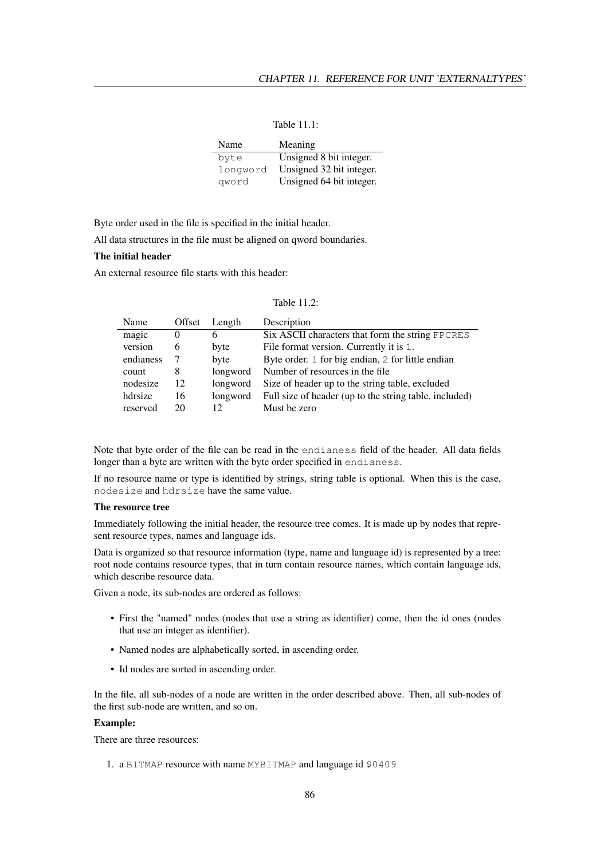Table 11.1:

| Name     | Meaning                  |
|----------|--------------------------|
| byte     | Unsigned 8 bit integer.  |
| longword | Unsigned 32 bit integer. |
| qword    | Unsigned 64 bit integer. |

Byte order used in the file is specified in the initial header.

All data structures in the file must be aligned on qword boundaries.

#### The initial header

An external resource file starts with this header:

| Table 11.2: |  |  |
|-------------|--|--|
|-------------|--|--|

| Name      | Offset | Length   | Description                                            |
|-----------|--------|----------|--------------------------------------------------------|
| magic     | 0      | 6        | Six ASCII characters that form the string FPCRES       |
| version   | 6      | byte     | File format version. Currently it is 1.                |
| endianess |        | byte     | Byte order. 1 for big endian, 2 for little endian      |
| count     | 8      | longword | Number of resources in the file                        |
| nodesize  | 12     | longword | Size of header up to the string table, excluded        |
| hdrsize   | 16     | longword | Full size of header (up to the string table, included) |
| reserved  | 20.    | 12       | Must be zero                                           |

Note that byte order of the file can be read in the endianess field of the header. All data fields longer than a byte are written with the byte order specified in endianess.

If no resource name or type is identified by strings, string table is optional. When this is the case, nodesize and hdrsize have the same value.

### The resource tree

Immediately following the initial header, the resource tree comes. It is made up by nodes that represent resource types, names and language ids.

Data is organized so that resource information (type, name and language id) is represented by a tree: root node contains resource types, that in turn contain resource names, which contain language ids, which describe resource data.

Given a node, its sub-nodes are ordered as follows:

- First the "named" nodes (nodes that use a string as identifier) come, then the id ones (nodes that use an integer as identifier).
- Named nodes are alphabetically sorted, in ascending order.
- Id nodes are sorted in ascending order.

In the file, all sub-nodes of a node are written in the order described above. Then, all sub-nodes of the first sub-node are written, and so on.

#### Example:

There are three resources:

1. a BITMAP resource with name MYBITMAP and language id \$0409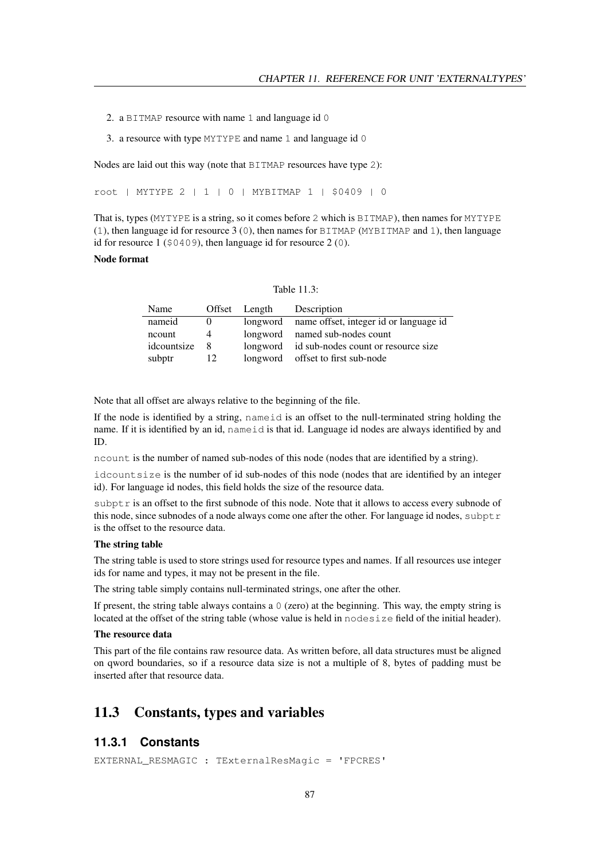- 2. a BITMAP resource with name 1 and language id 0
- 3. a resource with type MYTYPE and name 1 and language id 0

Nodes are laid out this way (note that BITMAP resources have type 2):

root | MYTYPE 2 | 1 | 0 | MYBITMAP 1 | \$0409 | 0

That is, types (MYTYPE is a string, so it comes before 2 which is BITMAP), then names for MYTYPE (1), then language id for resource 3 (0), then names for BITMAP (MYBITMAP and 1), then language id for resource 1 (\$0409), then language id for resource 2 (0).

#### Node format

| Table 11.3: |  |
|-------------|--|
|             |  |

| Name        |                | Offset Length | Description                                     |
|-------------|----------------|---------------|-------------------------------------------------|
| nameid      |                |               | longword name offset, integer id or language id |
| ncount      | $\overline{4}$ |               | longword named sub-nodes count                  |
| idcountsize | - 8            |               | longword id sub-nodes count or resource size    |
| subptr      | 12             |               | longword offset to first sub-node               |

Note that all offset are always relative to the beginning of the file.

If the node is identified by a string, nameid is an offset to the null-terminated string holding the name. If it is identified by an id, nameid is that id. Language id nodes are always identified by and ID.

ncount is the number of named sub-nodes of this node (nodes that are identified by a string).

idcountsize is the number of id sub-nodes of this node (nodes that are identified by an integer id). For language id nodes, this field holds the size of the resource data.

subptr is an offset to the first subnode of this node. Note that it allows to access every subnode of this node, since subnodes of a node always come one after the other. For language id nodes, subptr is the offset to the resource data.

### The string table

The string table is used to store strings used for resource types and names. If all resources use integer ids for name and types, it may not be present in the file.

The string table simply contains null-terminated strings, one after the other.

If present, the string table always contains a  $\theta$  (zero) at the beginning. This way, the empty string is located at the offset of the string table (whose value is held in nodesize field of the initial header).

#### The resource data

This part of the file contains raw resource data. As written before, all data structures must be aligned on qword boundaries, so if a resource data size is not a multiple of 8, bytes of padding must be inserted after that resource data.

### 11.3 Constants, types and variables

### <span id="page-87-0"></span>**11.3.1 Constants**

EXTERNAL\_RESMAGIC : TExternalResMagic = 'FPCRES'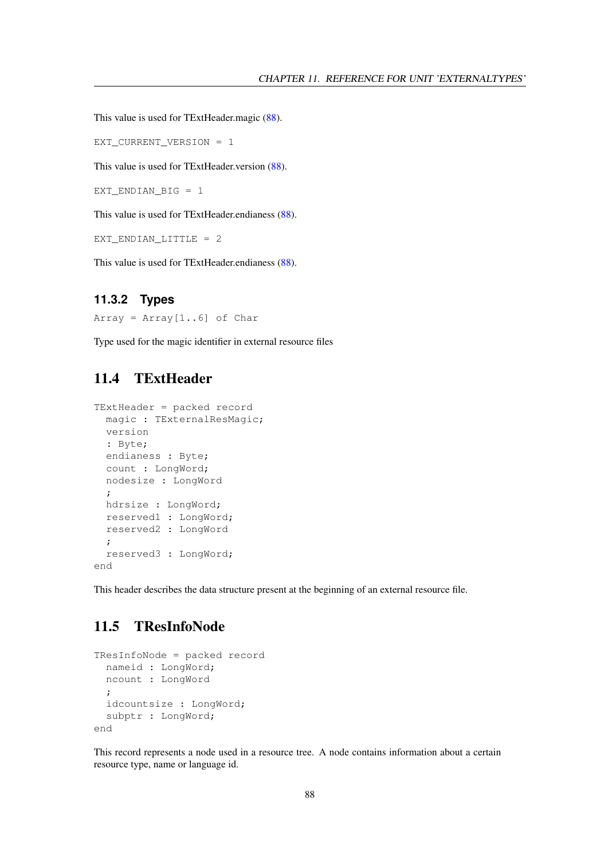This value is used for TExtHeader.magic [\(88\)](#page-88-0).

```
EXT_CURRENT_VERSION = 1
```
This value is used for TExtHeader.version [\(88\)](#page-88-0).

EXT\_ENDIAN\_BIG = 1

This value is used for TExtHeader.endianess [\(88\)](#page-88-0).

EXT ENDIAN LITTLE =  $2$ 

This value is used for TExtHeader.endianess [\(88\)](#page-88-0).

### **11.3.2 Types**

Array =  $Array[1..6]$  of Char

Type used for the magic identifier in external resource files

# <span id="page-88-0"></span>11.4 TExtHeader

```
TExtHeader = packed record
 magic : TExternalResMagic;
 version
 : Byte;
 endianess : Byte;
 count : LongWord;
 nodesize : LongWord
 ;
 hdrsize : LongWord;
 reserved1 : LongWord;
 reserved2 : LongWord
 ;
 reserved3 : LongWord;
end
```
This header describes the data structure present at the beginning of an external resource file.

# 11.5 TResInfoNode

```
TResInfoNode = packed record
 nameid : LongWord;
 ncount : LongWord
  ;
 idcountsize : LongWord;
 subptr : LongWord;
end
```
This record represents a node used in a resource tree. A node contains information about a certain resource type, name or language id.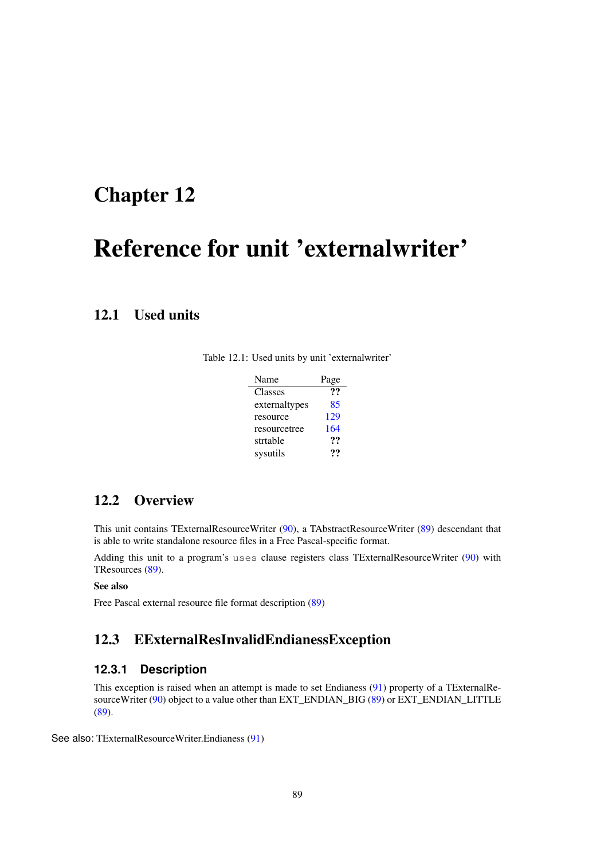# <span id="page-89-0"></span>Reference for unit 'externalwriter'

# 12.1 Used units

Table 12.1: Used units by unit 'externalwriter'

| Name          | Page |
|---------------|------|
| Classes       | ??   |
| externaltypes | 85   |
| resource      | 129  |
| resourcetree  | 164  |
| strtable      | 99   |
| sysutils      | 79   |

# 12.2 Overview

This unit contains TExternalResourceWriter [\(90\)](#page-90-0), a TAbstractResourceWriter [\(89\)](#page-89-0) descendant that is able to write standalone resource files in a Free Pascal-specific format.

Adding this unit to a program's uses clause registers class TExternalResourceWriter [\(90\)](#page-90-0) with TResources [\(89\)](#page-89-0).

### See also

Free Pascal external resource file format description [\(89\)](#page-89-0)

## <span id="page-89-1"></span>12.3 EExternalResInvalidEndianessException

### **12.3.1 Description**

This exception is raised when an attempt is made to set Endianess [\(91\)](#page-91-0) property of a TExternalRe-sourceWriter [\(90\)](#page-90-0) object to a value other than EXT\_ENDIAN\_BIG  $(89)$  or EXT\_ENDIAN\_LITTLE [\(89\)](#page-89-0).

See also: TExternalResourceWriter.Endianess [\(91\)](#page-91-0)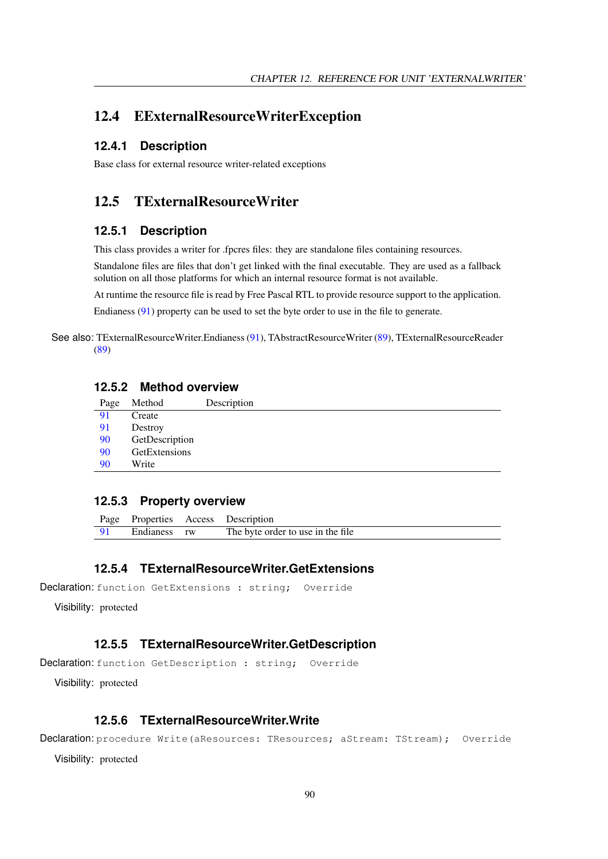# 12.4 EExternalResourceWriterException

### **12.4.1 Description**

Base class for external resource writer-related exceptions

# <span id="page-90-0"></span>12.5 TExternalResourceWriter

### **12.5.1 Description**

This class provides a writer for .fpcres files: they are standalone files containing resources.

Standalone files are files that don't get linked with the final executable. They are used as a fallback solution on all those platforms for which an internal resource format is not available.

At runtime the resource file is read by Free Pascal RTL to provide resource support to the application.

Endianess [\(91\)](#page-91-0) property can be used to set the byte order to use in the file to generate.

See also: TExternalResourceWriter.Endianess [\(91\)](#page-91-0), TAbstractResourceWriter [\(89\)](#page-89-0), TExternalResourceReader [\(89\)](#page-89-0)

### **12.5.2 Method overview**

| Page | Method         | Description |
|------|----------------|-------------|
| 91   | Create         |             |
| 91   | Destroy        |             |
| 90   | GetDescription |             |
| 90   | GetExtensions  |             |
| 90   | Write          |             |
|      |                |             |

### **12.5.3 Property overview**

|      |              | Page Properties Access Description |
|------|--------------|------------------------------------|
| - 91 | Endianess rw | The byte order to use in the file. |

### <span id="page-90-2"></span>**12.5.4 TExternalResourceWriter.GetExtensions**

Declaration: function GetExtensions : string; Override

Visibility: protected

### <span id="page-90-1"></span>**12.5.5 TExternalResourceWriter.GetDescription**

Declaration: function GetDescription : string; Override

Visibility: protected

### <span id="page-90-3"></span>**12.5.6 TExternalResourceWriter.Write**

Declaration: procedure Write (aResources: TResources; aStream: TStream); Override

Visibility: protected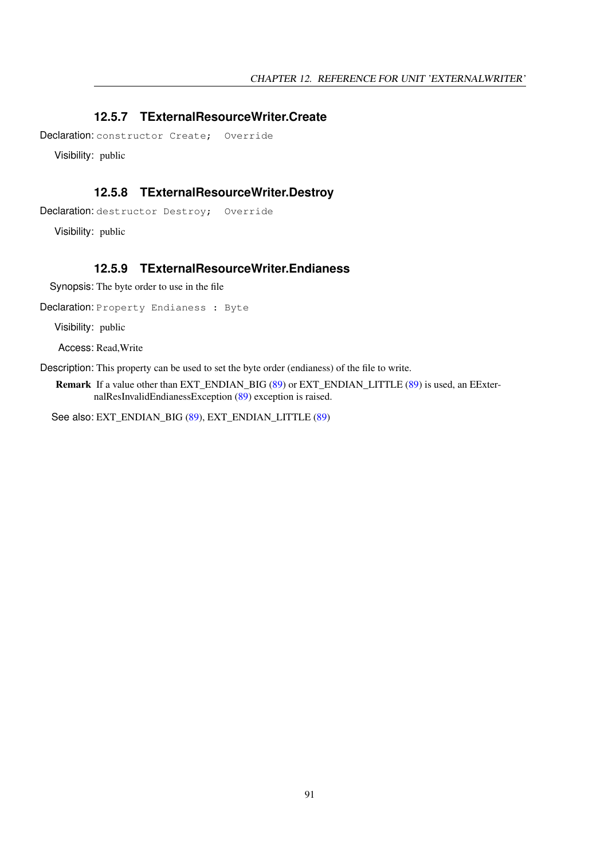## <span id="page-91-1"></span>**12.5.7 TExternalResourceWriter.Create**

Declaration: constructor Create: Override

Visibility: public

### <span id="page-91-2"></span>**12.5.8 TExternalResourceWriter.Destroy**

Declaration: destructor Destroy; Override

Visibility: public

### <span id="page-91-0"></span>**12.5.9 TExternalResourceWriter.Endianess**

Synopsis: The byte order to use in the file

Declaration: Property Endianess : Byte

Visibility: public

Access: Read,Write

Description: This property can be used to set the byte order (endianess) of the file to write.

Remark If a value other than EXT\_ENDIAN\_BIG [\(89\)](#page-89-0) or EXT\_ENDIAN\_LITTLE (89) is used, an EExternalResInvalidEndianessException [\(89\)](#page-89-1) exception is raised.

See also: EXT\_ENDIAN\_BIG [\(89\)](#page-89-0), EXT\_ENDIAN\_LITTLE [\(89\)](#page-89-0)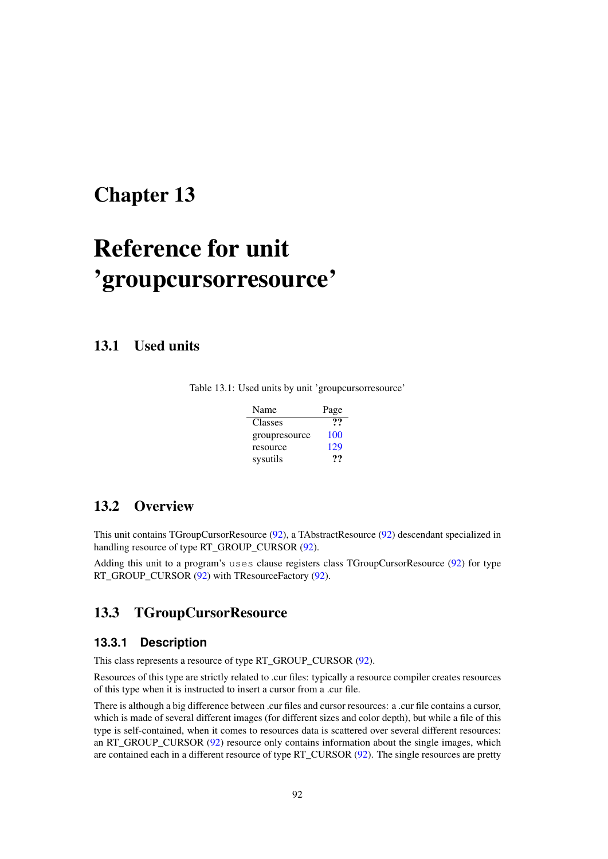# <span id="page-92-1"></span>Reference for unit 'groupcursorresource'

13.1 Used units

| Table 13.1: Used units by unit 'groupcursorresource' |  |
|------------------------------------------------------|--|
|------------------------------------------------------|--|

| Name          | Page |
|---------------|------|
| Classes       | 99   |
| groupresource | 100  |
| resource      | 129  |
| sysutils      | …    |

# 13.2 Overview

This unit contains TGroupCursorResource [\(92\)](#page-92-0), a TAbstractResource [\(92\)](#page-92-1) descendant specialized in handling resource of type RT\_GROUP\_CURSOR [\(92\)](#page-92-1).

Adding this unit to a program's uses clause registers class TGroupCursorResource [\(92\)](#page-92-0) for type RT\_GROUP\_CURSOR [\(92\)](#page-92-1) with TResourceFactory [\(92\)](#page-92-1).

# <span id="page-92-0"></span>13.3 TGroupCursorResource

### **13.3.1 Description**

This class represents a resource of type RT\_GROUP\_CURSOR [\(92\)](#page-92-1).

Resources of this type are strictly related to .cur files: typically a resource compiler creates resources of this type when it is instructed to insert a cursor from a .cur file.

There is although a big difference between .cur files and cursor resources: a .cur file contains a cursor, which is made of several different images (for different sizes and color depth), but while a file of this type is self-contained, when it comes to resources data is scattered over several different resources: an RT\_GROUP\_CURSOR [\(92\)](#page-92-1) resource only contains information about the single images, which are contained each in a different resource of type RT\_CURSOR [\(92\)](#page-92-1). The single resources are pretty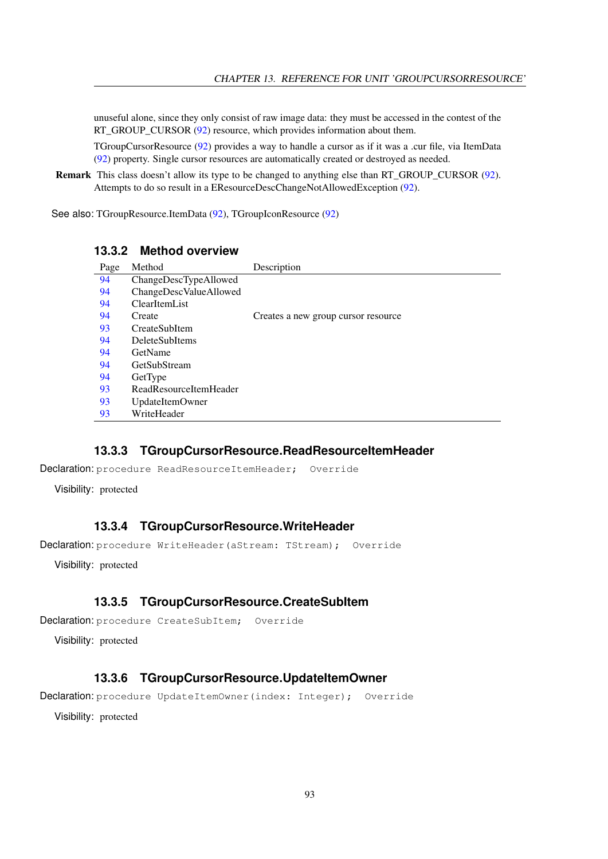unuseful alone, since they only consist of raw image data: they must be accessed in the contest of the RT\_GROUP\_CURSOR [\(92\)](#page-92-1) resource, which provides information about them.

TGroupCursorResource [\(92\)](#page-92-0) provides a way to handle a cursor as if it was a .cur file, via ItemData [\(92\)](#page-92-1) property. Single cursor resources are automatically created or destroyed as needed.

Remark This class doesn't allow its type to be changed to anything else than RT\_GROUP\_CURSOR [\(92\)](#page-92-1). Attempts to do so result in a EResourceDescChangeNotAllowedException [\(92\)](#page-92-1).

See also: TGroupResource.ItemData [\(92\)](#page-92-1), TGroupIconResource [\(92\)](#page-92-1)

### **13.3.2 Method overview**

| Page | Method                 | Description                         |
|------|------------------------|-------------------------------------|
| 94   | ChangeDescTypeAllowed  |                                     |
| 94   | ChangeDescValueAllowed |                                     |
| 94   | ClearItemList          |                                     |
| 94   | Create                 | Creates a new group cursor resource |
| 93   | CreateSubItem          |                                     |
| 94   | <b>DeleteSubItems</b>  |                                     |
| 94   | GetName                |                                     |
| 94   | GetSubStream           |                                     |
| 94   | GetType                |                                     |
| 93   | ReadResourceItemHeader |                                     |
| 93   | UpdateItemOwner        |                                     |
| 93   | WriteHeader            |                                     |

### <span id="page-93-1"></span>**13.3.3 TGroupCursorResource.ReadResourceItemHeader**

Declaration: procedure ReadResourceItemHeader; Override

Visibility: protected

### <span id="page-93-3"></span>**13.3.4 TGroupCursorResource.WriteHeader**

Declaration: procedure WriteHeader(aStream: TStream); Override

Visibility: protected

### <span id="page-93-0"></span>**13.3.5 TGroupCursorResource.CreateSubItem**

```
Declaration: procedure CreateSubItem; Override
```
Visibility: protected

### <span id="page-93-2"></span>**13.3.6 TGroupCursorResource.UpdateItemOwner**

Declaration: procedure UpdateItemOwner(index: Integer); Override

Visibility: protected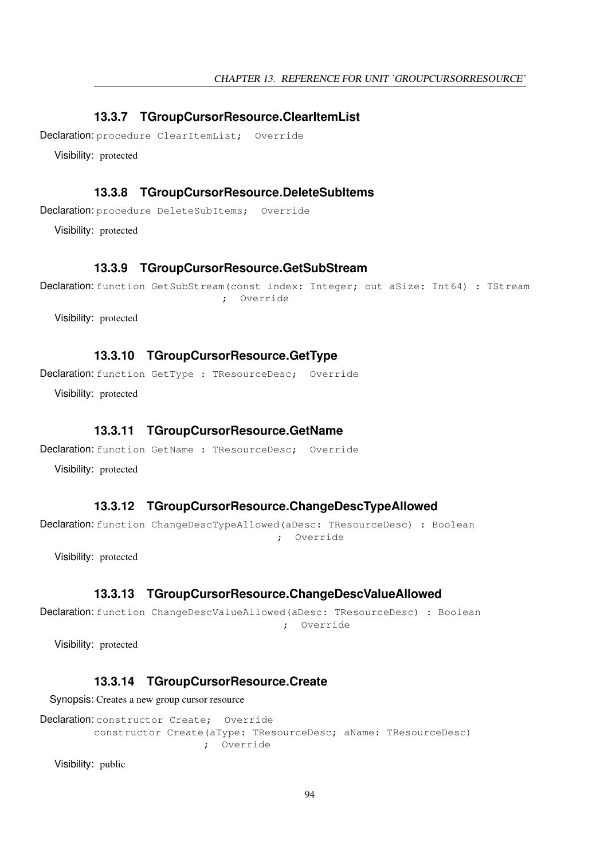### <span id="page-94-2"></span>**13.3.7 TGroupCursorResource.ClearItemList**

Declaration: procedure ClearItemList; Override

Visibility: protected

### <span id="page-94-4"></span>**13.3.8 TGroupCursorResource.DeleteSubItems**

Declaration: procedure DeleteSubItems; Override

Visibility: protected

### <span id="page-94-6"></span>**13.3.9 TGroupCursorResource.GetSubStream**

Declaration: function GetSubStream(const index: Integer; out aSize: Int64) : TStream ; Override

Visibility: protected

### <span id="page-94-7"></span>**13.3.10 TGroupCursorResource.GetType**

Declaration: function GetType : TResourceDesc; Override

Visibility: protected

### <span id="page-94-5"></span>**13.3.11 TGroupCursorResource.GetName**

Declaration: function GetName : TResourceDesc; Override

Visibility: protected

### <span id="page-94-0"></span>**13.3.12 TGroupCursorResource.ChangeDescTypeAllowed**

Declaration: function ChangeDescTypeAllowed(aDesc: TResourceDesc) : Boolean ; Override

Visibility: protected

### <span id="page-94-1"></span>**13.3.13 TGroupCursorResource.ChangeDescValueAllowed**

Declaration: function ChangeDescValueAllowed(aDesc: TResourceDesc) : Boolean ; Override

Visibility: protected

### <span id="page-94-3"></span>**13.3.14 TGroupCursorResource.Create**

Synopsis: Creates a new group cursor resource

Declaration: constructor Create; Override constructor Create(aType: TResourceDesc; aName: TResourceDesc) ; Override

Visibility: public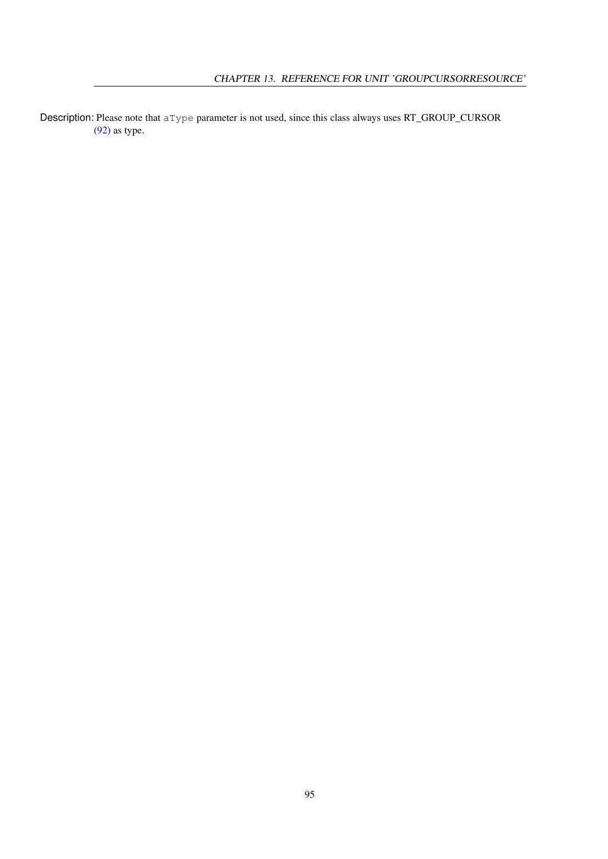Description: Please note that a Type parameter is not used, since this class always uses RT\_GROUP\_CURSOR [\(92\)](#page-92-1) as type.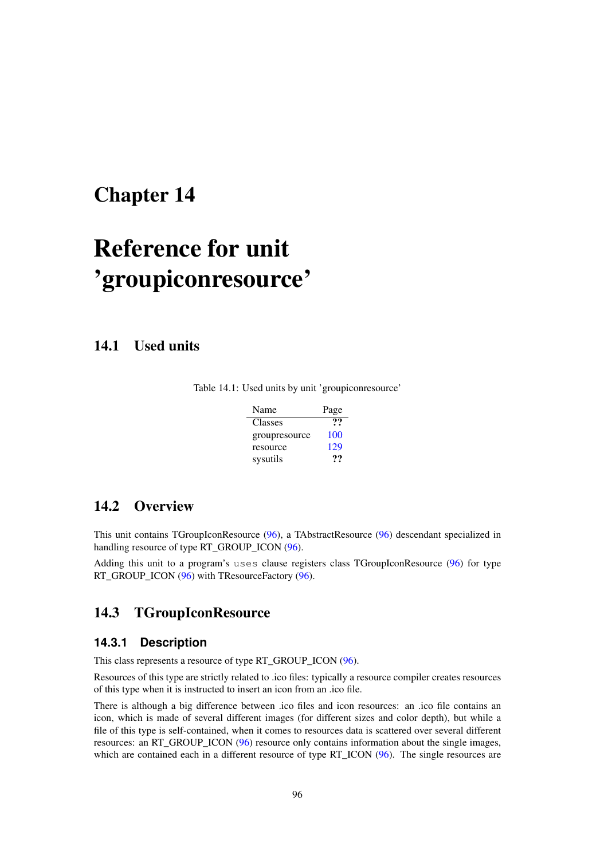# <span id="page-96-1"></span>Reference for unit 'groupiconresource'

14.1 Used units

|  |  |  |  |  | Table 14.1: Used units by unit 'groupiconresource' |  |
|--|--|--|--|--|----------------------------------------------------|--|
|--|--|--|--|--|----------------------------------------------------|--|

| Name          | Page |
|---------------|------|
| Classes       | 99   |
| groupresource | 100  |
| resource      | 129  |
| sysutils      | …    |

# 14.2 Overview

This unit contains TGroupIconResource [\(96\)](#page-96-0), a TAbstractResource [\(96\)](#page-96-1) descendant specialized in handling resource of type RT\_GROUP\_ICON [\(96\)](#page-96-1).

Adding this unit to a program's uses clause registers class TGroupIconResource [\(96\)](#page-96-0) for type RT\_GROUP\_ICON [\(96\)](#page-96-1) with TResourceFactory (96).

# <span id="page-96-0"></span>14.3 TGroupIconResource

### **14.3.1 Description**

This class represents a resource of type RT\_GROUP\_ICON [\(96\)](#page-96-1).

Resources of this type are strictly related to .ico files: typically a resource compiler creates resources of this type when it is instructed to insert an icon from an .ico file.

There is although a big difference between .ico files and icon resources: an .ico file contains an icon, which is made of several different images (for different sizes and color depth), but while a file of this type is self-contained, when it comes to resources data is scattered over several different resources: an RT\_GROUP\_ICON [\(96\)](#page-96-1) resource only contains information about the single images, which are contained each in a different resource of type RT\_ICON [\(96\)](#page-96-1). The single resources are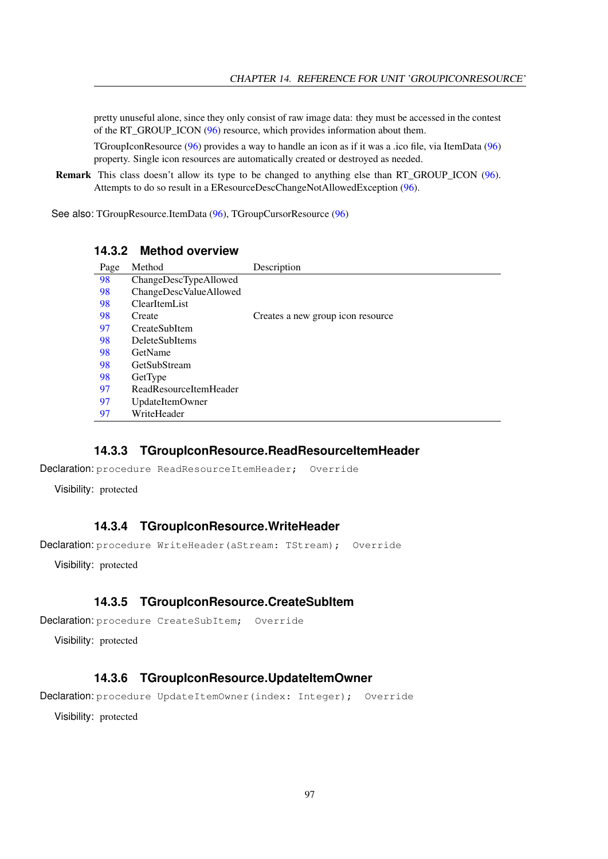pretty unuseful alone, since they only consist of raw image data: they must be accessed in the contest of the RT\_GROUP\_ICON [\(96\)](#page-96-1) resource, which provides information about them.

TGroupIconResource [\(96\)](#page-96-0) provides a way to handle an icon as if it was a .ico file, via ItemData [\(96\)](#page-96-1) property. Single icon resources are automatically created or destroyed as needed.

Remark This class doesn't allow its type to be changed to anything else than RT\_GROUP\_ICON [\(96\)](#page-96-1). Attempts to do so result in a EResourceDescChangeNotAllowedException [\(96\)](#page-96-1).

See also: TGroupResource.ItemData [\(96\)](#page-96-1), TGroupCursorResource [\(96\)](#page-96-1)

### **14.3.2 Method overview**

| Page | Method                 | Description                       |
|------|------------------------|-----------------------------------|
| 98   | ChangeDescTypeAllowed  |                                   |
| 98   | ChangeDescValueAllowed |                                   |
| 98   | ClearItemList          |                                   |
| 98   | Create                 | Creates a new group icon resource |
| 97   | CreateSubItem          |                                   |
| 98   | <b>DeleteSubItems</b>  |                                   |
| 98   | GetName                |                                   |
| 98   | GetSubStream           |                                   |
| 98   | GetType                |                                   |
| 97   | ReadResourceItemHeader |                                   |
| 97   | UpdateItemOwner        |                                   |
| 97   | WriteHeader            |                                   |

### <span id="page-97-1"></span>**14.3.3 TGroupIconResource.ReadResourceItemHeader**

Declaration: procedure ReadResourceItemHeader; Override

Visibility: protected

### <span id="page-97-3"></span>**14.3.4 TGroupIconResource.WriteHeader**

Declaration: procedure WriteHeader(aStream: TStream); Override

Visibility: protected

### <span id="page-97-0"></span>**14.3.5 TGroupIconResource.CreateSubItem**

```
Declaration: procedure CreateSubItem; Override
```
Visibility: protected

### <span id="page-97-2"></span>**14.3.6 TGroupIconResource.UpdateItemOwner**

Declaration: procedure UpdateItemOwner(index: Integer); Override

Visibility: protected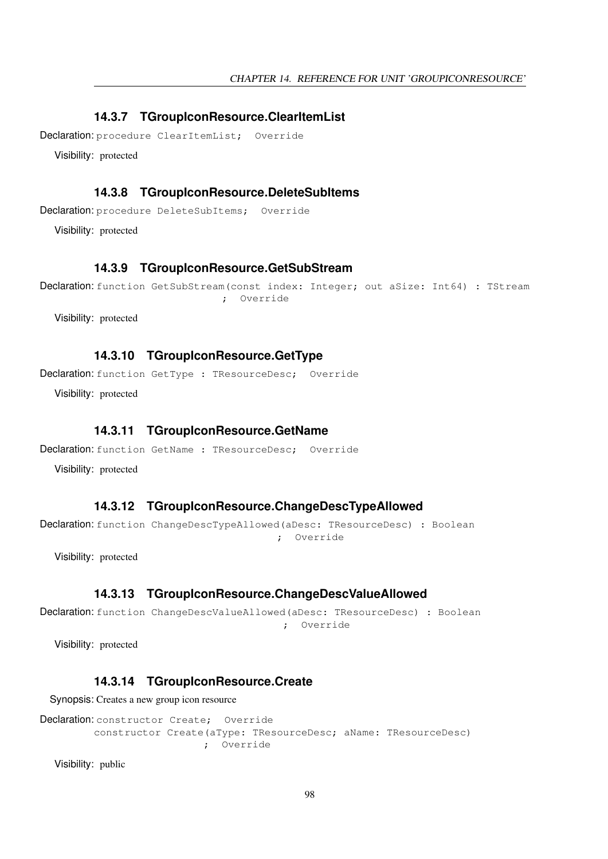### <span id="page-98-2"></span>**14.3.7 TGroupIconResource.ClearItemList**

Declaration: procedure ClearItemList; Override

Visibility: protected

### <span id="page-98-4"></span>**14.3.8 TGroupIconResource.DeleteSubItems**

Declaration: procedure DeleteSubItems; Override

Visibility: protected

### <span id="page-98-6"></span>**14.3.9 TGroupIconResource.GetSubStream**

```
Declaration: function GetSubStream(const index: Integer; out aSize: Int64) : TStream
                              ; Override
```
Visibility: protected

### <span id="page-98-7"></span>**14.3.10 TGroupIconResource.GetType**

Declaration: function GetType : TResourceDesc; Override

Visibility: protected

### <span id="page-98-5"></span>**14.3.11 TGroupIconResource.GetName**

Declaration: function GetName : TResourceDesc; Override

Visibility: protected

### <span id="page-98-0"></span>**14.3.12 TGroupIconResource.ChangeDescTypeAllowed**

Declaration: function ChangeDescTypeAllowed(aDesc: TResourceDesc) : Boolean ; Override

Visibility: protected

### <span id="page-98-1"></span>**14.3.13 TGroupIconResource.ChangeDescValueAllowed**

```
Declaration: function ChangeDescValueAllowed(aDesc: TResourceDesc) : Boolean
                                         ; Override
```
Visibility: protected

### <span id="page-98-3"></span>**14.3.14 TGroupIconResource.Create**

Synopsis: Creates a new group icon resource

```
Declaration: constructor Create; Override
         constructor Create(aType: TResourceDesc; aName: TResourceDesc)
                           ; Override
```
Visibility: public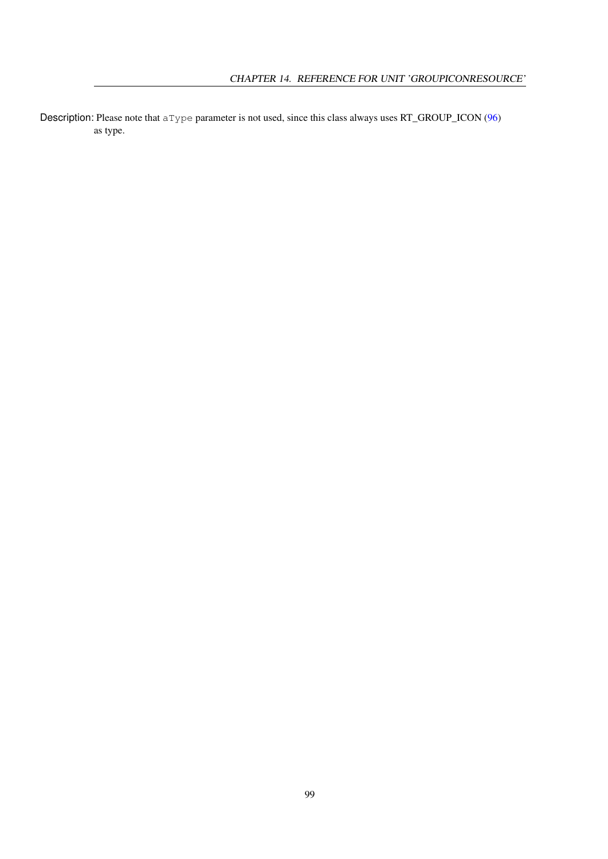Description: Please note that aType parameter is not used, since this class always uses RT\_GROUP\_ICON [\(96\)](#page-96-1) as type.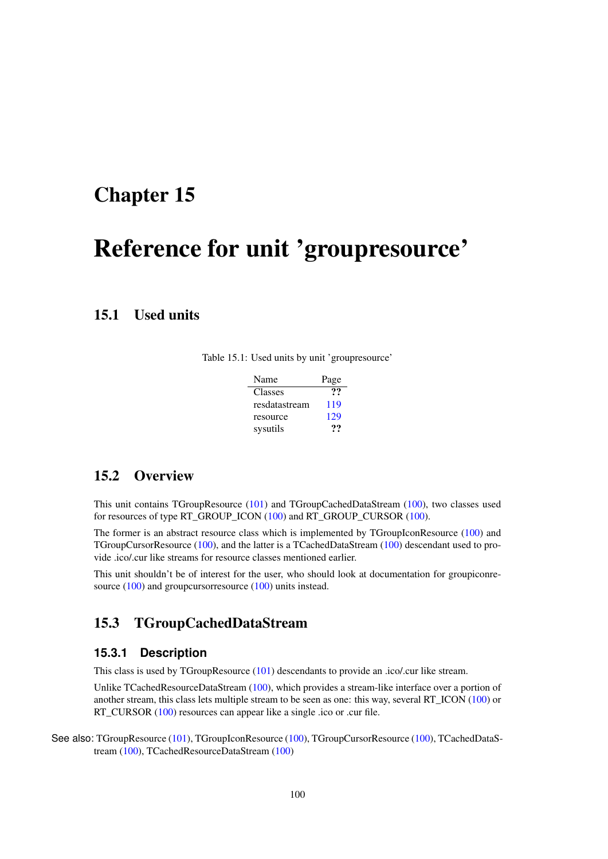# <span id="page-100-0"></span>Reference for unit 'groupresource'

## 15.1 Used units

Table 15.1: Used units by unit 'groupresource'

| Name          | Page |
|---------------|------|
| Classes       | ??   |
| resdatastream | 119  |
| resource      | 129  |
| sysutils      | 77   |

# 15.2 Overview

This unit contains TGroupResource [\(101\)](#page-101-0) and TGroupCachedDataStream [\(100\)](#page-100-1), two classes used for resources of type RT\_GROUP\_ICON [\(100\)](#page-100-0) and RT\_GROUP\_CURSOR [\(100\)](#page-100-0).

The former is an abstract resource class which is implemented by TGroupIconResource [\(100\)](#page-100-0) and TGroupCursorResource [\(100\)](#page-100-0), and the latter is a TCachedDataStream [\(100\)](#page-100-0) descendant used to provide .ico/.cur like streams for resource classes mentioned earlier.

This unit shouldn't be of interest for the user, who should look at documentation for groupiconre-source [\(100\)](#page-100-0) and groupcursorresource (100) units instead.

## <span id="page-100-1"></span>15.3 TGroupCachedDataStream

### **15.3.1 Description**

This class is used by TGroupResource [\(101\)](#page-101-0) descendants to provide an .ico/.cur like stream.

Unlike TCachedResourceDataStream [\(100\)](#page-100-0), which provides a stream-like interface over a portion of another stream, this class lets multiple stream to be seen as one: this way, several RT\_ICON [\(100\)](#page-100-0) or RT\_CURSOR [\(100\)](#page-100-0) resources can appear like a single .ico or .cur file.

See also: TGroupResource [\(101\)](#page-101-0), TGroupIconResource [\(100\)](#page-100-0), TGroupCursorResource (100), TCachedDataStream [\(100\)](#page-100-0), TCachedResourceDataStream [\(100\)](#page-100-0)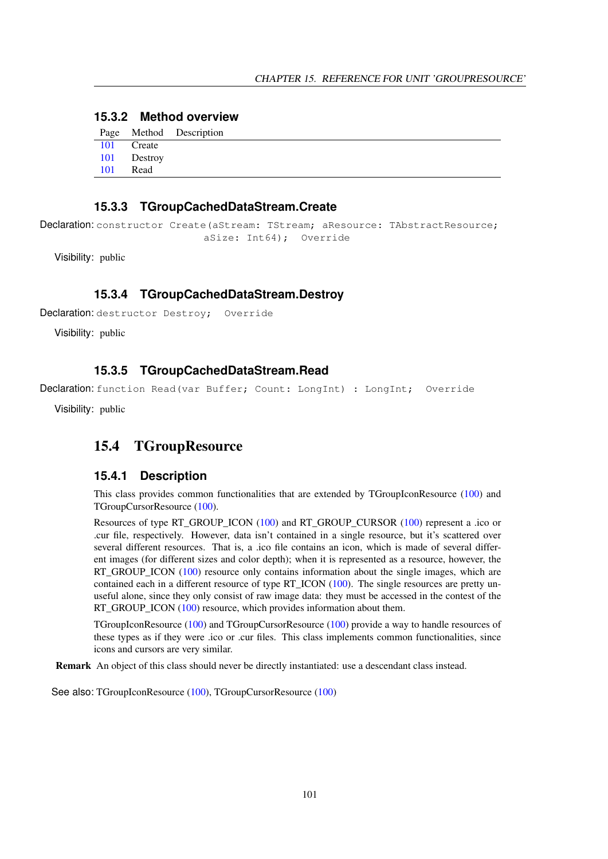### **15.3.2 Method overview**

|          |             | Page Method Description |
|----------|-------------|-------------------------|
|          | 101 Create  |                         |
|          | 101 Destroy |                         |
| 101 Read |             |                         |

### <span id="page-101-1"></span>**15.3.3 TGroupCachedDataStream.Create**

Declaration: constructor Create (aStream: TStream; aResource: TAbstractResource; aSize: Int64); Override

Visibility: public

### <span id="page-101-2"></span>**15.3.4 TGroupCachedDataStream.Destroy**

Declaration: destructor Destroy; Override

Visibility: public

### <span id="page-101-3"></span>**15.3.5 TGroupCachedDataStream.Read**

Declaration: function Read(var Buffer; Count: LongInt) : LongInt; Override

Visibility: public

### <span id="page-101-0"></span>15.4 TGroupResource

### **15.4.1 Description**

This class provides common functionalities that are extended by TGroupIconResource [\(100\)](#page-100-0) and TGroupCursorResource [\(100\)](#page-100-0).

Resources of type RT\_GROUP\_ICON [\(100\)](#page-100-0) and RT\_GROUP\_CURSOR [\(100\)](#page-100-0) represent a .ico or .cur file, respectively. However, data isn't contained in a single resource, but it's scattered over several different resources. That is, a .ico file contains an icon, which is made of several different images (for different sizes and color depth); when it is represented as a resource, however, the RT\_GROUP\_ICON [\(100\)](#page-100-0) resource only contains information about the single images, which are contained each in a different resource of type RT\_ICON [\(100\)](#page-100-0). The single resources are pretty unuseful alone, since they only consist of raw image data: they must be accessed in the contest of the RT\_GROUP\_ICON [\(100\)](#page-100-0) resource, which provides information about them.

TGroupIconResource [\(100\)](#page-100-0) and TGroupCursorResource [\(100\)](#page-100-0) provide a way to handle resources of these types as if they were .ico or .cur files. This class implements common functionalities, since icons and cursors are very similar.

Remark An object of this class should never be directly instantiated: use a descendant class instead.

See also: TGroupIconResource [\(100\)](#page-100-0), TGroupCursorResource [\(100\)](#page-100-0)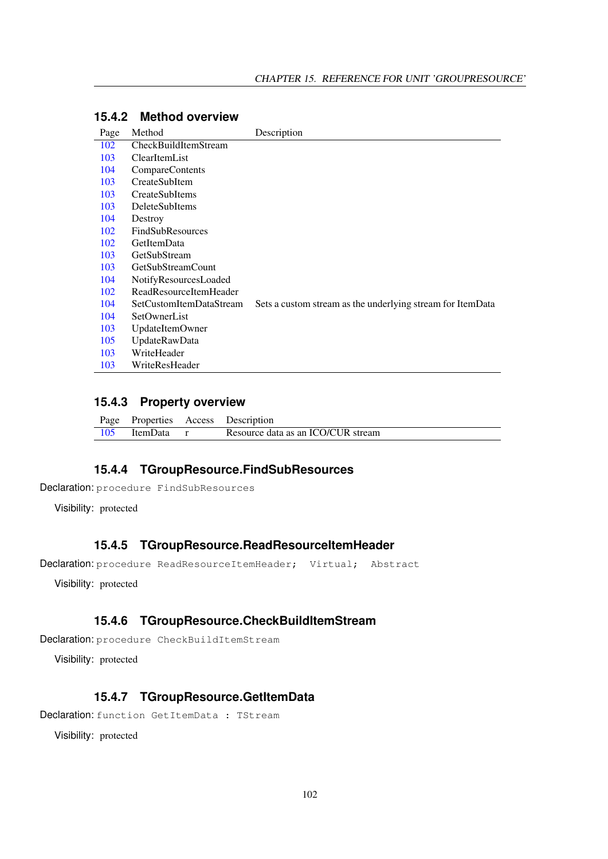| Page | Method                        | Description                                                |
|------|-------------------------------|------------------------------------------------------------|
| 102  | CheckBuildItemStream          |                                                            |
| 103  | ClearItemList                 |                                                            |
| 104  | CompareContents               |                                                            |
| 103  | <b>CreateSubItem</b>          |                                                            |
| 103  | CreateSubItems                |                                                            |
| 103  | DeleteSubItems                |                                                            |
| 104  | Destroy                       |                                                            |
| 102  | <b>FindSubResources</b>       |                                                            |
| 102  | GetItemData                   |                                                            |
| 103  | GetSubStream                  |                                                            |
| 103  | <b>GetSubStreamCount</b>      |                                                            |
| 104  | NotifyResourcesLoaded         |                                                            |
| 102  | <b>ReadResourceItemHeader</b> |                                                            |
| 104  | SetCustomItemDataStream       | Sets a custom stream as the underlying stream for ItemData |
| 104  | SetOwnerList                  |                                                            |
| 103  | UpdateItemOwner               |                                                            |
| 105  | UpdateRawData                 |                                                            |
| 103  | WriteHeader                   |                                                            |
| 103  | WriteResHeader                |                                                            |

### **15.4.2 Method overview**

### **15.4.3 Property overview**

|                | Page Properties Access Description |
|----------------|------------------------------------|
| 105 ItemData r | Resource data as an ICO/CUR stream |

# <span id="page-102-1"></span>**15.4.4 TGroupResource.FindSubResources**

Declaration: procedure FindSubResources

Visibility: protected

### <span id="page-102-3"></span>**15.4.5 TGroupResource.ReadResourceItemHeader**

Declaration: procedure ReadResourceItemHeader; Virtual; Abstract

Visibility: protected

### <span id="page-102-0"></span>**15.4.6 TGroupResource.CheckBuildItemStream**

```
Declaration: procedure CheckBuildItemStream
```
Visibility: protected

### <span id="page-102-2"></span>**15.4.7 TGroupResource.GetItemData**

Declaration: function GetItemData : TStream

Visibility: protected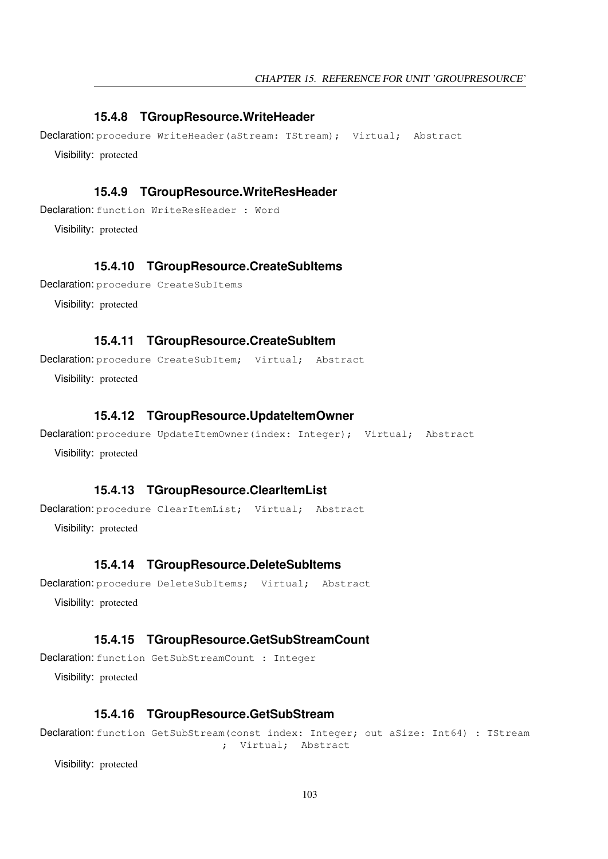### <span id="page-103-7"></span>**15.4.8 TGroupResource.WriteHeader**

Declaration: procedure WriteHeader(aStream: TStream); Virtual; Abstract Visibility: protected

### <span id="page-103-8"></span>**15.4.9 TGroupResource.WriteResHeader**

Declaration: function WriteResHeader : Word

Visibility: protected

### <span id="page-103-2"></span>**15.4.10 TGroupResource.CreateSubItems**

```
Declaration: procedure CreateSubItems
```
Visibility: protected

### <span id="page-103-1"></span>**15.4.11 TGroupResource.CreateSubItem**

Declaration: procedure CreateSubItem; Virtual; Abstract

Visibility: protected

### <span id="page-103-6"></span>**15.4.12 TGroupResource.UpdateItemOwner**

```
Declaration: procedure UpdateItemOwner(index: Integer); Virtual; Abstract
  Visibility: protected
```
### <span id="page-103-0"></span>**15.4.13 TGroupResource.ClearItemList**

Declaration: procedure ClearItemList; Virtual; Abstract

Visibility: protected

### <span id="page-103-3"></span>**15.4.14 TGroupResource.DeleteSubItems**

```
Declaration: procedure DeleteSubItems; Virtual; Abstract
  Visibility: protected
```
### <span id="page-103-5"></span>**15.4.15 TGroupResource.GetSubStreamCount**

Declaration: function GetSubStreamCount : Integer Visibility: protected

### <span id="page-103-4"></span>**15.4.16 TGroupResource.GetSubStream**

Declaration: function GetSubStream(const index: Integer; out aSize: Int64) : TStream ; Virtual; Abstract

Visibility: protected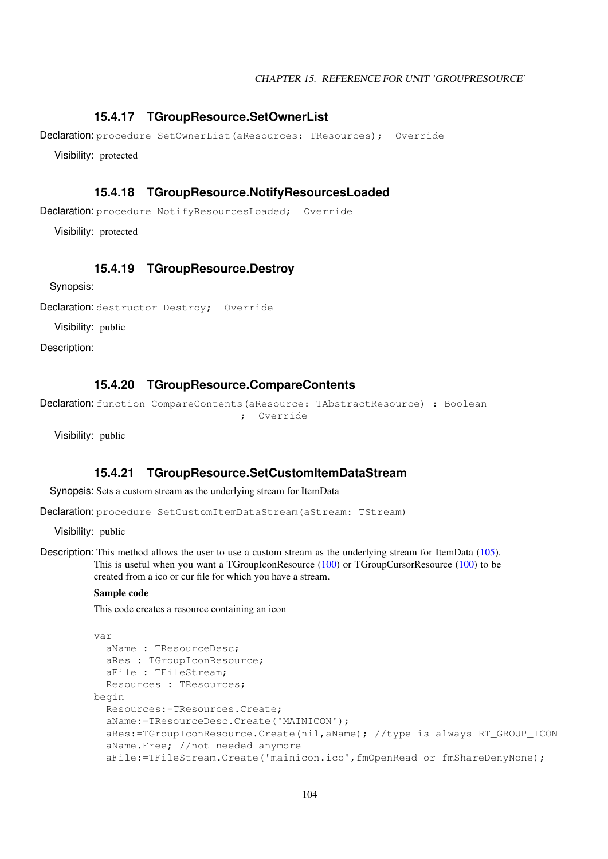### <span id="page-104-4"></span>**15.4.17 TGroupResource.SetOwnerList**

Declaration: procedure SetOwnerList(aResources: TResources); Override

Visibility: protected

### <span id="page-104-2"></span>**15.4.18 TGroupResource.NotifyResourcesLoaded**

Declaration: procedure NotifyResourcesLoaded; Override

Visibility: protected

### <span id="page-104-1"></span>**15.4.19 TGroupResource.Destroy**

Synopsis:

Declaration: destructor Destroy; Override

Visibility: public

Description:

### <span id="page-104-0"></span>**15.4.20 TGroupResource.CompareContents**

```
Declaration: function CompareContents(aResource: TAbstractResource) : Boolean
                                  ; Override
```
Visibility: public

### <span id="page-104-3"></span>**15.4.21 TGroupResource.SetCustomItemDataStream**

Synopsis: Sets a custom stream as the underlying stream for ItemData

Declaration: procedure SetCustomItemDataStream(aStream: TStream)

Visibility: public

Description: This method allows the user to use a custom stream as the underlying stream for ItemData [\(105\)](#page-105-1). This is useful when you want a TGroupIconResource [\(100\)](#page-100-0) or TGroupCursorResource [\(100\)](#page-100-0) to be created from a ico or cur file for which you have a stream.

#### Sample code

This code creates a resource containing an icon

```
var
  aName : TResourceDesc;
  aRes : TGroupIconResource;
  aFile : TFileStream;
 Resources : TResources;
begin
  Resources:=TResources.Create;
  aName:=TResourceDesc.Create('MAINICON');
  aRes:=TGroupIconResource.Create(nil,aName); //type is always RT_GROUP_ICON
  aName.Free; //not needed anymore
  aFile:=TFileStream.Create('mainicon.ico',fmOpenRead or fmShareDenyNone);
```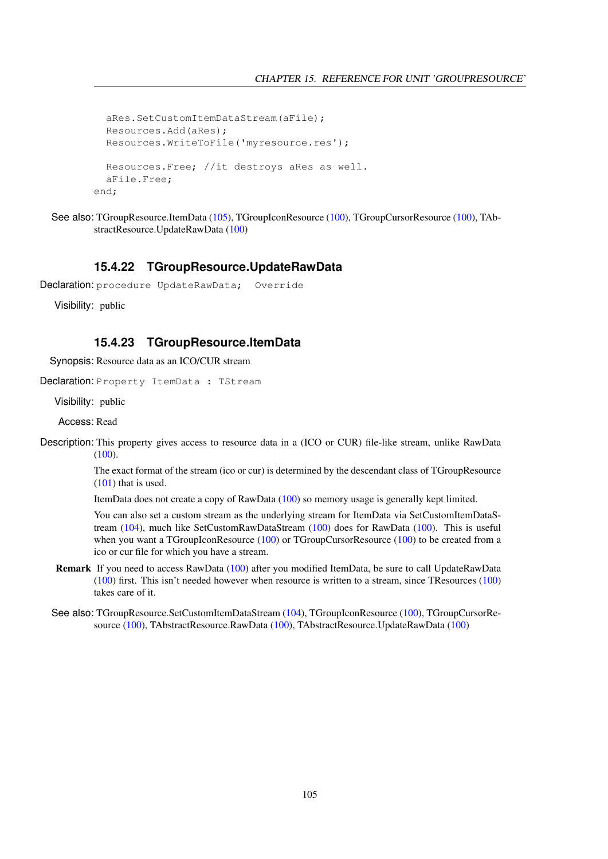```
aRes.SetCustomItemDataStream(aFile);
 Resources.Add(aRes);
 Resources.WriteToFile('myresource.res');
 Resources.Free; //it destroys aRes as well.
 aFile.Free;
end;
```

```
(105)(100), TGroupCursorResource (100), TAb-
     stractResource.UpdateRawData (100)
```
### <span id="page-105-0"></span>**15.4.22 TGroupResource.UpdateRawData**

```
Declaration: procedure UpdateRawData; Override
```
Visibility: public

### <span id="page-105-1"></span>**15.4.23 TGroupResource.ItemData**

Synopsis: Resource data as an ICO/CUR stream

Declaration: Property ItemData : TStream

Visibility: public

Access: Read

Description: This property gives access to resource data in a (ICO or CUR) file-like stream, unlike RawData [\(100\)](#page-100-0).

> The exact format of the stream (ico or cur) is determined by the descendant class of TGroupResource [\(101\)](#page-101-0) that is used.

ItemData does not create a copy of RawData [\(100\)](#page-100-0) so memory usage is generally kept limited.

You can also set a custom stream as the underlying stream for ItemData via SetCustomItemDataStream [\(104\)](#page-104-3), much like SetCustomRawDataStream [\(100\)](#page-100-0) does for RawData [\(100\)](#page-100-0). This is useful when you want a TGroupIconResource [\(100\)](#page-100-0) or TGroupCursorResource (100) to be created from a ico or cur file for which you have a stream.

- Remark If you need to access RawData [\(100\)](#page-100-0) after you modified ItemData, be sure to call UpdateRawData [\(100\)](#page-100-0) first. This isn't needed however when resource is written to a stream, since TResources [\(100\)](#page-100-0) takes care of it.
- See also: TGroupResource.SetCustomItemDataStream [\(104\)](#page-104-3), TGroupIconResource [\(100\)](#page-100-0), TGroupCursorResource [\(100\)](#page-100-0), TAbstractResource.RawData [\(100\)](#page-100-0), TAbstractResource.UpdateRawData [\(100\)](#page-100-0)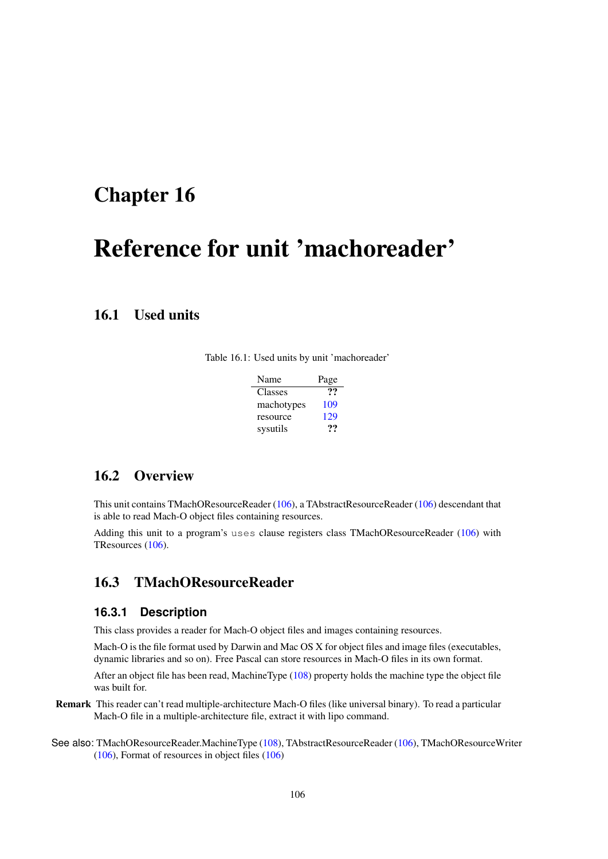# <span id="page-106-1"></span>Reference for unit 'machoreader'

# 16.1 Used units

|  |  |  |  |  |  |  | Table 16.1: Used units by unit 'machoreader' |
|--|--|--|--|--|--|--|----------------------------------------------|
|--|--|--|--|--|--|--|----------------------------------------------|

| Name       | Page |
|------------|------|
| Classes    | יי   |
| machotypes | 109  |
| resource   | 129  |
| sysutils   | 77   |

# 16.2 Overview

This unit contains TMachOResourceReader [\(106\)](#page-106-0), a TAbstractResourceReader [\(106\)](#page-106-1) descendant that is able to read Mach-O object files containing resources.

Adding this unit to a program's uses clause registers class TMachOResourceReader [\(106\)](#page-106-0) with TResources [\(106\)](#page-106-1).

## <span id="page-106-0"></span>16.3 TMachOResourceReader

### **16.3.1 Description**

This class provides a reader for Mach-O object files and images containing resources.

Mach-O is the file format used by Darwin and Mac OS X for object files and image files (executables, dynamic libraries and so on). Free Pascal can store resources in Mach-O files in its own format.

After an object file has been read, MachineType [\(108\)](#page-108-0) property holds the machine type the object file was built for.

- Remark This reader can't read multiple-architecture Mach-O files (like universal binary). To read a particular Mach-O file in a multiple-architecture file, extract it with lipo command.
- See also: TMachOResourceReader.MachineType [\(108\)](#page-108-0), TAbstractResourceReader [\(106\)](#page-106-1), TMachOResourceWriter [\(106\)](#page-106-1), Format of resources in object files [\(106\)](#page-106-1)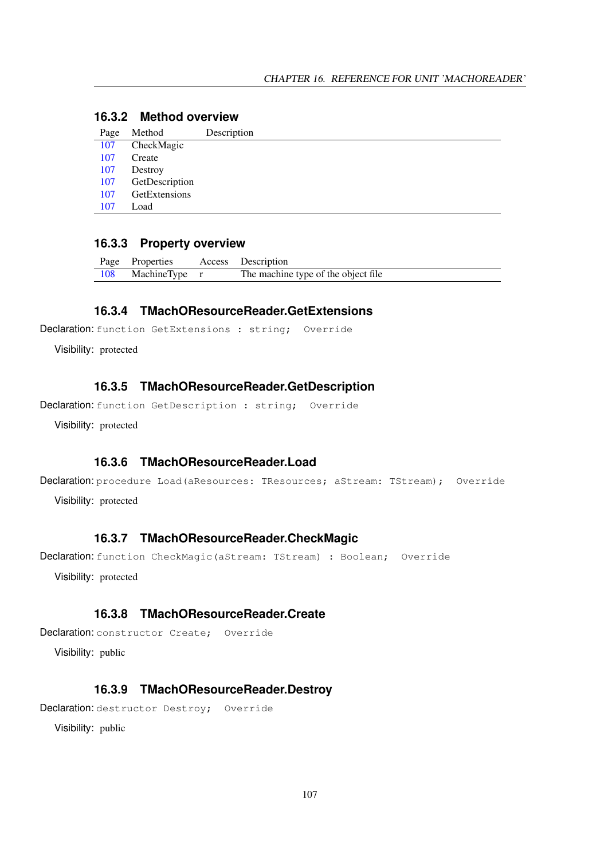## **16.3.2 Method overview**

| Page | Method         | Description |
|------|----------------|-------------|
| 107  | CheckMagic     |             |
| 107  | Create         |             |
| 107  | Destroy        |             |
| 107  | GetDescription |             |
| 107  | GetExtensions  |             |
| 107  | Load           |             |
|      |                |             |

### **16.3.3 Property overview**

|     | Page Properties | Access Description                  |
|-----|-----------------|-------------------------------------|
| 108 | MachineType r   | The machine type of the object file |

### <span id="page-107-4"></span>**16.3.4 TMachOResourceReader.GetExtensions**

Declaration: function GetExtensions : string; Override

Visibility: protected

### <span id="page-107-3"></span>**16.3.5 TMachOResourceReader.GetDescription**

Declaration: function GetDescription : string; Override

Visibility: protected

### <span id="page-107-5"></span>**16.3.6 TMachOResourceReader.Load**

Declaration: procedure Load (aResources: TResources; aStream: TStream); Override

Visibility: protected

### <span id="page-107-0"></span>**16.3.7 TMachOResourceReader.CheckMagic**

Declaration: function CheckMagic(aStream: TStream) : Boolean; Override

Visibility: protected

### <span id="page-107-1"></span>**16.3.8 TMachOResourceReader.Create**

Declaration: constructor Create; Override

Visibility: public

### <span id="page-107-2"></span>**16.3.9 TMachOResourceReader.Destroy**

Declaration: destructor Destroy; Override

Visibility: public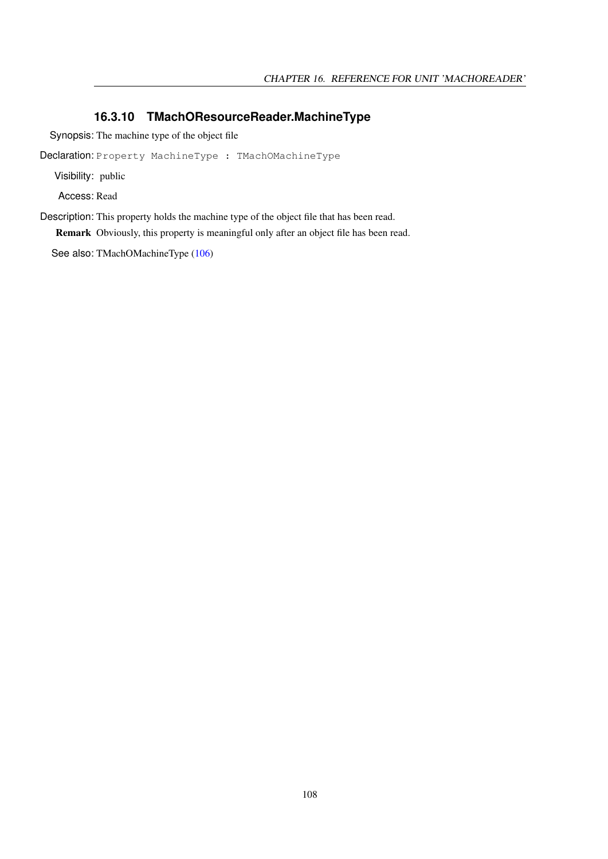#### **16.3.10 TMachOResourceReader.MachineType**

Synopsis: The machine type of the object file

Declaration: Property MachineType : TMachOMachineType

Visibility: public

Access: Read

Description: This property holds the machine type of the object file that has been read.

Remark Obviously, this property is meaningful only after an object file has been read.

See also: TMachOMachineType [\(106\)](#page-106-0)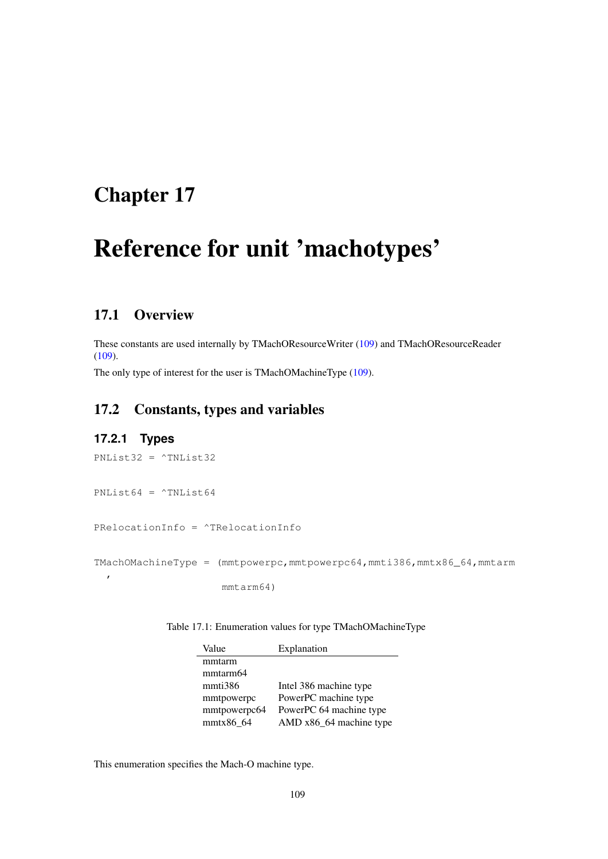## <span id="page-109-0"></span>Chapter 17

# Reference for unit 'machotypes'

## 17.1 Overview

These constants are used internally by TMachOResourceWriter [\(109\)](#page-109-0) and TMachOResourceReader [\(109\)](#page-109-0).

The only type of interest for the user is TMachOMachineType [\(109\)](#page-109-1).

## 17.2 Constants, types and variables

#### <span id="page-109-1"></span>**17.2.1 Types**

```
PNList32 = ^TNList32
PNList64 = ^{\circ}TNList64
PRelocationInfo = ^TRelocationInfo
TMachOMachineType = (mmtpowerpc,mmtpowerpc64,mmti386,mmtx86_64,mmtarm
  ,
                      mmtarm64)
```
Table 17.1: Enumeration values for type TMachOMachineType

| Value        | Explanation             |
|--------------|-------------------------|
| mmtarm       |                         |
| mmtarm64     |                         |
| mmti386      | Intel 386 machine type  |
| mmtpowerpc   | PowerPC machine type    |
| mmtpowerpc64 | PowerPC 64 machine type |
| mmtx86 64    | AMD x86_64 machine type |

This enumeration specifies the Mach-O machine type.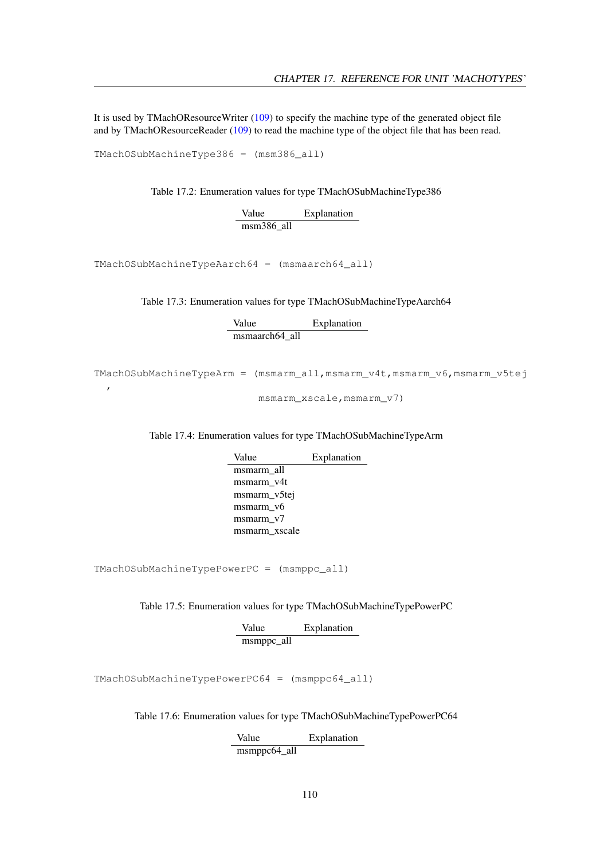It is used by TMachOResourceWriter [\(109\)](#page-109-0) to specify the machine type of the generated object file and by TMachOResourceReader [\(109\)](#page-109-0) to read the machine type of the object file that has been read.

TMachOSubMachineType386 = (msm386\_all)

,

Table 17.2: Enumeration values for type TMachOSubMachineType386

Value Explanation msm386\_all

TMachOSubMachineTypeAarch64 = (msmaarch64\_all)

Table 17.3: Enumeration values for type TMachOSubMachineTypeAarch64

Value Explanation msmaarch64\_all

TMachOSubMachineTypeArm = (msmarm\_all,msmarm\_v4t,msmarm\_v6,msmarm\_v5tej

msmarm\_xscale, msmarm\_v7)

Table 17.4: Enumeration values for type TMachOSubMachineTypeArm

Value Explanation msmarm\_all msmarm\_v4t msmarm\_v5tej msmarm\_v6 msmarm\_v7 msmarm\_xscale

TMachOSubMachineTypePowerPC = (msmppc\_all)

Table 17.5: Enumeration values for type TMachOSubMachineTypePowerPC

Value Explanation msmppc\_all

TMachOSubMachineTypePowerPC64 = (msmppc64\_all)

Table 17.6: Enumeration values for type TMachOSubMachineTypePowerPC64

Value Explanation msmppc64\_all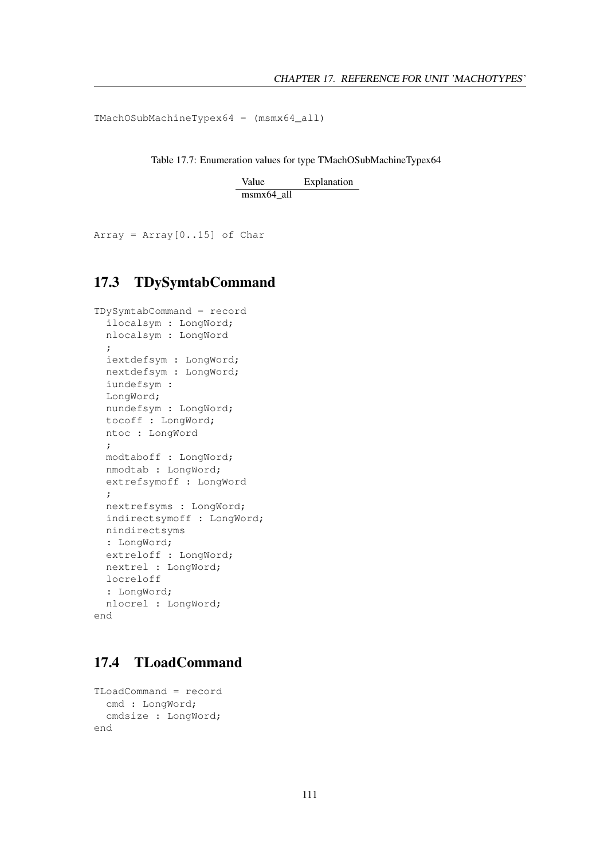TMachOSubMachineTypex64 = (msmx64\_all)

Table 17.7: Enumeration values for type TMachOSubMachineTypex64

Value Explanation msmx64\_all

Array =  $Array[0..15]$  of Char

## 17.3 TDySymtabCommand

```
TDySymtabCommand = record
 ilocalsym : LongWord;
 nlocalsym : LongWord
 ;
 iextdefsym : LongWord;
 nextdefsym : LongWord;
 iundefsym :
 LongWord;
 nundefsym : LongWord;
 tocoff : LongWord;
 ntoc : LongWord
 ;
 modtaboff : LongWord;
 nmodtab : LongWord;
 extrefsymoff : LongWord
 ;
 nextrefsyms : LongWord;
 indirectsymoff : LongWord;
 nindirectsyms
 : LongWord;
 extreloff : LongWord;
 nextrel : LongWord;
 locreloff
 : LongWord;
 nlocrel : LongWord;
end
```
## 17.4 TLoadCommand

```
TLoadCommand = record
 cmd : LongWord;
  cmdsize : LongWord;
end
```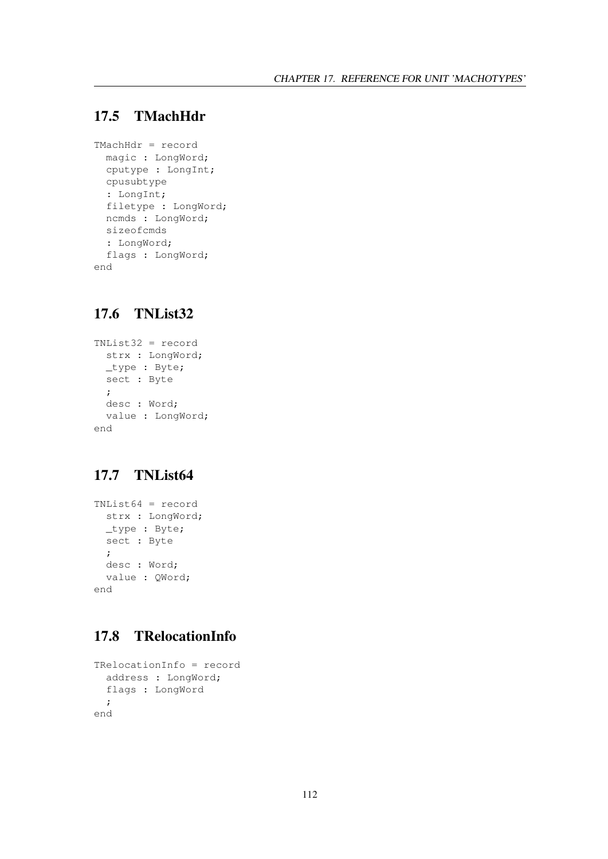## 17.5 TMachHdr

```
TMachHdr = record
 magic : LongWord;
 cputype : LongInt;
 cpusubtype
  : LongInt;
 filetype : LongWord;
 ncmds : LongWord;
 sizeofcmds
 : LongWord;
 flags : LongWord;
end
```
## 17.6 TNList32

```
TNList32 = record
 strx : LongWord;
 _type : Byte;
 sect : Byte
 ;
 desc : Word;
 value : LongWord;
end
```
## 17.7 TNList64

```
TNList64 = record
 strx : LongWord;
 _type : Byte;
 sect : Byte
 ;
 desc : Word;
 value : QWord;
end
```
## 17.8 TRelocationInfo

```
TRelocationInfo = record
 address : LongWord;
 flags : LongWord
 ;
end
```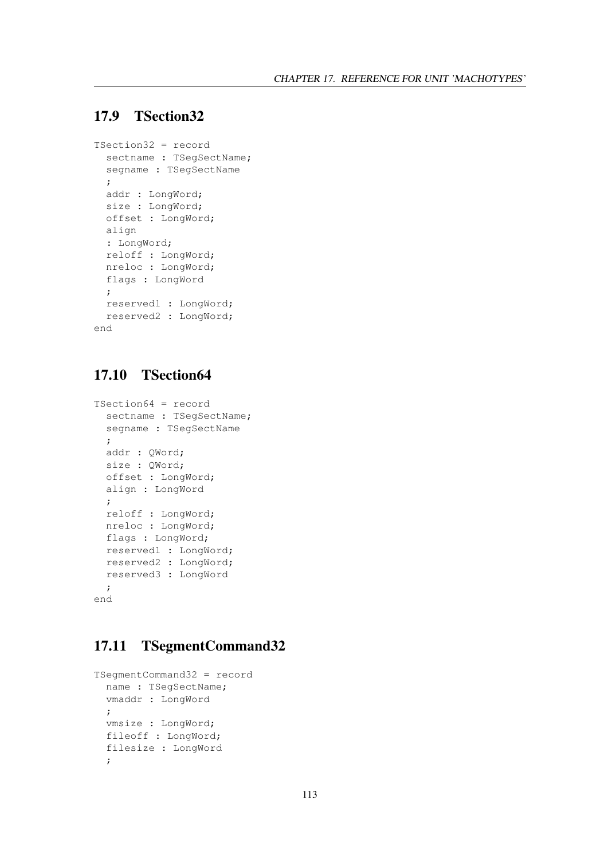## 17.9 TSection32

```
TSection32 = record
 sectname : TSeqSectName;
 segname : TSegSectName
 ;
 addr : LongWord;
 size : LongWord;
 offset : LongWord;
 align
 : LongWord;
 reloff : LongWord;
 nreloc : LongWord;
 flags : LongWord
 ;
 reserved1 : LongWord;
 reserved2 : LongWord;
end
```
## 17.10 TSection64

```
TSection64 = record
 sectname : TSegSectName;
 segname : TSegSectName
 ;
 addr : QWord;
 size : QWord;
 offset : LongWord;
 align : LongWord
  ;
 reloff : LongWord;
 nreloc : LongWord;
 flags : LongWord;
 reserved1 : LongWord;
 reserved2 : LongWord;
 reserved3 : LongWord
 ;
end
```
## 17.11 TSegmentCommand32

```
TSegmentCommand32 = record
 name : TSegSectName;
 vmaddr : LongWord
 ;
 vmsize : LongWord;
 fileoff : LongWord;
 filesize : LongWord
 ;
```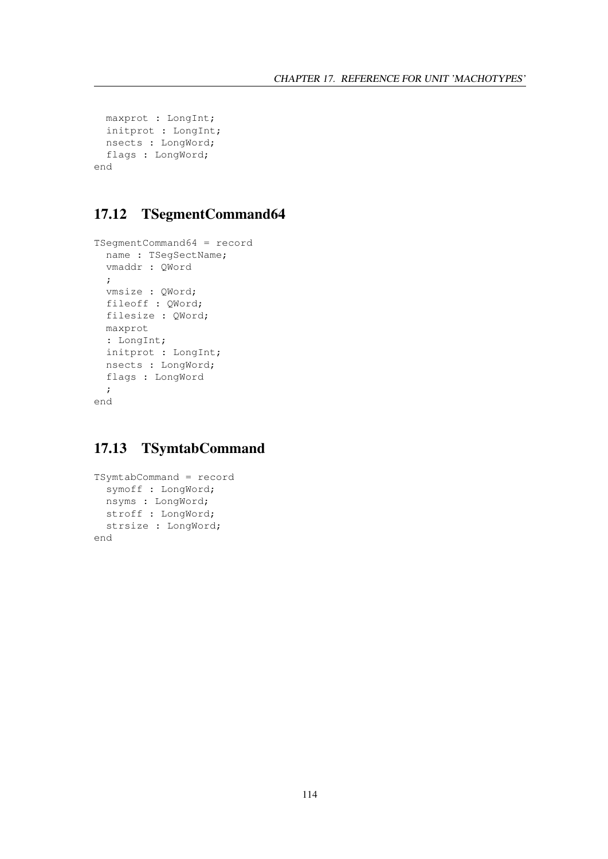```
maxprot : LongInt;
 initprot : LongInt;
 nsects : LongWord;
  flags : LongWord;
end
```
## 17.12 TSegmentCommand64

```
TSegmentCommand64 = record
 name : TSegSectName;
 vmaddr : QWord
 ;
 vmsize : QWord;
 fileoff : QWord;
 filesize : QWord;
 maxprot
 : LongInt;
 initprot : LongInt;
 nsects : LongWord;
 flags : LongWord
  ;
end
```
## 17.13 TSymtabCommand

```
TSymtabCommand = record
 symoff : LongWord;
 nsyms : LongWord;
 stroff : LongWord;
 strsize : LongWord;
end
```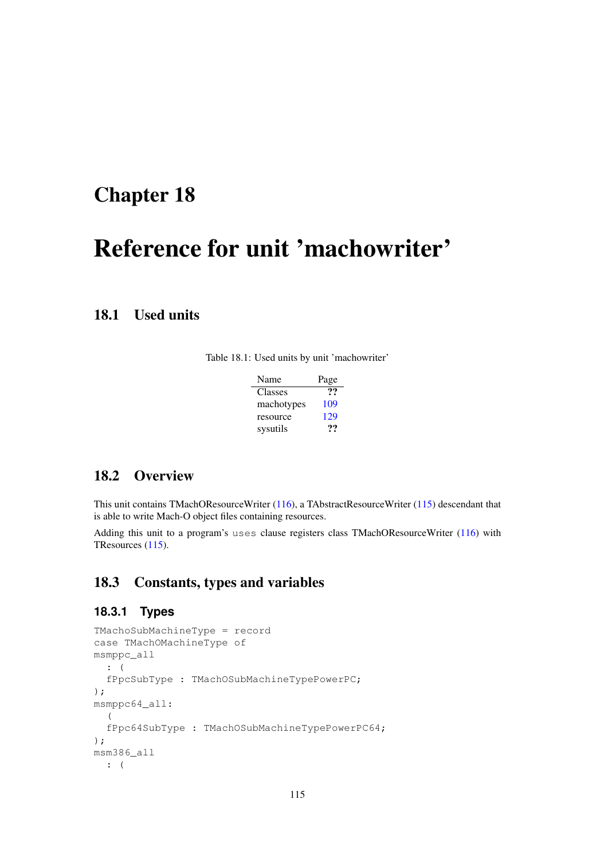## <span id="page-115-0"></span>Chapter 18

# Reference for unit 'machowriter'

## 18.1 Used units

|  |  |  |  |  |  |  | Table 18.1: Used units by unit 'machowriter' |  |
|--|--|--|--|--|--|--|----------------------------------------------|--|
|--|--|--|--|--|--|--|----------------------------------------------|--|

| Name       | Page |
|------------|------|
| Classes    | יי   |
| machotypes | 109  |
| resource   | 129  |
| sysutils   | …    |

## 18.2 Overview

This unit contains TMachOResourceWriter [\(116\)](#page-116-0), a TAbstractResourceWriter [\(115\)](#page-115-0) descendant that is able to write Mach-O object files containing resources.

Adding this unit to a program's uses clause registers class TMachOResourceWriter [\(116\)](#page-116-0) with TResources [\(115\)](#page-115-0).

## 18.3 Constants, types and variables

#### **18.3.1 Types**

```
TMachoSubMachineType = record
case TMachOMachineType of
msmppc_all
 : (
  fPpcSubType : TMachOSubMachineTypePowerPC;
);
msmppc64_all:
 (fPpc64SubType : TMachOSubMachineTypePowerPC64;
);
msm386_all
 : (
```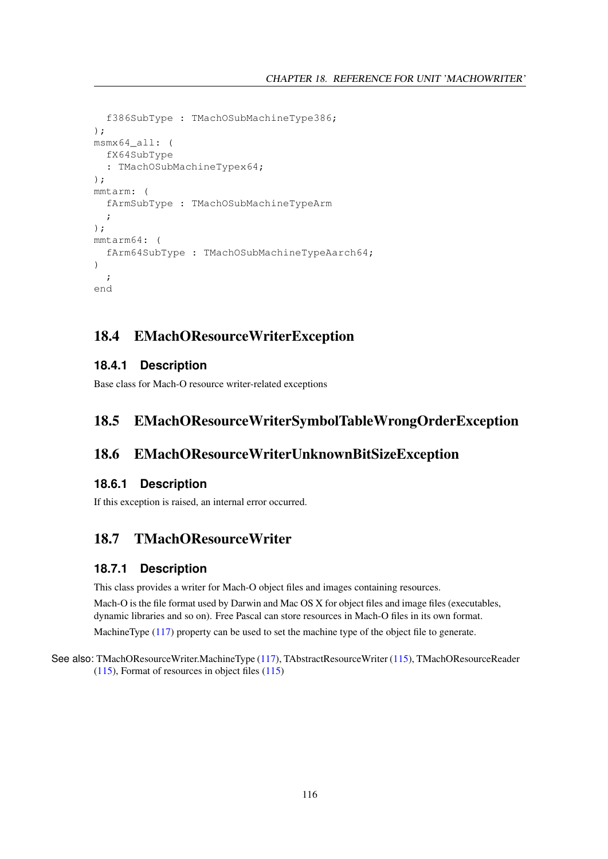```
f386SubType : TMachOSubMachineType386;
);
msmx64_all: (
  fX64SubType
  : TMachOSubMachineTypex64;
);
mmtarm: (
  fArmSubType : TMachOSubMachineTypeArm
  ;
);
mmtarm64: (
  fArm64SubType : TMachOSubMachineTypeAarch64;
)
  ;
end
```
## 18.4 EMachOResourceWriterException

#### **18.4.1 Description**

Base class for Mach-O resource writer-related exceptions

## 18.5 EMachOResourceWriterSymbolTableWrongOrderException

### 18.6 EMachOResourceWriterUnknownBitSizeException

#### **18.6.1 Description**

If this exception is raised, an internal error occurred.

## <span id="page-116-0"></span>18.7 TMachOResourceWriter

#### **18.7.1 Description**

This class provides a writer for Mach-O object files and images containing resources.

Mach-O is the file format used by Darwin and Mac OS X for object files and image files (executables, dynamic libraries and so on). Free Pascal can store resources in Mach-O files in its own format.

MachineType [\(117\)](#page-117-0) property can be used to set the machine type of the object file to generate.

#### See also: TMachOResourceWriter.MachineType [\(117\)](#page-117-0), TAbstractResourceWriter [\(115\)](#page-115-0), TMachOResourceReader [\(115\)](#page-115-0), Format of resources in object files [\(115\)](#page-115-0)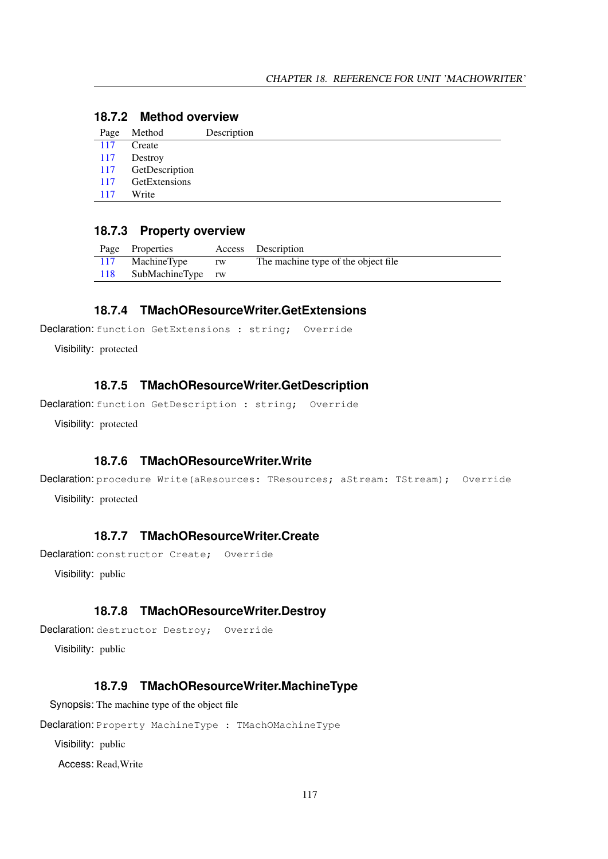## **18.7.2 Method overview**

| Page | Method         | Description |
|------|----------------|-------------|
| 117  | Create         |             |
| 117  | Destroy        |             |
| 117  | GetDescription |             |
| 117  | GetExtensions  |             |
| 117  | Write          |             |
|      |                |             |

#### **18.7.3 Property overview**

|     | Page Properties   |    | Access Description                  |
|-----|-------------------|----|-------------------------------------|
| 117 | MachineType       | rw | The machine type of the object file |
| 118 | SubMachineType rw |    |                                     |

#### <span id="page-117-4"></span>**18.7.4 TMachOResourceWriter.GetExtensions**

```
Declaration: function GetExtensions : string; Override
```
Visibility: protected

## <span id="page-117-3"></span>**18.7.5 TMachOResourceWriter.GetDescription**

Declaration: function GetDescription : string; Override

Visibility: protected

#### <span id="page-117-5"></span>**18.7.6 TMachOResourceWriter.Write**

```
Declaration: procedure Write(aResources: TResources; aStream: TStream); Override
  Visibility: protected
```
## <span id="page-117-1"></span>**18.7.7 TMachOResourceWriter.Create**

Declaration: constructor Create; Override

Visibility: public

#### <span id="page-117-2"></span>**18.7.8 TMachOResourceWriter.Destroy**

```
Declaration: destructor Destroy; Override
```
Visibility: public

#### <span id="page-117-0"></span>**18.7.9 TMachOResourceWriter.MachineType**

Synopsis: The machine type of the object file

Declaration: Property MachineType : TMachOMachineType

Visibility: public

Access: Read,Write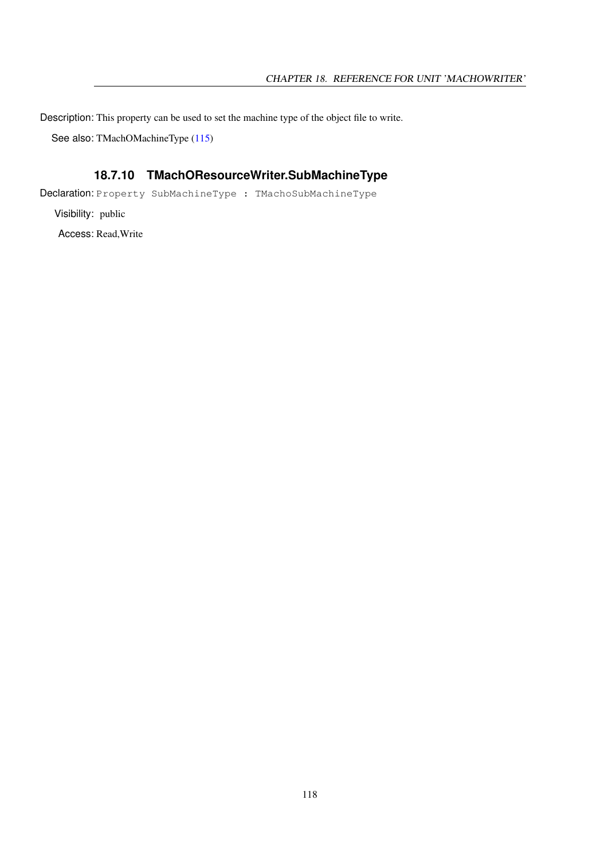Description: This property can be used to set the machine type of the object file to write.

See also: TMachOMachineType [\(115\)](#page-115-0)

## <span id="page-118-0"></span>**18.7.10 TMachOResourceWriter.SubMachineType**

Declaration: Property SubMachineType : TMachoSubMachineType

Visibility: public Access: Read,Write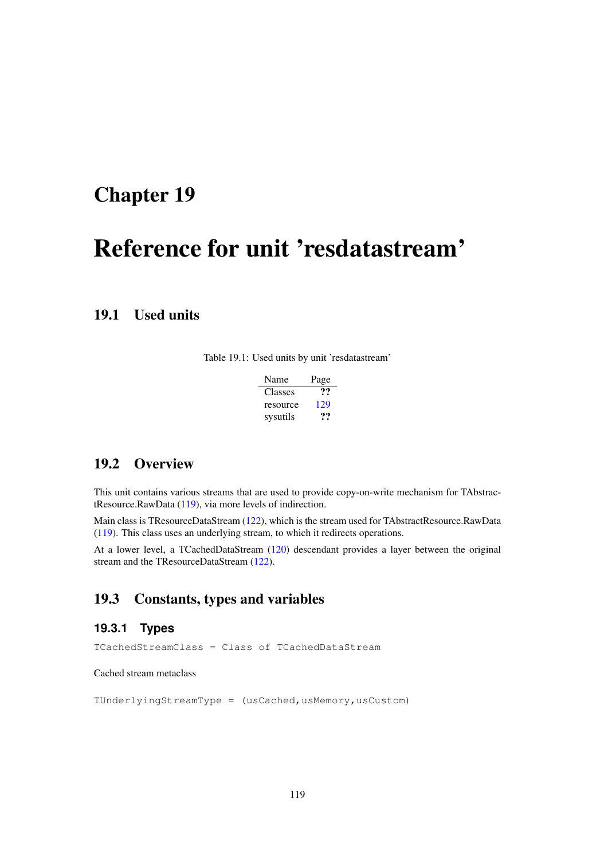## <span id="page-119-0"></span>Chapter 19

# Reference for unit 'resdatastream'

## 19.1 Used units

Table 19.1: Used units by unit 'resdatastream'

| Name     | Page |
|----------|------|
| Classes  | ??   |
| resource | 129  |
| sysutils | 77   |

## 19.2 Overview

This unit contains various streams that are used to provide copy-on-write mechanism for TAbstractResource.RawData [\(119\)](#page-119-0), via more levels of indirection.

Main class is TResourceDataStream [\(122\)](#page-122-0), which is the stream used for TAbstractResource.RawData [\(119\)](#page-119-0). This class uses an underlying stream, to which it redirects operations.

At a lower level, a TCachedDataStream [\(120\)](#page-120-0) descendant provides a layer between the original stream and the TResourceDataStream [\(122\)](#page-122-0).

## 19.3 Constants, types and variables

## **19.3.1 Types**

TCachedStreamClass = Class of TCachedDataStream

Cached stream metaclass

TUnderlyingStreamType = (usCached, usMemory, usCustom)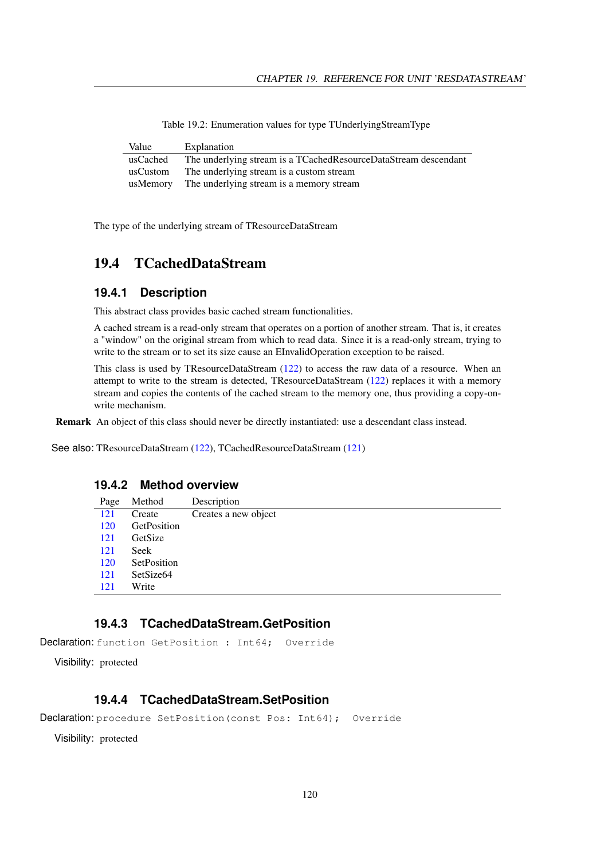| Value    | Explanation                                                     |
|----------|-----------------------------------------------------------------|
| usCached | The underlying stream is a TCachedResourceDataStream descendant |
| usCustom | The underlying stream is a custom stream                        |
| usMemory | The underlying stream is a memory stream                        |

Table 19.2: Enumeration values for type TUnderlyingStreamType

The type of the underlying stream of TResourceDataStream

## <span id="page-120-0"></span>19.4 TCachedDataStream

#### **19.4.1 Description**

This abstract class provides basic cached stream functionalities.

A cached stream is a read-only stream that operates on a portion of another stream. That is, it creates a "window" on the original stream from which to read data. Since it is a read-only stream, trying to write to the stream or to set its size cause an EInvalidOperation exception to be raised.

This class is used by TResourceDataStream [\(122\)](#page-122-0) to access the raw data of a resource. When an attempt to write to the stream is detected, TResourceDataStream [\(122\)](#page-122-0) replaces it with a memory stream and copies the contents of the cached stream to the memory one, thus providing a copy-onwrite mechanism.

Remark An object of this class should never be directly instantiated: use a descendant class instead.

See also: TResourceDataStream [\(122\)](#page-122-0), TCachedResourceDataStream [\(121\)](#page-121-0)

#### **19.4.2 Method overview**

| Page | Method                | Description          |
|------|-----------------------|----------------------|
| 121  | Create                | Creates a new object |
| 120  | GetPosition           |                      |
| 121  | GetSize               |                      |
| 121  | Seek                  |                      |
| 120  | SetPosition           |                      |
| 121  | SetSize <sub>64</sub> |                      |
| 121  | Write                 |                      |
|      |                       |                      |

## <span id="page-120-1"></span>**19.4.3 TCachedDataStream.GetPosition**

Declaration: function GetPosition : Int64; Override

Visibility: protected

#### <span id="page-120-2"></span>**19.4.4 TCachedDataStream.SetPosition**

```
Declaration: procedure SetPosition(const Pos: Int64); Override
```
Visibility: protected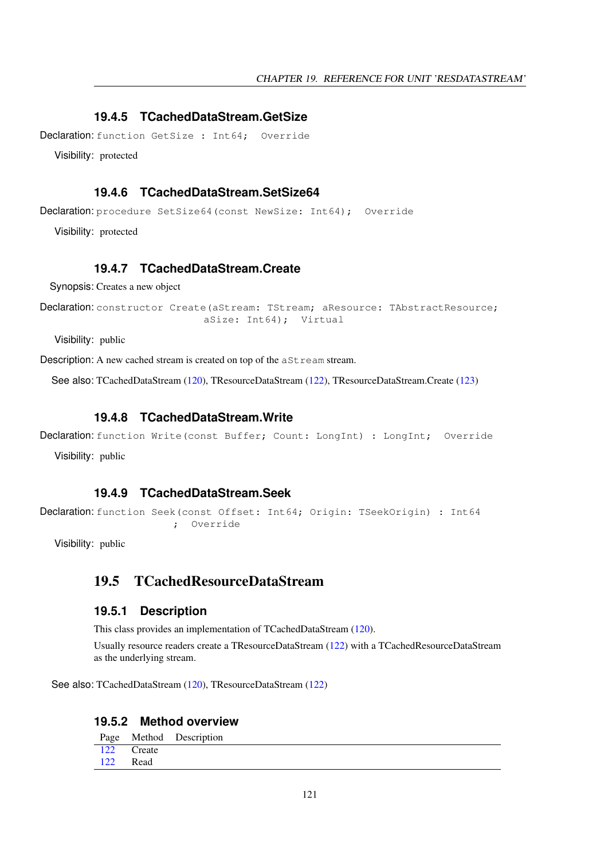#### <span id="page-121-2"></span>**19.4.5 TCachedDataStream.GetSize**

Declaration: function GetSize : Int64: Override

Visibility: protected

#### <span id="page-121-4"></span>**19.4.6 TCachedDataStream.SetSize64**

Declaration: procedure SetSize64 (const NewSize: Int64); Override

Visibility: protected

#### <span id="page-121-1"></span>**19.4.7 TCachedDataStream.Create**

Synopsis: Creates a new object

Declaration: constructor Create(aStream: TStream; aResource: TAbstractResource; aSize: Int64); Virtual

Visibility: public

Description: A new cached stream is created on top of the  $aSt$  ream stream.

See also: TCachedDataStream [\(120\)](#page-120-0), TResourceDataStream [\(122\)](#page-122-0), TResourceDataStream.Create [\(123\)](#page-123-0)

#### <span id="page-121-5"></span>**19.4.8 TCachedDataStream.Write**

Declaration: function Write(const Buffer; Count: LongInt) : LongInt; Override

Visibility: public

#### <span id="page-121-3"></span>**19.4.9 TCachedDataStream.Seek**

```
Declaration: function Seek (const Offset: Int64; Origin: TSeekOrigin) : Int64
                       ; Override
```
Visibility: public

## <span id="page-121-0"></span>19.5 TCachedResourceDataStream

#### **19.5.1 Description**

This class provides an implementation of TCachedDataStream [\(120\)](#page-120-0).

Usually resource readers create a TResourceDataStream [\(122\)](#page-122-0) with a TCachedResourceDataStream as the underlying stream.

See also: TCachedDataStream [\(120\)](#page-120-0), TResourceDataStream [\(122\)](#page-122-0)

#### **19.5.2 Method overview**

|     |            | Page Method Description |
|-----|------------|-------------------------|
|     | 122 Create |                         |
| 122 | Read       |                         |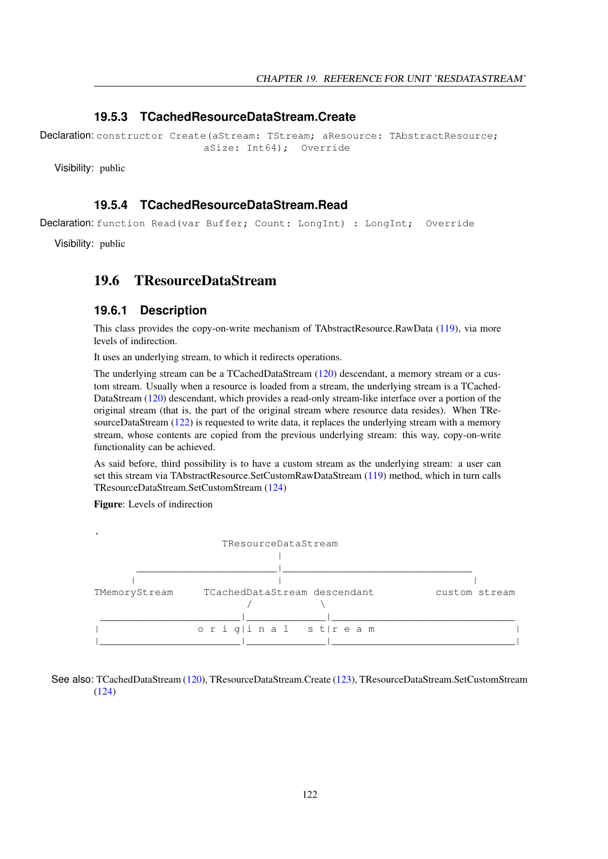#### <span id="page-122-1"></span>**19.5.3 TCachedResourceDataStream.Create**

Declaration: constructor Create(aStream: TStream: aResource: TAbstractResource: aSize: Int64); Override

Visibility: public

#### <span id="page-122-2"></span>**19.5.4 TCachedResourceDataStream.Read**

Declaration: function Read(var Buffer; Count: LongInt) : LongInt; Override

Visibility: public

## <span id="page-122-0"></span>19.6 TResourceDataStream

#### **19.6.1 Description**

This class provides the copy-on-write mechanism of TAbstractResource.RawData [\(119\)](#page-119-0), via more levels of indirection.

It uses an underlying stream, to which it redirects operations.

The underlying stream can be a TCachedDataStream [\(120\)](#page-120-0) descendant, a memory stream or a custom stream. Usually when a resource is loaded from a stream, the underlying stream is a TCached-DataStream [\(120\)](#page-120-0) descendant, which provides a read-only stream-like interface over a portion of the original stream (that is, the part of the original stream where resource data resides). When TRe-sourceDataStream [\(122\)](#page-122-0) is requested to write data, it replaces the underlying stream with a memory stream, whose contents are copied from the previous underlying stream: this way, copy-on-write functionality can be achieved.

As said before, third possibility is to have a custom stream as the underlying stream: a user can set this stream via TAbstractResource.SetCustomRawDataStream [\(119\)](#page-119-0) method, which in turn calls TResourceDataStream.SetCustomStream [\(124\)](#page-124-0)

Figure: Levels of indirection



See also: TCachedDataStream [\(120\)](#page-120-0), TResourceDataStream.Create [\(123\)](#page-123-0), TResourceDataStream.SetCustomStream [\(124\)](#page-124-0)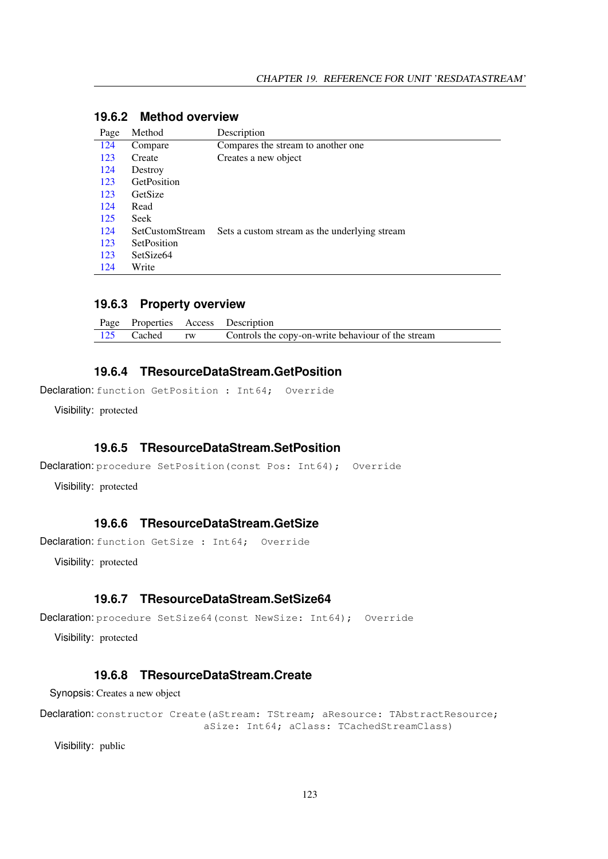| Page | Method                | Description                                   |
|------|-----------------------|-----------------------------------------------|
| 124  | Compare               | Compares the stream to another one            |
| 123  | Create                | Creates a new object                          |
| 124  | Destroy               |                                               |
| 123  | GetPosition           |                                               |
| 123  | GetSize               |                                               |
| 124  | Read                  |                                               |
| 125  | Seek                  |                                               |
| 124  | SetCustomStream       | Sets a custom stream as the underlying stream |
| 123  | SetPosition           |                                               |
| 123  | SetSize <sub>64</sub> |                                               |
| 124  | Write                 |                                               |

#### **19.6.2 Method overview**

#### **19.6.3 Property overview**

|  | Page Properties Access Description                               |
|--|------------------------------------------------------------------|
|  | 125 Cached rw Controls the copy-on-write behaviour of the stream |

#### <span id="page-123-1"></span>**19.6.4 TResourceDataStream.GetPosition**

Declaration: function GetPosition : Int64; Override

Visibility: protected

#### <span id="page-123-3"></span>**19.6.5 TResourceDataStream.SetPosition**

```
Declaration: procedure SetPosition (const Pos: Int64); Override
```
Visibility: protected

#### <span id="page-123-2"></span>**19.6.6 TResourceDataStream.GetSize**

```
Declaration: function GetSize : Int64; Override
```
Visibility: protected

#### <span id="page-123-4"></span>**19.6.7 TResourceDataStream.SetSize64**

```
Declaration: procedure SetSize64 (const NewSize: Int64); Override
```
Visibility: protected

#### <span id="page-123-0"></span>**19.6.8 TResourceDataStream.Create**

Synopsis: Creates a new object

Declaration: constructor Create(aStream: TStream; aResource: TAbstractResource; aSize: Int64; aClass: TCachedStreamClass)

Visibility: public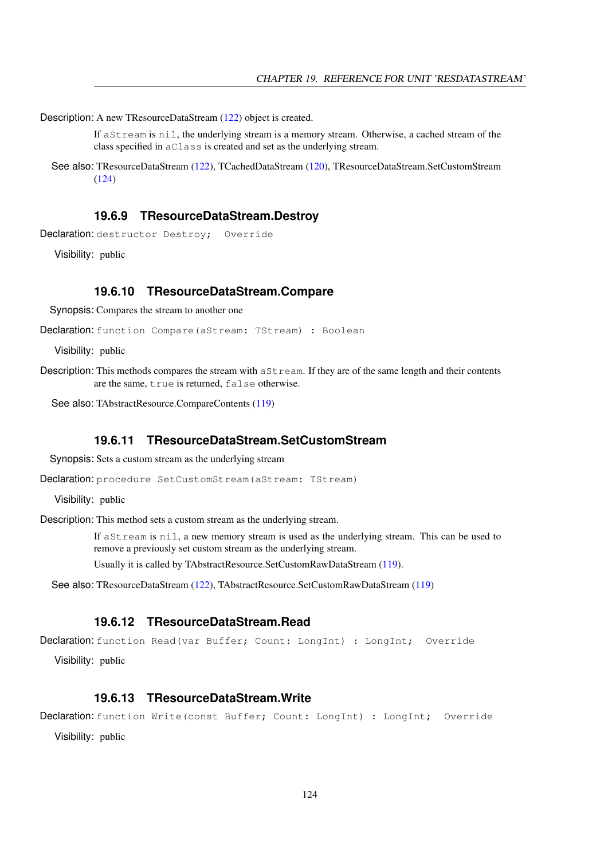Description: A new TResourceDataStream [\(122\)](#page-122-0) object is created.

If aStream is nil, the underlying stream is a memory stream. Otherwise, a cached stream of the class specified in aClass is created and set as the underlying stream.

See also: TResourceDataStream [\(122\)](#page-122-0), TCachedDataStream [\(120\)](#page-120-0), TResourceDataStream.SetCustomStream [\(124\)](#page-124-0)

#### <span id="page-124-2"></span>**19.6.9 TResourceDataStream.Destroy**

Declaration: destructor Destroy; Override

Visibility: public

#### <span id="page-124-1"></span>**19.6.10 TResourceDataStream.Compare**

Synopsis: Compares the stream to another one

Declaration: function Compare(aStream: TStream) : Boolean

Visibility: public

Description: This methods compares the stream with  $a$ Stream. If they are of the same length and their contents are the same, true is returned, false otherwise.

See also: TAbstractResource.CompareContents [\(119\)](#page-119-0)

#### <span id="page-124-0"></span>**19.6.11 TResourceDataStream.SetCustomStream**

Synopsis: Sets a custom stream as the underlying stream

Declaration: procedure SetCustomStream (aStream: TStream)

Visibility: public

Description: This method sets a custom stream as the underlying stream.

If aStream is nil, a new memory stream is used as the underlying stream. This can be used to remove a previously set custom stream as the underlying stream.

Usually it is called by TAbstractResource.SetCustomRawDataStream [\(119\)](#page-119-0).

See also: TResourceDataStream [\(122\)](#page-122-0), TAbstractResource.SetCustomRawDataStream [\(119\)](#page-119-0)

#### <span id="page-124-3"></span>**19.6.12 TResourceDataStream.Read**

Declaration: function Read(var Buffer; Count: LongInt) : LongInt; Override

Visibility: public

#### <span id="page-124-4"></span>**19.6.13 TResourceDataStream.Write**

Declaration: function Write(const Buffer; Count: LongInt) : LongInt; Override Visibility: public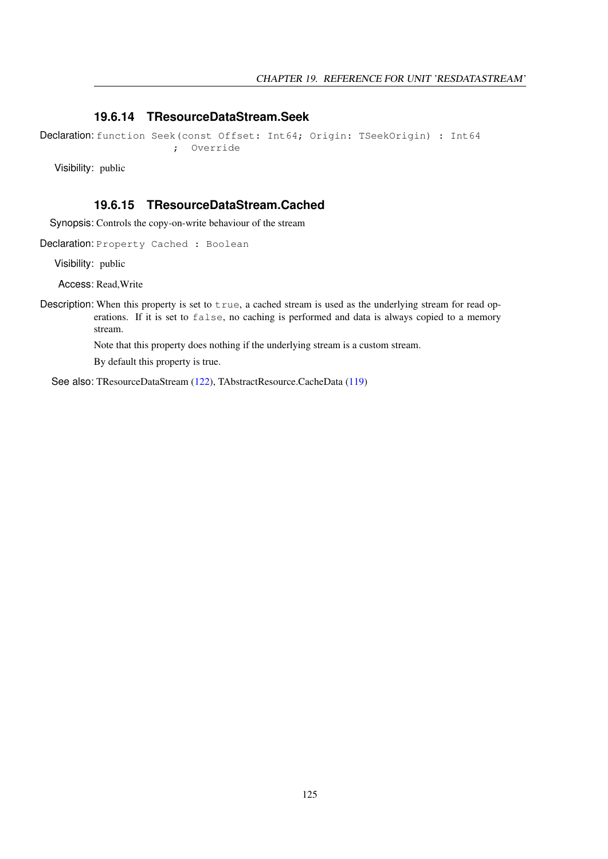#### <span id="page-125-0"></span>**19.6.14 TResourceDataStream.Seek**

```
Declaration: function Seek (const Offset: Int64; Origin: TSeekOrigin) : Int64
                      ; Override
```
Visibility: public

#### <span id="page-125-1"></span>**19.6.15 TResourceDataStream.Cached**

Synopsis: Controls the copy-on-write behaviour of the stream

Declaration: Property Cached : Boolean

Visibility: public

Access: Read,Write

Description: When this property is set to true, a cached stream is used as the underlying stream for read operations. If it is set to false, no caching is performed and data is always copied to a memory stream.

Note that this property does nothing if the underlying stream is a custom stream.

By default this property is true.

See also: TResourceDataStream [\(122\)](#page-122-0), TAbstractResource.CacheData [\(119\)](#page-119-0)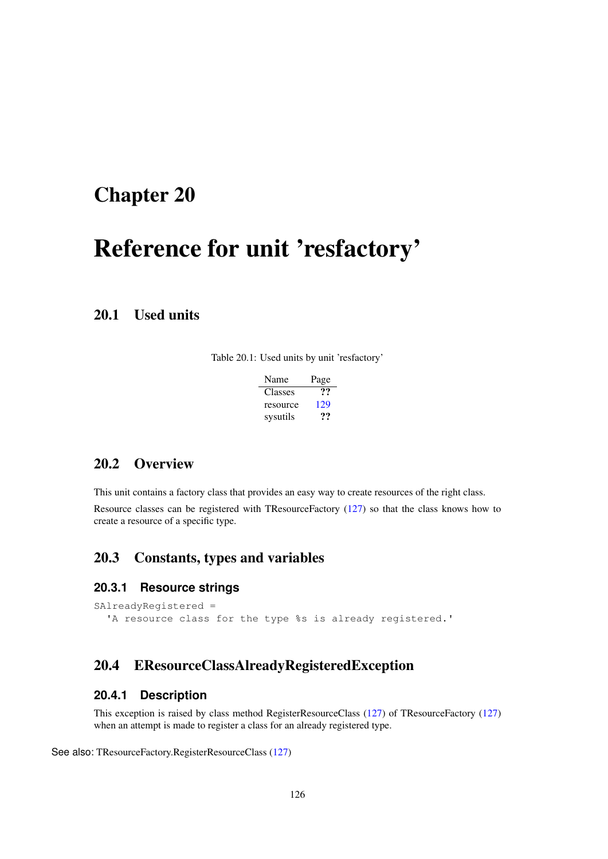## <span id="page-126-0"></span>Chapter 20

# Reference for unit 'resfactory'

## 20.1 Used units

Table 20.1: Used units by unit 'resfactory'

| Name     | Page |
|----------|------|
| Classes  | …    |
| resource | 129  |
| sysutils | 77   |

## 20.2 Overview

This unit contains a factory class that provides an easy way to create resources of the right class. Resource classes can be registered with TResourceFactory [\(127\)](#page-127-0) so that the class knows how to create a resource of a specific type.

## 20.3 Constants, types and variables

#### **20.3.1 Resource strings**

```
SAlreadyRegistered =
  'A resource class for the type %s is already registered.'
```
## <span id="page-126-1"></span>20.4 EResourceClassAlreadyRegisteredException

#### **20.4.1 Description**

This exception is raised by class method RegisterResourceClass [\(127\)](#page-127-1) of TResourceFactory [\(127\)](#page-127-0) when an attempt is made to register a class for an already registered type.

See also: TResourceFactory.RegisterResourceClass [\(127\)](#page-127-1)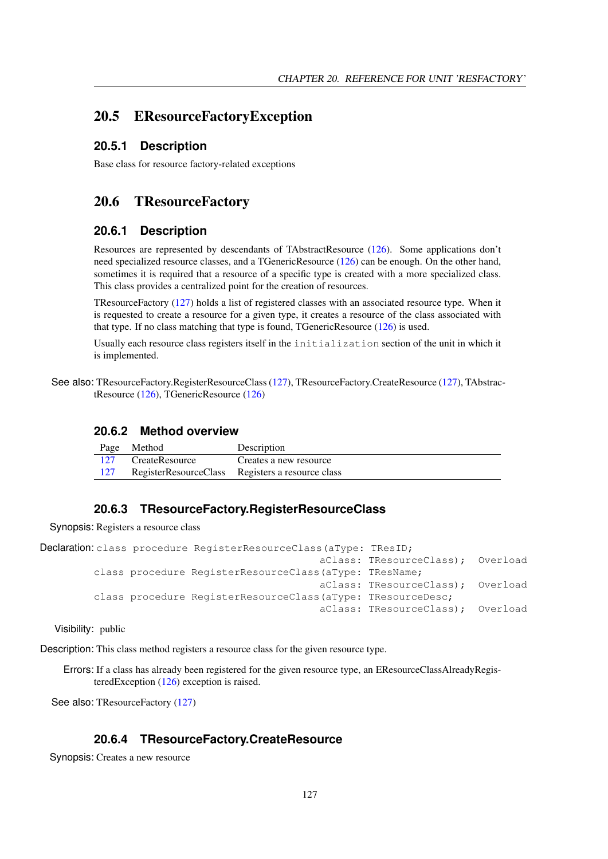### 20.5 EResourceFactoryException

#### **20.5.1 Description**

Base class for resource factory-related exceptions

## <span id="page-127-0"></span>20.6 TResourceFactory

#### **20.6.1 Description**

Resources are represented by descendants of TAbstractResource [\(126\)](#page-126-0). Some applications don't need specialized resource classes, and a TGenericResource [\(126\)](#page-126-0) can be enough. On the other hand, sometimes it is required that a resource of a specific type is created with a more specialized class. This class provides a centralized point for the creation of resources.

TResourceFactory [\(127\)](#page-127-0) holds a list of registered classes with an associated resource type. When it is requested to create a resource for a given type, it creates a resource of the class associated with that type. If no class matching that type is found, TGenericResource [\(126\)](#page-126-0) is used.

Usually each resource class registers itself in the initialization section of the unit in which it is implemented.

See also: TResourceFactory.RegisterResourceClass [\(127\)](#page-127-2), TResourceFactory.CreateResource (127), TAbstractResource [\(126\)](#page-126-0), TGenericResource [\(126\)](#page-126-0)

#### **20.6.2 Method overview**

|     | Page Method    | Description                                      |
|-----|----------------|--------------------------------------------------|
| 127 | CreateResource | Creates a new resource                           |
| 127 |                | RegisterResourceClass Registers a resource class |

#### <span id="page-127-1"></span>**20.6.3 TResourceFactory.RegisterResourceClass**

Synopsis: Registers a resource class

```
Declaration: class procedure RegisterResourceClass (aType: TResID;
                                              aClass: TResourceClass); Overload
         class procedure RegisterResourceClass(aType: TResName;
                                              aClass: TResourceClass); Overload
         class procedure RegisterResourceClass(aType: TResourceDesc;
                                              aClass: TResourceClass); Overload
```
Visibility: public

Description: This class method registers a resource class for the given resource type.

Errors: If a class has already been registered for the given resource type, an EResourceClassAlreadyRegisteredException [\(126\)](#page-126-1) exception is raised.

See also: TResourceFactory [\(127\)](#page-127-0)

#### <span id="page-127-2"></span>**20.6.4 TResourceFactory.CreateResource**

Synopsis: Creates a new resource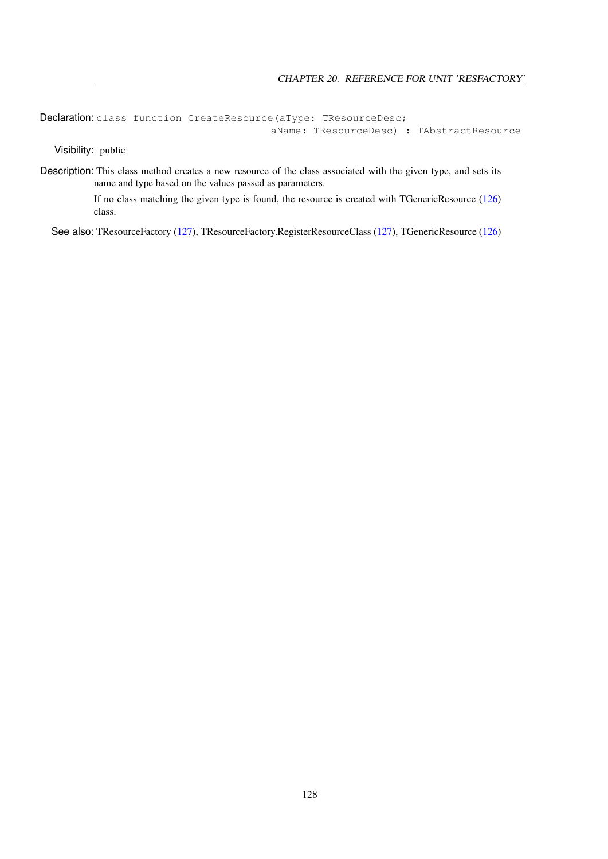Declaration: class function CreateResource(aType: TResourceDesc; aName: TResourceDesc) : TAbstractResource

Visibility: public

Description: This class method creates a new resource of the class associated with the given type, and sets its name and type based on the values passed as parameters.

> If no class matching the given type is found, the resource is created with TGenericResource [\(126\)](#page-126-0) class.

See also: TResourceFactory [\(127\)](#page-127-1), TResourceFactory.RegisterResourceClass (127), TGenericResource [\(126\)](#page-126-0)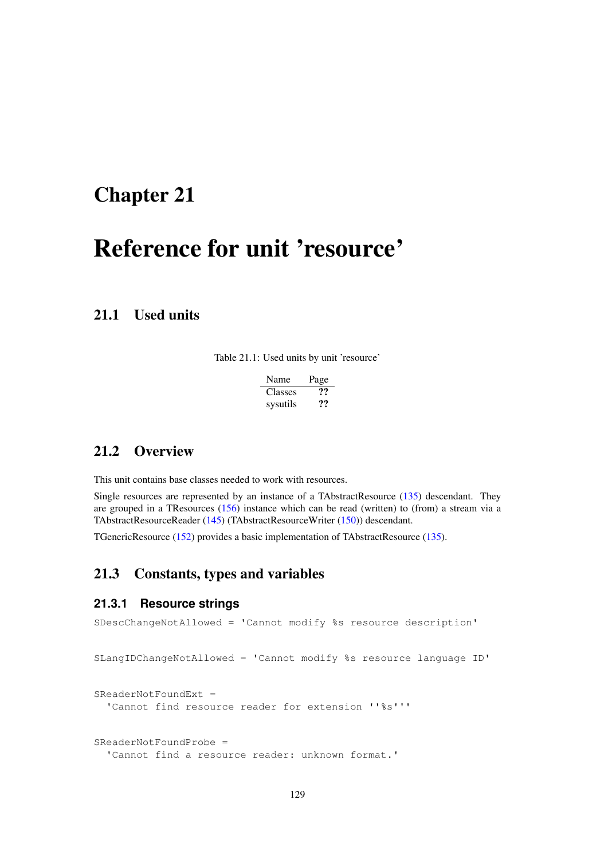## <span id="page-129-0"></span>Chapter 21

# Reference for unit 'resource'

## 21.1 Used units

Table 21.1: Used units by unit 'resource'

| <b>Name</b>    | Page |
|----------------|------|
| <b>Classes</b> | ??   |
| sysutils       | ??   |

## 21.2 Overview

This unit contains base classes needed to work with resources.

Single resources are represented by an instance of a TAbstractResource [\(135\)](#page-135-0) descendant. They are grouped in a TResources [\(156\)](#page-156-0) instance which can be read (written) to (from) a stream via a TAbstractResourceReader [\(145\)](#page-145-0) (TAbstractResourceWriter [\(150\)](#page-150-0)) descendant.

TGenericResource [\(152\)](#page-152-0) provides a basic implementation of TAbstractResource [\(135\)](#page-135-0).

## 21.3 Constants, types and variables

#### **21.3.1 Resource strings**

```
SDescChangeNotAllowed = 'Cannot modify %s resource description'
SLangIDChangeNotAllowed = 'Cannot modify %s resource language ID'
SReaderNotFoundExt =
  'Cannot find resource reader for extension ''%s'''
SReaderNotFoundProbe =
  'Cannot find a resource reader: unknown format.'
```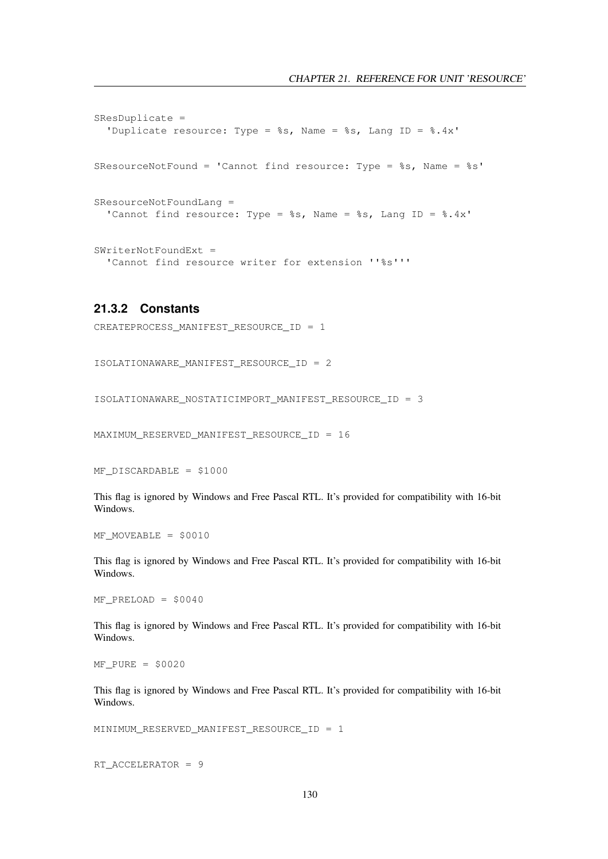```
SResDuplicate =
  'Duplicate resource: Type = %s, Name = %s, Lang ID = %.4x'
SResourceNotFound = 'Cannot find resource: Type = 8s, Name = 8s'SResourceNotFoundLang =
 'Cannot find resource: Type = %s, Name = %s, Lang ID = %.4x'
SWriterNotFoundExt =
  'Cannot find resource writer for extension ''%s'''
```
## <span id="page-130-0"></span>**21.3.2 Constants**

```
CREATEPROCESS_MANIFEST_RESOURCE_ID = 1
```

```
ISOLATIONAWARE_MANIFEST_RESOURCE_ID = 2
```

```
ISOLATIONAWARE_NOSTATICIMPORT_MANIFEST_RESOURCE_ID = 3
```
MAXIMUM\_RESERVED\_MANIFEST\_RESOURCE\_ID = 16

```
MF DISCARDABLE = $1000
```
This flag is ignored by Windows and Free Pascal RTL. It's provided for compatibility with 16-bit Windows.

 $MF$  MOVEABLE = \$0010

This flag is ignored by Windows and Free Pascal RTL. It's provided for compatibility with 16-bit Windows.

 $MF$  PRELOAD = \$0040

This flag is ignored by Windows and Free Pascal RTL. It's provided for compatibility with 16-bit Windows.

 $MF$  PURE = \$0020

This flag is ignored by Windows and Free Pascal RTL. It's provided for compatibility with 16-bit Windows.

MINIMUM\_RESERVED\_MANIFEST\_RESOURCE\_ID = 1

RT\_ACCELERATOR = 9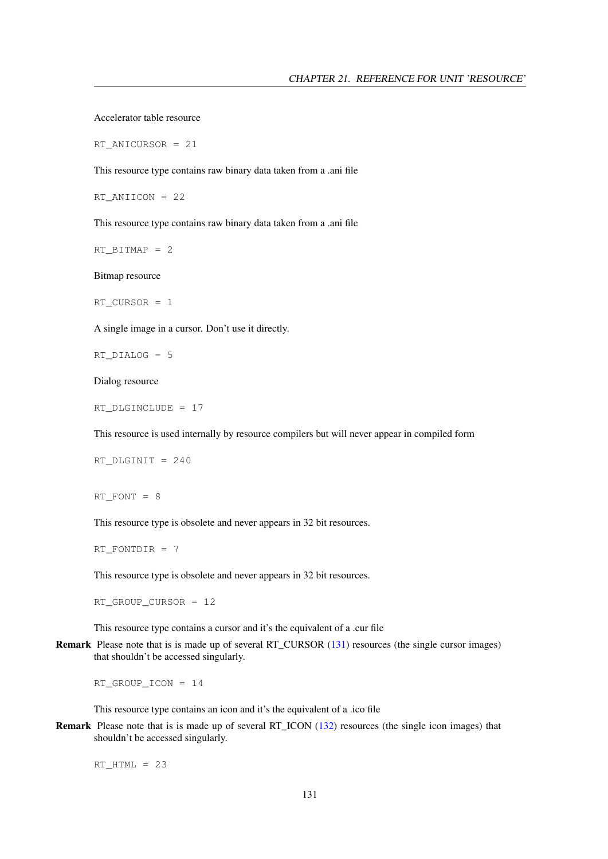Accelerator table resource

RT\_ANICURSOR = 21

This resource type contains raw binary data taken from a .ani file

RT\_ANIICON = 22

This resource type contains raw binary data taken from a .ani file

RT\_BITMAP = 2

Bitmap resource

RT  $CURSOR = 1$ 

A single image in a cursor. Don't use it directly.

RT\_DIALOG = 5

Dialog resource

RT\_DLGINCLUDE = 17

This resource is used internally by resource compilers but will never appear in compiled form

RT\_DLGINIT = 240

RT FONT =  $8$ 

This resource type is obsolete and never appears in 32 bit resources.

RT\_FONTDIR = 7

This resource type is obsolete and never appears in 32 bit resources.

RT\_GROUP\_CURSOR = 12

This resource type contains a cursor and it's the equivalent of a .cur file

Remark Please note that is is made up of several RT\_CURSOR [\(131\)](#page-130-0) resources (the single cursor images) that shouldn't be accessed singularly.

RT\_GROUP\_ICON = 14

This resource type contains an icon and it's the equivalent of a .ico file

Remark Please note that is is made up of several RT\_ICON [\(132\)](#page-130-0) resources (the single icon images) that shouldn't be accessed singularly.

 $RT\_HTML = 23$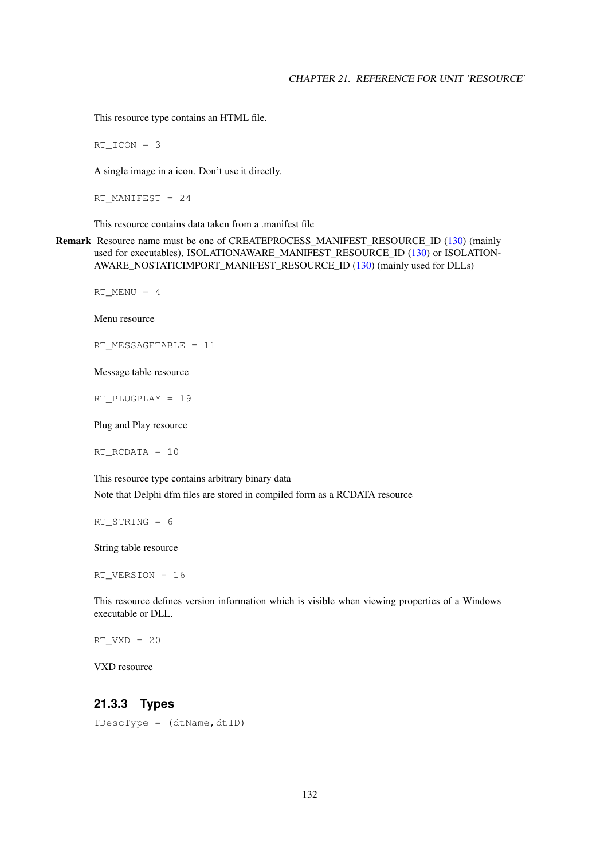This resource type contains an HTML file.

 $RT\_ICON = 3$ 

A single image in a icon. Don't use it directly.

RT\_MANIFEST =  $24$ 

This resource contains data taken from a .manifest file

Remark Resource name must be one of CREATEPROCESS\_MANIFEST\_RESOURCE\_ID [\(130\)](#page-130-0) (mainly used for executables), ISOLATIONAWARE\_MANIFEST\_RESOURCE\_ID [\(130\)](#page-130-0) or ISOLATION-AWARE\_NOSTATICIMPORT\_MANIFEST\_RESOURCE\_ID [\(130\)](#page-130-0) (mainly used for DLLs)

RT\_MENU = 4

Menu resource

RT\_MESSAGETABLE = 11

Message table resource

RT\_PLUGPLAY = 19

Plug and Play resource

RT\_RCDATA = 10

This resource type contains arbitrary binary data Note that Delphi dfm files are stored in compiled form as a RCDATA resource

RT STRING =  $6$ 

String table resource

RT\_VERSION = 16

This resource defines version information which is visible when viewing properties of a Windows executable or DLL.

 $RT_VXD = 20$ 

VXD resource

#### <span id="page-132-0"></span>**21.3.3 Types**

TDescType = (dtName,dtID)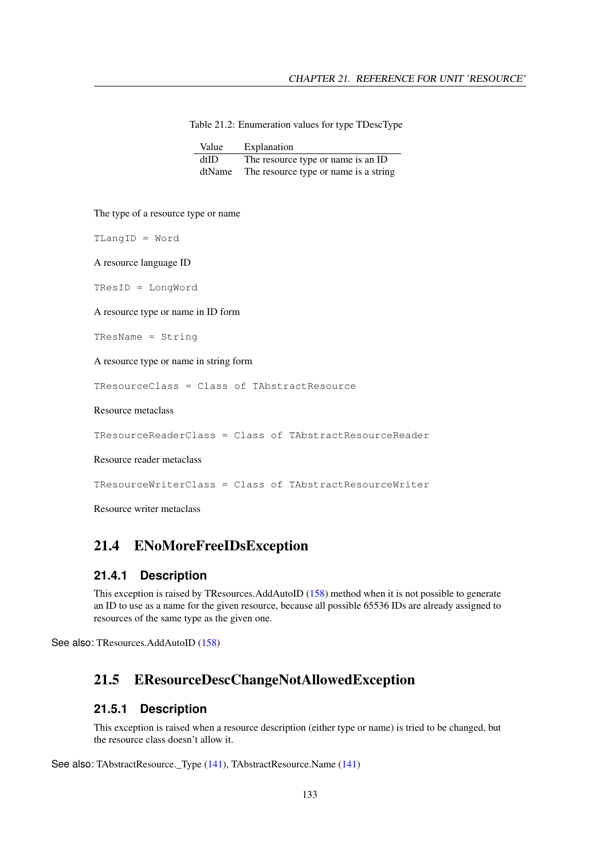| Table 21.2: Enumeration values for type TDescType |  |  |  |
|---------------------------------------------------|--|--|--|
|---------------------------------------------------|--|--|--|

| Value  | Explanation                           |
|--------|---------------------------------------|
| dtID   | The resource type or name is an ID    |
| dtName | The resource type or name is a string |

The type of a resource type or name

TLangID = Word

A resource language ID

TResID = LongWord

A resource type or name in ID form

TResName = String

A resource type or name in string form

TResourceClass = Class of TAbstractResource

Resource metaclass

TResourceReaderClass = Class of TAbstractResourceReader

Resource reader metaclass

TResourceWriterClass = Class of TAbstractResourceWriter

Resource writer metaclass

## 21.4 ENoMoreFreeIDsException

#### **21.4.1 Description**

This exception is raised by TResources.AddAutoID [\(158\)](#page-158-0) method when it is not possible to generate an ID to use as a name for the given resource, because all possible 65536 IDs are already assigned to resources of the same type as the given one.

See also: TResources.AddAutoID [\(158\)](#page-158-0)

## <span id="page-133-0"></span>21.5 EResourceDescChangeNotAllowedException

#### **21.5.1 Description**

This exception is raised when a resource description (either type or name) is tried to be changed, but the resource class doesn't allow it.

See also: TAbstractResource.\_Type [\(141\)](#page-141-1), TAbstractResource.Name (141)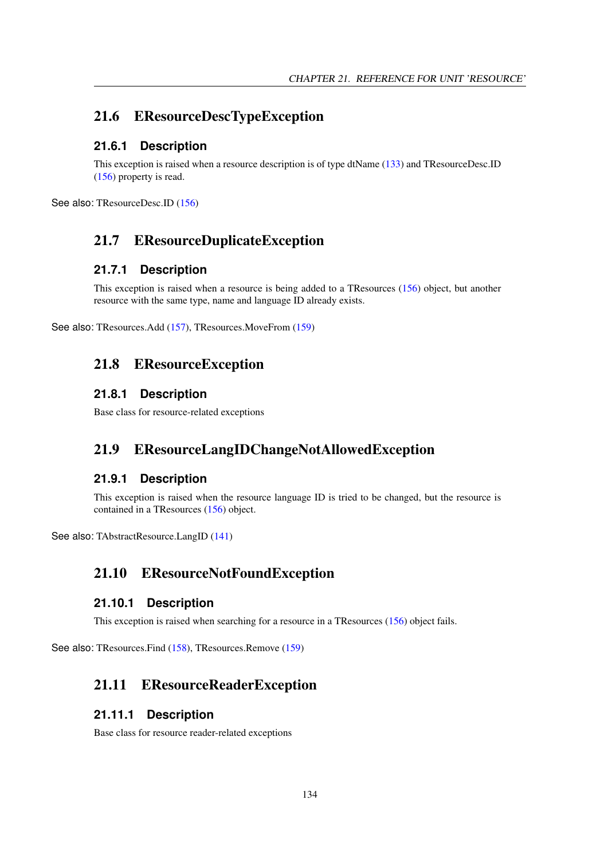## 21.6 EResourceDescTypeException

#### **21.6.1 Description**

This exception is raised when a resource description is of type dtName [\(133\)](#page-132-0) and TResourceDesc.ID [\(156\)](#page-156-1) property is read.

See also: TResourceDesc.ID [\(156\)](#page-156-1)

## 21.7 EResourceDuplicateException

#### **21.7.1 Description**

This exception is raised when a resource is being added to a TResources [\(156\)](#page-156-0) object, but another resource with the same type, name and language ID already exists.

See also: TResources.Add [\(157\)](#page-157-0), TResources.MoveFrom [\(159\)](#page-159-0)

## 21.8 EResourceException

#### **21.8.1 Description**

Base class for resource-related exceptions

## <span id="page-134-0"></span>21.9 EResourceLangIDChangeNotAllowedException

#### **21.9.1 Description**

This exception is raised when the resource language ID is tried to be changed, but the resource is contained in a TResources [\(156\)](#page-156-0) object.

See also: TAbstractResource.LangID [\(141\)](#page-141-2)

## 21.10 EResourceNotFoundException

#### **21.10.1 Description**

This exception is raised when searching for a resource in a TResources [\(156\)](#page-156-0) object fails.

See also: TResources.Find [\(158\)](#page-158-1), TResources.Remove [\(159\)](#page-159-1)

## 21.11 EResourceReaderException

#### **21.11.1 Description**

Base class for resource reader-related exceptions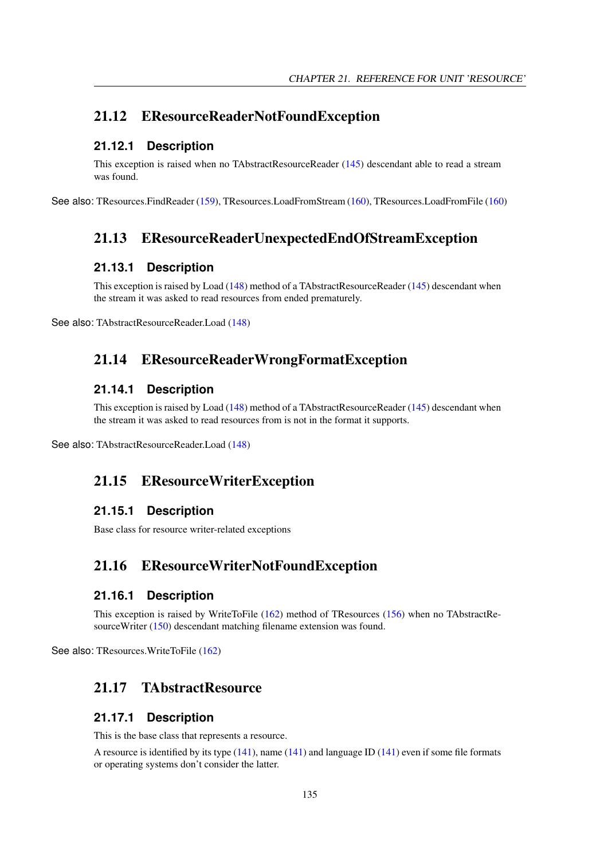## 21.12 EResourceReaderNotFoundException

#### **21.12.1 Description**

This exception is raised when no TAbstractResourceReader [\(145\)](#page-145-0) descendant able to read a stream was found.

See also: TResources.FindReader [\(159\)](#page-159-2), TResources.LoadFromStream [\(160\)](#page-160-0), TResources.LoadFromFile [\(160\)](#page-160-1)

## 21.13 EResourceReaderUnexpectedEndOfStreamException

#### **21.13.1 Description**

This exception is raised by Load [\(148\)](#page-148-0) method of a TAbstractResourceReader [\(145\)](#page-145-0) descendant when the stream it was asked to read resources from ended prematurely.

See also: TAbstractResourceReader.Load [\(148\)](#page-148-0)

## 21.14 EResourceReaderWrongFormatException

#### **21.14.1 Description**

This exception is raised by Load [\(148\)](#page-148-0) method of a TAbstractResourceReader [\(145\)](#page-145-0) descendant when the stream it was asked to read resources from is not in the format it supports.

See also: TAbstractResourceReader.Load [\(148\)](#page-148-0)

## 21.15 EResourceWriterException

#### **21.15.1 Description**

Base class for resource writer-related exceptions

## 21.16 EResourceWriterNotFoundException

#### **21.16.1 Description**

This exception is raised by WriteToFile [\(162\)](#page-162-0) method of TResources [\(156\)](#page-156-0) when no TAbstractResourceWriter [\(150\)](#page-150-0) descendant matching filename extension was found.

See also: TResources.WriteToFile [\(162\)](#page-162-0)

## <span id="page-135-0"></span>21.17 TAbstractResource

## **21.17.1 Description**

This is the base class that represents a resource.

A resource is identified by its type [\(141\)](#page-141-0), name [\(141\)](#page-141-1) and language ID [\(141\)](#page-141-2) even if some file formats or operating systems don't consider the latter.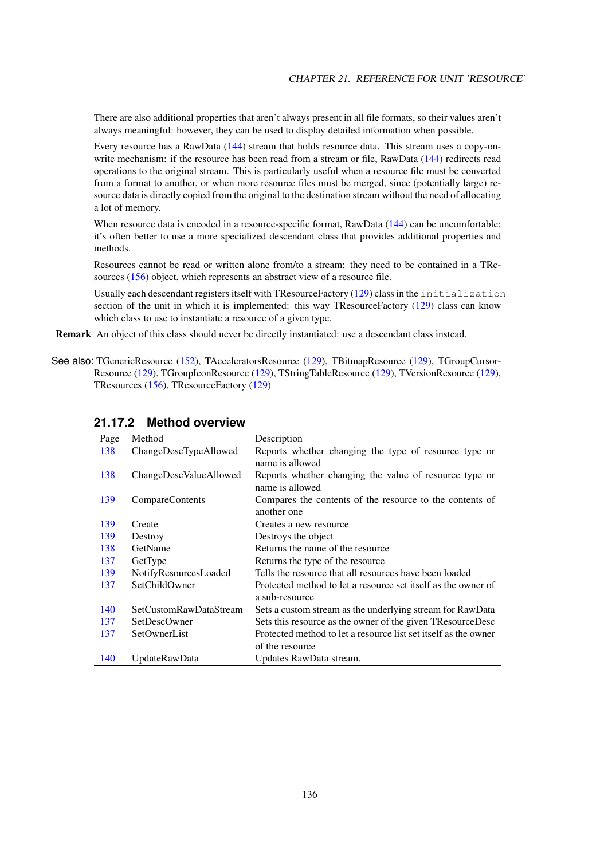There are also additional properties that aren't always present in all file formats, so their values aren't always meaningful: however, they can be used to display detailed information when possible.

Every resource has a RawData [\(144\)](#page-144-0) stream that holds resource data. This stream uses a copy-on-write mechanism: if the resource has been read from a stream or file, RawData [\(144\)](#page-144-0) redirects read operations to the original stream. This is particularly useful when a resource file must be converted from a format to another, or when more resource files must be merged, since (potentially large) resource data is directly copied from the original to the destination stream without the need of allocating a lot of memory.

When resource data is encoded in a resource-specific format, RawData [\(144\)](#page-144-0) can be uncomfortable: it's often better to use a more specialized descendant class that provides additional properties and methods.

Resources cannot be read or written alone from/to a stream: they need to be contained in a TResources [\(156\)](#page-156-0) object, which represents an abstract view of a resource file.

Usually each descendant registers itself with TResourceFactory [\(129\)](#page-129-0) class in the initialization section of the unit in which it is implemented: this way TResourceFactory [\(129\)](#page-129-0) class can know which class to use to instantiate a resource of a given type.

Remark An object of this class should never be directly instantiated: use a descendant class instead.

See also: TGenericResource [\(152\)](#page-152-0), TAcceleratorsResource [\(129\)](#page-129-0), TBitmapResource [\(129\)](#page-129-0), TGroupCursor-Resource [\(129\)](#page-129-0), TGroupIconResource [\(129\)](#page-129-0), TStringTableResource [\(129\)](#page-129-0), TVersionResource [\(129\)](#page-129-0), TResources [\(156\)](#page-156-0), TResourceFactory [\(129\)](#page-129-0)

| Page | Method                 | Description                                                     |
|------|------------------------|-----------------------------------------------------------------|
| 138  | ChangeDescTypeAllowed  | Reports whether changing the type of resource type or           |
|      |                        | name is allowed                                                 |
| 138  | ChangeDescValueAllowed | Reports whether changing the value of resource type or          |
|      |                        | name is allowed                                                 |
| 139  | CompareContents        | Compares the contents of the resource to the contents of        |
|      |                        | another one                                                     |
| 139  | Create                 | Creates a new resource                                          |
| 139  | Destroy                | Destroys the object                                             |
| 138  | GetName                | Returns the name of the resource                                |
| 137  | GetType                | Returns the type of the resource                                |
| 139  | NotifyResourcesLoaded  | Tells the resource that all resources have been loaded          |
| 137  | SetChildOwner          | Protected method to let a resource set itself as the owner of   |
|      |                        | a sub-resource                                                  |
| 140  | SetCustomRawDataStream | Sets a custom stream as the underlying stream for RawData       |
| 137  | <b>SetDescOwner</b>    | Sets this resource as the owner of the given TResourceDesc      |
| 137  | SetOwnerList           | Protected method to let a resource list set itself as the owner |
|      |                        | of the resource                                                 |
| 140  | UpdateRawData          | Updates RawData stream.                                         |

#### **21.17.2 Method overview**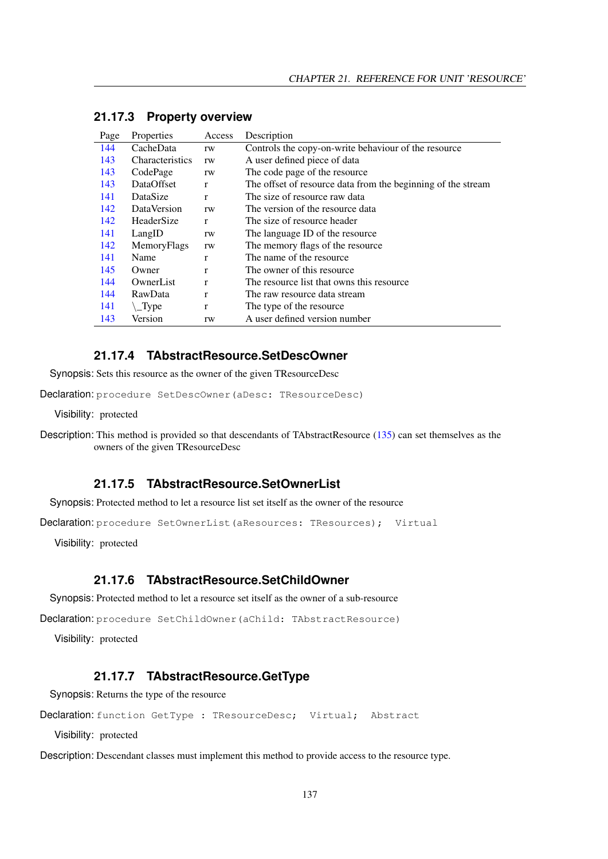| Page | <b>Properties</b>      | Access | Description                                                  |
|------|------------------------|--------|--------------------------------------------------------------|
| 144  | CacheData              | rw     | Controls the copy-on-write behaviour of the resource         |
| 143  | <b>Characteristics</b> | rw     | A user defined piece of data                                 |
| 143  | CodePage               | rw     | The code page of the resource                                |
| 143  | DataOffset             | r      | The offset of resource data from the beginning of the stream |
| 141  | DataSize               | r      | The size of resource raw data                                |
| 142  | <b>DataVersion</b>     | rw     | The version of the resource data                             |
| 142  | HeaderSize             | r      | The size of resource header                                  |
| 141  | LangID                 | rw     | The language ID of the resource                              |
| 142  | MemoryFlags            | rw     | The memory flags of the resource                             |
| 141  | Name                   | r      | The name of the resource.                                    |
| 145  | Owner                  | r      | The owner of this resource.                                  |
| 144  | OwnerList              | r      | The resource list that owns this resource                    |
| 144  | RawData                | r      | The raw resource data stream                                 |
| 141  | $\angle$ Type          | r      | The type of the resource.                                    |
| 143  | Version                | rw     | A user defined version number                                |

#### **21.17.3 Property overview**

### <span id="page-137-2"></span>**21.17.4 TAbstractResource.SetDescOwner**

Synopsis: Sets this resource as the owner of the given TResourceDesc

Declaration: procedure SetDescOwner(aDesc: TResourceDesc)

Visibility: protected

Description: This method is provided so that descendants of TAbstractResource [\(135\)](#page-135-0) can set themselves as the owners of the given TResourceDesc

#### <span id="page-137-3"></span>**21.17.5 TAbstractResource.SetOwnerList**

Synopsis: Protected method to let a resource list set itself as the owner of the resource

Declaration: procedure SetOwnerList (aResources: TResources); Virtual

Visibility: protected

#### <span id="page-137-1"></span>**21.17.6 TAbstractResource.SetChildOwner**

Synopsis: Protected method to let a resource set itself as the owner of a sub-resource

Declaration: procedure SetChildOwner(aChild: TAbstractResource)

Visibility: protected

#### <span id="page-137-0"></span>**21.17.7 TAbstractResource.GetType**

Synopsis: Returns the type of the resource

Declaration: function GetType : TResourceDesc; Virtual; Abstract

Visibility: protected

Description: Descendant classes must implement this method to provide access to the resource type.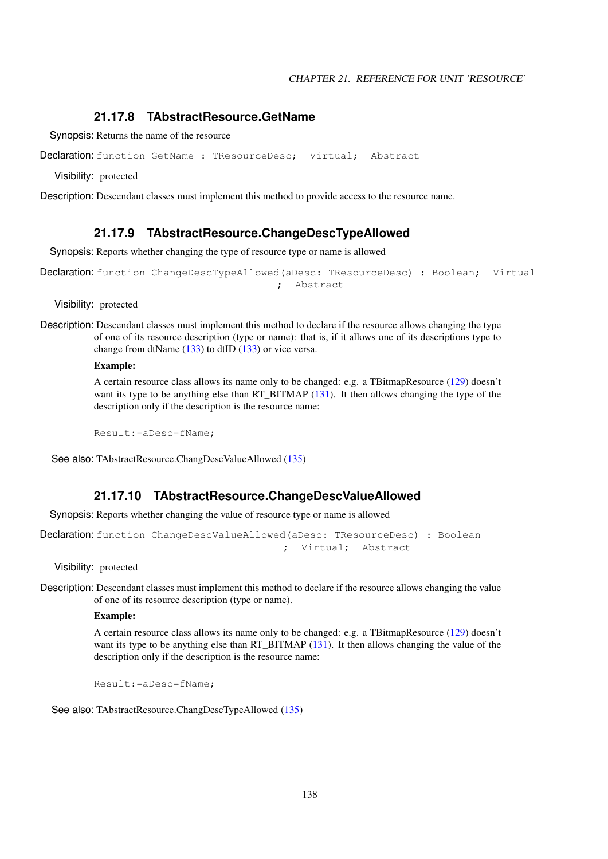#### <span id="page-138-2"></span>**21.17.8 TAbstractResource.GetName**

Synopsis: Returns the name of the resource

Declaration: function GetName : TResourceDesc; Virtual; Abstract

Visibility: protected

Description: Descendant classes must implement this method to provide access to the resource name.

#### <span id="page-138-0"></span>**21.17.9 TAbstractResource.ChangeDescTypeAllowed**

Synopsis: Reports whether changing the type of resource type or name is allowed

```
Declaration: function ChangeDescTypeAllowed(aDesc: TResourceDesc) : Boolean; Virtual
                                       ; Abstract
```
Visibility: protected

Description: Descendant classes must implement this method to declare if the resource allows changing the type of one of its resource description (type or name): that is, if it allows one of its descriptions type to change from dtName  $(133)$  to dtID  $(133)$  or vice versa.

#### Example:

A certain resource class allows its name only to be changed: e.g. a TBitmapResource [\(129\)](#page-129-0) doesn't want its type to be anything else than RT\_BITMAP [\(131\)](#page-130-0). It then allows changing the type of the description only if the description is the resource name:

Result:=aDesc=fName;

See also: TAbstractResource.ChangDescValueAllowed [\(135\)](#page-135-0)

#### <span id="page-138-1"></span>**21.17.10 TAbstractResource.ChangeDescValueAllowed**

Synopsis: Reports whether changing the value of resource type or name is allowed

```
Declaration: function ChangeDescValueAllowed(aDesc: TResourceDesc) : Boolean
                                         ; Virtual; Abstract
```
Visibility: protected

Description: Descendant classes must implement this method to declare if the resource allows changing the value of one of its resource description (type or name).

#### Example:

A certain resource class allows its name only to be changed: e.g. a TBitmapResource [\(129\)](#page-129-0) doesn't want its type to be anything else than RT\_BITMAP [\(131\)](#page-130-0). It then allows changing the value of the description only if the description is the resource name:

Result:=aDesc=fName;

See also: TAbstractResource.ChangDescTypeAllowed [\(135\)](#page-135-0)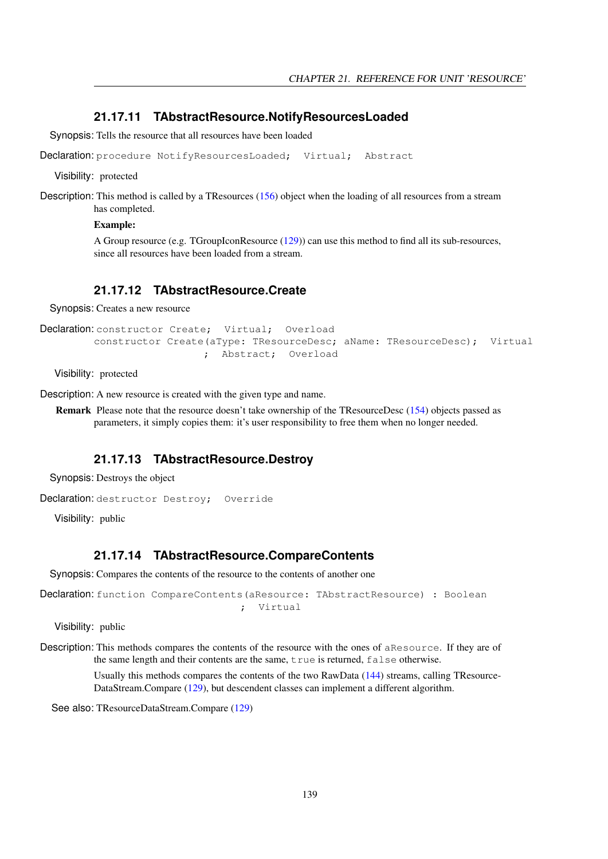#### <span id="page-139-3"></span>**21.17.11 TAbstractResource.NotifyResourcesLoaded**

Synopsis: Tells the resource that all resources have been loaded

Declaration: procedure NotifyResourcesLoaded; Virtual; Abstract

Visibility: protected

Description: This method is called by a TResources [\(156\)](#page-156-0) object when the loading of all resources from a stream has completed.

#### Example:

A Group resource (e.g. TGroupIconResource [\(129\)](#page-129-0)) can use this method to find all its sub-resources, since all resources have been loaded from a stream.

#### <span id="page-139-1"></span>**21.17.12 TAbstractResource.Create**

Synopsis: Creates a new resource

```
Declaration: constructor Create; Virtual; Overload
        constructor Create(aType: TResourceDesc; aName: TResourceDesc); Virtual
                          ; Abstract; Overload
```
Visibility: protected

Description: A new resource is created with the given type and name.

Remark Please note that the resource doesn't take ownership of the TResourceDesc [\(154\)](#page-154-0) objects passed as parameters, it simply copies them: it's user responsibility to free them when no longer needed.

#### <span id="page-139-2"></span>**21.17.13 TAbstractResource.Destroy**

Synopsis: Destroys the object

```
Declaration: destructor Destroy; Override
```
Visibility: public

## <span id="page-139-0"></span>**21.17.14 TAbstractResource.CompareContents**

Synopsis: Compares the contents of the resource to the contents of another one

```
Declaration: function CompareContents (aResource: TAbstractResource) : Boolean
                                  ; Virtual
```
Visibility: public

Description: This methods compares the contents of the resource with the ones of aResource. If they are of the same length and their contents are the same, true is returned, false otherwise.

> Usually this methods compares the contents of the two RawData [\(144\)](#page-144-0) streams, calling TResource-DataStream.Compare [\(129\)](#page-129-0), but descendent classes can implement a different algorithm.

See also: TResourceDataStream.Compare [\(129\)](#page-129-0)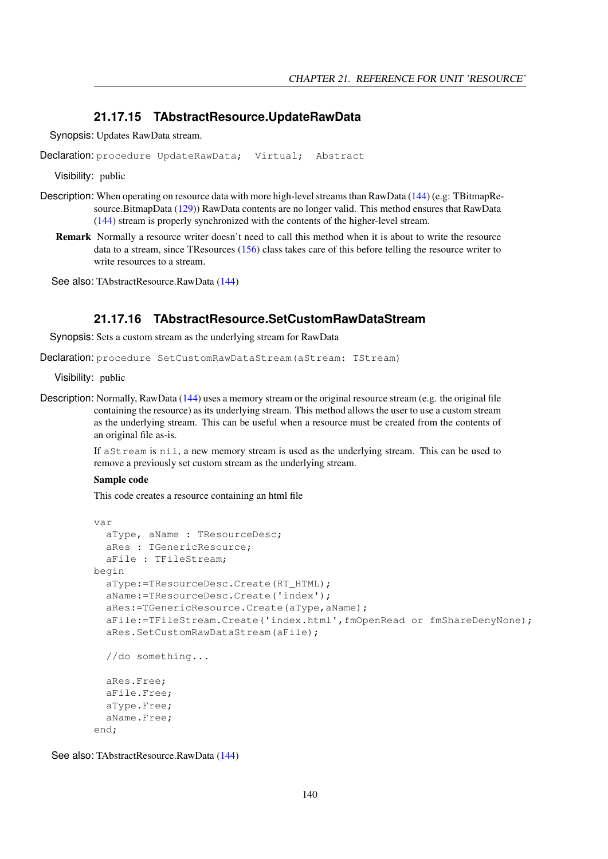#### <span id="page-140-1"></span>**21.17.15 TAbstractResource.UpdateRawData**

Synopsis: Updates RawData stream.

Declaration: procedure UpdateRawData; Virtual; Abstract

Visibility: public

- Description: When operating on resource data with more high-level streams than RawData [\(144\)](#page-144-0) (e.g: TBitmapResource.BitmapData [\(129\)](#page-129-0)) RawData contents are no longer valid. This method ensures that RawData [\(144\)](#page-144-0) stream is properly synchronized with the contents of the higher-level stream.
	- Remark Normally a resource writer doesn't need to call this method when it is about to write the resource data to a stream, since TResources [\(156\)](#page-156-0) class takes care of this before telling the resource writer to write resources to a stream.

See also: TAbstractResource.RawData [\(144\)](#page-144-0)

#### <span id="page-140-0"></span>**21.17.16 TAbstractResource.SetCustomRawDataStream**

Synopsis: Sets a custom stream as the underlying stream for RawData

Declaration: procedure SetCustomRawDataStream(aStream: TStream)

Visibility: public

Description: Normally, RawData [\(144\)](#page-144-0) uses a memory stream or the original resource stream (e.g. the original file containing the resource) as its underlying stream. This method allows the user to use a custom stream as the underlying stream. This can be useful when a resource must be created from the contents of an original file as-is.

> If aStream is nil, a new memory stream is used as the underlying stream. This can be used to remove a previously set custom stream as the underlying stream.

#### Sample code

This code creates a resource containing an html file

```
var
 aType, aName : TResourceDesc;
 aRes : TGenericResource;
 aFile : TFileStream;
begin
 aType:=TResourceDesc.Create(RT_HTML);
 aName:=TResourceDesc.Create('index');
 aRes:=TGenericResource.Create(aType,aName);
 aFile:=TFileStream.Create('index.html',fmOpenRead or fmShareDenyNone);
 aRes.SetCustomRawDataStream(aFile);
 //do something...
 aRes.Free;
 aFile.Free;
 aType.Free;
 aName.Free;
end;
```
See also: TAbstractResource.RawData [\(144\)](#page-144-0)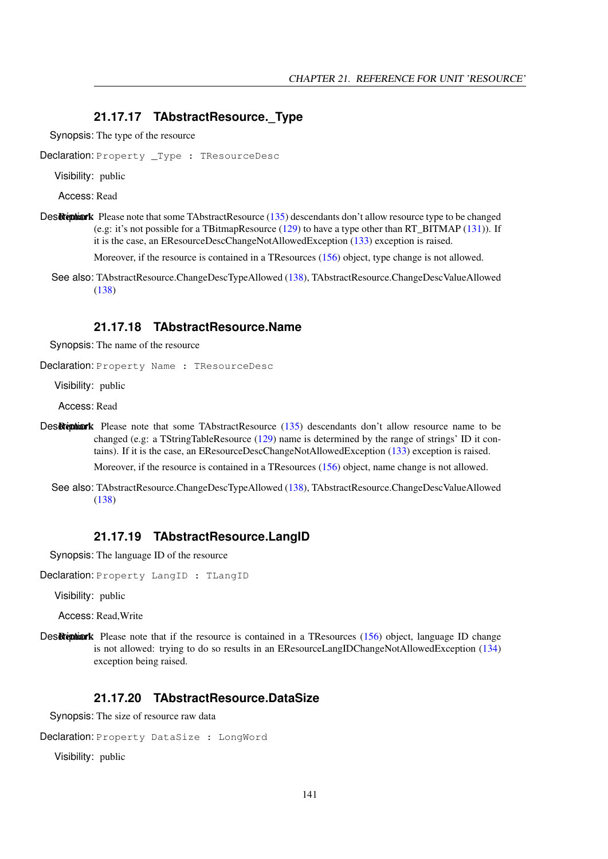#### <span id="page-141-0"></span>**21.17.17 TAbstractResource.\_Type**

Synopsis: The type of the resource

Declaration: Property \_Type : TResourceDesc

Visibility: public

Access: Read

Des Reption: Please note that some TAbstractResource [\(135\)](#page-135-0) descendants don't allow resource type to be changed (e.g: it's not possible for a TBitmapResource [\(129\)](#page-129-0) to have a type other than RT\_BITMAP [\(131\)](#page-130-0)). If it is the case, an EResourceDescChangeNotAllowedException [\(133\)](#page-133-0) exception is raised.

Moreover, if the resource is contained in a TResources [\(156\)](#page-156-0) object, type change is not allowed.

See also: TAbstractResource.ChangeDescTypeAllowed [\(138\)](#page-138-0), TAbstractResource.ChangeDescValueAllowed [\(138\)](#page-138-1)

#### <span id="page-141-1"></span>**21.17.18 TAbstractResource.Name**

Synopsis: The name of the resource

Declaration: Property Name : TResourceDesc

Visibility: public

Access: Read

Destription: Remark Please note that some TAbstractResource [\(135\)](#page-135-0) descendants don't allow resource name to be changed (e.g: a TStringTableResource [\(129\)](#page-129-0) name is determined by the range of strings' ID it contains). If it is the case, an EResourceDescChangeNotAllowedException [\(133\)](#page-133-0) exception is raised.

Moreover, if the resource is contained in a TResources [\(156\)](#page-156-0) object, name change is not allowed.

See also: TAbstractResource.ChangeDescTypeAllowed [\(138\)](#page-138-0), TAbstractResource.ChangeDescValueAllowed [\(138\)](#page-138-1)

#### <span id="page-141-2"></span>**21.17.19 TAbstractResource.LangID**

Synopsis: The language ID of the resource

Declaration: Property LangID : TLangID

Visibility: public

Access: Read,Write

Des Remark Please note that if the resource is contained in a TResources [\(156\)](#page-156-0) object, language ID change is not allowed: trying to do so results in an EResourceLangIDChangeNotAllowedException [\(134\)](#page-134-0) exception being raised.

## <span id="page-141-3"></span>**21.17.20 TAbstractResource.DataSize**

Synopsis: The size of resource raw data

Declaration: Property DataSize : LongWord

Visibility: public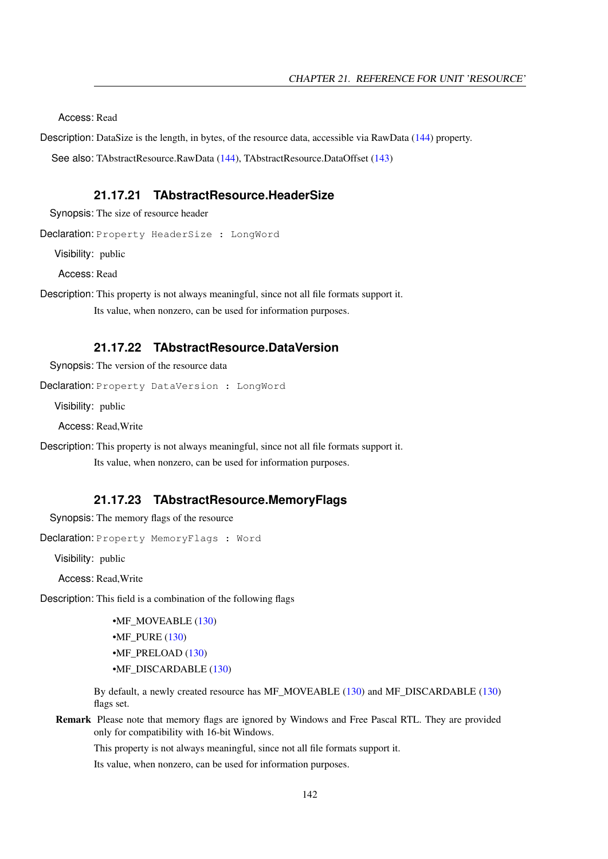Access: Read

Description: DataSize is the length, in bytes, of the resource data, accessible via RawData [\(144\)](#page-144-0) property.

See also: TAbstractResource.RawData [\(144\)](#page-144-0), TAbstractResource.DataOffset [\(143\)](#page-143-2)

#### <span id="page-142-1"></span>**21.17.21 TAbstractResource.HeaderSize**

Synopsis: The size of resource header

Declaration: Property HeaderSize : LongWord

Visibility: public

Access: Read

Description: This property is not always meaningful, since not all file formats support it. Its value, when nonzero, can be used for information purposes.

#### <span id="page-142-0"></span>**21.17.22 TAbstractResource.DataVersion**

Synopsis: The version of the resource data

Declaration: Property DataVersion : LongWord

Visibility: public

Access: Read,Write

Description: This property is not always meaningful, since not all file formats support it.

Its value, when nonzero, can be used for information purposes.

#### <span id="page-142-2"></span>**21.17.23 TAbstractResource.MemoryFlags**

Synopsis: The memory flags of the resource

Declaration: Property MemoryFlags : Word

Visibility: public

Access: Read,Write

Description: This field is a combination of the following flags

•MF\_MOVEABLE [\(130\)](#page-130-0) •MF\_PURE [\(130\)](#page-130-0) •MF\_PRELOAD [\(130\)](#page-130-0) •MF\_DISCARDABLE [\(130\)](#page-130-0)

By default, a newly created resource has MF\_MOVEABLE [\(130\)](#page-130-0) and MF\_DISCARDABLE [\(130\)](#page-130-0) flags set.

Remark Please note that memory flags are ignored by Windows and Free Pascal RTL. They are provided only for compatibility with 16-bit Windows.

This property is not always meaningful, since not all file formats support it.

Its value, when nonzero, can be used for information purposes.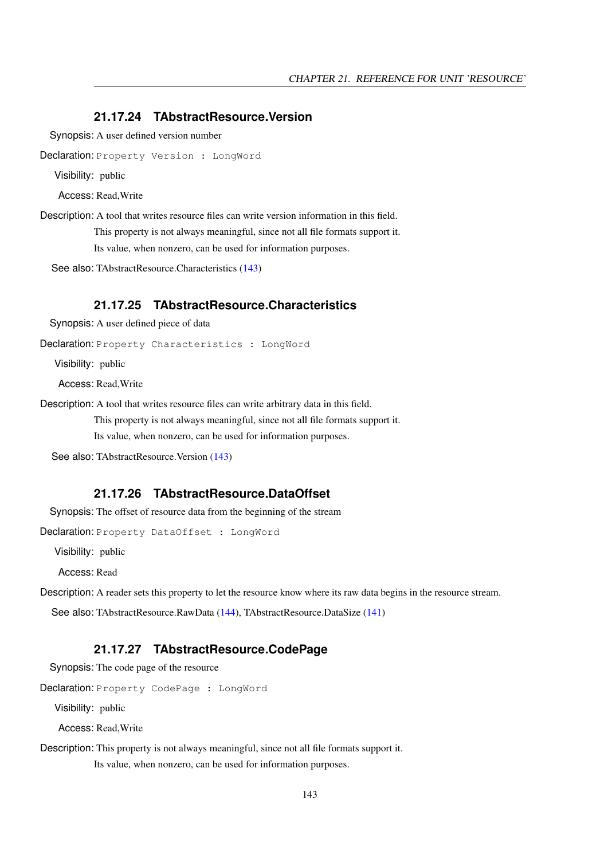#### <span id="page-143-3"></span>**21.17.24 TAbstractResource.Version**

Synopsis: A user defined version number

Declaration: Property Version : LongWord

Visibility: public

Access: Read,Write

Description: A tool that writes resource files can write version information in this field.

This property is not always meaningful, since not all file formats support it.

Its value, when nonzero, can be used for information purposes.

See also: TAbstractResource.Characteristics [\(143\)](#page-143-0)

#### <span id="page-143-0"></span>**21.17.25 TAbstractResource.Characteristics**

Synopsis: A user defined piece of data

Declaration: Property Characteristics : LongWord

Visibility: public

Access: Read,Write

Description: A tool that writes resource files can write arbitrary data in this field.

This property is not always meaningful, since not all file formats support it. Its value, when nonzero, can be used for information purposes.

See also: TAbstractResource.Version [\(143\)](#page-143-3)

#### <span id="page-143-2"></span>**21.17.26 TAbstractResource.DataOffset**

Synopsis: The offset of resource data from the beginning of the stream

Declaration: Property DataOffset : LongWord

Visibility: public

Access: Read

Description: A reader sets this property to let the resource know where its raw data begins in the resource stream.

See also: TAbstractResource.RawData [\(144\)](#page-144-0), TAbstractResource.DataSize [\(141\)](#page-141-3)

#### <span id="page-143-1"></span>**21.17.27 TAbstractResource.CodePage**

Synopsis: The code page of the resource

Declaration: Property CodePage : LongWord

Visibility: public

Access: Read,Write

Description: This property is not always meaningful, since not all file formats support it.

Its value, when nonzero, can be used for information purposes.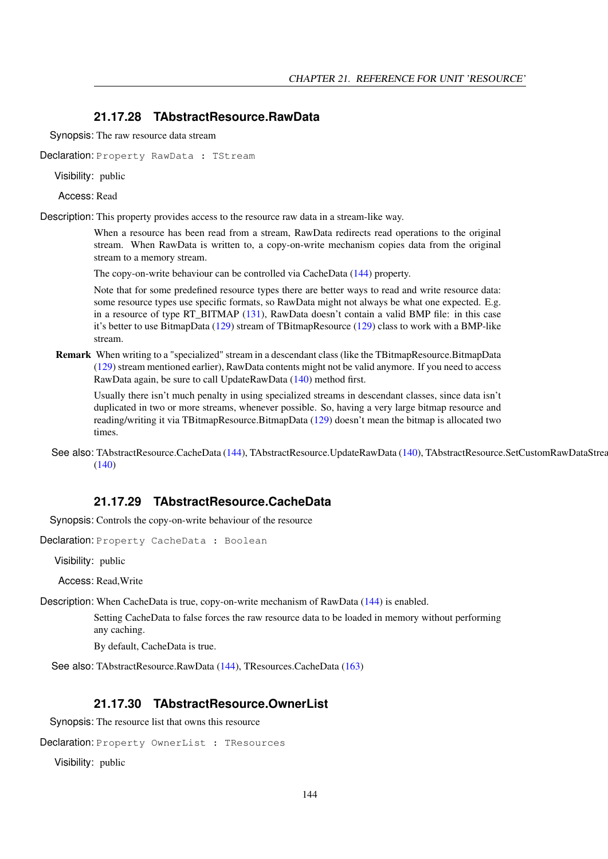#### <span id="page-144-1"></span>**21.17.28 TAbstractResource.RawData**

Synopsis: The raw resource data stream

Declaration: Property RawData : TStream

Visibility: public

Access: Read

Description: This property provides access to the resource raw data in a stream-like way.

When a resource has been read from a stream, RawData redirects read operations to the original stream. When RawData is written to, a copy-on-write mechanism copies data from the original stream to a memory stream.

The copy-on-write behaviour can be controlled via CacheData [\(144\)](#page-144-0) property.

Note that for some predefined resource types there are better ways to read and write resource data: some resource types use specific formats, so RawData might not always be what one expected. E.g. in a resource of type RT\_BITMAP [\(131\)](#page-130-0), RawData doesn't contain a valid BMP file: in this case it's better to use BitmapData [\(129\)](#page-129-0) stream of TBitmapResource [\(129\)](#page-129-0) class to work with a BMP-like stream.

Remark When writing to a "specialized" stream in a descendant class (like the TBitmapResource.BitmapData [\(129\)](#page-129-0) stream mentioned earlier), RawData contents might not be valid anymore. If you need to access RawData again, be sure to call UpdateRawData [\(140\)](#page-140-0) method first.

Usually there isn't much penalty in using specialized streams in descendant classes, since data isn't duplicated in two or more streams, whenever possible. So, having a very large bitmap resource and reading/writing it via TBitmapResource.BitmapData [\(129\)](#page-129-0) doesn't mean the bitmap is allocated two times.

See also: TAbstractResource.CacheData [\(144\)](#page-144-0), TAbstractResource.UpdateRawData [\(140\)](#page-140-0), TAbstractResource.SetCustomRawDataStrea  $(140)$ 

#### <span id="page-144-0"></span>**21.17.29 TAbstractResource.CacheData**

Synopsis: Controls the copy-on-write behaviour of the resource

Declaration: Property CacheData : Boolean

Visibility: public

Access: Read,Write

Description: When CacheData is true, copy-on-write mechanism of RawData [\(144\)](#page-144-1) is enabled.

Setting CacheData to false forces the raw resource data to be loaded in memory without performing any caching.

By default, CacheData is true.

See also: TAbstractResource.RawData [\(144\)](#page-144-1), TResources.CacheData [\(163\)](#page-163-0)

#### **21.17.30 TAbstractResource.OwnerList**

Synopsis: The resource list that owns this resource

Declaration: Property OwnerList : TResources

Visibility: public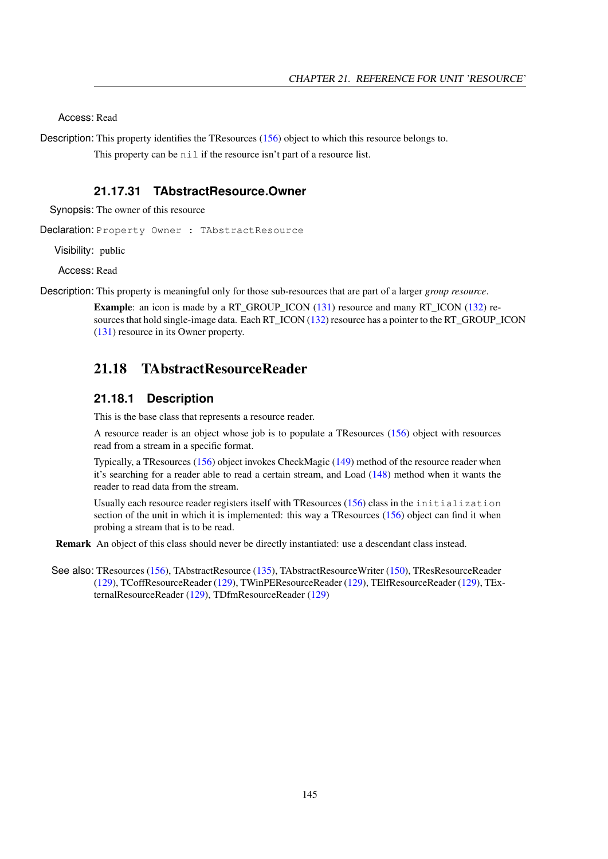Access: Read

Description: This property identifies the TResources [\(156\)](#page-156-0) object to which this resource belongs to.

This property can be nil if the resource isn't part of a resource list.

#### **21.17.31 TAbstractResource.Owner**

Synopsis: The owner of this resource

Declaration: Property Owner : TAbstractResource

Visibility: public

Access: Read

Description: This property is meaningful only for those sub-resources that are part of a larger *group resource*.

Example: an icon is made by a RT\_GROUP\_ICON [\(131\)](#page-130-0) resource and many RT\_ICON [\(132\)](#page-130-0) re-sources that hold single-image data. Each RT\_ICON [\(132\)](#page-130-0) resource has a pointer to the RT\_GROUP\_ICON [\(131\)](#page-130-0) resource in its Owner property.

## <span id="page-145-0"></span>21.18 TAbstractResourceReader

#### **21.18.1 Description**

This is the base class that represents a resource reader.

A resource reader is an object whose job is to populate a TResources [\(156\)](#page-156-0) object with resources read from a stream in a specific format.

Typically, a TResources [\(156\)](#page-156-0) object invokes CheckMagic [\(149\)](#page-149-0) method of the resource reader when it's searching for a reader able to read a certain stream, and Load [\(148\)](#page-148-0) method when it wants the reader to read data from the stream.

Usually each resource reader registers itself with TResources [\(156\)](#page-156-0) class in the initialization section of the unit in which it is implemented: this way a TResources [\(156\)](#page-156-0) object can find it when probing a stream that is to be read.

Remark An object of this class should never be directly instantiated: use a descendant class instead.

See also: TResources [\(156\)](#page-156-0), TAbstractResource [\(135\)](#page-135-0), TAbstractResourceWriter [\(150\)](#page-150-0), TResResourceReader [\(129\)](#page-129-0), TCoffResourceReader [\(129\)](#page-129-0), TWinPEResourceReader [\(129\)](#page-129-0), TElfResourceReader [\(129\)](#page-129-0), TExternalResourceReader [\(129\)](#page-129-0), TDfmResourceReader [\(129\)](#page-129-0)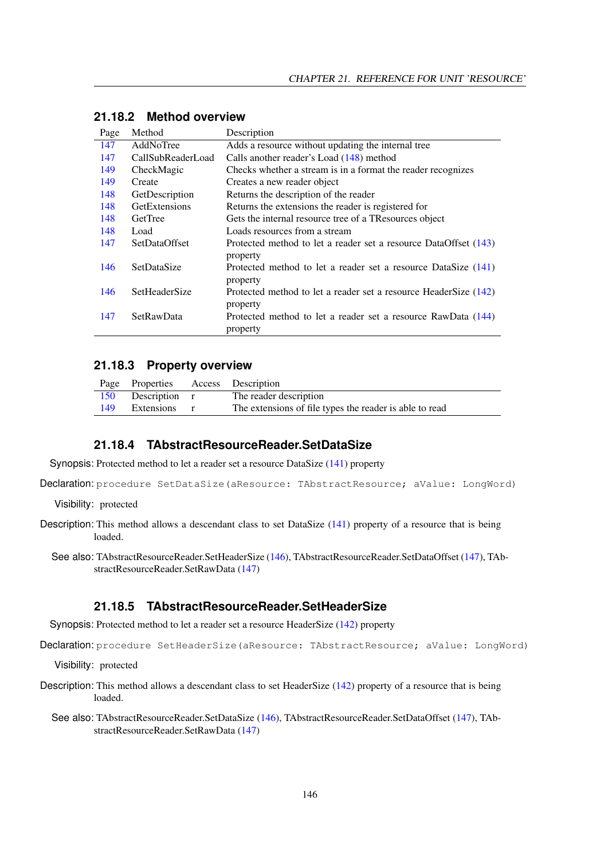| Page | Method               | Description                                                                  |
|------|----------------------|------------------------------------------------------------------------------|
| 147  | AddNoTree            | Adds a resource without updating the internal tree                           |
| 147  | CallSubReaderLoad    | Calls another reader's Load (148) method                                     |
| 149  | CheckMagic           | Checks whether a stream is in a format the reader recognizes                 |
| 149  | Create               | Creates a new reader object                                                  |
| 148  | GetDescription       | Returns the description of the reader                                        |
| 148  | GetExtensions        | Returns the extensions the reader is registered for                          |
| 148  | GetTree              | Gets the internal resource tree of a TResources object                       |
| 148  | Load                 | Loads resources from a stream                                                |
| 147  | <b>SetDataOffset</b> | Protected method to let a reader set a resource DataOffset (143)<br>property |
| 146  | SetDataSize          | Protected method to let a reader set a resource DataSize (141)<br>property   |
| 146  | <b>SetHeaderSize</b> | Protected method to let a reader set a resource HeaderSize (142)<br>property |
| 147  | SetRawData           | Protected method to let a reader set a resource RawData (144)<br>property    |

## **21.18.2 Method overview**

#### **21.18.3 Property overview**

|     | Page Properties Access Description |                                                         |
|-----|------------------------------------|---------------------------------------------------------|
|     | 150 Description r                  | The reader description                                  |
| 149 | Extensions r                       | The extensions of file types the reader is able to read |

#### <span id="page-146-0"></span>**21.18.4 TAbstractResourceReader.SetDataSize**

Synopsis: Protected method to let a reader set a resource DataSize [\(141\)](#page-141-0) property

Declaration: procedure SetDataSize(aResource: TAbstractResource; aValue: LongWord)

Visibility: protected

- Description: This method allows a descendant class to set DataSize [\(141\)](#page-141-0) property of a resource that is being loaded.
	- See also: TAbstractResourceReader.SetHeaderSize [\(146\)](#page-146-1), TAbstractResourceReader.SetDataOffset [\(147\)](#page-147-2), TAbstractResourceReader.SetRawData [\(147\)](#page-147-3)

#### <span id="page-146-1"></span>**21.18.5 TAbstractResourceReader.SetHeaderSize**

Synopsis: Protected method to let a reader set a resource HeaderSize [\(142\)](#page-142-0) property

Declaration: procedure SetHeaderSize(aResource: TAbstractResource; aValue: LongWord)

Visibility: protected

- Description: This method allows a descendant class to set HeaderSize [\(142\)](#page-142-0) property of a resource that is being loaded.
	- See also: TAbstractResourceReader.SetDataSize [\(146\)](#page-146-0), TAbstractResourceReader.SetDataOffset [\(147\)](#page-147-2), TAbstractResourceReader.SetRawData [\(147\)](#page-147-3)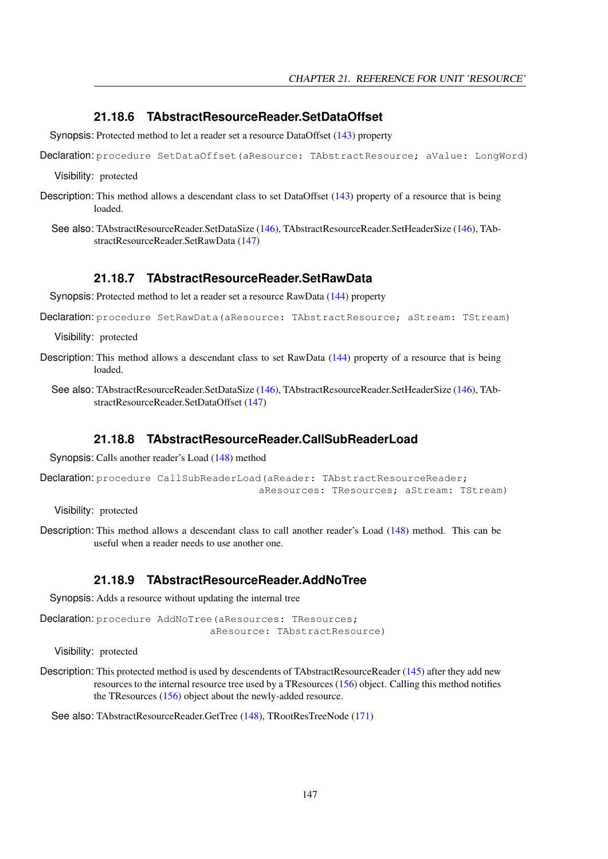#### <span id="page-147-2"></span>**21.18.6 TAbstractResourceReader.SetDataOffset**

Synopsis: Protected method to let a reader set a resource DataOffset [\(143\)](#page-143-0) property

Declaration: procedure SetDataOffset (aResource: TAbstractResource; aValue: LongWord)

Visibility: protected

- Description: This method allows a descendant class to set DataOffset [\(143\)](#page-143-0) property of a resource that is being loaded.
	- See also: TAbstractResourceReader.SetDataSize [\(146\)](#page-146-0), TAbstractResourceReader.SetHeaderSize [\(146\)](#page-146-1), TAbstractResourceReader.SetRawData [\(147\)](#page-147-3)

#### <span id="page-147-3"></span>**21.18.7 TAbstractResourceReader.SetRawData**

Synopsis: Protected method to let a reader set a resource RawData [\(144\)](#page-144-1) property

Declaration: procedure SetRawData (aResource: TAbstractResource; aStream: TStream)

Visibility: protected

- Description: This method allows a descendant class to set RawData [\(144\)](#page-144-1) property of a resource that is being loaded.
	- See also: TAbstractResourceReader.SetDataSize [\(146\)](#page-146-0), TAbstractResourceReader.SetHeaderSize [\(146\)](#page-146-1), TAbstractResourceReader.SetDataOffset [\(147\)](#page-147-2)

#### <span id="page-147-1"></span>**21.18.8 TAbstractResourceReader.CallSubReaderLoad**

Synopsis: Calls another reader's Load [\(148\)](#page-148-0) method

```
Declaration: procedure CallSubReaderLoad(aReader: TAbstractResourceReader;
                                     aResources: TResources; aStream: TStream)
```
Visibility: protected

Description: This method allows a descendant class to call another reader's Load [\(148\)](#page-148-0) method. This can be useful when a reader needs to use another one.

#### <span id="page-147-0"></span>**21.18.9 TAbstractResourceReader.AddNoTree**

Synopsis: Adds a resource without updating the internal tree

Declaration: procedure AddNoTree (aResources: TResources; aResource: TAbstractResource)

Visibility: protected

Description: This protected method is used by descendents of TAbstractResourceReader [\(145\)](#page-145-0) after they add new resources to the internal resource tree used by a TResources [\(156\)](#page-156-0) object. Calling this method notifies the TResources [\(156\)](#page-156-0) object about the newly-added resource.

See also: TAbstractResourceReader.GetTree [\(148\)](#page-148-3), TRootResTreeNode [\(171\)](#page-171-0)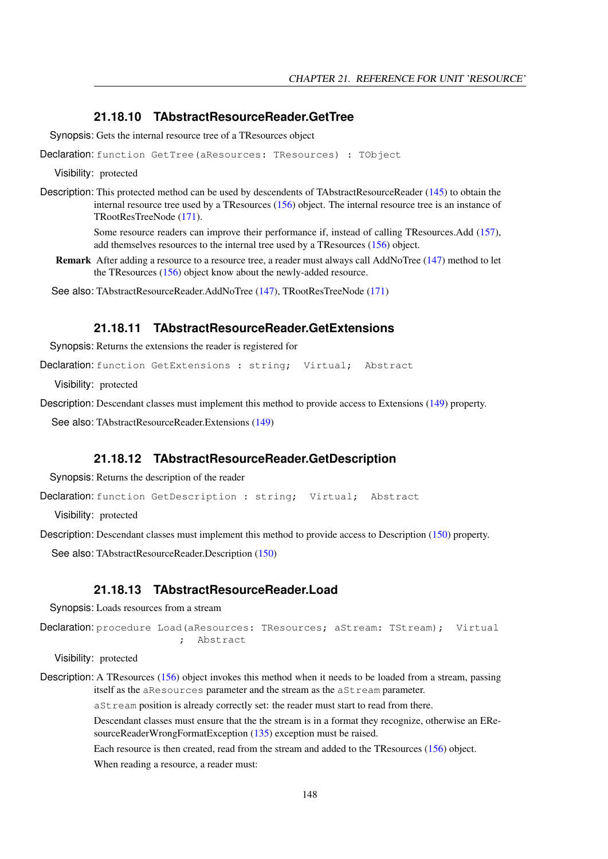#### <span id="page-148-3"></span>**21.18.10 TAbstractResourceReader.GetTree**

Synopsis: Gets the internal resource tree of a TResources object

Declaration: function GetTree(aResources: TResources) : TObject

Visibility: protected

Description: This protected method can be used by descendents of TAbstractResourceReader [\(145\)](#page-145-0) to obtain the internal resource tree used by a TResources [\(156\)](#page-156-0) object. The internal resource tree is an instance of TRootResTreeNode [\(171\)](#page-171-0).

> Some resource readers can improve their performance if, instead of calling TResources.Add [\(157\)](#page-157-0), add themselves resources to the internal tree used by a TResources [\(156\)](#page-156-0) object.

Remark After adding a resource to a resource tree, a reader must always call AddNoTree [\(147\)](#page-147-0) method to let the TResources [\(156\)](#page-156-0) object know about the newly-added resource.

See also: TAbstractResourceReader.AddNoTree [\(147\)](#page-147-0), TRootResTreeNode [\(171\)](#page-171-0)

#### <span id="page-148-2"></span>**21.18.11 TAbstractResourceReader.GetExtensions**

Synopsis: Returns the extensions the reader is registered for

Declaration: function GetExtensions : string; Virtual; Abstract

Visibility: protected

Description: Descendant classes must implement this method to provide access to Extensions [\(149\)](#page-149-2) property.

See also: TAbstractResourceReader.Extensions [\(149\)](#page-149-2)

#### <span id="page-148-1"></span>**21.18.12 TAbstractResourceReader.GetDescription**

Synopsis: Returns the description of the reader

Declaration: function GetDescription : string; Virtual; Abstract

Visibility: protected

Description: Descendant classes must implement this method to provide access to Description [\(150\)](#page-150-1) property.

See also: TAbstractResourceReader.Description [\(150\)](#page-150-1)

#### <span id="page-148-0"></span>**21.18.13 TAbstractResourceReader.Load**

Synopsis: Loads resources from a stream

```
Declaration: procedure Load (aResources: TResources; aStream: TStream); Virtual
                       ; Abstract
```
Visibility: protected

Description: A TResources [\(156\)](#page-156-0) object invokes this method when it needs to be loaded from a stream, passing itself as the aResources parameter and the stream as the aStream parameter.

aStream position is already correctly set: the reader must start to read from there.

Descendant classes must ensure that the the stream is in a format they recognize, otherwise an EResourceReaderWrongFormatException [\(135\)](#page-135-1) exception must be raised.

Each resource is then created, read from the stream and added to the TResources [\(156\)](#page-156-0) object.

When reading a resource, a reader must: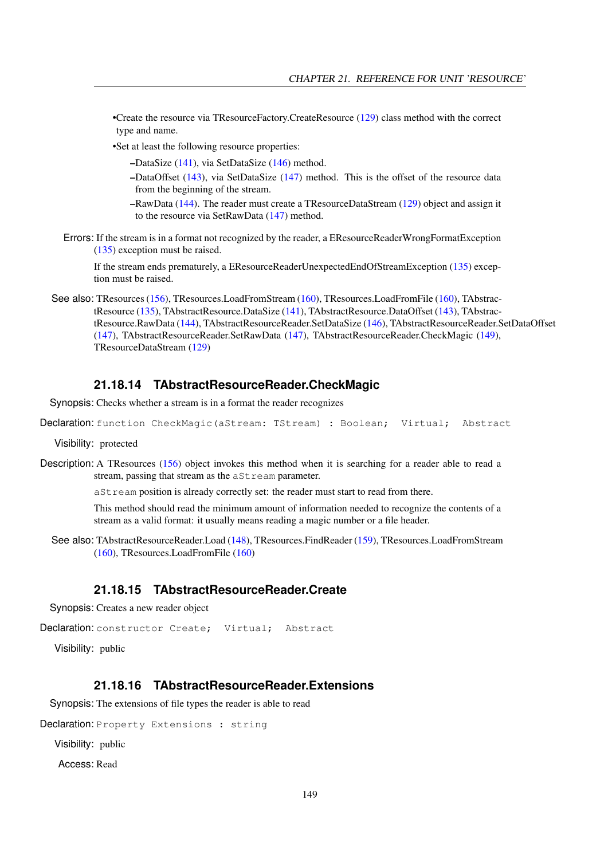•Create the resource via TResourceFactory.CreateResource [\(129\)](#page-129-0) class method with the correct type and name.

•Set at least the following resource properties:

- –DataSize [\(141\)](#page-141-0), via SetDataSize [\(146\)](#page-146-0) method.
- –DataOffset [\(143\)](#page-143-0), via SetDataSize [\(147\)](#page-147-2) method. This is the offset of the resource data from the beginning of the stream.
- –RawData [\(144\)](#page-144-1). The reader must create a TResourceDataStream [\(129\)](#page-129-0) object and assign it to the resource via SetRawData [\(147\)](#page-147-3) method.
- Errors: If the stream is in a format not recognized by the reader, a EResourceReaderWrongFormatException [\(135\)](#page-135-1) exception must be raised.

If the stream ends prematurely, a EResourceReaderUnexpectedEndOfStreamException [\(135\)](#page-135-2) exception must be raised.

See also: TResources [\(156\)](#page-156-0), TResources.LoadFromStream [\(160\)](#page-160-1), TResources.LoadFromFile (160), TAbstractResource [\(135\)](#page-135-0), TAbstractResource.DataSize [\(141\)](#page-141-0), TAbstractResource.DataOffset [\(143\)](#page-143-0), TAbstractResource.RawData [\(144\)](#page-144-1), TAbstractResourceReader.SetDataSize [\(146\)](#page-146-0), TAbstractResourceReader.SetDataOffset [\(147\)](#page-147-2), TAbstractResourceReader.SetRawData [\(147\)](#page-147-3), TAbstractResourceReader.CheckMagic [\(149\)](#page-149-0), TResourceDataStream [\(129\)](#page-129-0)

#### <span id="page-149-0"></span>**21.18.14 TAbstractResourceReader.CheckMagic**

Synopsis: Checks whether a stream is in a format the reader recognizes

```
Declaration: function CheckMagic (aStream: TStream) : Boolean; Virtual; Abstract
```
Visibility: protected

Description: A TResources [\(156\)](#page-156-0) object invokes this method when it is searching for a reader able to read a stream, passing that stream as the aSt ream parameter.

aStream position is already correctly set: the reader must start to read from there.

This method should read the minimum amount of information needed to recognize the contents of a stream as a valid format: it usually means reading a magic number or a file header.

See also: TAbstractResourceReader.Load [\(148\)](#page-148-0), TResources.FindReader [\(159\)](#page-159-0), TResources.LoadFromStream [\(160\)](#page-160-0), TResources.LoadFromFile [\(160\)](#page-160-1)

#### <span id="page-149-1"></span>**21.18.15 TAbstractResourceReader.Create**

Synopsis: Creates a new reader object

```
Declaration: constructor Create; Virtual; Abstract
```
Visibility: public

#### <span id="page-149-2"></span>**21.18.16 TAbstractResourceReader.Extensions**

Synopsis: The extensions of file types the reader is able to read

Declaration: Property Extensions : string

Visibility: public

Access: Read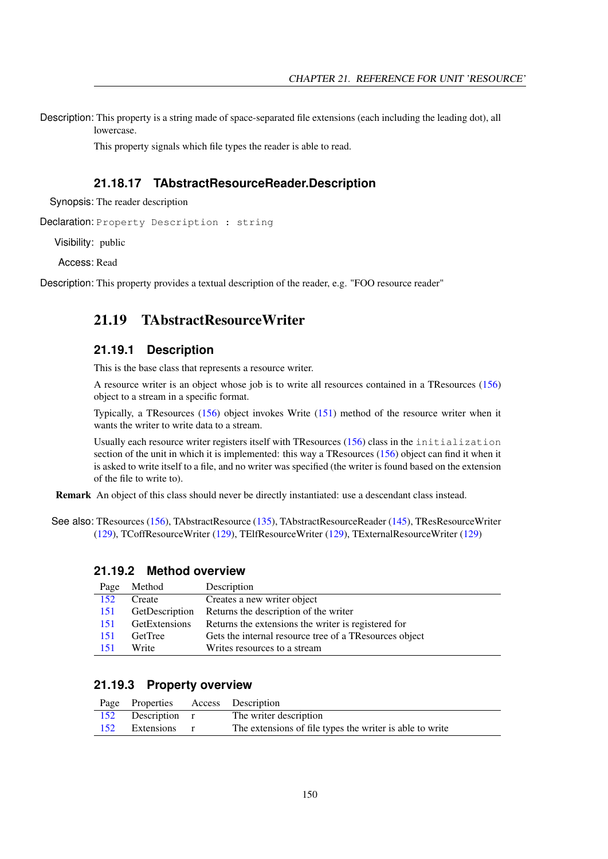Description: This property is a string made of space-separated file extensions (each including the leading dot), all lowercase.

This property signals which file types the reader is able to read.

#### <span id="page-150-1"></span>**21.18.17 TAbstractResourceReader.Description**

Synopsis: The reader description

Declaration: Property Description : string

Visibility: public

Access: Read

Description: This property provides a textual description of the reader, e.g. "FOO resource reader"

## <span id="page-150-0"></span>21.19 TAbstractResourceWriter

#### **21.19.1 Description**

This is the base class that represents a resource writer.

A resource writer is an object whose job is to write all resources contained in a TResources [\(156\)](#page-156-0) object to a stream in a specific format.

Typically, a TResources [\(156\)](#page-156-0) object invokes Write [\(151\)](#page-151-0) method of the resource writer when it wants the writer to write data to a stream.

Usually each resource writer registers itself with TResources [\(156\)](#page-156-0) class in the initialization section of the unit in which it is implemented: this way a TResources [\(156\)](#page-156-0) object can find it when it is asked to write itself to a file, and no writer was specified (the writer is found based on the extension of the file to write to).

Remark An object of this class should never be directly instantiated: use a descendant class instead.

See also: TResources [\(156\)](#page-156-0), TAbstractResource [\(135\)](#page-135-0), TAbstractResourceReader [\(145\)](#page-145-0), TResResourceWriter [\(129\)](#page-129-0), TCoffResourceWriter [\(129\)](#page-129-0), TElfResourceWriter [\(129\)](#page-129-0), TExternalResourceWriter [\(129\)](#page-129-0)

#### **21.19.2 Method overview**

| Page | Method         | Description                                            |
|------|----------------|--------------------------------------------------------|
| 152  | Create         | Creates a new writer object                            |
| 151  | GetDescription | Returns the description of the writer                  |
| 151  | GetExtensions  | Returns the extensions the writer is registered for    |
| 151  | <b>GetTree</b> | Gets the internal resource tree of a TResources object |
| 151  | Write          | Writes resources to a stream                           |

#### **21.19.3 Property overview**

|     | Page Properties Access Description |              |                                                          |
|-----|------------------------------------|--------------|----------------------------------------------------------|
|     | 152 Description r                  |              | The writer description                                   |
| 152 | Extensions                         | $\mathbf{r}$ | The extensions of file types the writer is able to write |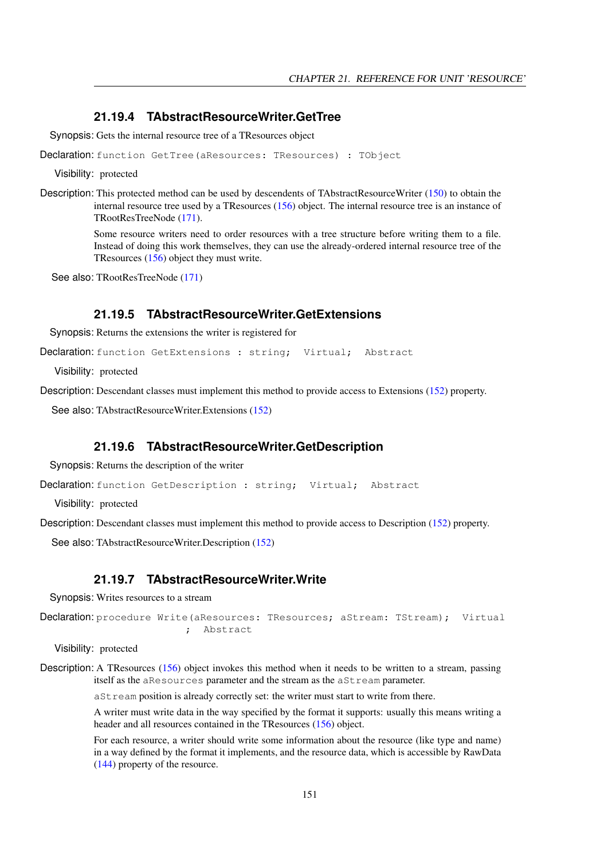#### <span id="page-151-3"></span>**21.19.4 TAbstractResourceWriter.GetTree**

Synopsis: Gets the internal resource tree of a TResources object

Declaration: function GetTree(aResources: TResources) : TObject

Visibility: protected

Description: This protected method can be used by descendents of TAbstractResourceWriter [\(150\)](#page-150-0) to obtain the internal resource tree used by a TResources [\(156\)](#page-156-0) object. The internal resource tree is an instance of TRootResTreeNode [\(171\)](#page-171-0).

> Some resource writers need to order resources with a tree structure before writing them to a file. Instead of doing this work themselves, they can use the already-ordered internal resource tree of the TResources [\(156\)](#page-156-0) object they must write.

See also: TRootResTreeNode [\(171\)](#page-171-0)

#### <span id="page-151-2"></span>**21.19.5 TAbstractResourceWriter.GetExtensions**

Synopsis: Returns the extensions the writer is registered for

Declaration: function GetExtensions : string; Virtual; Abstract

Visibility: protected

Description: Descendant classes must implement this method to provide access to Extensions [\(152\)](#page-152-2) property.

See also: TAbstractResourceWriter.Extensions [\(152\)](#page-152-2)

#### <span id="page-151-1"></span>**21.19.6 TAbstractResourceWriter.GetDescription**

Synopsis: Returns the description of the writer

Declaration: function GetDescription : string; Virtual; Abstract

Visibility: protected

Description: Descendant classes must implement this method to provide access to Description [\(152\)](#page-152-1) property.

See also: TAbstractResourceWriter.Description [\(152\)](#page-152-1)

#### <span id="page-151-0"></span>**21.19.7 TAbstractResourceWriter.Write**

Synopsis: Writes resources to a stream

```
Declaration: procedure Write(aResources: TResources; aStream: TStream); Virtual
                        ; Abstract
```
Visibility: protected

Description: A TResources [\(156\)](#page-156-0) object invokes this method when it needs to be written to a stream, passing itself as the aResources parameter and the stream as the aStream parameter.

aStream position is already correctly set: the writer must start to write from there.

A writer must write data in the way specified by the format it supports: usually this means writing a header and all resources contained in the TResources [\(156\)](#page-156-0) object.

For each resource, a writer should write some information about the resource (like type and name) in a way defined by the format it implements, and the resource data, which is accessible by RawData [\(144\)](#page-144-1) property of the resource.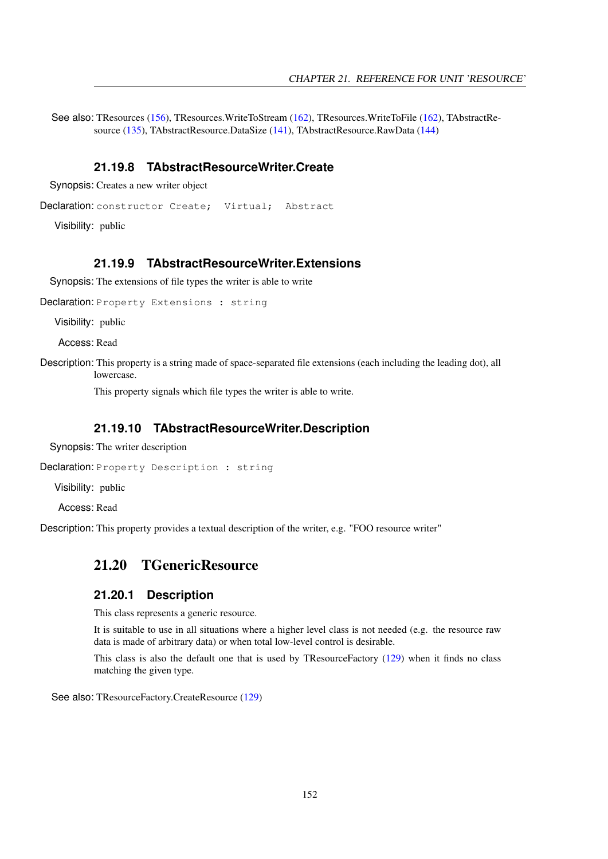See also: TResources [\(156\)](#page-156-0), TResources.WriteToStream [\(162\)](#page-162-0), TResources.WriteToFile [\(162\)](#page-162-1), TAbstractResource [\(135\)](#page-135-0), TAbstractResource.DataSize [\(141\)](#page-141-0), TAbstractResource.RawData [\(144\)](#page-144-1)

#### <span id="page-152-0"></span>**21.19.8 TAbstractResourceWriter.Create**

Synopsis: Creates a new writer object

Declaration: constructor Create; Virtual; Abstract

Visibility: public

## <span id="page-152-2"></span>**21.19.9 TAbstractResourceWriter.Extensions**

Synopsis: The extensions of file types the writer is able to write

Declaration: Property Extensions : string

Visibility: public

Access: Read

Description: This property is a string made of space-separated file extensions (each including the leading dot), all lowercase.

This property signals which file types the writer is able to write.

#### <span id="page-152-1"></span>**21.19.10 TAbstractResourceWriter.Description**

Synopsis: The writer description

Declaration: Property Description : string

Visibility: public

Access: Read

Description: This property provides a textual description of the writer, e.g. "FOO resource writer"

## 21.20 TGenericResource

#### **21.20.1 Description**

This class represents a generic resource.

It is suitable to use in all situations where a higher level class is not needed (e.g. the resource raw data is made of arbitrary data) or when total low-level control is desirable.

This class is also the default one that is used by TResourceFactory [\(129\)](#page-129-0) when it finds no class matching the given type.

See also: TResourceFactory.CreateResource [\(129\)](#page-129-0)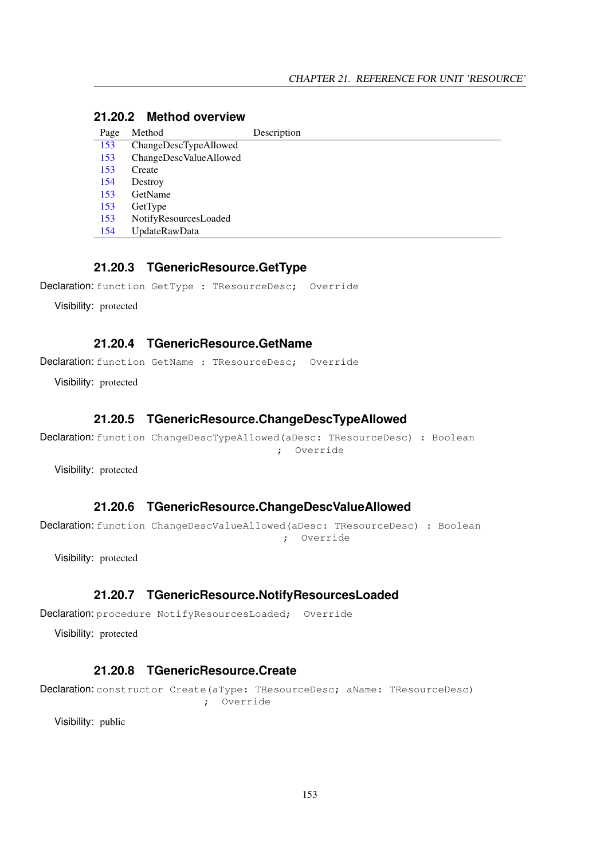#### **21.20.2 Method overview**

| Page | Method                 | Description |
|------|------------------------|-------------|
| 153  | ChangeDescTypeAllowed  |             |
| 153  | ChangeDescValueAllowed |             |
| 153  | Create                 |             |
| 154  | Destroy                |             |
| 153  | GetName                |             |
| 153  | GetType                |             |
| 153  | NotifyResourcesLoaded  |             |
| 154  | <b>UpdateRawData</b>   |             |

#### <span id="page-153-4"></span>**21.20.3 TGenericResource.GetType**

Declaration: function GetType : TResourceDesc; Override

Visibility: protected

#### <span id="page-153-3"></span>**21.20.4 TGenericResource.GetName**

Declaration: function GetName : TResourceDesc; Override

Visibility: protected

## <span id="page-153-0"></span>**21.20.5 TGenericResource.ChangeDescTypeAllowed**

Declaration: function ChangeDescTypeAllowed(aDesc: TResourceDesc) : Boolean ; Override

Visibility: protected

#### <span id="page-153-1"></span>**21.20.6 TGenericResource.ChangeDescValueAllowed**

Declaration: function ChangeDescValueAllowed(aDesc: TResourceDesc) : Boolean ; Override

Visibility: protected

#### <span id="page-153-5"></span>**21.20.7 TGenericResource.NotifyResourcesLoaded**

Declaration: procedure NotifyResourcesLoaded; Override

Visibility: protected

#### <span id="page-153-2"></span>**21.20.8 TGenericResource.Create**

Declaration: constructor Create(aType: TResourceDesc; aName: TResourceDesc) ; Override

Visibility: public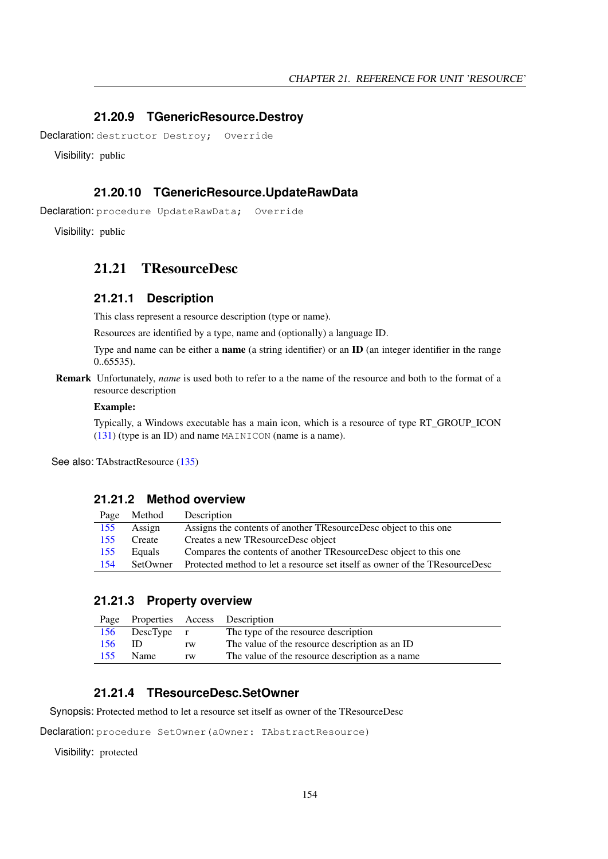#### <span id="page-154-0"></span>**21.20.9 TGenericResource.Destroy**

Declaration: destructor Destroy; Override

Visibility: public

#### <span id="page-154-1"></span>**21.20.10 TGenericResource.UpdateRawData**

Declaration: procedure UpdateRawData; Override

Visibility: public

#### 21.21 TResourceDesc

#### **21.21.1 Description**

This class represent a resource description (type or name).

Resources are identified by a type, name and (optionally) a language ID.

Type and name can be either a name (a string identifier) or an ID (an integer identifier in the range 0..65535).

Remark Unfortunately, *name* is used both to refer to a the name of the resource and both to the format of a resource description

#### Example:

Typically, a Windows executable has a main icon, which is a resource of type RT\_GROUP\_ICON [\(131\)](#page-130-0) (type is an ID) and name MAINICON (name is a name).

See also: TAbstractResource [\(135\)](#page-135-0)

#### **21.21.2 Method overview**

| Page | Method   | Description                                                                 |
|------|----------|-----------------------------------------------------------------------------|
| 155  | Assign   | Assigns the contents of another TResourceDesc object to this one            |
| 155  | Create   | Creates a new TResourceDesc object                                          |
| 155  | Equals   | Compares the contents of another TResourceDesc object to this one           |
| 154  | SetOwner | Protected method to let a resource set itself as owner of the TResourceDesc |

#### **21.21.3 Property overview**

|     |                |    | Page Properties Access Description               |
|-----|----------------|----|--------------------------------------------------|
|     | 156 DescType r |    | The type of the resource description             |
| 156 | -ID            | rw | The value of the resource description as an ID   |
| 155 | <b>Name</b>    | rw | The value of the resource description as a name. |

#### <span id="page-154-2"></span>**21.21.4 TResourceDesc.SetOwner**

Synopsis: Protected method to let a resource set itself as owner of the TResourceDesc

Declaration: procedure SetOwner(aOwner: TAbstractResource)

Visibility: protected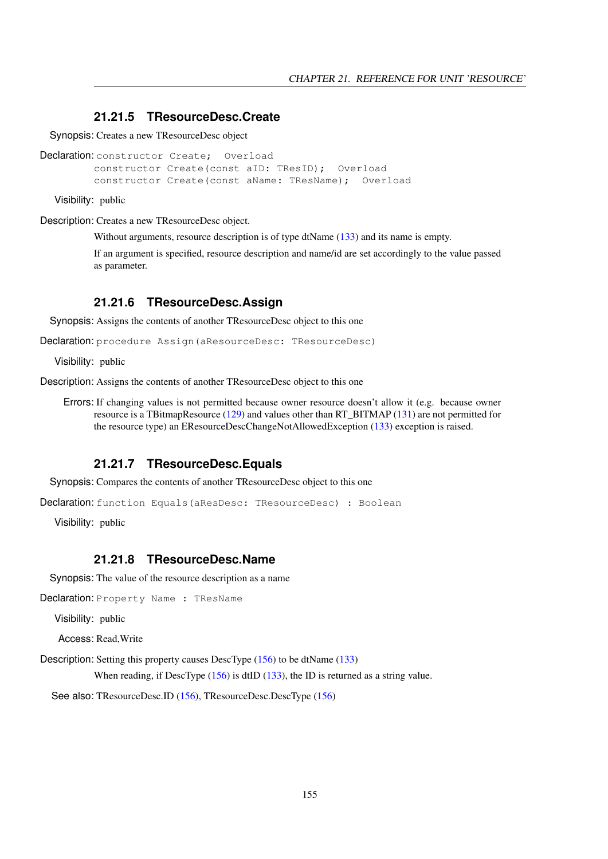#### <span id="page-155-1"></span>**21.21.5 TResourceDesc.Create**

Synopsis: Creates a new TResourceDesc object

```
Declaration: constructor Create; Overload
         constructor Create(const aID: TResID); Overload
         constructor Create(const aName: TResName); Overload
```
Visibility: public

Description: Creates a new TResourceDesc object.

Without arguments, resource description is of type dtName  $(133)$  and its name is empty.

If an argument is specified, resource description and name/id are set accordingly to the value passed as parameter.

#### <span id="page-155-0"></span>**21.21.6 TResourceDesc.Assign**

Synopsis: Assigns the contents of another TResourceDesc object to this one

Declaration: procedure Assign(aResourceDesc: TResourceDesc)

Visibility: public

Description: Assigns the contents of another TResourceDesc object to this one

Errors: If changing values is not permitted because owner resource doesn't allow it (e.g. because owner resource is a TBitmapResource [\(129\)](#page-129-0) and values other than RT\_BITMAP [\(131\)](#page-130-0) are not permitted for the resource type) an EResourceDescChangeNotAllowedException [\(133\)](#page-133-0) exception is raised.

#### <span id="page-155-2"></span>**21.21.7 TResourceDesc.Equals**

Synopsis: Compares the contents of another TResourceDesc object to this one

```
Declaration: function Equals(aResDesc: TResourceDesc) : Boolean
```
Visibility: public

#### <span id="page-155-3"></span>**21.21.8 TResourceDesc.Name**

Synopsis: The value of the resource description as a name

Declaration: Property Name : TResName

Visibility: public

Access: Read,Write

Description: Setting this property causes DescType [\(156\)](#page-156-1) to be dtName [\(133\)](#page-132-0)

When reading, if DescType [\(156\)](#page-156-1) is dtID [\(133\)](#page-132-0), the ID is returned as a string value.

See also: TResourceDesc.ID [\(156\)](#page-156-1), TResourceDesc.DescType (156)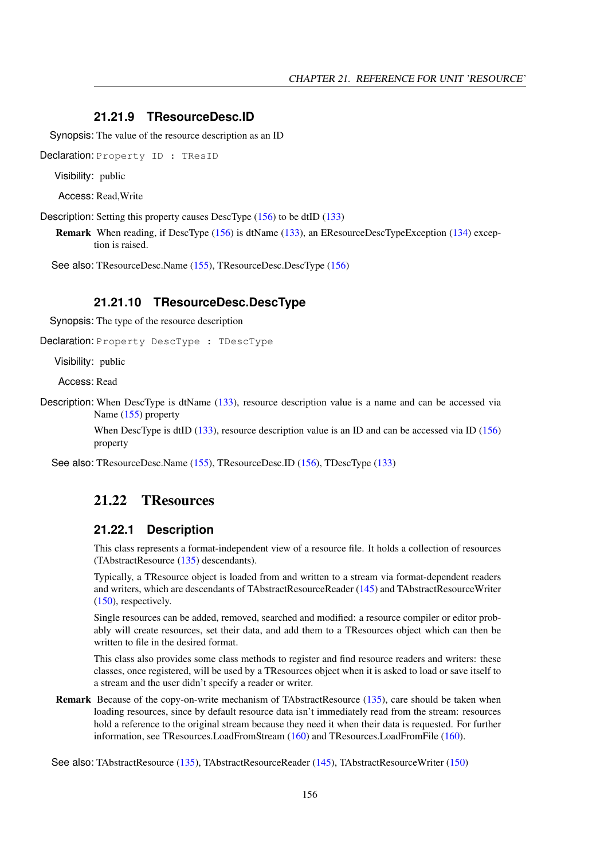#### <span id="page-156-2"></span>**21.21.9 TResourceDesc.ID**

Synopsis: The value of the resource description as an ID

Declaration: Property ID : TResID

Visibility: public

Access: Read,Write

Description: Setting this property causes DescType [\(156\)](#page-156-1) to be dtID [\(133\)](#page-132-0)

Remark When reading, if DescType [\(156\)](#page-156-1) is dtName [\(133\)](#page-132-0), an EResourceDescTypeException [\(134\)](#page-134-0) exception is raised.

See also: TResourceDesc.Name [\(155\)](#page-155-3), TResourceDesc.DescType [\(156\)](#page-156-1)

#### <span id="page-156-1"></span>**21.21.10 TResourceDesc.DescType**

Synopsis: The type of the resource description

Declaration: Property DescType : TDescType

Visibility: public

Access: Read

Description: When DescType is dtName [\(133\)](#page-132-0), resource description value is a name and can be accessed via Name [\(155\)](#page-155-3) property

> When DescType is dtID [\(133\)](#page-132-0), resource description value is an ID and can be accessed via ID [\(156\)](#page-156-2) property

See also: TResourceDesc.Name [\(155\)](#page-155-3), TResourceDesc.ID [\(156\)](#page-156-2), TDescType [\(133\)](#page-132-0)

## <span id="page-156-0"></span>21.22 TResources

#### **21.22.1 Description**

This class represents a format-independent view of a resource file. It holds a collection of resources (TAbstractResource [\(135\)](#page-135-0) descendants).

Typically, a TResource object is loaded from and written to a stream via format-dependent readers and writers, which are descendants of TAbstractResourceReader [\(145\)](#page-145-0) and TAbstractResourceWriter [\(150\)](#page-150-0), respectively.

Single resources can be added, removed, searched and modified: a resource compiler or editor probably will create resources, set their data, and add them to a TResources object which can then be written to file in the desired format.

This class also provides some class methods to register and find resource readers and writers: these classes, once registered, will be used by a TResources object when it is asked to load or save itself to a stream and the user didn't specify a reader or writer.

Remark Because of the copy-on-write mechanism of TAbstractResource [\(135\)](#page-135-0), care should be taken when loading resources, since by default resource data isn't immediately read from the stream: resources hold a reference to the original stream because they need it when their data is requested. For further information, see TResources.LoadFromStream [\(160\)](#page-160-0) and TResources.LoadFromFile [\(160\)](#page-160-1).

See also: TAbstractResource [\(135\)](#page-135-0), TAbstractResourceReader [\(145\)](#page-145-0), TAbstractResourceWriter [\(150\)](#page-150-0)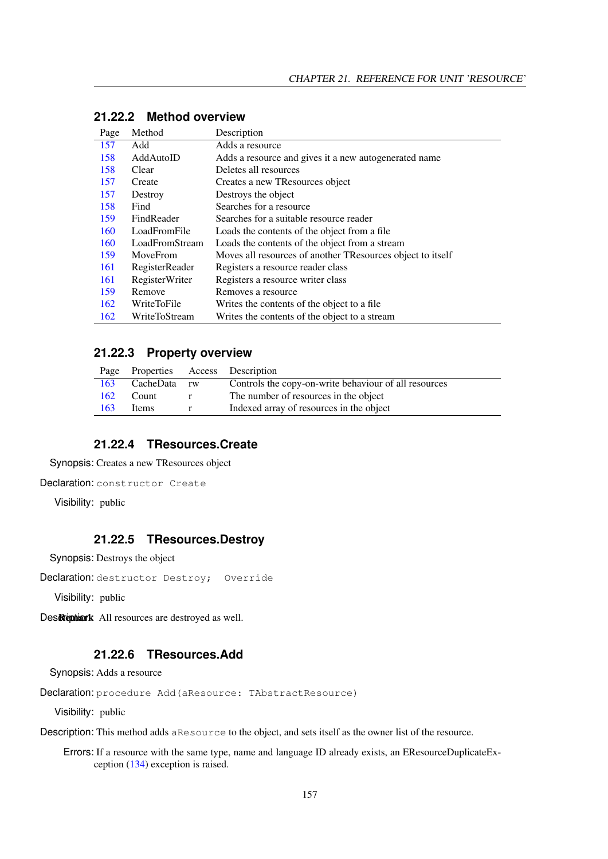| Page | Method                | Description                                                |
|------|-----------------------|------------------------------------------------------------|
| 157  | Add                   | Adds a resource                                            |
| 158  | AddAutoID             | Adds a resource and gives it a new autogenerated name      |
| 158  | Clear                 | Deletes all resources                                      |
| 157  | Create                | Creates a new TResources object                            |
| 157  | Destroy               | Destroys the object                                        |
| 158  | Find                  | Searches for a resource                                    |
| 159  | FindReader            | Searches for a suitable resource reader                    |
| 160  | LoadFromFile          | Loads the contents of the object from a file               |
| 160  | LoadFromStream        | Loads the contents of the object from a stream             |
| 159  | MoveFrom              | Moves all resources of another TResources object to itself |
| 161  | RegisterReader        | Registers a resource reader class                          |
| 161  | <b>RegisterWriter</b> | Registers a resource writer class                          |
| 159  | Remove                | Removes a resource                                         |
| 162  | WriteToFile           | Writes the contents of the object to a file.               |
| 162  | WriteToStream         | Writes the contents of the object to a stream              |

## **21.22.2 Method overview**

#### **21.22.3 Property overview**

|     | Page Properties Access Description |                                                       |
|-----|------------------------------------|-------------------------------------------------------|
| 163 | CacheData rw                       | Controls the copy-on-write behaviour of all resources |
| 162 | Count                              | The number of resources in the object                 |
| 163 | Items                              | Indexed array of resources in the object              |

#### <span id="page-157-1"></span>**21.22.4 TResources.Create**

Synopsis: Creates a new TResources object

```
Declaration: constructor Create
```
Visibility: public

#### <span id="page-157-2"></span>**21.22.5 TResources.Destroy**

Synopsis: Destroys the object

Declaration: destructor Destroy; Override

Visibility: public

Des Remark All resources are destroyed as well.

#### <span id="page-157-0"></span>**21.22.6 TResources.Add**

Synopsis: Adds a resource

Declaration: procedure Add (aResource: TAbstractResource)

Visibility: public

Description: This method adds aResource to the object, and sets itself as the owner list of the resource.

Errors: If a resource with the same type, name and language ID already exists, an EResourceDuplicateException [\(134\)](#page-134-1) exception is raised.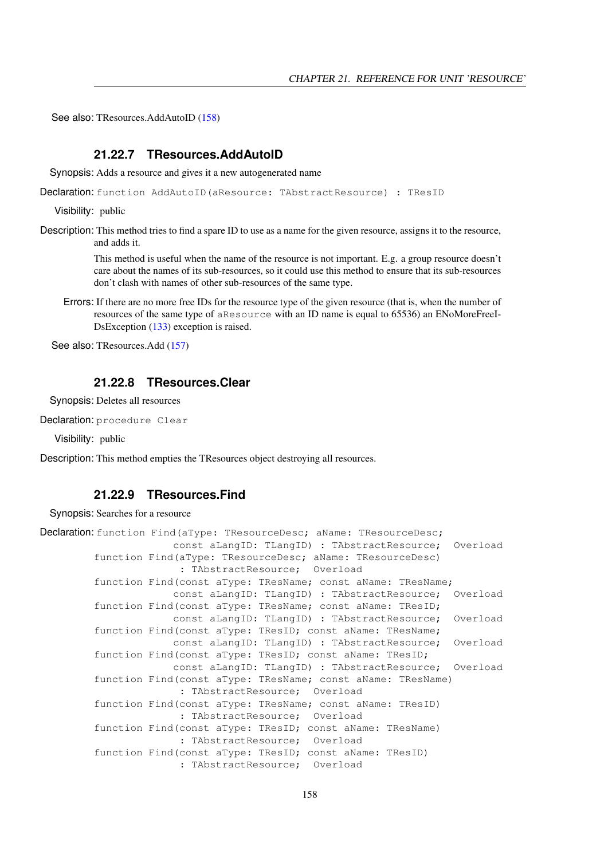See also: TResources.AddAutoID [\(158\)](#page-158-0)

#### <span id="page-158-0"></span>**21.22.7 TResources.AddAutoID**

Synopsis: Adds a resource and gives it a new autogenerated name

Declaration: function AddAutoID (aResource: TAbstractResource) : TResID

Visibility: public

Description: This method tries to find a spare ID to use as a name for the given resource, assigns it to the resource, and adds it.

> This method is useful when the name of the resource is not important. E.g. a group resource doesn't care about the names of its sub-resources, so it could use this method to ensure that its sub-resources don't clash with names of other sub-resources of the same type.

Errors: If there are no more free IDs for the resource type of the given resource (that is, when the number of resources of the same type of aResource with an ID name is equal to 65536) an ENoMoreFreeI-DsException [\(133\)](#page-133-1) exception is raised.

See also: TResources.Add [\(157\)](#page-157-0)

#### <span id="page-158-1"></span>**21.22.8 TResources.Clear**

Synopsis: Deletes all resources

Declaration: procedure Clear

Visibility: public

Description: This method empties the TResources object destroying all resources.

#### <span id="page-158-2"></span>**21.22.9 TResources.Find**

Synopsis: Searches for a resource

```
Declaration: function Find(aType: TResourceDesc; aName: TResourceDesc;
                      const aLangID: TLangID) : TAbstractResource; Overload
        function Find(aType: TResourceDesc; aName: TResourceDesc)
                       : TAbstractResource; Overload
        function Find(const aType: TResName; const aName: TResName;
                      const aLangID: TLangID) : TAbstractResource; Overload
        function Find(const aType: TResName; const aName: TResID;
                      const aLangID: TLangID) : TAbstractResource; Overload
        function Find(const aType: TResID; const aName: TResName;
                      const aLangID: TLangID) : TAbstractResource; Overload
        function Find(const aType: TResID; const aName: TResID;
                      const aLangID: TLangID) : TAbstractResource; Overload
        function Find(const aType: TResName; const aName: TResName)
                       : TAbstractResource; Overload
        function Find(const aType: TResName; const aName: TResID)
                       : TAbstractResource; Overload
        function Find(const aType: TResID; const aName: TResName)
                       : TAbstractResource; Overload
        function Find(const aType: TResID; const aName: TResID)
                       : TAbstractResource; Overload
```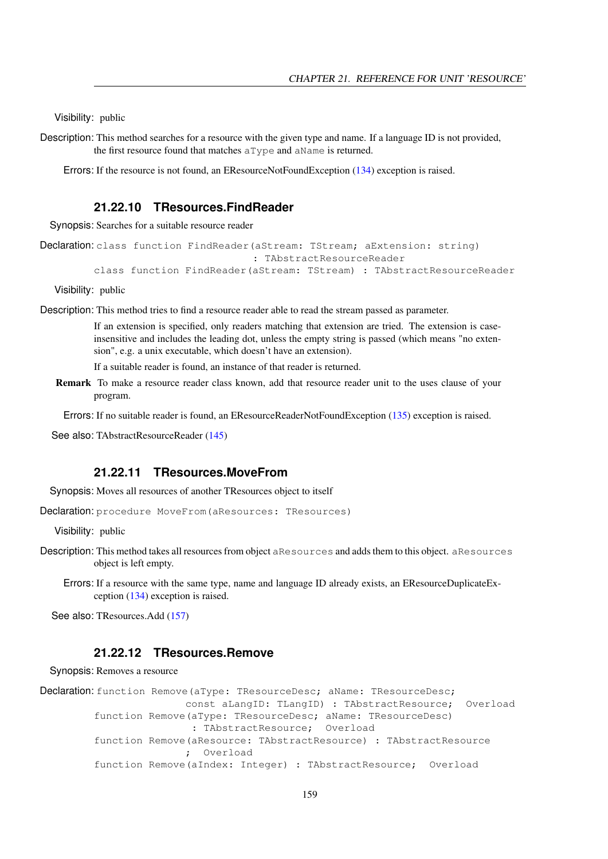Visibility: public

Description: This method searches for a resource with the given type and name. If a language ID is not provided, the first resource found that matches aType and aName is returned.

Errors: If the resource is not found, an EResourceNotFoundException [\(134\)](#page-134-2) exception is raised.

#### <span id="page-159-0"></span>**21.22.10 TResources.FindReader**

Synopsis: Searches for a suitable resource reader

```
Declaration: class function FindReader(aStream: TStream; aExtension: string)
                                    : TAbstractResourceReader
         class function FindReader(aStream: TStream) : TAbstractResourceReader
```
Visibility: public

Description: This method tries to find a resource reader able to read the stream passed as parameter.

If an extension is specified, only readers matching that extension are tried. The extension is caseinsensitive and includes the leading dot, unless the empty string is passed (which means "no extension", e.g. a unix executable, which doesn't have an extension).

If a suitable reader is found, an instance of that reader is returned.

Remark To make a resource reader class known, add that resource reader unit to the uses clause of your program.

Errors: If no suitable reader is found, an EResourceReaderNotFoundException [\(135\)](#page-135-3) exception is raised.

See also: TAbstractResourceReader [\(145\)](#page-145-0)

#### <span id="page-159-1"></span>**21.22.11 TResources.MoveFrom**

Synopsis: Moves all resources of another TResources object to itself

Declaration: procedure MoveFrom (aResources: TResources)

Visibility: public

- Description: This method takes all resources from object aResources and adds them to this object. aResources object is left empty.
	- Errors: If a resource with the same type, name and language ID already exists, an EResourceDuplicateException [\(134\)](#page-134-1) exception is raised.

See also: TResources.Add [\(157\)](#page-157-0)

#### <span id="page-159-2"></span>**21.22.12 TResources.Remove**

Synopsis: Removes a resource

```
Declaration: function Remove (aType: TResourceDesc; aName: TResourceDesc;
                        const aLangID: TLangID) : TAbstractResource; Overload
         function Remove(aType: TResourceDesc; aName: TResourceDesc)
                         : TAbstractResource; Overload
         function Remove(aResource: TAbstractResource) : TAbstractResource
                        ; Overload
         function Remove(aIndex: Integer) : TAbstractResource; Overload
```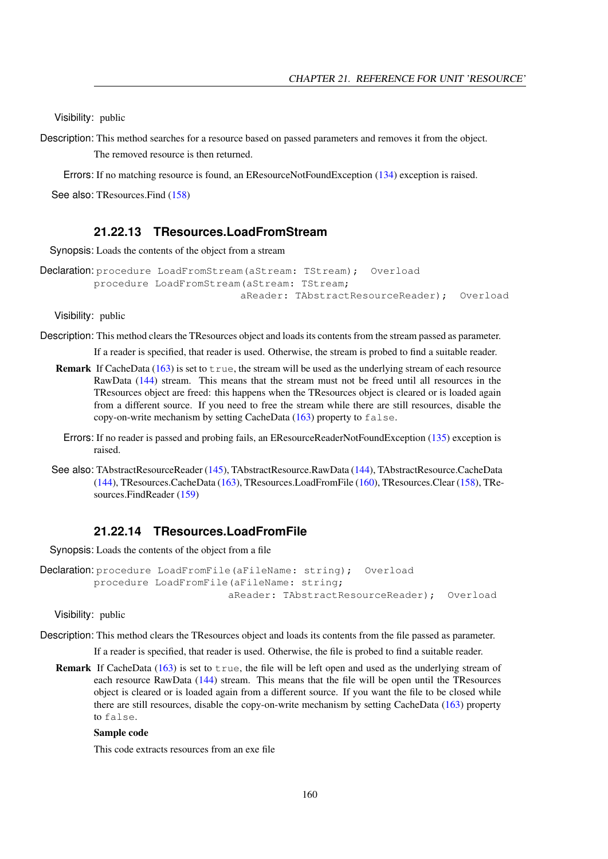Visibility: public

Description: This method searches for a resource based on passed parameters and removes it from the object. The removed resource is then returned.

Errors: If no matching resource is found, an EResourceNotFoundException [\(134\)](#page-134-2) exception is raised.

See also: TResources.Find [\(158\)](#page-158-2)

#### <span id="page-160-0"></span>**21.22.13 TResources.LoadFromStream**

Synopsis: Loads the contents of the object from a stream

```
Declaration: procedure LoadFromStream (aStream: TStream); Overload
         procedure LoadFromStream(aStream: TStream;
                                 aReader: TAbstractResourceReader); Overload
```
Visibility: public

Description: This method clears the TResources object and loads its contents from the stream passed as parameter.

If a reader is specified, that reader is used. Otherwise, the stream is probed to find a suitable reader.

- **Remark** If CacheData  $(163)$  is set to  $\tau$  rue, the stream will be used as the underlying stream of each resource RawData [\(144\)](#page-144-1) stream. This means that the stream must not be freed until all resources in the TResources object are freed: this happens when the TResources object is cleared or is loaded again from a different source. If you need to free the stream while there are still resources, disable the copy-on-write mechanism by setting CacheData  $(163)$  property to false.
	- Errors: If no reader is passed and probing fails, an EResourceReaderNotFoundException [\(135\)](#page-135-3) exception is raised.
- See also: TAbstractResourceReader [\(145\)](#page-145-0), TAbstractResource.RawData [\(144\)](#page-144-1), TAbstractResource.CacheData [\(144\)](#page-144-0), TResources.CacheData [\(163\)](#page-163-0), TResources.LoadFromFile [\(160\)](#page-160-1), TResources.Clear [\(158\)](#page-158-1), TResources.FindReader [\(159\)](#page-159-0)

#### <span id="page-160-1"></span>**21.22.14 TResources.LoadFromFile**

Synopsis: Loads the contents of the object from a file

```
Declaration: procedure LoadFromFile(aFileName: string); Overload
         procedure LoadFromFile(aFileName: string;
                               aReader: TAbstractResourceReader); Overload
```
Visibility: public

Description: This method clears the TResources object and loads its contents from the file passed as parameter.

If a reader is specified, that reader is used. Otherwise, the file is probed to find a suitable reader.

Remark If CacheData  $(163)$  is set to  $true$ , the file will be left open and used as the underlying stream of each resource RawData [\(144\)](#page-144-1) stream. This means that the file will be open until the TResources object is cleared or is loaded again from a different source. If you want the file to be closed while there are still resources, disable the copy-on-write mechanism by setting CacheData [\(163\)](#page-163-0) property to false.

#### Sample code

This code extracts resources from an exe file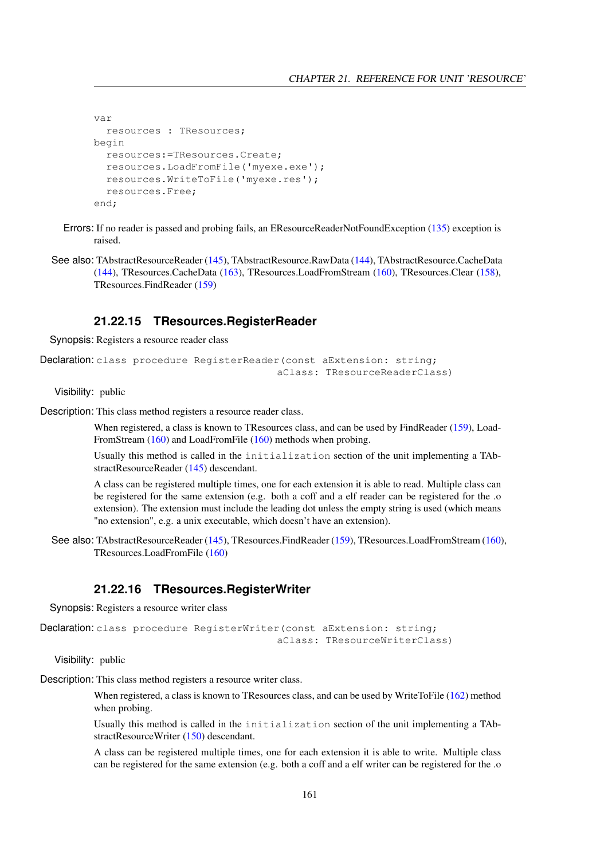```
var
 resources : TResources;
begin
 resources:=TResources.Create;
 resources.LoadFromFile('myexe.exe');
 resources.WriteToFile('myexe.res');
 resources.Free;
end;
```
- Errors: If no reader is passed and probing fails, an EResourceReaderNotFoundException [\(135\)](#page-135-3) exception is raised.
- See also: TAbstractResourceReader [\(145\)](#page-145-0), TAbstractResource.RawData [\(144\)](#page-144-1), TAbstractResource.CacheData [\(144\)](#page-144-0), TResources.CacheData [\(163\)](#page-163-0), TResources.LoadFromStream [\(160\)](#page-160-0), TResources.Clear [\(158\)](#page-158-1), TResources.FindReader [\(159\)](#page-159-0)

#### <span id="page-161-0"></span>**21.22.15 TResources.RegisterReader**

Synopsis: Registers a resource reader class

```
Declaration: class procedure RegisterReader(const aExtension: string;
                                        aClass: TResourceReaderClass)
```
Visibility: public

Description: This class method registers a resource reader class.

When registered, a class is known to TResources class, and can be used by FindReader [\(159\)](#page-159-0), Load-FromStream [\(160\)](#page-160-0) and LoadFromFile [\(160\)](#page-160-1) methods when probing.

Usually this method is called in the initialization section of the unit implementing a TAbstractResourceReader [\(145\)](#page-145-0) descendant.

A class can be registered multiple times, one for each extension it is able to read. Multiple class can be registered for the same extension (e.g. both a coff and a elf reader can be registered for the .o extension). The extension must include the leading dot unless the empty string is used (which means "no extension", e.g. a unix executable, which doesn't have an extension).

See also: TAbstractResourceReader [\(145\)](#page-145-0), TResources.FindReader [\(159\)](#page-159-0), TResources.LoadFromStream [\(160\)](#page-160-0), TResources.LoadFromFile [\(160\)](#page-160-1)

#### <span id="page-161-1"></span>**21.22.16 TResources.RegisterWriter**

Synopsis: Registers a resource writer class

```
Declaration: class procedure RegisterWriter(const aExtension: string;
                                        aClass: TResourceWriterClass)
```
Visibility: public

Description: This class method registers a resource writer class.

When registered, a class is known to TResources class, and can be used by WriteToFile [\(162\)](#page-162-1) method when probing.

Usually this method is called in the initialization section of the unit implementing a TAbstractResourceWriter [\(150\)](#page-150-0) descendant.

A class can be registered multiple times, one for each extension it is able to write. Multiple class can be registered for the same extension (e.g. both a coff and a elf writer can be registered for the .o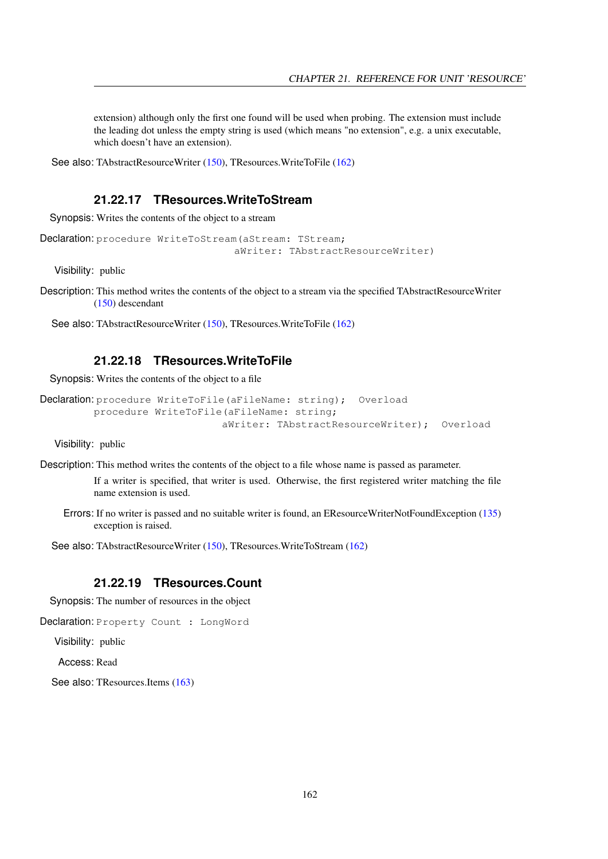extension) although only the first one found will be used when probing. The extension must include the leading dot unless the empty string is used (which means "no extension", e.g. a unix executable, which doesn't have an extension).

See also: TAbstractResourceWriter [\(150\)](#page-150-0), TResources.WriteToFile [\(162\)](#page-162-1)

#### <span id="page-162-0"></span>**21.22.17 TResources.WriteToStream**

Synopsis: Writes the contents of the object to a stream

```
Declaration: procedure WriteToStream (aStream: TStream;
                                  aWriter: TAbstractResourceWriter)
```
Visibility: public

Description: This method writes the contents of the object to a stream via the specified TAbstractResourceWriter [\(150\)](#page-150-0) descendant

See also: TAbstractResourceWriter [\(150\)](#page-150-0), TResources.WriteToFile [\(162\)](#page-162-1)

#### <span id="page-162-1"></span>**21.22.18 TResources.WriteToFile**

Synopsis: Writes the contents of the object to a file

```
Declaration: procedure WriteToFile(aFileName: string); Overload
         procedure WriteToFile(aFileName: string;
                              aWriter: TAbstractResourceWriter); Overload
```
Visibility: public

Description: This method writes the contents of the object to a file whose name is passed as parameter.

If a writer is specified, that writer is used. Otherwise, the first registered writer matching the file name extension is used.

Errors: If no writer is passed and no suitable writer is found, an EResourceWriterNotFoundException [\(135\)](#page-135-4) exception is raised.

See also: TAbstractResourceWriter [\(150\)](#page-150-0), TResources.WriteToStream [\(162\)](#page-162-0)

#### <span id="page-162-2"></span>**21.22.19 TResources.Count**

Synopsis: The number of resources in the object

```
Declaration: Property Count : LongWord
```
Visibility: public

Access: Read

See also: TResources.Items [\(163\)](#page-163-1)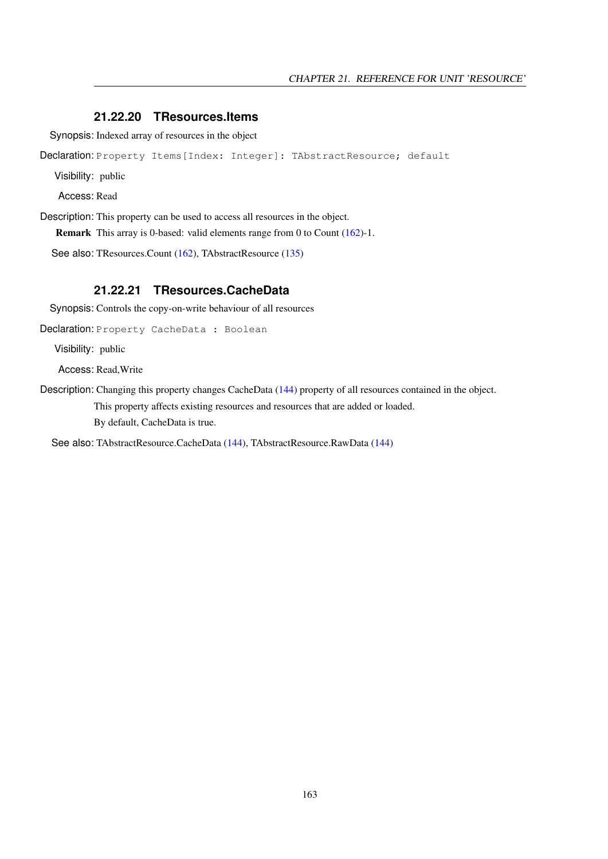#### <span id="page-163-1"></span>**21.22.20 TResources.Items**

Synopsis: Indexed array of resources in the object

Declaration: Property Items [Index: Integer]: TAbstractResource; default

Visibility: public

Access: Read

Description: This property can be used to access all resources in the object.

Remark This array is 0-based: valid elements range from 0 to Count [\(162\)](#page-162-2)-1.

See also: TResources.Count [\(162\)](#page-162-2), TAbstractResource [\(135\)](#page-135-0)

#### <span id="page-163-0"></span>**21.22.21 TResources.CacheData**

Synopsis: Controls the copy-on-write behaviour of all resources

Declaration: Property CacheData : Boolean

Visibility: public

Access: Read,Write

Description: Changing this property changes CacheData [\(144\)](#page-144-0) property of all resources contained in the object.

This property affects existing resources and resources that are added or loaded.

By default, CacheData is true.

See also: TAbstractResource.CacheData [\(144\)](#page-144-0), TAbstractResource.RawData [\(144\)](#page-144-1)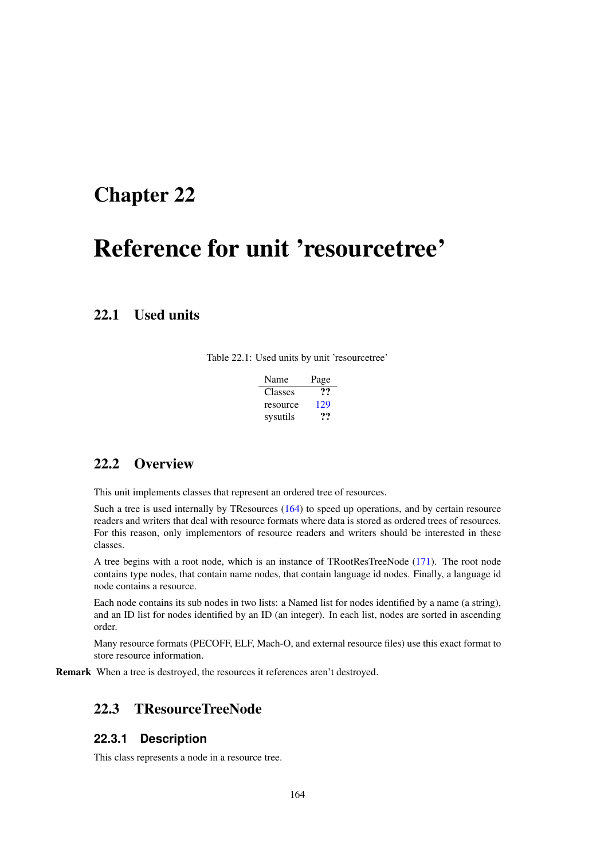## <span id="page-164-0"></span>Chapter 22

# Reference for unit 'resourcetree'

## 22.1 Used units

Table 22.1: Used units by unit 'resourcetree'

| Name     | Page |
|----------|------|
| Classes  | ??   |
| resource | 129  |
| sysutils | 77   |

## 22.2 Overview

This unit implements classes that represent an ordered tree of resources.

Such a tree is used internally by TResources [\(164\)](#page-164-0) to speed up operations, and by certain resource readers and writers that deal with resource formats where data is stored as ordered trees of resources. For this reason, only implementors of resource readers and writers should be interested in these classes.

A tree begins with a root node, which is an instance of TRootResTreeNode [\(171\)](#page-171-0). The root node contains type nodes, that contain name nodes, that contain language id nodes. Finally, a language id node contains a resource.

Each node contains its sub nodes in two lists: a Named list for nodes identified by a name (a string), and an ID list for nodes identified by an ID (an integer). In each list, nodes are sorted in ascending order.

Many resource formats (PECOFF, ELF, Mach-O, and external resource files) use this exact format to store resource information.

Remark When a tree is destroyed, the resources it references aren't destroyed.

## <span id="page-164-1"></span>22.3 TResourceTreeNode

#### **22.3.1 Description**

This class represents a node in a resource tree.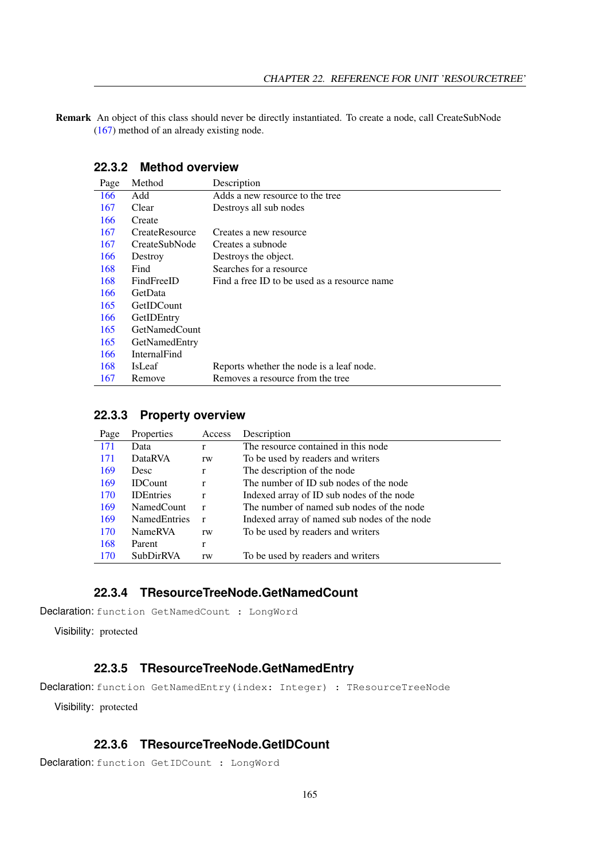Remark An object of this class should never be directly instantiated. To create a node, call CreateSubNode [\(167\)](#page-167-0) method of an already existing node.

|  |  | 22.3.2 Method overview |
|--|--|------------------------|
|--|--|------------------------|

| Page | Method                | Description                                  |
|------|-----------------------|----------------------------------------------|
| 166  | Add                   | Adds a new resource to the tree              |
| 167  | Clear                 | Destroys all sub nodes                       |
| 166  | Create                |                                              |
| 167  | <b>CreateResource</b> | Creates a new resource                       |
| 167  | CreateSubNode         | Creates a subnode                            |
| 166  | Destroy               | Destroys the object.                         |
| 168  | Find                  | Searches for a resource                      |
| 168  | FindFreeID            | Find a free ID to be used as a resource name |
| 166  | GetData               |                                              |
| 165  | GetIDCount            |                                              |
| 166  | GetIDEntry            |                                              |
| 165  | GetNamedCount         |                                              |
| 165  | GetNamedEntry         |                                              |
| 166  | InternalFind          |                                              |
| 168  | <b>IsLeaf</b>         | Reports whether the node is a leaf node.     |
| 167  | Remove                | Removes a resource from the tree             |

#### **22.3.3 Property overview**

| Page | Properties          | Access       | Description                                  |
|------|---------------------|--------------|----------------------------------------------|
| 171  | Data                | r            | The resource contained in this node          |
| 171  | <b>DataRVA</b>      | rw           | To be used by readers and writers            |
| 169  | <b>Desc</b>         | r            | The description of the node                  |
| 169  | <b>IDCount</b>      | r            | The number of ID sub nodes of the node       |
| 170  | <b>IDEntries</b>    | r            | Indexed array of ID sub nodes of the node    |
| 169  | NamedCount          | $\mathbf{r}$ | The number of named sub nodes of the node    |
| 169  | <b>NamedEntries</b> | $\mathbf{r}$ | Indexed array of named sub nodes of the node |
| 170  | <b>NameRVA</b>      | rw           | To be used by readers and writers            |
| 168  | Parent              | r            |                                              |
| 170  | SubDirRVA           | rw           | To be used by readers and writers            |

#### <span id="page-165-1"></span>**22.3.4 TResourceTreeNode.GetNamedCount**

Declaration: function GetNamedCount : LongWord

Visibility: protected

## <span id="page-165-2"></span>**22.3.5 TResourceTreeNode.GetNamedEntry**

Declaration: function GetNamedEntry(index: Integer) : TResourceTreeNode

Visibility: protected

## <span id="page-165-0"></span>**22.3.6 TResourceTreeNode.GetIDCount**

Declaration: function GetIDCount : LongWord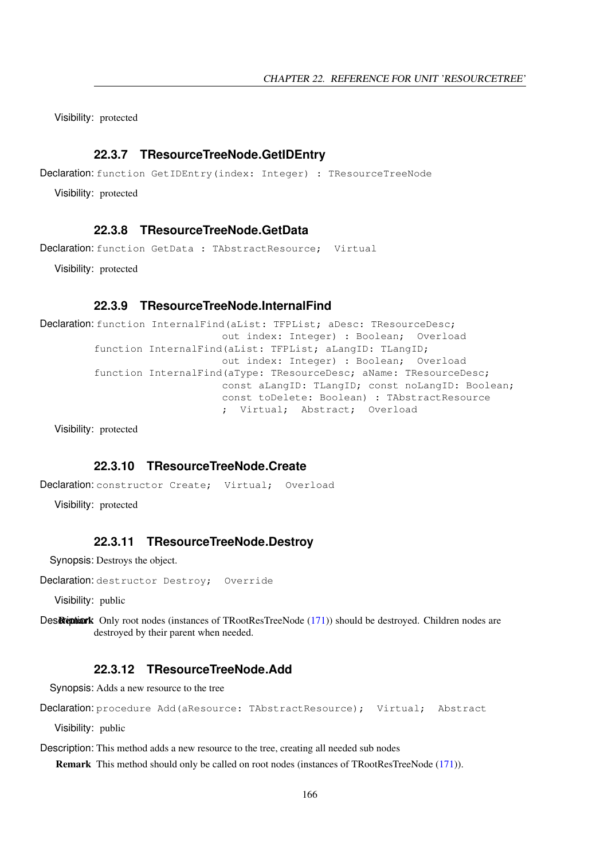Visibility: protected

#### <span id="page-166-4"></span>**22.3.7 TResourceTreeNode.GetIDEntry**

Declaration: function GetIDEntry(index: Integer) : TResourceTreeNode

Visibility: protected

#### <span id="page-166-3"></span>**22.3.8 TResourceTreeNode.GetData**

Declaration: function GetData : TAbstractResource: Virtual

Visibility: protected

#### <span id="page-166-5"></span>**22.3.9 TResourceTreeNode.InternalFind**

Declaration: function InternalFind(aList: TFPList; aDesc: TResourceDesc; out index: Integer) : Boolean; Overload function InternalFind(aList: TFPList; aLangID: TLangID; out index: Integer) : Boolean; Overload function InternalFind(aType: TResourceDesc; aName: TResourceDesc; const aLangID: TLangID; const noLangID: Boolean; const toDelete: Boolean) : TAbstractResource ; Virtual; Abstract; Overload

Visibility: protected

#### <span id="page-166-1"></span>**22.3.10 TResourceTreeNode.Create**

```
Declaration: constructor Create; Virtual; Overload
```
Visibility: protected

#### <span id="page-166-2"></span>**22.3.11 TResourceTreeNode.Destroy**

Synopsis: Destroys the object.

Declaration: destructor Destroy; Override

Visibility: public

Des Remark Only root nodes (instances of TRootResTreeNode [\(171\)](#page-171-0)) should be destroyed. Children nodes are destroyed by their parent when needed.

#### <span id="page-166-0"></span>**22.3.12 TResourceTreeNode.Add**

Synopsis: Adds a new resource to the tree

```
Declaration: procedure Add (aResource: TAbstractResource); Virtual; Abstract
```
Visibility: public

Description: This method adds a new resource to the tree, creating all needed sub nodes

Remark This method should only be called on root nodes (instances of TRootResTreeNode [\(171\)](#page-171-0)).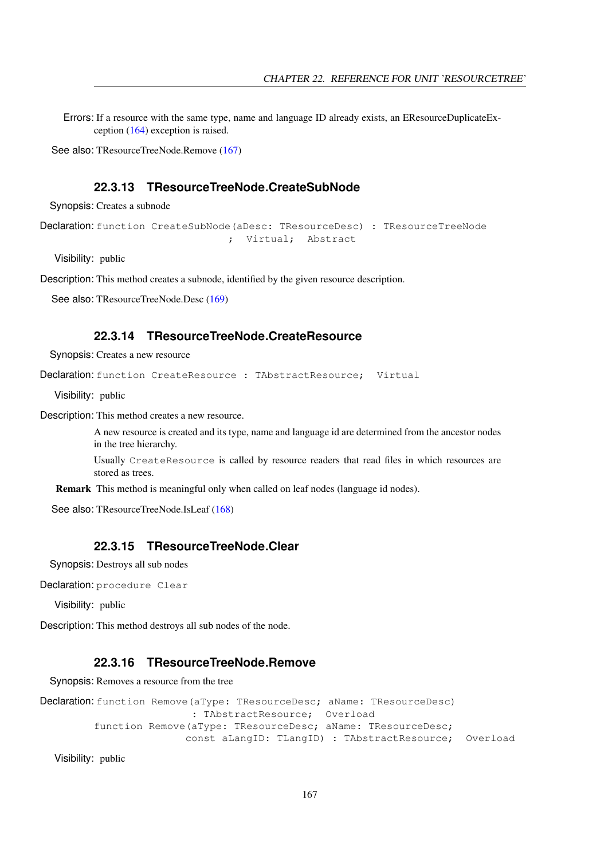Errors: If a resource with the same type, name and language ID already exists, an EResourceDuplicateException [\(164\)](#page-164-0) exception is raised.

See also: TResourceTreeNode.Remove [\(167\)](#page-167-3)

#### <span id="page-167-0"></span>**22.3.13 TResourceTreeNode.CreateSubNode**

Synopsis: Creates a subnode

```
Declaration: function CreateSubNode (aDesc: TResourceDesc) : TResourceTreeNode
                               ; Virtual; Abstract
```
Visibility: public

Description: This method creates a subnode, identified by the given resource description.

See also: TResourceTreeNode.Desc [\(169\)](#page-169-0)

#### <span id="page-167-2"></span>**22.3.14 TResourceTreeNode.CreateResource**

Synopsis: Creates a new resource

Declaration: function CreateResource : TAbstractResource; Virtual

Visibility: public

Description: This method creates a new resource.

A new resource is created and its type, name and language id are determined from the ancestor nodes in the tree hierarchy.

Usually CreateResource is called by resource readers that read files in which resources are stored as trees.

Remark This method is meaningful only when called on leaf nodes (language id nodes).

See also: TResourceTreeNode.IsLeaf [\(168\)](#page-168-2)

#### <span id="page-167-1"></span>**22.3.15 TResourceTreeNode.Clear**

Synopsis: Destroys all sub nodes

Declaration: procedure Clear

Visibility: public

Description: This method destroys all sub nodes of the node.

#### <span id="page-167-3"></span>**22.3.16 TResourceTreeNode.Remove**

Synopsis: Removes a resource from the tree

```
Declaration: function Remove (aType: TResourceDesc; aName: TResourceDesc)
                         : TAbstractResource; Overload
         function Remove(aType: TResourceDesc; aName: TResourceDesc;
                        const aLangID: TLangID) : TAbstractResource; Overload
```
Visibility: public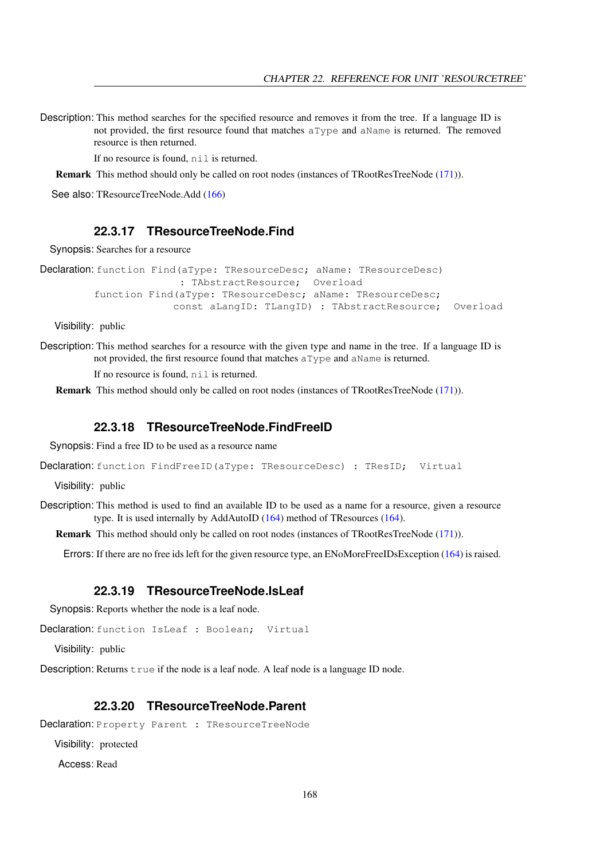Description: This method searches for the specified resource and removes it from the tree. If a language ID is not provided, the first resource found that matches aType and aName is returned. The removed resource is then returned.

If no resource is found,  $n \in I$  is returned.

Remark This method should only be called on root nodes (instances of TRootResTreeNode [\(171\)](#page-171-0)).

See also: TResourceTreeNode.Add [\(166\)](#page-166-0)

#### <span id="page-168-0"></span>**22.3.17 TResourceTreeNode.Find**

Synopsis: Searches for a resource

```
Declaration: function Find(aType: TResourceDesc; aName: TResourceDesc)
                       : TAbstractResource; Overload
         function Find(aType: TResourceDesc; aName: TResourceDesc;
                      const aLangID: TLangID) : TAbstractResource; Overload
```
Visibility: public

Description: This method searches for a resource with the given type and name in the tree. If a language ID is not provided, the first resource found that matches aType and aName is returned.

If no resource is found,  $n \in I$  is returned.

Remark This method should only be called on root nodes (instances of TRootResTreeNode [\(171\)](#page-171-0)).

#### <span id="page-168-1"></span>**22.3.18 TResourceTreeNode.FindFreeID**

Synopsis: Find a free ID to be used as a resource name

Declaration: function FindFreeID (aType: TResourceDesc) : TResID; Virtual

Visibility: public

Description: This method is used to find an available ID to be used as a name for a resource, given a resource type. It is used internally by AddAutoID [\(164\)](#page-164-0) method of TResources (164).

Remark This method should only be called on root nodes (instances of TRootResTreeNode [\(171\)](#page-171-0)).

Errors: If there are no free ids left for the given resource type, an ENoMoreFreeIDsException [\(164\)](#page-164-0) is raised.

#### <span id="page-168-2"></span>**22.3.19 TResourceTreeNode.IsLeaf**

Synopsis: Reports whether the node is a leaf node.

Declaration: function IsLeaf : Boolean; Virtual

Visibility: public

Description: Returns  $true$  if the node is a leaf node. A leaf node is a language ID node.

#### <span id="page-168-3"></span>**22.3.20 TResourceTreeNode.Parent**

Declaration: Property Parent : TResourceTreeNode

Visibility: protected

Access: Read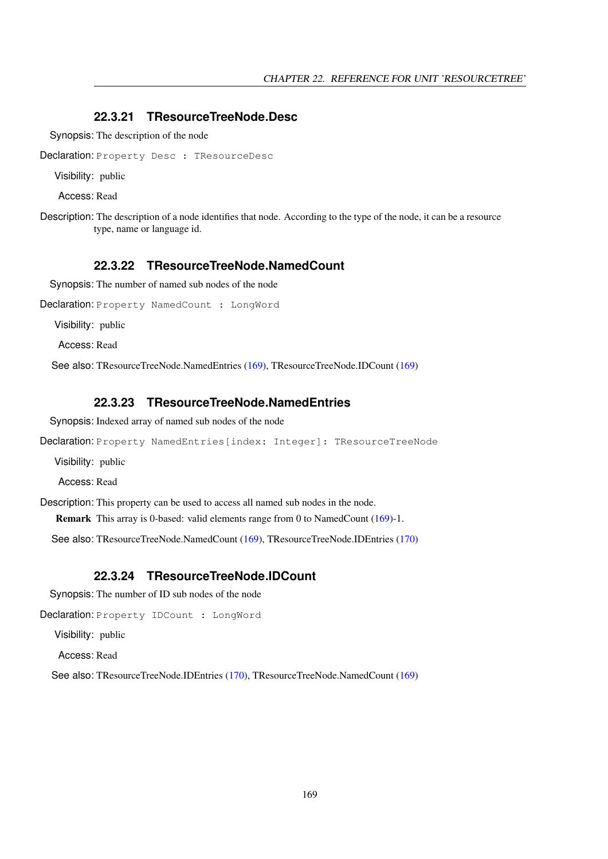#### <span id="page-169-0"></span>**22.3.21 TResourceTreeNode.Desc**

Synopsis: The description of the node

Declaration: Property Desc : TResourceDesc

Visibility: public

Access: Read

Description: The description of a node identifies that node. According to the type of the node, it can be a resource type, name or language id.

#### <span id="page-169-2"></span>**22.3.22 TResourceTreeNode.NamedCount**

Synopsis: The number of named sub nodes of the node

Declaration: Property NamedCount : LongWord

Visibility: public

Access: Read

See also: TResourceTreeNode.NamedEntries [\(169\)](#page-169-3), TResourceTreeNode.IDCount [\(169\)](#page-169-1)

#### <span id="page-169-3"></span>**22.3.23 TResourceTreeNode.NamedEntries**

Synopsis: Indexed array of named sub nodes of the node

Declaration: Property NamedEntries[index: Integer]: TResourceTreeNode

Visibility: public

Access: Read

Description: This property can be used to access all named sub nodes in the node.

Remark This array is 0-based: valid elements range from 0 to NamedCount [\(169\)](#page-169-2)-1.

See also: TResourceTreeNode.NamedCount [\(169\)](#page-169-2), TResourceTreeNode.IDEntries [\(170\)](#page-170-0)

#### <span id="page-169-1"></span>**22.3.24 TResourceTreeNode.IDCount**

Synopsis: The number of ID sub nodes of the node

Declaration: Property IDCount : LongWord

Visibility: public

Access: Read

See also: TResourceTreeNode.IDEntries [\(170\)](#page-170-0), TResourceTreeNode.NamedCount [\(169\)](#page-169-2)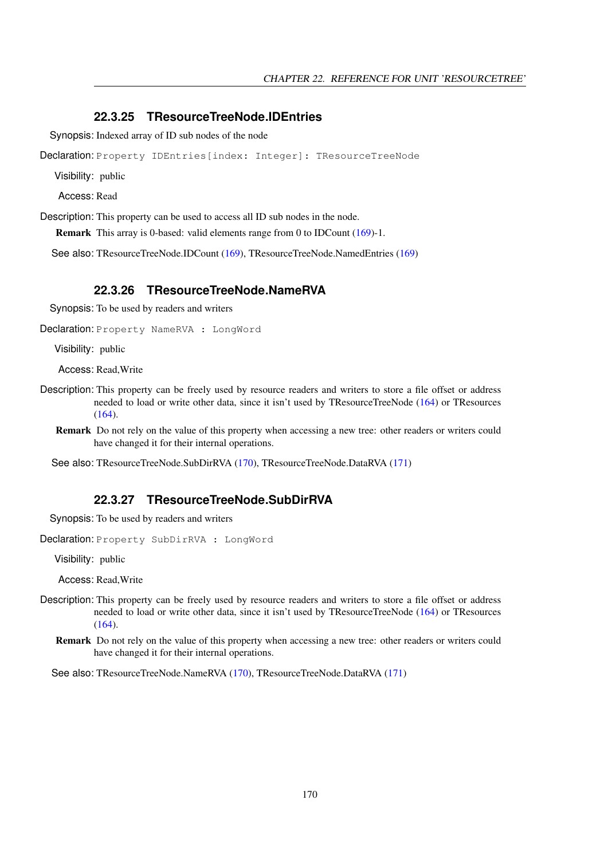#### <span id="page-170-0"></span>**22.3.25 TResourceTreeNode.IDEntries**

Synopsis: Indexed array of ID sub nodes of the node

Declaration: Property IDEntries[index: Integer]: TResourceTreeNode

Visibility: public

Access: Read

Description: This property can be used to access all ID sub nodes in the node.

Remark This array is 0-based: valid elements range from 0 to IDCount [\(169\)](#page-169-1)-1.

See also: TResourceTreeNode.IDCount [\(169\)](#page-169-1), TResourceTreeNode.NamedEntries [\(169\)](#page-169-3)

#### <span id="page-170-1"></span>**22.3.26 TResourceTreeNode.NameRVA**

Synopsis: To be used by readers and writers

Declaration: Property NameRVA : LongWord

Visibility: public

Access: Read,Write

- Description: This property can be freely used by resource readers and writers to store a file offset or address needed to load or write other data, since it isn't used by TResourceTreeNode [\(164\)](#page-164-1) or TResources [\(164\)](#page-164-0).
	- Remark Do not rely on the value of this property when accessing a new tree: other readers or writers could have changed it for their internal operations.

See also: TResourceTreeNode.SubDirRVA [\(170\)](#page-170-2), TResourceTreeNode.DataRVA [\(171\)](#page-171-2)

#### <span id="page-170-2"></span>**22.3.27 TResourceTreeNode.SubDirRVA**

Synopsis: To be used by readers and writers

Declaration: Property SubDirRVA : LongWord

Visibility: public

Access: Read,Write

- Description: This property can be freely used by resource readers and writers to store a file offset or address needed to load or write other data, since it isn't used by TResourceTreeNode [\(164\)](#page-164-1) or TResources [\(164\)](#page-164-0).
	- Remark Do not rely on the value of this property when accessing a new tree: other readers or writers could have changed it for their internal operations.

See also: TResourceTreeNode.NameRVA [\(170\)](#page-170-1), TResourceTreeNode.DataRVA [\(171\)](#page-171-2)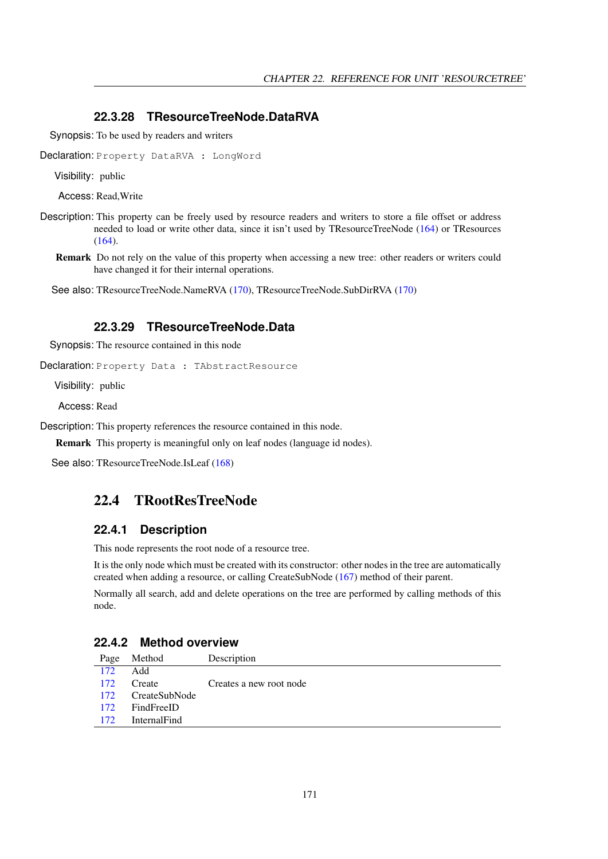#### <span id="page-171-2"></span>**22.3.28 TResourceTreeNode.DataRVA**

Synopsis: To be used by readers and writers

Declaration: Property DataRVA : LongWord

Visibility: public

Access: Read,Write

- Description: This property can be freely used by resource readers and writers to store a file offset or address needed to load or write other data, since it isn't used by TResourceTreeNode [\(164\)](#page-164-1) or TResources [\(164\)](#page-164-0).
	- Remark Do not rely on the value of this property when accessing a new tree: other readers or writers could have changed it for their internal operations.

See also: TResourceTreeNode.NameRVA [\(170\)](#page-170-1), TResourceTreeNode.SubDirRVA [\(170\)](#page-170-2)

#### <span id="page-171-1"></span>**22.3.29 TResourceTreeNode.Data**

Synopsis: The resource contained in this node

Declaration: Property Data : TAbstractResource

Visibility: public

Access: Read

Description: This property references the resource contained in this node.

Remark This property is meaningful only on leaf nodes (language id nodes).

See also: TResourceTreeNode.IsLeaf [\(168\)](#page-168-2)

## <span id="page-171-0"></span>22.4 TRootResTreeNode

#### **22.4.1 Description**

This node represents the root node of a resource tree.

It is the only node which must be created with its constructor: other nodes in the tree are automatically created when adding a resource, or calling CreateSubNode [\(167\)](#page-167-0) method of their parent.

Normally all search, add and delete operations on the tree are performed by calling methods of this node.

#### **22.4.2 Method overview**

| Page | Method              | Description             |
|------|---------------------|-------------------------|
| 172  | Add                 |                         |
| 172  | Create              | Creates a new root node |
| 172  | CreateSubNode       |                         |
| 172  | FindFreeID          |                         |
| 172  | <b>InternalFind</b> |                         |
|      |                     |                         |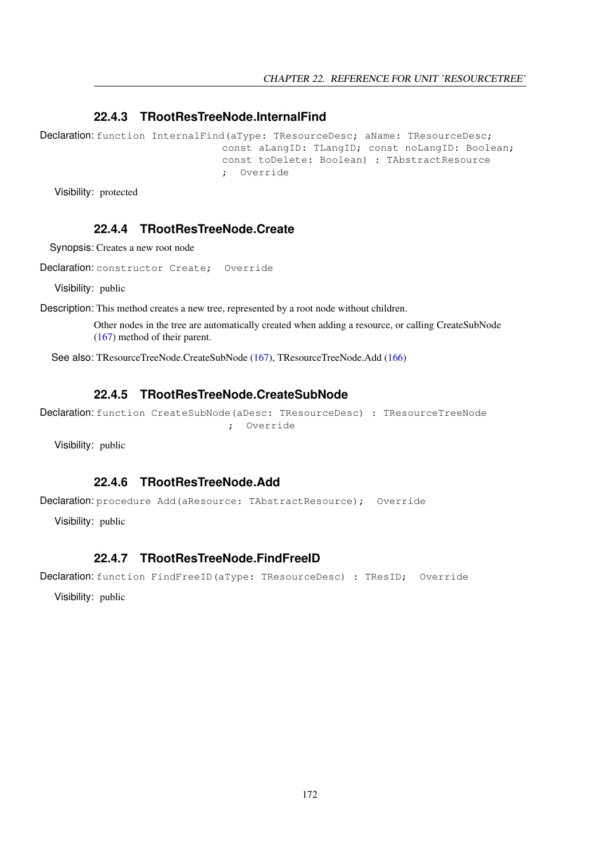#### <span id="page-172-4"></span>**22.4.3 TRootResTreeNode.InternalFind**

Declaration: function InternalFind(aType: TResourceDesc; aName: TResourceDesc; const aLangID: TLangID; const noLangID: Boolean; const toDelete: Boolean) : TAbstractResource ; Override

Visibility: protected

## <span id="page-172-1"></span>**22.4.4 TRootResTreeNode.Create**

Synopsis: Creates a new root node

Declaration: constructor Create; Override

Visibility: public

Description: This method creates a new tree, represented by a root node without children.

Other nodes in the tree are automatically created when adding a resource, or calling CreateSubNode [\(167\)](#page-167-0) method of their parent.

See also: TResourceTreeNode.CreateSubNode [\(167\)](#page-167-0), TResourceTreeNode.Add [\(166\)](#page-166-0)

#### <span id="page-172-2"></span>**22.4.5 TRootResTreeNode.CreateSubNode**

```
Declaration: function CreateSubNode(aDesc: TResourceDesc) : TResourceTreeNode
                                ; Override
```
Visibility: public

#### <span id="page-172-0"></span>**22.4.6 TRootResTreeNode.Add**

```
Declaration: procedure Add(aResource: TAbstractResource); Override
```
Visibility: public

#### <span id="page-172-3"></span>**22.4.7 TRootResTreeNode.FindFreeID**

```
Declaration: function FindFreeID(aType: TResourceDesc) : TResID; Override
```
Visibility: public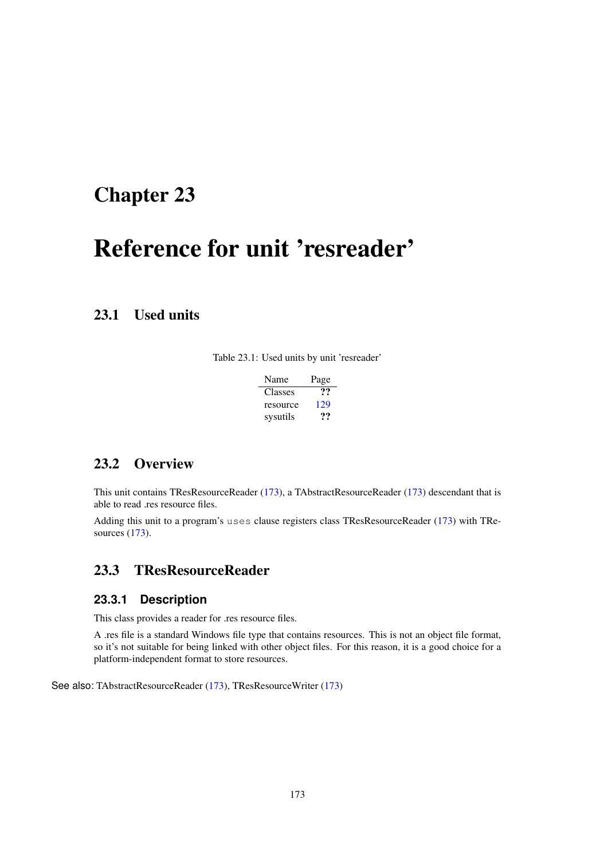## <span id="page-173-1"></span>Chapter 23

# Reference for unit 'resreader'

## 23.1 Used units

Table 23.1: Used units by unit 'resreader'

| Name     | Page |
|----------|------|
| Classes  | ??   |
| resource | 129  |
| sysutils | '''  |

## 23.2 Overview

This unit contains TResResourceReader [\(173\)](#page-173-0), a TAbstractResourceReader [\(173\)](#page-173-1) descendant that is able to read .res resource files.

Adding this unit to a program's uses clause registers class TResResourceReader [\(173\)](#page-173-0) with TResources [\(173\)](#page-173-1).

## <span id="page-173-0"></span>23.3 TResResourceReader

#### **23.3.1 Description**

This class provides a reader for .res resource files.

A .res file is a standard Windows file type that contains resources. This is not an object file format, so it's not suitable for being linked with other object files. For this reason, it is a good choice for a platform-independent format to store resources.

See also: TAbstractResourceReader [\(173\)](#page-173-1), TResResourceWriter [\(173\)](#page-173-1)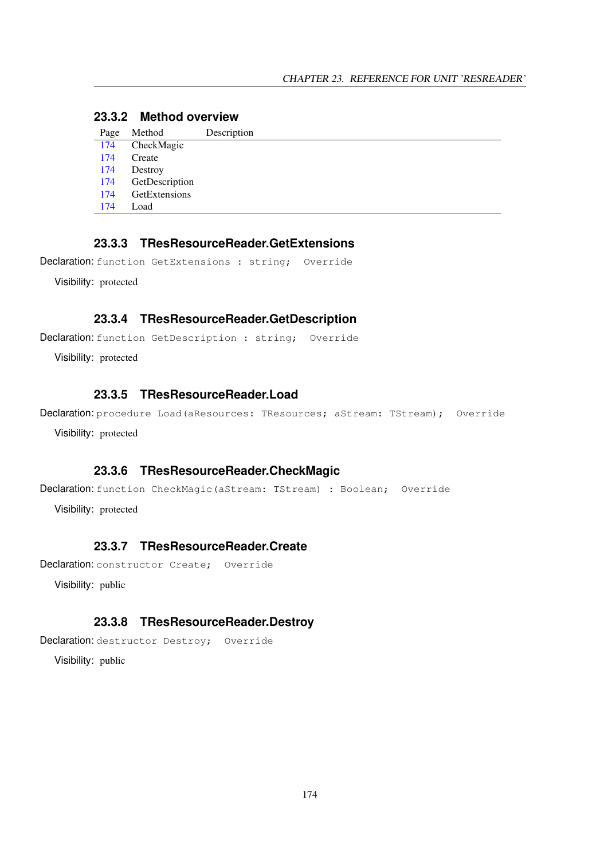## **23.3.2 Method overview**

| Page | Method         | Description |
|------|----------------|-------------|
| 174  | CheckMagic     |             |
| 174  | Create         |             |
| 174  | Destroy        |             |
| 174  | GetDescription |             |
| 174  | GetExtensions  |             |
| 174  | Load           |             |

## <span id="page-174-4"></span>**23.3.3 TResResourceReader.GetExtensions**

Declaration: function GetExtensions : string; Override

Visibility: protected

#### <span id="page-174-3"></span>**23.3.4 TResResourceReader.GetDescription**

Declaration: function GetDescription : string; Override

Visibility: protected

#### <span id="page-174-5"></span>**23.3.5 TResResourceReader.Load**

Declaration: procedure Load (aResources: TResources; aStream: TStream); Override Visibility: protected

## <span id="page-174-0"></span>**23.3.6 TResResourceReader.CheckMagic**

Declaration: function CheckMagic (aStream: TStream) : Boolean; Override

Visibility: protected

## <span id="page-174-1"></span>**23.3.7 TResResourceReader.Create**

Declaration: constructor Create; Override

Visibility: public

#### <span id="page-174-2"></span>**23.3.8 TResResourceReader.Destroy**

Declaration: destructor Destroy; Override

Visibility: public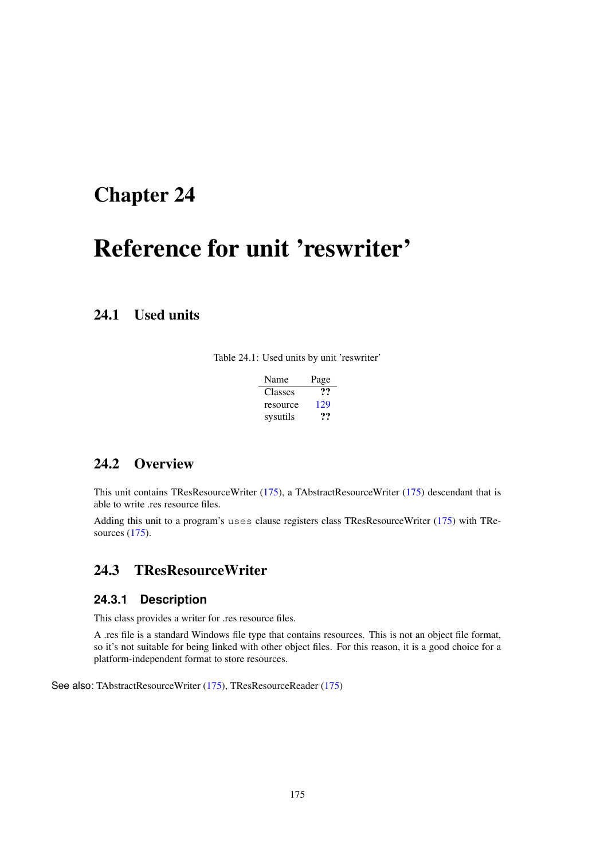## <span id="page-175-1"></span>Chapter 24

# Reference for unit 'reswriter'

## 24.1 Used units

Table 24.1: Used units by unit 'reswriter'

| Name     | Page |
|----------|------|
| Classes  | …    |
| resource | 129  |
| sysutils | .,., |

## 24.2 Overview

This unit contains TResResourceWriter [\(175\)](#page-175-0), a TAbstractResourceWriter [\(175\)](#page-175-1) descendant that is able to write .res resource files.

Adding this unit to a program's uses clause registers class TResResourceWriter [\(175\)](#page-175-0) with TResources [\(175\)](#page-175-1).

## <span id="page-175-0"></span>24.3 TResResourceWriter

#### **24.3.1 Description**

This class provides a writer for .res resource files.

A .res file is a standard Windows file type that contains resources. This is not an object file format, so it's not suitable for being linked with other object files. For this reason, it is a good choice for a platform-independent format to store resources.

See also: TAbstractResourceWriter [\(175\)](#page-175-1), TResResourceReader [\(175\)](#page-175-1)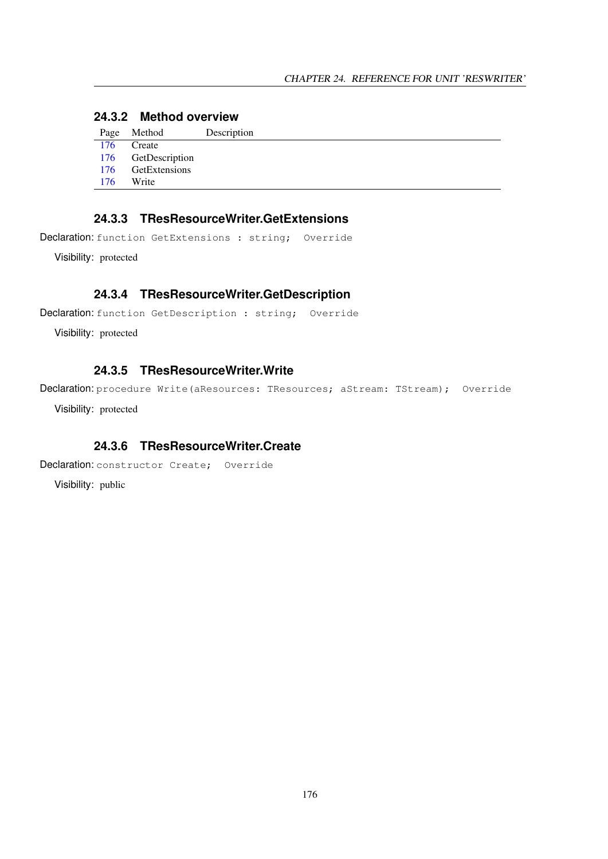## **24.3.2 Method overview**

|     | Page Method        | Description |
|-----|--------------------|-------------|
| 176 | Create             |             |
|     | 176 GetDescription |             |
| 176 | GetExtensions      |             |
| 176 | Write              |             |

## <span id="page-176-2"></span>**24.3.3 TResResourceWriter.GetExtensions**

Declaration: function GetExtensions : string; Override

Visibility: protected

#### <span id="page-176-1"></span>**24.3.4 TResResourceWriter.GetDescription**

```
Declaration: function GetDescription : string; Override
```
Visibility: protected

#### <span id="page-176-3"></span>**24.3.5 TResResourceWriter.Write**

Declaration: procedure Write(aResources: TResources; aStream: TStream); Override

Visibility: protected

## <span id="page-176-0"></span>**24.3.6 TResResourceWriter.Create**

Declaration: constructor Create; Override

Visibility: public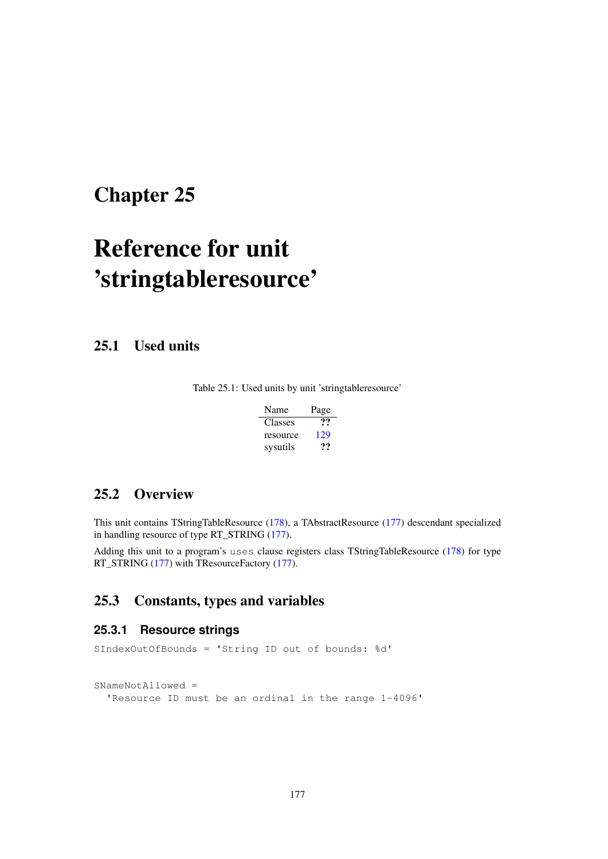## <span id="page-177-0"></span>Chapter 25

# Reference for unit 'stringtableresource'

25.1 Used units

Table 25.1: Used units by unit 'stringtableresource'

| Name     | Page |
|----------|------|
| Classes  | …    |
| resource | 129  |
| sysutils | 77   |

## 25.2 Overview

This unit contains TStringTableResource [\(178\)](#page-178-0), a TAbstractResource [\(177\)](#page-177-0) descendant specialized in handling resource of type RT\_STRING [\(177\)](#page-177-0).

Adding this unit to a program's uses clause registers class TStringTableResource [\(178\)](#page-178-0) for type RT\_STRING [\(177\)](#page-177-0) with TResourceFactory (177).

## 25.3 Constants, types and variables

#### **25.3.1 Resource strings**

SIndexOutOfBounds = 'String ID out of bounds: %d' SNameNotAllowed = 'Resource ID must be an ordinal in the range 1-4096'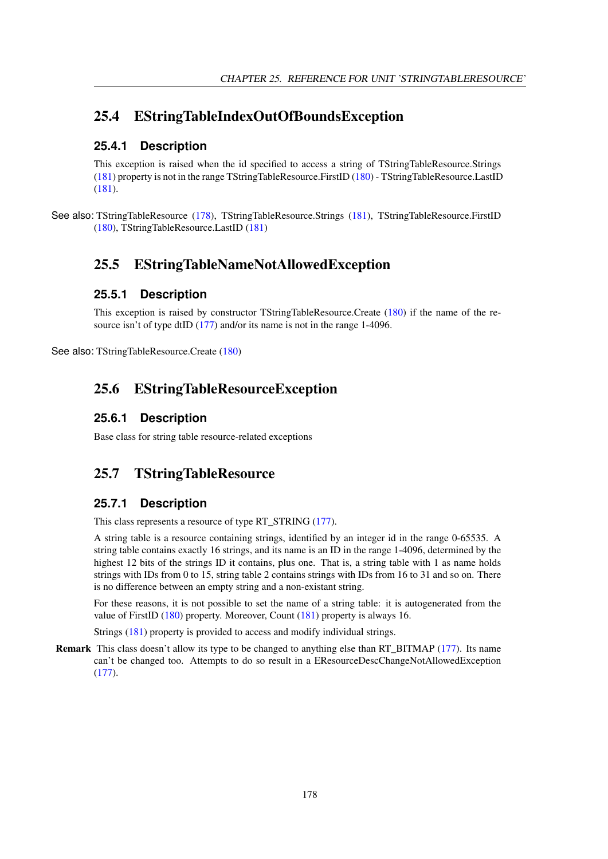## 25.4 EStringTableIndexOutOfBoundsException

#### **25.4.1 Description**

This exception is raised when the id specified to access a string of TStringTableResource.Strings [\(181\)](#page-181-0) property is not in the range TStringTableResource.FirstID [\(180\)](#page-180-0) - TStringTableResource.LastID [\(181\)](#page-181-1).

See also: TStringTableResource [\(178\)](#page-178-0), TStringTableResource.Strings [\(181\)](#page-181-0), TStringTableResource.FirstID [\(180\)](#page-180-0), TStringTableResource.LastID [\(181\)](#page-181-1)

## 25.5 EStringTableNameNotAllowedException

#### **25.5.1 Description**

This exception is raised by constructor TStringTableResource.Create [\(180\)](#page-180-1) if the name of the re-source isn't of type dtID [\(177\)](#page-177-0) and/or its name is not in the range 1-4096.

See also: TStringTableResource.Create [\(180\)](#page-180-1)

## 25.6 EStringTableResourceException

#### **25.6.1 Description**

Base class for string table resource-related exceptions

## <span id="page-178-0"></span>25.7 TStringTableResource

## **25.7.1 Description**

This class represents a resource of type RT\_STRING [\(177\)](#page-177-0).

A string table is a resource containing strings, identified by an integer id in the range 0-65535. A string table contains exactly 16 strings, and its name is an ID in the range 1-4096, determined by the highest 12 bits of the strings ID it contains, plus one. That is, a string table with 1 as name holds strings with IDs from 0 to 15, string table 2 contains strings with IDs from 16 to 31 and so on. There is no difference between an empty string and a non-existant string.

For these reasons, it is not possible to set the name of a string table: it is autogenerated from the value of FirstID [\(180\)](#page-180-0) property. Moreover, Count [\(181\)](#page-181-2) property is always 16.

Strings [\(181\)](#page-181-0) property is provided to access and modify individual strings.

Remark This class doesn't allow its type to be changed to anything else than RT\_BITMAP [\(177\)](#page-177-0). Its name can't be changed too. Attempts to do so result in a EResourceDescChangeNotAllowedException [\(177\)](#page-177-0).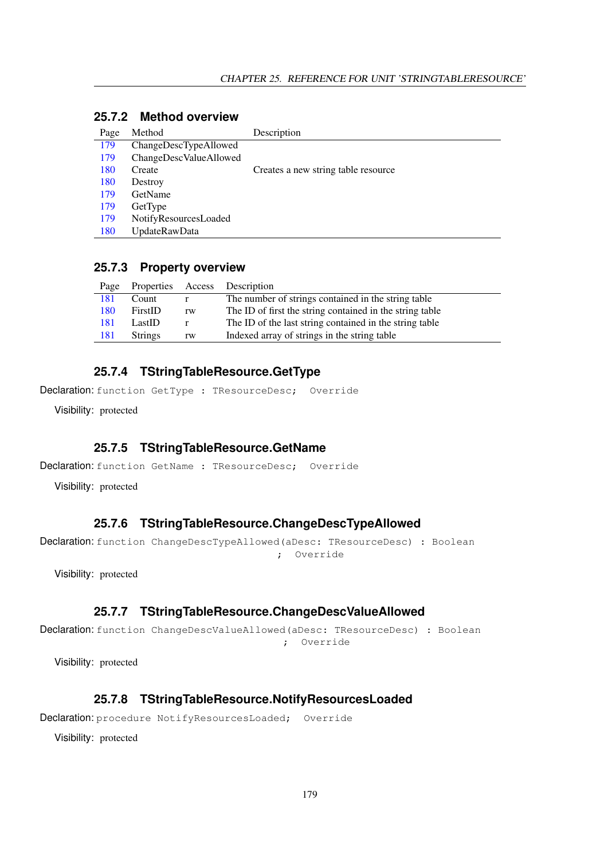| Page | Method                 | Description                         |
|------|------------------------|-------------------------------------|
| 179  | ChangeDescTypeAllowed  |                                     |
| 179  | ChangeDescValueAllowed |                                     |
| 180  | Create                 | Creates a new string table resource |
| 180  | Destroy                |                                     |
| 179  | <b>GetName</b>         |                                     |
| 179  | GetType                |                                     |
| 179  | NotifyResourcesLoaded  |                                     |
| 180  | <b>UpdateRawData</b>   |                                     |

## **25.7.2 Method overview**

#### **25.7.3 Property overview**

| Page |                |    | Properties Access Description                            |
|------|----------------|----|----------------------------------------------------------|
| 181  | Count          |    | The number of strings contained in the string table      |
| 180  | FirstID        | rw | The ID of first the string contained in the string table |
| 181  | LastID         |    | The ID of the last string contained in the string table  |
| 181  | <b>Strings</b> | rw | Indexed array of strings in the string table             |
|      |                |    |                                                          |

#### <span id="page-179-3"></span>**25.7.4 TStringTableResource.GetType**

Declaration: function GetType : TResourceDesc; Override

Visibility: protected

#### <span id="page-179-2"></span>**25.7.5 TStringTableResource.GetName**

Declaration: function GetName : TResourceDesc; Override

Visibility: protected

#### <span id="page-179-0"></span>**25.7.6 TStringTableResource.ChangeDescTypeAllowed**

Declaration: function ChangeDescTypeAllowed(aDesc: TResourceDesc) : Boolean ; Override

Visibility: protected

#### <span id="page-179-1"></span>**25.7.7 TStringTableResource.ChangeDescValueAllowed**

Declaration: function ChangeDescValueAllowed(aDesc: TResourceDesc) : Boolean ; Override

Visibility: protected

#### <span id="page-179-4"></span>**25.7.8 TStringTableResource.NotifyResourcesLoaded**

Declaration: procedure NotifyResourcesLoaded; Override

Visibility: protected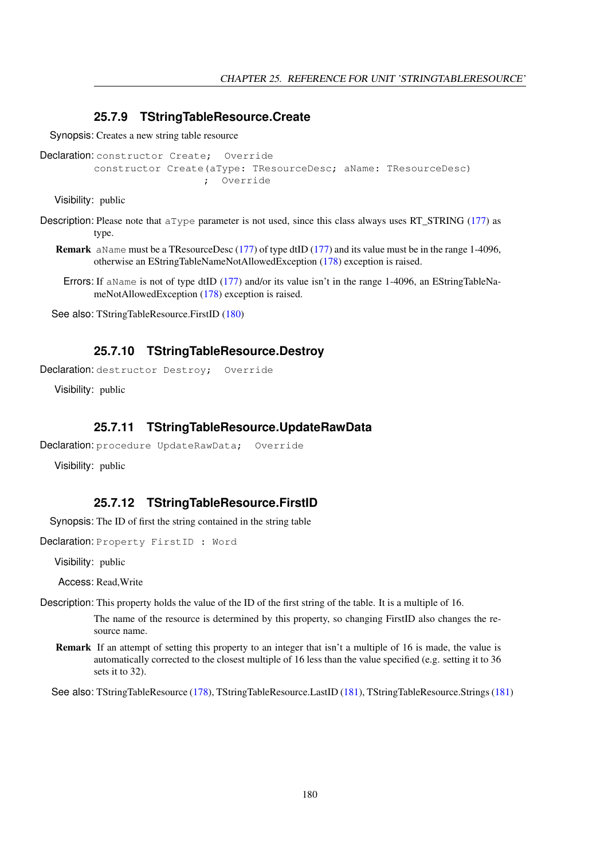#### **25.7.9 TStringTableResource.Create**

Synopsis: Creates a new string table resource

```
Declaration: constructor Create; Override
         constructor Create(aType: TResourceDesc; aName: TResourceDesc)
                           ; Override
```
Visibility: public

- Description: Please note that aType parameter is not used, since this class always uses RT\_STRING [\(177\)](#page-177-0) as type.
	- Remark aName must be a TResourceDesc [\(177\)](#page-177-0) of type dtID [\(177\)](#page-177-0) and its value must be in the range 1-4096, otherwise an EStringTableNameNotAllowedException [\(178\)](#page-178-0) exception is raised.
		- Errors: If aName is not of type dtID [\(177\)](#page-177-0) and/or its value isn't in the range 1-4096, an EStringTableNameNotAllowedException [\(178\)](#page-178-0) exception is raised.

See also: TStringTableResource.FirstID [\(180\)](#page-180-0)

#### **25.7.10 TStringTableResource.Destroy**

Declaration: destructor Destroy; Override

Visibility: public

#### **25.7.11 TStringTableResource.UpdateRawData**

```
Declaration: procedure UpdateRawData; Override
```
Visibility: public

#### <span id="page-180-0"></span>**25.7.12 TStringTableResource.FirstID**

Synopsis: The ID of first the string contained in the string table

Declaration: Property FirstID : Word

Visibility: public

Access: Read,Write

Description: This property holds the value of the ID of the first string of the table. It is a multiple of 16.

The name of the resource is determined by this property, so changing FirstID also changes the resource name.

Remark If an attempt of setting this property to an integer that isn't a multiple of 16 is made, the value is automatically corrected to the closest multiple of 16 less than the value specified (e.g. setting it to 36 sets it to 32).

See also: TStringTableResource [\(178\)](#page-178-1), TStringTableResource.LastID [\(181\)](#page-181-0), TStringTableResource.Strings [\(181\)](#page-181-1)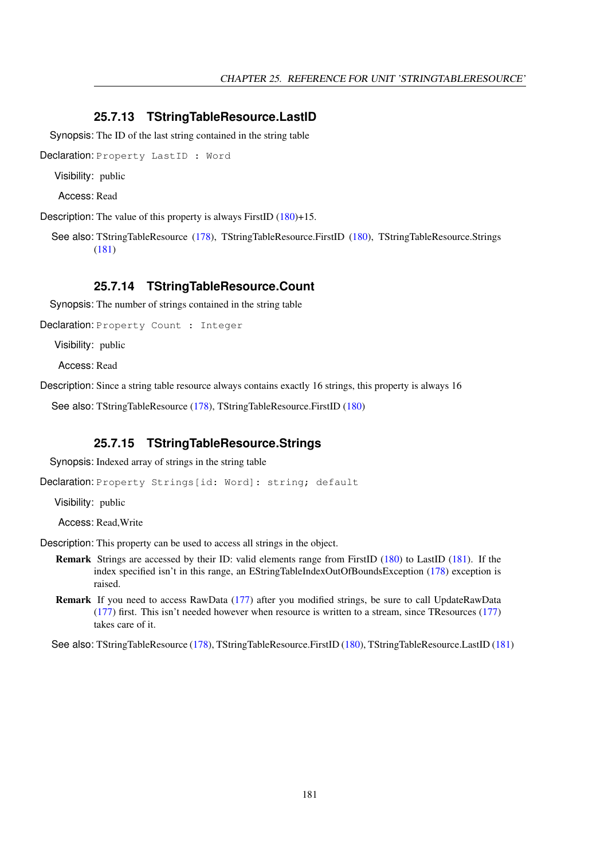#### <span id="page-181-0"></span>**25.7.13 TStringTableResource.LastID**

Synopsis: The ID of the last string contained in the string table

Declaration: Property LastID : Word

Visibility: public

Access: Read

Description: The value of this property is always FirstID [\(180\)](#page-180-0)+15.

See also: TStringTableResource [\(178\)](#page-178-1), TStringTableResource.FirstID [\(180\)](#page-180-0), TStringTableResource.Strings [\(181\)](#page-181-1)

#### **25.7.14 TStringTableResource.Count**

Synopsis: The number of strings contained in the string table

Declaration: Property Count : Integer

Visibility: public

Access: Read

Description: Since a string table resource always contains exactly 16 strings, this property is always 16

See also: TStringTableResource [\(178\)](#page-178-1), TStringTableResource.FirstID [\(180\)](#page-180-0)

#### <span id="page-181-1"></span>**25.7.15 TStringTableResource.Strings**

Synopsis: Indexed array of strings in the string table

Declaration: Property Strings[id: Word]: string; default

Visibility: public

Access: Read,Write

Description: This property can be used to access all strings in the object.

- Remark Strings are accessed by their ID: valid elements range from FirstID [\(180\)](#page-180-0) to LastID [\(181\)](#page-181-0). If the index specified isn't in this range, an EStringTableIndexOutOfBoundsException [\(178\)](#page-178-2) exception is raised.
- Remark If you need to access RawData [\(177\)](#page-177-0) after you modified strings, be sure to call UpdateRawData [\(177\)](#page-177-0) first. This isn't needed however when resource is written to a stream, since TResources [\(177\)](#page-177-0) takes care of it.

See also: TStringTableResource [\(178\)](#page-178-1), TStringTableResource.FirstID [\(180\)](#page-180-0), TStringTableResource.LastID [\(181\)](#page-181-0)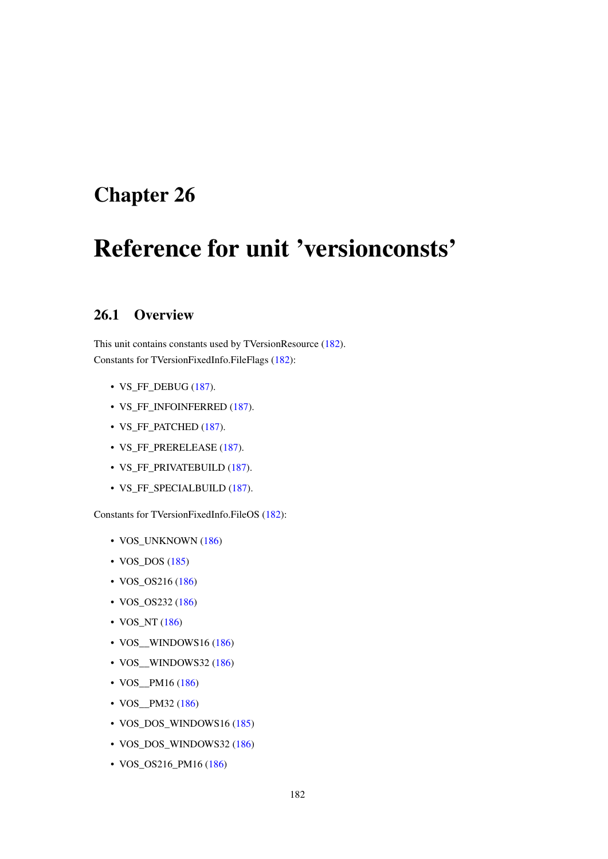# <span id="page-182-0"></span>Chapter 26

# Reference for unit 'versionconsts'

## 26.1 Overview

This unit contains constants used by TVersionResource [\(182\)](#page-182-0). Constants for TVersionFixedInfo.FileFlags [\(182\)](#page-182-0):

- VS\_FF\_DEBUG [\(187\)](#page-183-0).
- VS\_FF\_INFOINFERRED [\(187\)](#page-183-0).
- VS\_FF\_PATCHED [\(187\)](#page-183-0).
- VS\_FF\_PRERELEASE [\(187\)](#page-183-0).
- VS\_FF\_PRIVATEBUILD [\(187\)](#page-183-0).
- VS\_FF\_SPECIALBUILD [\(187\)](#page-183-0).

Constants for TVersionFixedInfo.FileOS [\(182\)](#page-182-0):

- VOS\_UNKNOWN [\(186\)](#page-183-0)
- VOS\_DOS [\(185\)](#page-183-0)
- VOS\_OS216 [\(186\)](#page-183-0)
- VOS\_OS232 [\(186\)](#page-183-0)
- VOS\_NT [\(186\)](#page-183-0)
- VOS\_\_WINDOWS16 [\(186\)](#page-183-0)
- VOS\_WINDOWS32 [\(186\)](#page-183-0)
- VOS\_PM16 [\(186\)](#page-183-0)
- VOS\_\_PM32 [\(186\)](#page-183-0)
- VOS\_DOS\_WINDOWS16 [\(185\)](#page-183-0)
- VOS\_DOS\_WINDOWS32 [\(186\)](#page-183-0)
- VOS\_OS216\_PM16 [\(186\)](#page-183-0)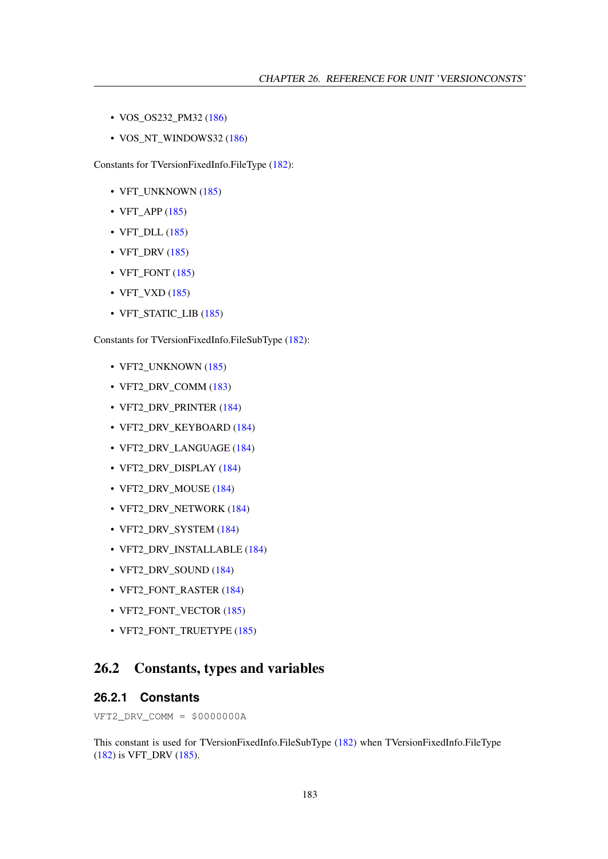- VOS\_OS232\_PM32 [\(186\)](#page-183-0)
- VOS\_NT\_WINDOWS32 [\(186\)](#page-183-0)

Constants for TVersionFixedInfo.FileType [\(182\)](#page-182-0):

- VFT\_UNKNOWN [\(185\)](#page-183-0)
- VFT\_APP  $(185)$
- VFT\_DLL [\(185\)](#page-183-0)
- VFT\_DRV [\(185\)](#page-183-0)
- VFT\_FONT [\(185\)](#page-183-0)
- VFT\_VXD [\(185\)](#page-183-0)
- VFT\_STATIC\_LIB [\(185\)](#page-183-0)

Constants for TVersionFixedInfo.FileSubType [\(182\)](#page-182-0):

- VFT2\_UNKNOWN [\(185\)](#page-183-0)
- VFT2 DRV COMM [\(183\)](#page-183-0)
- VFT2\_DRV\_PRINTER [\(184\)](#page-183-0)
- VFT2\_DRV\_KEYBOARD [\(184\)](#page-183-0)
- VFT2\_DRV\_LANGUAGE [\(184\)](#page-183-0)
- VFT2\_DRV\_DISPLAY [\(184\)](#page-183-0)
- VFT2\_DRV\_MOUSE [\(184\)](#page-183-0)
- VFT2\_DRV\_NETWORK [\(184\)](#page-183-0)
- VFT2\_DRV\_SYSTEM [\(184\)](#page-183-0)
- VFT2\_DRV\_INSTALLABLE [\(184\)](#page-183-0)
- VFT2\_DRV\_SOUND [\(184\)](#page-183-0)
- VFT2\_FONT\_RASTER [\(184\)](#page-183-0)
- VFT2\_FONT\_VECTOR [\(185\)](#page-183-0)
- VFT2\_FONT\_TRUETYPE [\(185\)](#page-183-0)

## 26.2 Constants, types and variables

#### <span id="page-183-0"></span>**26.2.1 Constants**

VFT2\_DRV\_COMM = \$0000000A

This constant is used for TVersionFixedInfo.FileSubType [\(182\)](#page-182-0) when TVersionFixedInfo.FileType [\(182\)](#page-182-0) is VFT\_DRV [\(185\)](#page-183-0).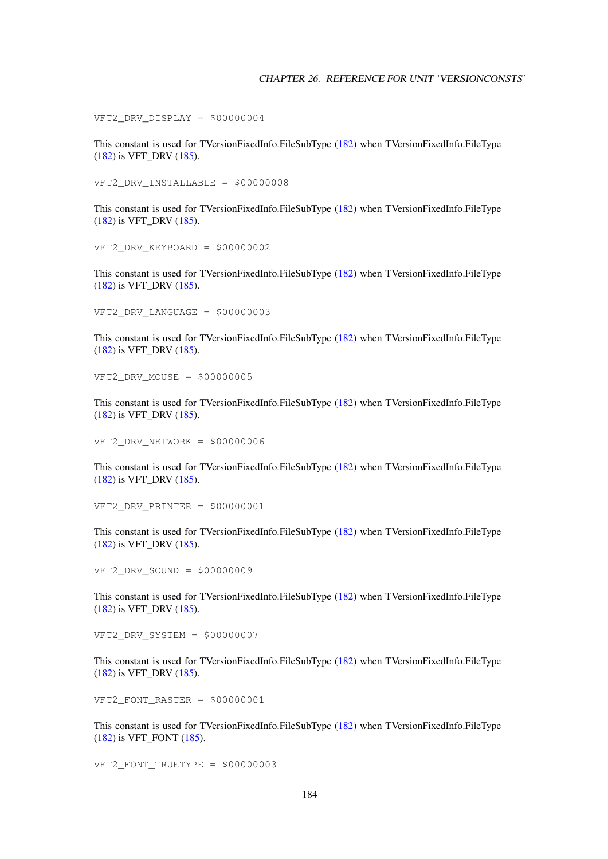VFT2 DRV DISPLAY =  $$00000004$ 

This constant is used for TVersionFixedInfo.FileSubType [\(182\)](#page-182-0) when TVersionFixedInfo.FileType [\(182\)](#page-182-0) is VFT\_DRV [\(185\)](#page-183-0).

VFT2\_DRV\_INSTALLABLE = \$00000008

This constant is used for TVersionFixedInfo.FileSubType [\(182\)](#page-182-0) when TVersionFixedInfo.FileType [\(182\)](#page-182-0) is VFT\_DRV [\(185\)](#page-183-0).

VFT2\_DRV\_KEYBOARD = \$00000002

This constant is used for TVersionFixedInfo.FileSubType [\(182\)](#page-182-0) when TVersionFixedInfo.FileType [\(182\)](#page-182-0) is VFT\_DRV [\(185\)](#page-183-0).

VFT2 DRV LANGUAGE =  $$00000003$ 

This constant is used for TVersionFixedInfo.FileSubType [\(182\)](#page-182-0) when TVersionFixedInfo.FileType [\(182\)](#page-182-0) is VFT\_DRV [\(185\)](#page-183-0).

VFT2\_DRV\_MOUSE = \$00000005

This constant is used for TVersionFixedInfo.FileSubType [\(182\)](#page-182-0) when TVersionFixedInfo.FileType [\(182\)](#page-182-0) is VFT\_DRV [\(185\)](#page-183-0).

VFT2\_DRV\_NETWORK = \$00000006

This constant is used for TVersionFixedInfo.FileSubType [\(182\)](#page-182-0) when TVersionFixedInfo.FileType [\(182\)](#page-182-0) is VFT\_DRV [\(185\)](#page-183-0).

VFT2\_DRV\_PRINTER = \$00000001

This constant is used for TVersionFixedInfo.FileSubType [\(182\)](#page-182-0) when TVersionFixedInfo.FileType [\(182\)](#page-182-0) is VFT\_DRV [\(185\)](#page-183-0).

VFT2\_DRV\_SOUND = \$00000009

This constant is used for TVersionFixedInfo.FileSubType [\(182\)](#page-182-0) when TVersionFixedInfo.FileType [\(182\)](#page-182-0) is VFT\_DRV [\(185\)](#page-183-0).

VFT2\_DRV\_SYSTEM = \$00000007

This constant is used for TVersionFixedInfo.FileSubType [\(182\)](#page-182-0) when TVersionFixedInfo.FileType [\(182\)](#page-182-0) is VFT\_DRV [\(185\)](#page-183-0).

VFT2\_FONT\_RASTER = \$00000001

This constant is used for TVersionFixedInfo.FileSubType [\(182\)](#page-182-0) when TVersionFixedInfo.FileType [\(182\)](#page-182-0) is VFT\_FONT [\(185\)](#page-183-0).

VFT2\_FONT\_TRUETYPE = \$00000003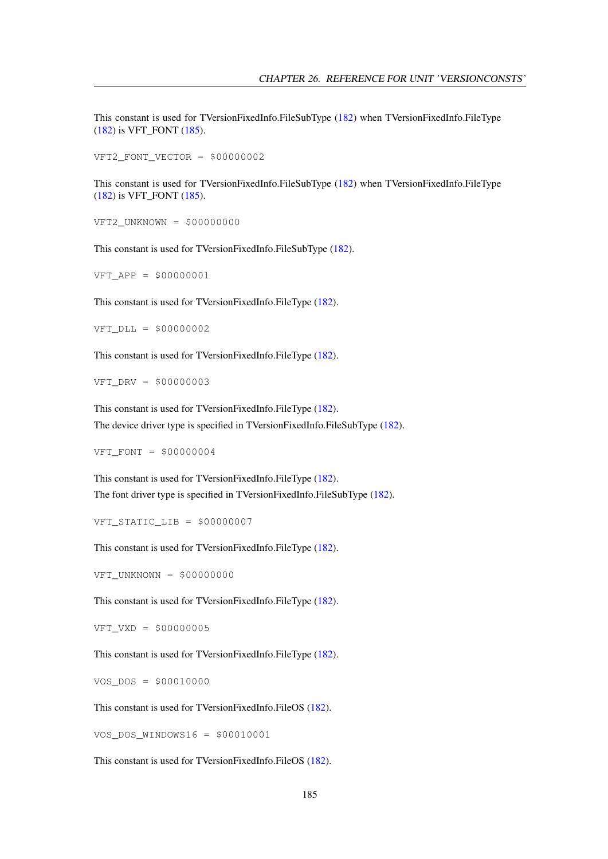This constant is used for TVersionFixedInfo.FileSubType [\(182\)](#page-182-0) when TVersionFixedInfo.FileType [\(182\)](#page-182-0) is VFT\_FONT [\(185\)](#page-183-0).

VFT2 FONT VECTOR =  $$00000002$ 

This constant is used for TVersionFixedInfo.FileSubType [\(182\)](#page-182-0) when TVersionFixedInfo.FileType [\(182\)](#page-182-0) is VFT\_FONT [\(185\)](#page-183-0).

VFT2\_UNKNOWN = \$00000000

This constant is used for TVersionFixedInfo.FileSubType [\(182\)](#page-182-0).

VFT\_APP = \$00000001

This constant is used for TVersionFixedInfo.FileType [\(182\)](#page-182-0).

VFT\_DLL = \$00000002

This constant is used for TVersionFixedInfo.FileType [\(182\)](#page-182-0).

VFT\_DRV = \$00000003

This constant is used for TVersionFixedInfo.FileType [\(182\)](#page-182-0). The device driver type is specified in TVersionFixedInfo.FileSubType [\(182\)](#page-182-0).

VFT\_FONT = \$00000004

This constant is used for TVersionFixedInfo.FileType [\(182\)](#page-182-0). The font driver type is specified in TVersionFixedInfo.FileSubType [\(182\)](#page-182-0).

VFT STATIC LIB =  $$00000007$ 

This constant is used for TVersionFixedInfo.FileType [\(182\)](#page-182-0).

VFT\_UNKNOWN = \$00000000

This constant is used for TVersionFixedInfo.FileType [\(182\)](#page-182-0).

VFT\_VXD = \$00000005

This constant is used for TVersionFixedInfo.FileType [\(182\)](#page-182-0).

VOS\_DOS = \$00010000

This constant is used for TVersionFixedInfo.FileOS [\(182\)](#page-182-0).

VOS\_DOS\_WINDOWS16 = \$00010001

This constant is used for TVersionFixedInfo.FileOS [\(182\)](#page-182-0).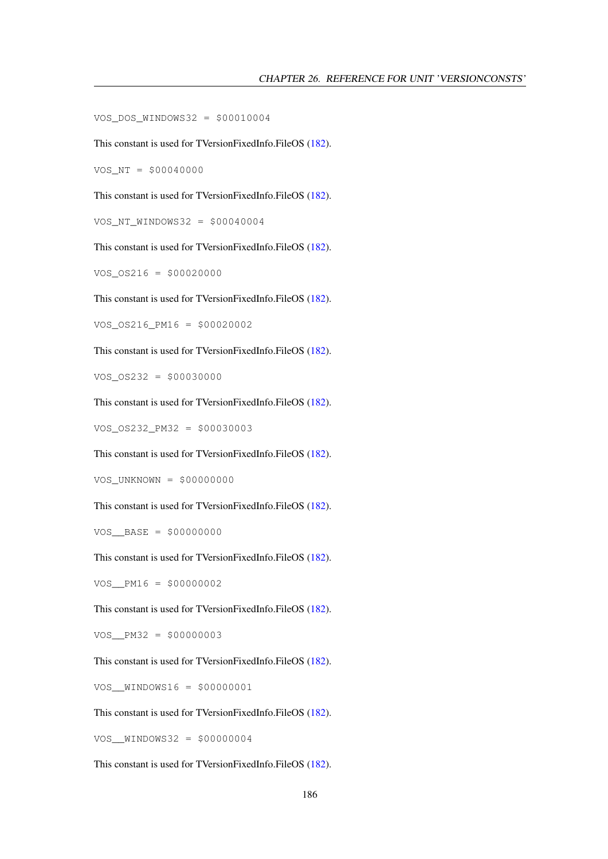VOS\_DOS\_WINDOWS32 = \$00010004

This constant is used for TVersionFixedInfo.FileOS [\(182\)](#page-182-0).

VOS\_NT = \$00040000

This constant is used for TVersionFixedInfo.FileOS [\(182\)](#page-182-0).

VOS\_NT\_WINDOWS32 = \$00040004

This constant is used for TVersionFixedInfo.FileOS [\(182\)](#page-182-0).

 $VOS_0S216 = $00020000$ 

This constant is used for TVersionFixedInfo.FileOS [\(182\)](#page-182-0).

VOS\_OS216\_PM16 = \$00020002

This constant is used for TVersionFixedInfo.FileOS [\(182\)](#page-182-0).

VOS\_OS232 = \$00030000

This constant is used for TVersionFixedInfo.FileOS [\(182\)](#page-182-0).

VOS\_OS232\_PM32 = \$00030003

This constant is used for TVersionFixedInfo.FileOS [\(182\)](#page-182-0).

VOS\_UNKNOWN = \$00000000

This constant is used for TVersionFixedInfo.FileOS [\(182\)](#page-182-0).

VOS\_\_BASE = \$00000000

This constant is used for TVersionFixedInfo.FileOS [\(182\)](#page-182-0).

VOS\_\_PM16 = \$00000002

This constant is used for TVersionFixedInfo.FileOS [\(182\)](#page-182-0).

VOS\_\_PM32 = \$00000003

This constant is used for TVersionFixedInfo.FileOS [\(182\)](#page-182-0).

VOS\_\_WINDOWS16 = \$00000001

This constant is used for TVersionFixedInfo.FileOS [\(182\)](#page-182-0).

VOS\_\_WINDOWS32 = \$00000004

This constant is used for TVersionFixedInfo.FileOS [\(182\)](#page-182-0).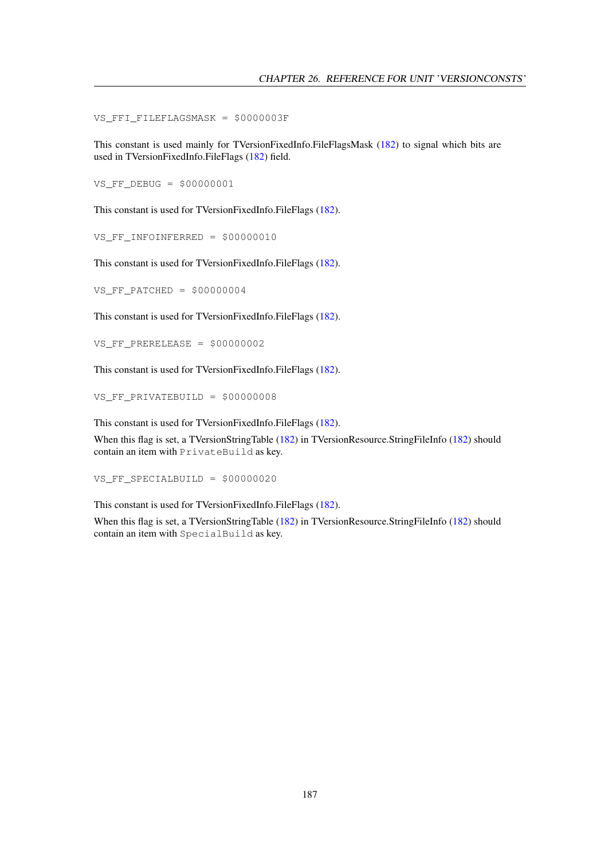VS\_FFI\_FILEFLAGSMASK = \$0000003F

This constant is used mainly for TVersionFixedInfo.FileFlagsMask [\(182\)](#page-182-0) to signal which bits are used in TVersionFixedInfo.FileFlags [\(182\)](#page-182-0) field.

VS\_FF\_DEBUG = \$00000001

This constant is used for TVersionFixedInfo.FileFlags [\(182\)](#page-182-0).

VS\_FF\_INFOINFERRED = \$00000010

This constant is used for TVersionFixedInfo.FileFlags [\(182\)](#page-182-0).

VS FF PATCHED =  $$00000004$ 

This constant is used for TVersionFixedInfo.FileFlags [\(182\)](#page-182-0).

VS FF PRERELEASE =  $$00000002$ 

This constant is used for TVersionFixedInfo.FileFlags [\(182\)](#page-182-0).

VS\_FF\_PRIVATEBUILD = \$00000008

This constant is used for TVersionFixedInfo.FileFlags [\(182\)](#page-182-0).

When this flag is set, a TVersionStringTable [\(182\)](#page-182-0) in TVersionResource.StringFileInfo [\(182\)](#page-182-0) should contain an item with PrivateBuild as key.

VS\_FF\_SPECIALBUILD = \$00000020

This constant is used for TVersionFixedInfo.FileFlags [\(182\)](#page-182-0).

When this flag is set, a TVersionStringTable [\(182\)](#page-182-0) in TVersionResource.StringFileInfo [\(182\)](#page-182-0) should contain an item with SpecialBuild as key.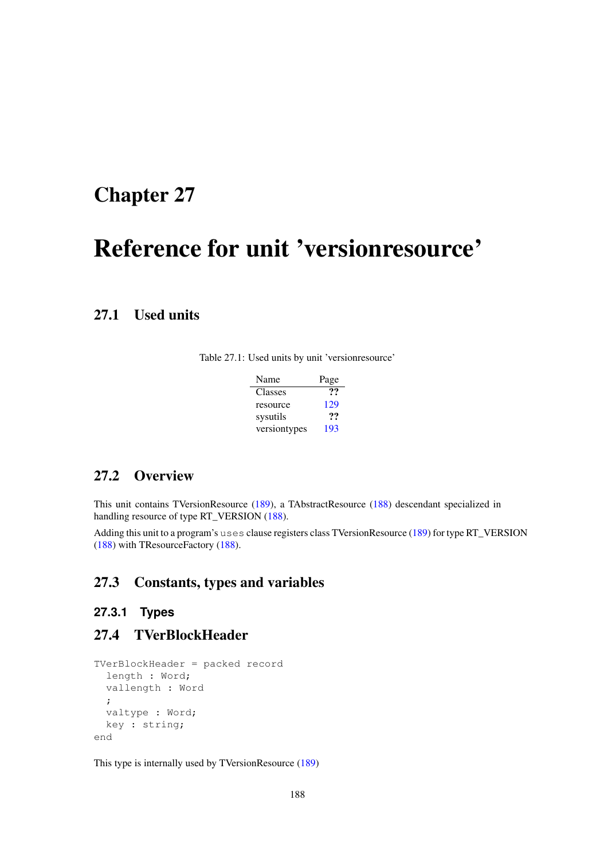## <span id="page-188-0"></span>Chapter 27

# Reference for unit 'versionresource'

## 27.1 Used units

| Name         | Page |
|--------------|------|
| Classes      | 77   |
| resource     | 129  |
| sysutils     | 77   |
| versiontypes | 193  |

## 27.2 Overview

This unit contains TVersionResource [\(189\)](#page-189-0), a TAbstractResource [\(188\)](#page-188-0) descendant specialized in handling resource of type RT\_VERSION [\(188\)](#page-188-0).

Adding this unit to a program's uses clause registers class TVersionResource [\(189\)](#page-189-0) for type RT\_VERSION [\(188\)](#page-188-0) with TResourceFactory [\(188\)](#page-188-0).

## 27.3 Constants, types and variables

## **27.3.1 Types**

## 27.4 TVerBlockHeader

```
TVerBlockHeader = packed record
 length : Word;
 vallength : Word
  ;
  valtype : Word;
  key : string;
end
```
This type is internally used by TVersionResource [\(189\)](#page-189-0)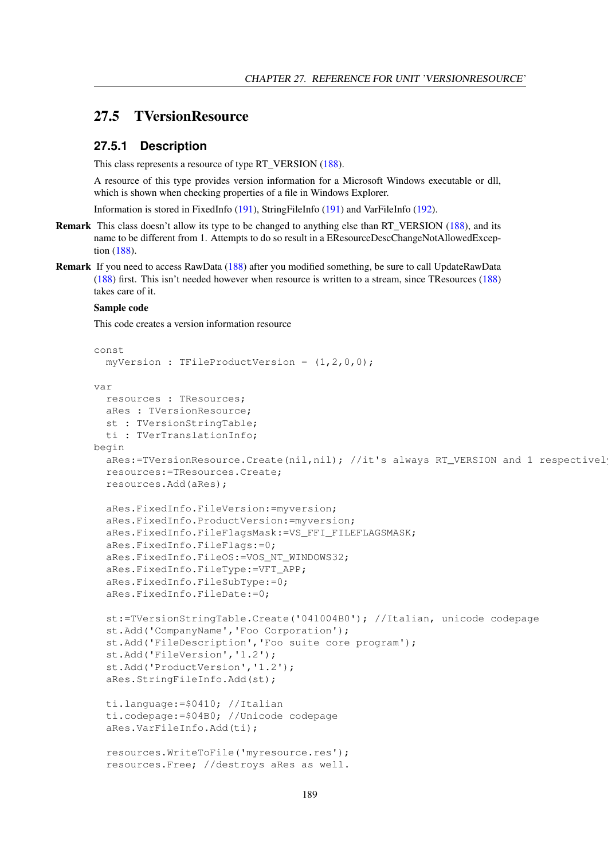## <span id="page-189-0"></span>27.5 TVersionResource

#### **27.5.1 Description**

This class represents a resource of type RT\_VERSION [\(188\)](#page-188-0).

A resource of this type provides version information for a Microsoft Windows executable or dll, which is shown when checking properties of a file in Windows Explorer.

Information is stored in FixedInfo [\(191\)](#page-191-0), StringFileInfo [\(191\)](#page-191-1) and VarFileInfo [\(192\)](#page-192-0).

- Remark This class doesn't allow its type to be changed to anything else than RT\_VERSION [\(188\)](#page-188-0), and its name to be different from 1. Attempts to do so result in a EResourceDescChangeNotAllowedException [\(188\)](#page-188-0).
- Remark If you need to access RawData [\(188\)](#page-188-0) after you modified something, be sure to call UpdateRawData [\(188\)](#page-188-0) first. This isn't needed however when resource is written to a stream, since TResources [\(188\)](#page-188-0) takes care of it.

#### Sample code

This code creates a version information resource

```
const
 myVersion : TFileProductVersion = (1,2,0,0);
var
  resources : TResources;
  aRes : TVersionResource;
  st : TVersionStringTable;
  ti : TVerTranslationInfo;
begin
  aRes:=TVersionResource.Create(nil,nil); //it's always RT_VERSION and 1 respectivel
  resources:=TResources.Create;
  resources.Add(aRes);
  aRes.FixedInfo.FileVersion:=myversion;
  aRes.FixedInfo.ProductVersion:=myversion;
  aRes.FixedInfo.FileFlagsMask:=VS_FFI_FILEFLAGSMASK;
  aRes.FixedInfo.FileFlags:=0;
  aRes.FixedInfo.FileOS:=VOS_NT_WINDOWS32;
  aRes.FixedInfo.FileType:=VFT_APP;
  aRes.FixedInfo.FileSubType:=0;
  aRes.FixedInfo.FileDate:=0;
  st:=TVersionStringTable.Create('041004B0'); //Italian, unicode codepage
  st.Add('CompanyName','Foo Corporation');
  st.Add('FileDescription','Foo suite core program');
  st.Add('FileVersion','1.2');
  st.Add('ProductVersion','1.2');
  aRes.StringFileInfo.Add(st);
  ti.language:=$0410; //Italian
  ti.codepage:=$04B0; //Unicode codepage
  aRes.VarFileInfo.Add(ti);
  resources.WriteToFile('myresource.res');
  resources.Free; //destroys aRes as well.
```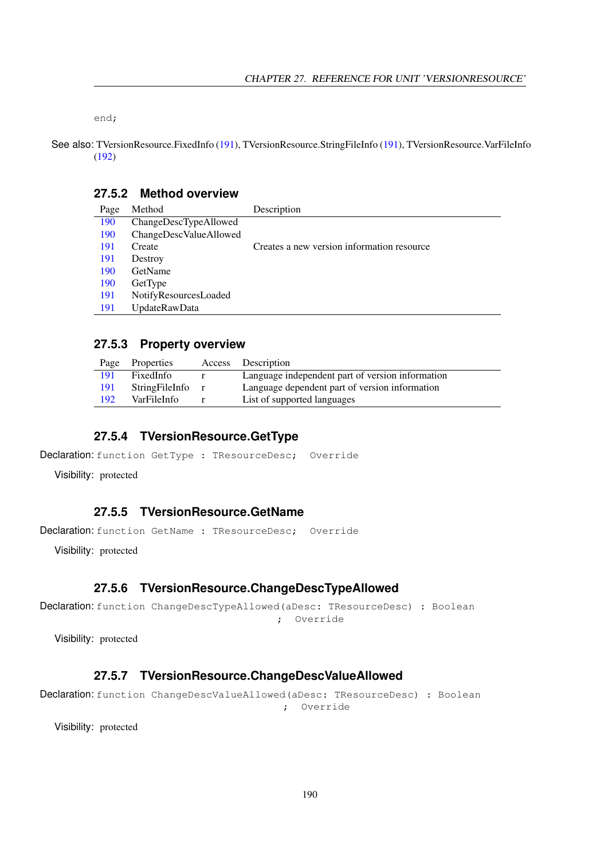end;

See also: TVersionResource.FixedInfo [\(191\)](#page-191-1), TVersionResource.StringFileInfo (191), TVersionResource.VarFileInfo [\(192\)](#page-192-0)

#### **27.5.2 Method overview**

| 190<br>ChangeDescTypeAllowed  |                                            |
|-------------------------------|--------------------------------------------|
| ChangeDescValueAllowed<br>190 |                                            |
| 191<br>Create                 | Creates a new version information resource |
| 191<br>Destroy                |                                            |
| GetName<br>190                |                                            |
| 190<br>GetType                |                                            |
| NotifyResourcesLoaded<br>191  |                                            |
| UpdateRawData<br>191          |                                            |

#### **27.5.3 Property overview**

| Page | Properties     | Access Description                               |
|------|----------------|--------------------------------------------------|
| 191  | FixedInfo      | Language independent part of version information |
| 191  | StringFileInfo | Language dependent part of version information   |
| 192  | VarFileInfo    | List of supported languages                      |

#### <span id="page-190-3"></span>**27.5.4 TVersionResource.GetType**

```
Declaration: function GetType : TResourceDesc; Override
```
Visibility: protected

### <span id="page-190-2"></span>**27.5.5 TVersionResource.GetName**

Declaration: function GetName : TResourceDesc; Override

Visibility: protected

#### <span id="page-190-0"></span>**27.5.6 TVersionResource.ChangeDescTypeAllowed**

```
Declaration: function ChangeDescTypeAllowed(aDesc: TResourceDesc) : Boolean
                                        ; Override
```
Visibility: protected

#### <span id="page-190-1"></span>**27.5.7 TVersionResource.ChangeDescValueAllowed**

```
Declaration: function ChangeDescValueAllowed(aDesc: TResourceDesc) : Boolean
                                         ; Override
```
Visibility: protected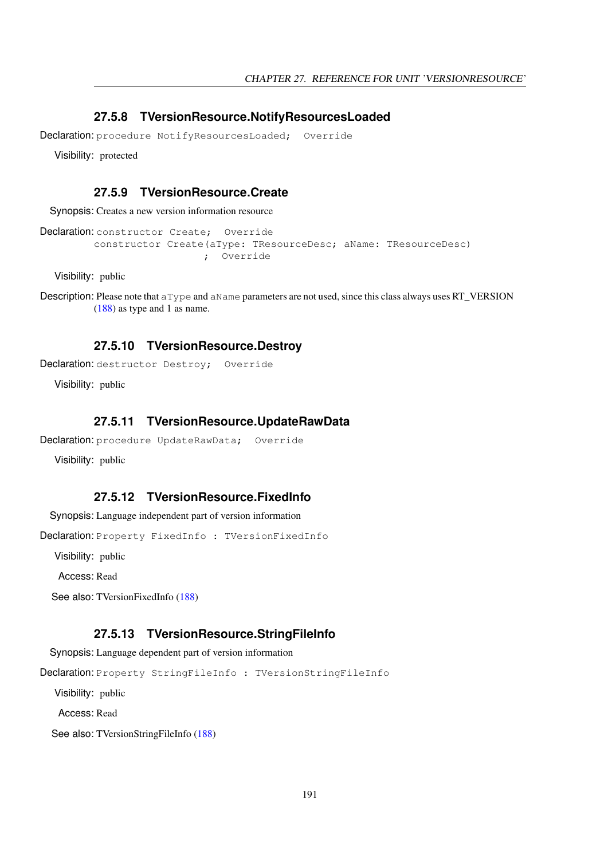#### <span id="page-191-4"></span>**27.5.8 TVersionResource.NotifyResourcesLoaded**

Declaration: procedure NotifyResourcesLoaded; Override

Visibility: protected

#### <span id="page-191-2"></span>**27.5.9 TVersionResource.Create**

Synopsis: Creates a new version information resource

Declaration: constructor Create; Override constructor Create(aType: TResourceDesc; aName: TResourceDesc) ; Override

Visibility: public

```
Description: Please note that aType and aName parameters are not used, since this class always uses RT_VERSION
            (188) as type and 1 as name.
```
#### <span id="page-191-3"></span>**27.5.10 TVersionResource.Destroy**

Declaration: destructor Destroy: Override

Visibility: public

#### <span id="page-191-5"></span>**27.5.11 TVersionResource.UpdateRawData**

```
Declaration: procedure UpdateRawData; Override
```
Visibility: public

#### <span id="page-191-0"></span>**27.5.12 TVersionResource.FixedInfo**

Synopsis: Language independent part of version information

Declaration: Property FixedInfo : TVersionFixedInfo

Visibility: public

Access: Read

See also: TVersionFixedInfo [\(188\)](#page-188-0)

#### <span id="page-191-1"></span>**27.5.13 TVersionResource.StringFileInfo**

Synopsis: Language dependent part of version information

Declaration: Property StringFileInfo : TVersionStringFileInfo

Visibility: public

Access: Read

See also: TVersionStringFileInfo [\(188\)](#page-188-0)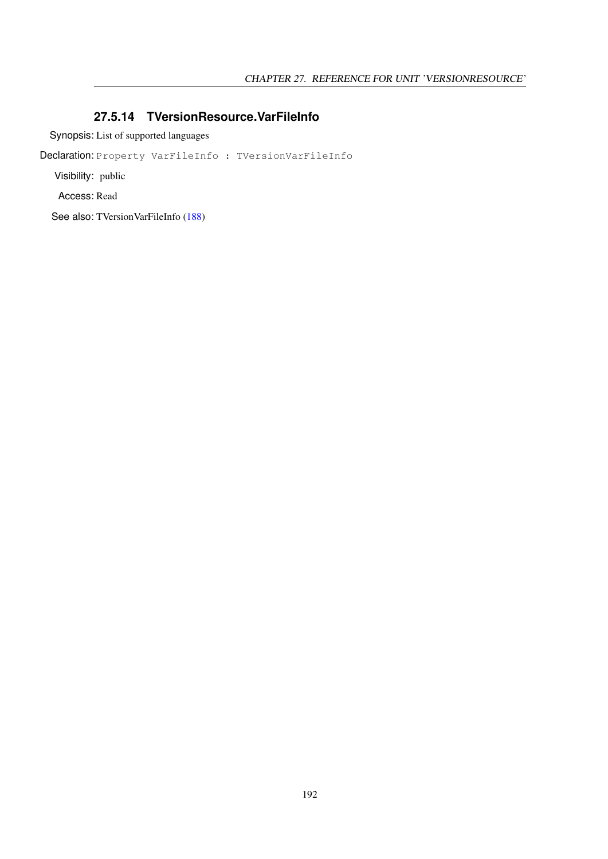#### <span id="page-192-0"></span>**27.5.14 TVersionResource.VarFileInfo**

Synopsis: List of supported languages

Declaration: Property VarFileInfo : TVersionVarFileInfo

Visibility: public

Access: Read

See also: TVersionVarFileInfo [\(188\)](#page-188-0)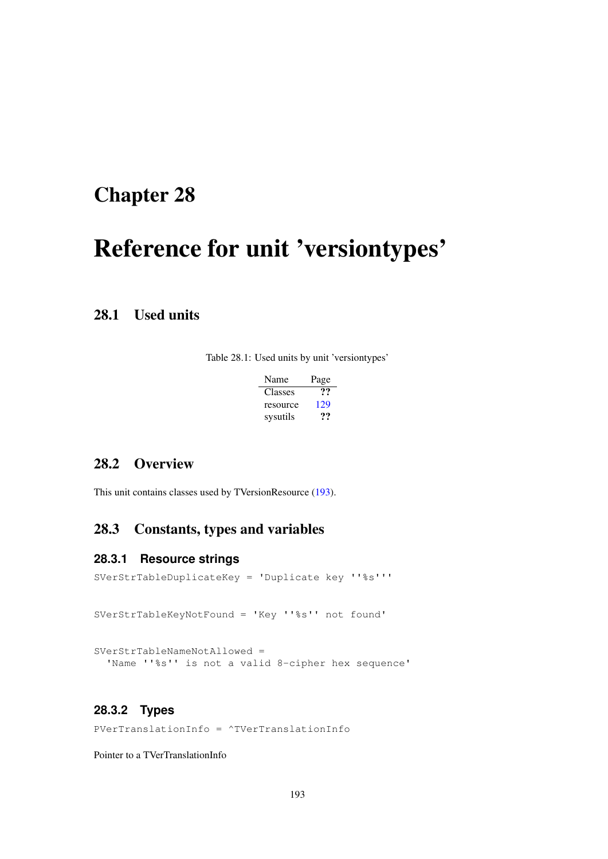# <span id="page-193-0"></span>Chapter 28

# Reference for unit 'versiontypes'

## 28.1 Used units

Table 28.1: Used units by unit 'versiontypes'

| Name     | Page |
|----------|------|
| Classes  | 77   |
| resource | 129  |
| sysutils | 77   |

## 28.2 Overview

This unit contains classes used by TVersionResource [\(193\)](#page-193-0).

## 28.3 Constants, types and variables

#### **28.3.1 Resource strings**

SVerStrTableDuplicateKey = 'Duplicate key ''%s''' SVerStrTableKeyNotFound = 'Key ''%s'' not found' SVerStrTableNameNotAllowed = 'Name ''%s'' is not a valid 8-cipher hex sequence'

## <span id="page-193-1"></span>**28.3.2 Types**

PVerTranslationInfo = ^TVerTranslationInfo

Pointer to a TVerTranslationInfo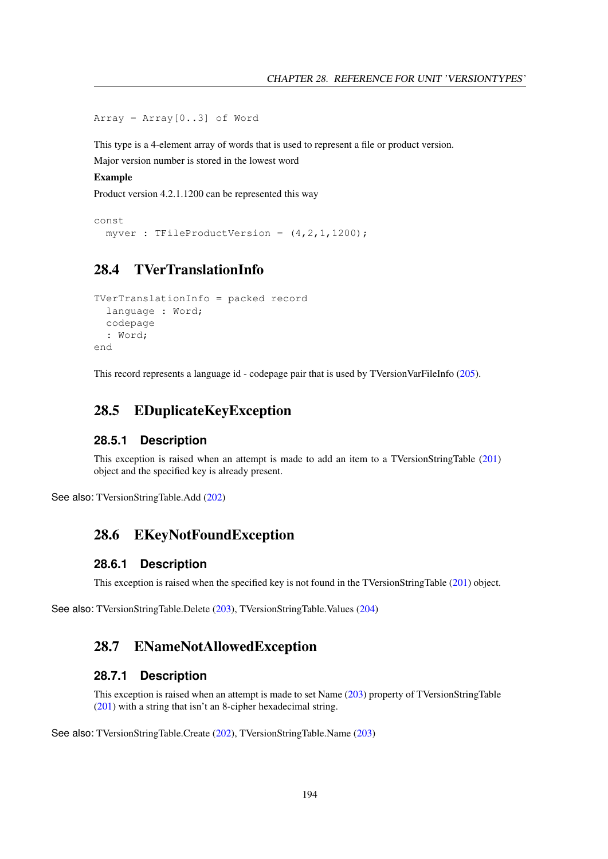Array = Array[0..3] of Word

This type is a 4-element array of words that is used to represent a file or product version.

Major version number is stored in the lowest word

Example

Product version 4.2.1.1200 can be represented this way

```
const
 myver : TFileProductVersion = (4,2,1,1200);
```
## <span id="page-194-3"></span>28.4 TVerTranslationInfo

```
TVerTranslationInfo = packed record
 language : Word;
 codepage
 : Word;
end
```
This record represents a language id - codepage pair that is used by TVersionVarFileInfo [\(205\)](#page-205-0).

## <span id="page-194-1"></span>28.5 EDuplicateKeyException

#### **28.5.1 Description**

This exception is raised when an attempt is made to add an item to a TVersionStringTable [\(201\)](#page-201-0) object and the specified key is already present.

See also: TVersionStringTable.Add [\(202\)](#page-202-0)

## <span id="page-194-2"></span>28.6 EKeyNotFoundException

#### **28.6.1 Description**

This exception is raised when the specified key is not found in the TVersionStringTable [\(201\)](#page-201-0) object.

See also: TVersionStringTable.Delete [\(203\)](#page-203-0), TVersionStringTable.Values [\(204\)](#page-204-0)

### <span id="page-194-0"></span>28.7 ENameNotAllowedException

#### **28.7.1 Description**

This exception is raised when an attempt is made to set Name [\(203\)](#page-203-1) property of TVersionStringTable [\(201\)](#page-201-0) with a string that isn't an 8-cipher hexadecimal string.

See also: TVersionStringTable.Create [\(202\)](#page-202-1), TVersionStringTable.Name [\(203\)](#page-203-1)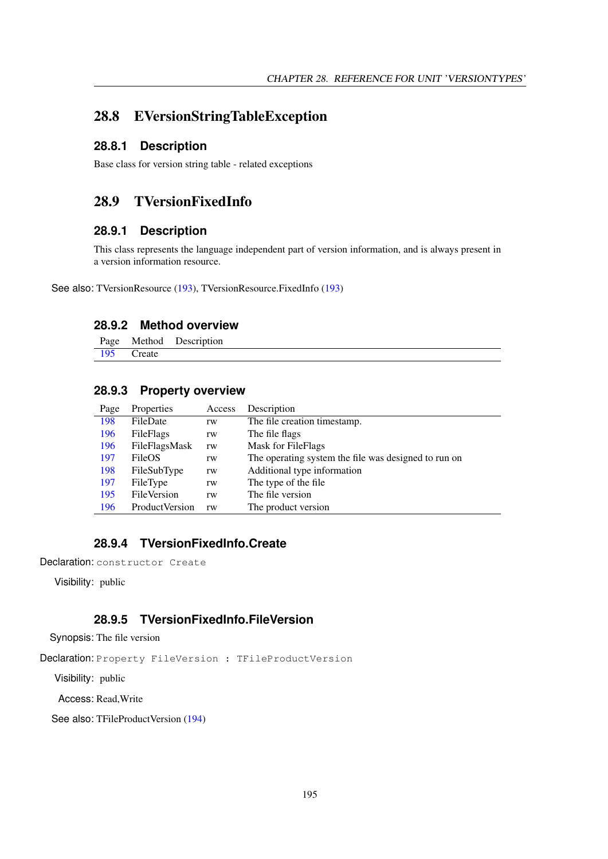## 28.8 EVersionStringTableException

#### **28.8.1 Description**

Base class for version string table - related exceptions

## 28.9 TVersionFixedInfo

#### **28.9.1 Description**

This class represents the language independent part of version information, and is always present in a version information resource.

See also: TVersionResource [\(193\)](#page-193-0), TVersionResource.FixedInfo [\(193\)](#page-193-0)

### **28.9.2 Method overview**

|     |        | Page Method Description |  |
|-----|--------|-------------------------|--|
| 195 | Create |                         |  |

#### **28.9.3 Property overview**

| Page | Properties            | Access | Description                                          |
|------|-----------------------|--------|------------------------------------------------------|
| 198  | FileDate              | rw     | The file creation timestamp.                         |
| 196  | FileFlags             | rw     | The file flags                                       |
| 196  | FileFlagsMask         | rw     | Mask for FileFlags                                   |
| 197  | FileOS                | rw     | The operating system the file was designed to run on |
| 198  | FileSubType           | rw     | Additional type information                          |
| 197  | FileType              | rw     | The type of the file.                                |
| 195  | <b>FileVersion</b>    | rw     | The file version                                     |
| 196  | <b>ProductVersion</b> | rw     | The product version                                  |

## <span id="page-195-0"></span>**28.9.4 TVersionFixedInfo.Create**

Declaration: constructor Create

Visibility: public

## <span id="page-195-1"></span>**28.9.5 TVersionFixedInfo.FileVersion**

Synopsis: The file version

Declaration: Property FileVersion : TFileProductVersion

Visibility: public

Access: Read,Write

See also: TFileProductVersion [\(194\)](#page-193-1)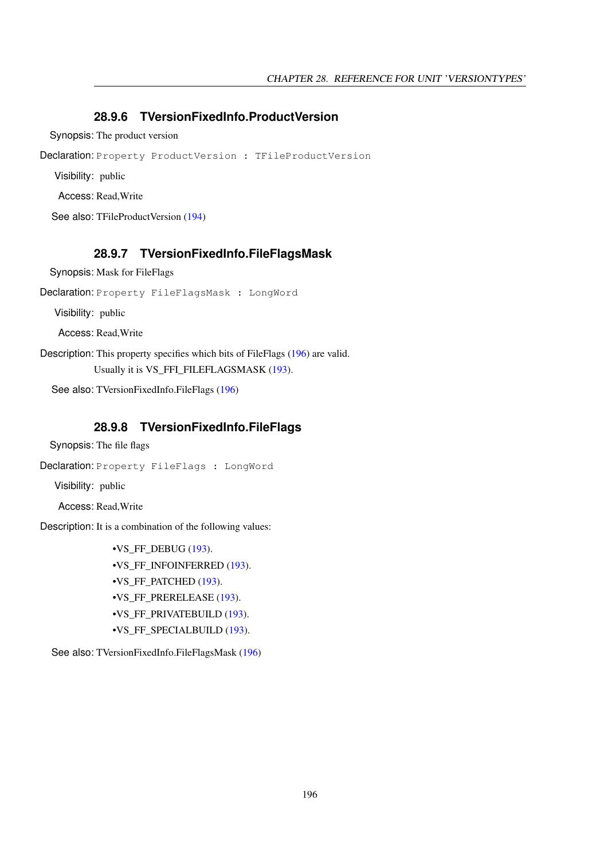#### <span id="page-196-2"></span>**28.9.6 TVersionFixedInfo.ProductVersion**

Synopsis: The product version

Declaration: Property ProductVersion : TFileProductVersion

Visibility: public

Access: Read,Write

See also: TFileProductVersion [\(194\)](#page-193-1)

#### <span id="page-196-1"></span>**28.9.7 TVersionFixedInfo.FileFlagsMask**

Synopsis: Mask for FileFlags

Declaration: Property FileFlagsMask : LongWord

Visibility: public

Access: Read,Write

Description: This property specifies which bits of FileFlags [\(196\)](#page-196-0) are valid. Usually it is VS\_FFI\_FILEFLAGSMASK [\(193\)](#page-193-0).

See also: TVersionFixedInfo.FileFlags [\(196\)](#page-196-0)

#### <span id="page-196-0"></span>**28.9.8 TVersionFixedInfo.FileFlags**

Synopsis: The file flags

Declaration: Property FileFlags : LongWord

Visibility: public

Access: Read,Write

Description: It is a combination of the following values:

 $\cdot$ VS FF DEBUG [\(193\)](#page-193-0). •VS\_FF\_INFOINFERRED [\(193\)](#page-193-0). •VS\_FF\_PATCHED [\(193\)](#page-193-0). •VS\_FF\_PRERELEASE [\(193\)](#page-193-0). •VS\_FF\_PRIVATEBUILD [\(193\)](#page-193-0). •VS\_FF\_SPECIALBUILD [\(193\)](#page-193-0).

See also: TVersionFixedInfo.FileFlagsMask [\(196\)](#page-196-1)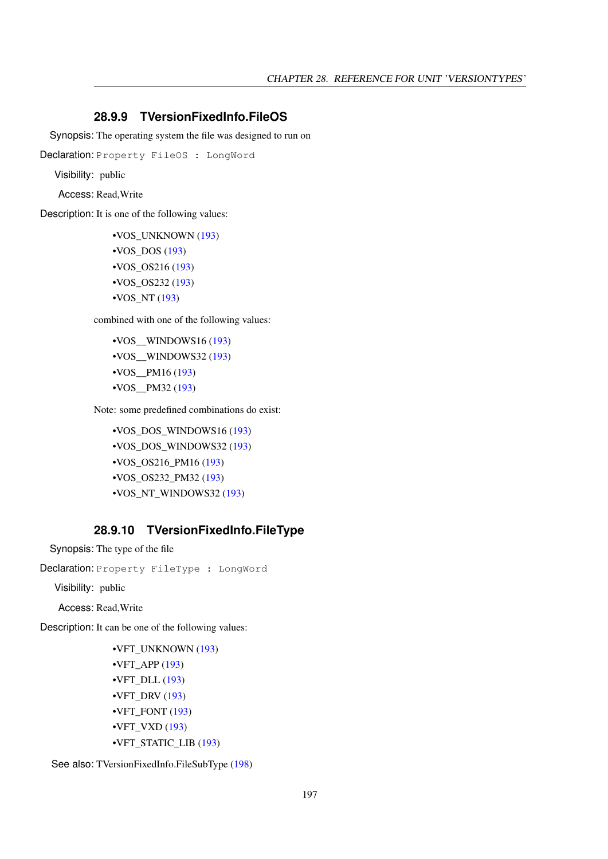#### <span id="page-197-0"></span>**28.9.9 TVersionFixedInfo.FileOS**

Synopsis: The operating system the file was designed to run on

Declaration: Property FileOS : LongWord

Visibility: public

Access: Read,Write

Description: It is one of the following values:

•VOS\_UNKNOWN [\(193\)](#page-193-0) •VOS\_DOS [\(193\)](#page-193-0) •VOS\_OS216 [\(193\)](#page-193-0) •VOS\_OS232 [\(193\)](#page-193-0)  $\cdot$ VOS NT [\(193\)](#page-193-0)

combined with one of the following values:

```
•VOS__WINDOWS16 (193)
•VOS__WINDOWS32 (193)
(193)
•VOS__PM32 (193)
```
Note: some predefined combinations do exist:

•VOS\_DOS\_WINDOWS16 [\(193\)](#page-193-0) •VOS\_DOS\_WINDOWS32 [\(193\)](#page-193-0) •VOS\_OS216\_PM16 [\(193\)](#page-193-0) •VOS\_OS232\_PM32 [\(193\)](#page-193-0) •VOS\_NT\_WINDOWS32 [\(193\)](#page-193-0)

#### <span id="page-197-1"></span>**28.9.10 TVersionFixedInfo.FileType**

Synopsis: The type of the file

Declaration: Property FileType : LongWord

Visibility: public

Access: Read,Write

Description: It can be one of the following values:

```
•VFT_UNKNOWN (193)
\cdot(193)
•VFT_DLL (193)
•VFT_DRV (193)
•VFT_FONT (193)
•VFT_VXD (193)
•VFT_STATIC_LIB (193)
```
See also: TVersionFixedInfo.FileSubType [\(198\)](#page-198-1)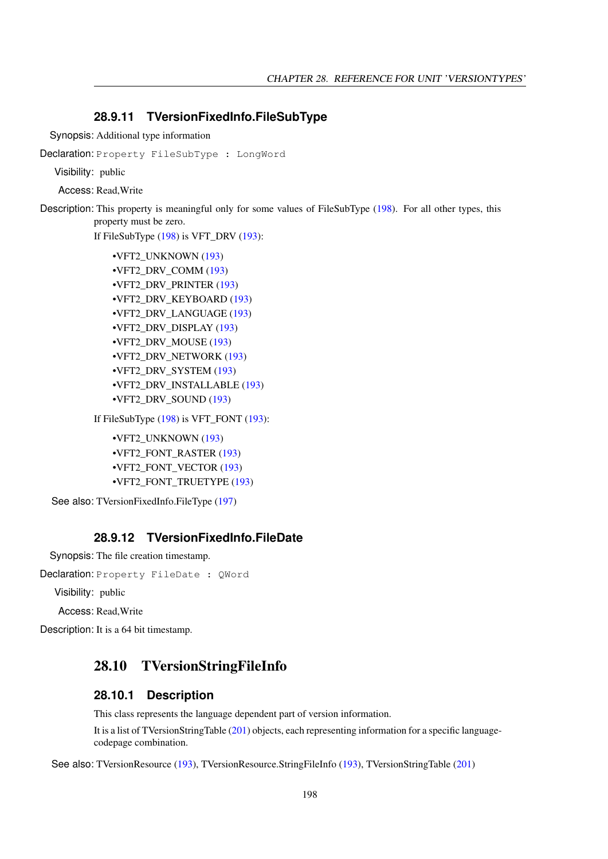#### <span id="page-198-1"></span>**28.9.11 TVersionFixedInfo.FileSubType**

Synopsis: Additional type information

Declaration: Property FileSubType : LongWord

Visibility: public

Access: Read,Write

Description: This property is meaningful only for some values of FileSubType [\(198\)](#page-198-1). For all other types, this property must be zero.

If FileSubType [\(198\)](#page-198-1) is VFT\_DRV [\(193\)](#page-193-0):

```
•VFT2_UNKNOWN (193)
•VFT2_DRV_COMM (193)
•VFT2_DRV_PRINTER (193)
•VFT2_DRV_KEYBOARD (193)
•VFT2_DRV_LANGUAGE (193)
•VFT2_DRV_DISPLAY (193)
•VFT2_DRV_MOUSE (193)
•VFT2_DRV_NETWORK (193)
•VFT2_DRV_SYSTEM (193)
•VFT2_DRV_INSTALLABLE (193)
•VFT2_DRV_SOUND (193)
```
If FileSubType  $(198)$  is VFT FONT  $(193)$ :

•VFT2\_UNKNOWN [\(193\)](#page-193-0) •VFT2\_FONT\_RASTER [\(193\)](#page-193-0) •VFT2\_FONT\_VECTOR [\(193\)](#page-193-0) •VFT2\_FONT\_TRUETYPE [\(193\)](#page-193-0)

See also: TVersionFixedInfo.FileType [\(197\)](#page-197-1)

#### <span id="page-198-0"></span>**28.9.12 TVersionFixedInfo.FileDate**

Synopsis: The file creation timestamp.

Declaration: Property FileDate : QWord

Visibility: public

Access: Read,Write

Description: It is a 64 bit timestamp.

## <span id="page-198-2"></span>28.10 TVersionStringFileInfo

#### **28.10.1 Description**

This class represents the language dependent part of version information.

It is a list of TVersionStringTable [\(201\)](#page-201-0) objects, each representing information for a specific languagecodepage combination.

See also: TVersionResource [\(193\)](#page-193-0), TVersionResource.StringFileInfo [\(193\)](#page-193-0), TVersionStringTable [\(201\)](#page-201-0)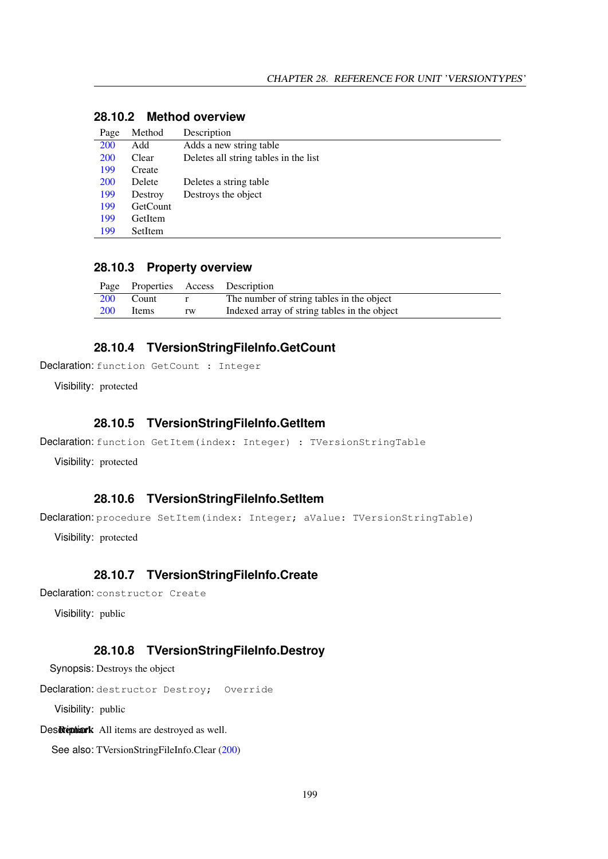| Page       | Method          | Description                           |
|------------|-----------------|---------------------------------------|
| 200        | Add             | Adds a new string table               |
| <b>200</b> | Clear           | Deletes all string tables in the list |
| 199        | Create          |                                       |
| <b>200</b> | Delete          | Deletes a string table                |
| 199        | Destroy         | Destroys the object                   |
| 199        | <b>GetCount</b> |                                       |
| 199        | GetItem         |                                       |
| 199        | SetItem         |                                       |

## **28.10.2 Method overview**

#### **28.10.3 Property overview**

|            |       |    | Page Properties Access Description           |
|------------|-------|----|----------------------------------------------|
| <b>200</b> | Count |    | The number of string tables in the object    |
| <b>200</b> | Items | rw | Indexed array of string tables in the object |

#### <span id="page-199-2"></span>**28.10.4 TVersionStringFileInfo.GetCount**

Declaration: function GetCount : Integer

Visibility: protected

#### <span id="page-199-3"></span>**28.10.5 TVersionStringFileInfo.GetItem**

Declaration: function GetItem(index: Integer) : TVersionStringTable

Visibility: protected

#### <span id="page-199-4"></span>**28.10.6 TVersionStringFileInfo.SetItem**

Declaration: procedure SetItem(index: Integer; aValue: TVersionStringTable)

Visibility: protected

#### <span id="page-199-0"></span>**28.10.7 TVersionStringFileInfo.Create**

Declaration: constructor Create

Visibility: public

#### <span id="page-199-1"></span>**28.10.8 TVersionStringFileInfo.Destroy**

Synopsis: Destroys the object

Declaration: destructor Destroy; Override

Visibility: public

Des Reption: All items are destroyed as well.

See also: TVersionStringFileInfo.Clear [\(200\)](#page-200-1)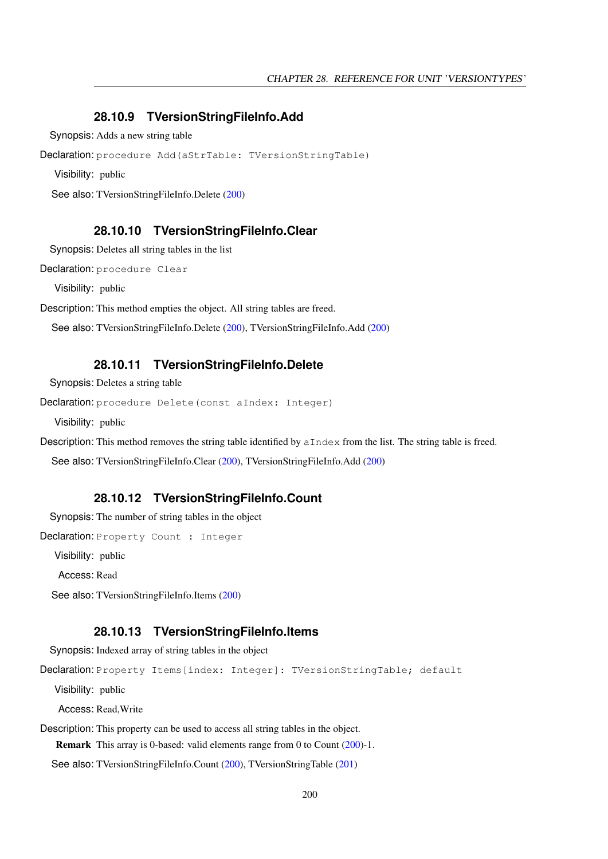#### <span id="page-200-0"></span>**28.10.9 TVersionStringFileInfo.Add**

Synopsis: Adds a new string table

Declaration: procedure Add(aStrTable: TVersionStringTable)

Visibility: public

See also: TVersionStringFileInfo.Delete [\(200\)](#page-200-2)

#### <span id="page-200-1"></span>**28.10.10 TVersionStringFileInfo.Clear**

Synopsis: Deletes all string tables in the list

Declaration: procedure Clear

Visibility: public

Description: This method empties the object. All string tables are freed.

See also: TVersionStringFileInfo.Delete [\(200\)](#page-200-2), TVersionStringFileInfo.Add [\(200\)](#page-200-0)

#### <span id="page-200-2"></span>**28.10.11 TVersionStringFileInfo.Delete**

Synopsis: Deletes a string table

```
Declaration: procedure Delete (const aIndex: Integer)
```
Visibility: public

Description: This method removes the string table identified by  $\alpha$ Index from the list. The string table is freed.

See also: TVersionStringFileInfo.Clear [\(200\)](#page-200-1), TVersionStringFileInfo.Add [\(200\)](#page-200-0)

#### <span id="page-200-3"></span>**28.10.12 TVersionStringFileInfo.Count**

Synopsis: The number of string tables in the object

Declaration: Property Count : Integer

Visibility: public

Access: Read

See also: TVersionStringFileInfo.Items [\(200\)](#page-200-4)

#### <span id="page-200-4"></span>**28.10.13 TVersionStringFileInfo.Items**

Synopsis: Indexed array of string tables in the object

Declaration: Property Items[index: Integer]: TVersionStringTable; default

Visibility: public

Access: Read,Write

Description: This property can be used to access all string tables in the object.

Remark This array is 0-based: valid elements range from 0 to Count [\(200\)](#page-200-3)-1.

See also: TVersionStringFileInfo.Count [\(200\)](#page-200-3), TVersionStringTable [\(201\)](#page-201-0)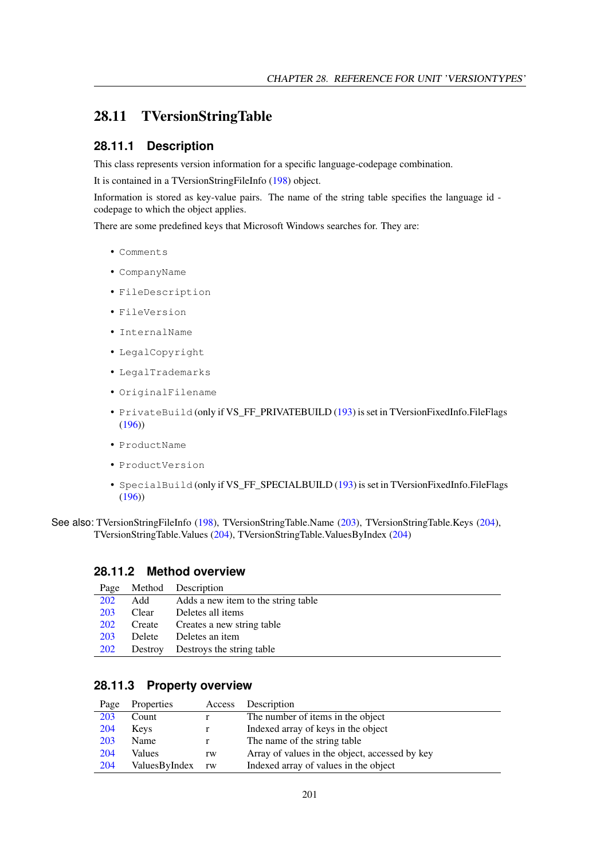## <span id="page-201-0"></span>28.11 TVersionStringTable

#### **28.11.1 Description**

This class represents version information for a specific language-codepage combination.

It is contained in a TVersionStringFileInfo [\(198\)](#page-198-2) object.

Information is stored as key-value pairs. The name of the string table specifies the language id codepage to which the object applies.

There are some predefined keys that Microsoft Windows searches for. They are:

- Comments
- CompanyName
- FileDescription
- FileVersion
- InternalName
- LegalCopyright
- LegalTrademarks
- OriginalFilename
- PrivateBuild (only if VS\_FF\_PRIVATEBUILD [\(193\)](#page-193-0) is set in TVersionFixedInfo.FileFlags [\(196\)](#page-196-0))
- ProductName
- ProductVersion
- SpecialBuild (only if VS\_FF\_SPECIALBUILD [\(193\)](#page-193-0) is set in TVersionFixedInfo.FileFlags [\(196\)](#page-196-0))
- See also: TVersionStringFileInfo [\(198\)](#page-198-2), TVersionStringTable.Name [\(203\)](#page-203-1), TVersionStringTable.Keys [\(204\)](#page-204-1), TVersionStringTable.Values [\(204\)](#page-204-0), TVersionStringTable.ValuesByIndex [\(204\)](#page-204-2)

#### **28.11.2 Method overview**

| Page       | Method        | Description                         |
|------------|---------------|-------------------------------------|
| 202        | Add           | Adds a new item to the string table |
| 203        | Clear         | Deletes all items                   |
| <b>202</b> | Create        | Creates a new string table          |
| 203        | <b>Delete</b> | Deletes an item                     |
| <b>202</b> | Destroy       | Destroys the string table           |

#### **28.11.3 Property overview**

| Page | Properties    | Access | Description                                    |
|------|---------------|--------|------------------------------------------------|
| 203  | Count         |        | The number of items in the object              |
| 204  | <b>Keys</b>   |        | Indexed array of keys in the object            |
| 203  | Name          |        | The name of the string table                   |
| 204  | Values        | rw     | Array of values in the object, accessed by key |
| 204  | ValuesByIndex | rw     | Indexed array of values in the object          |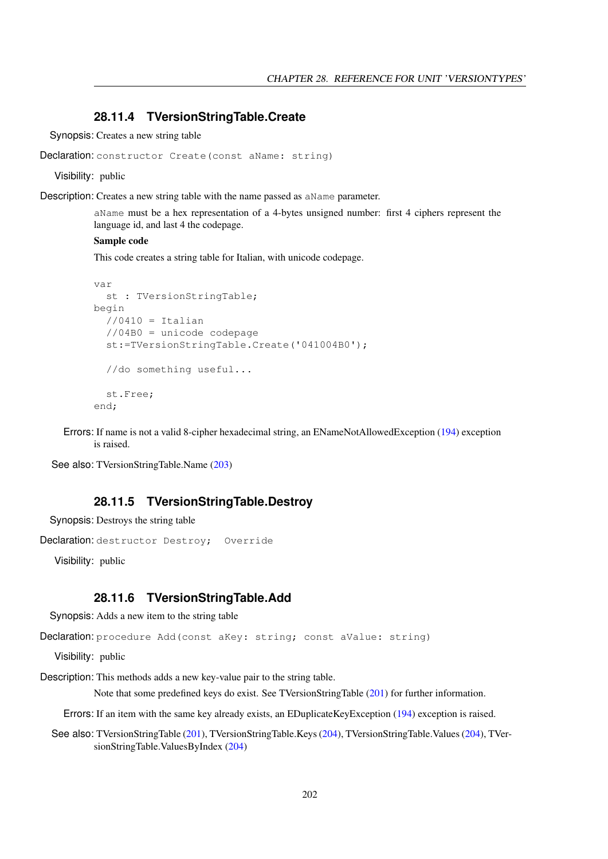#### <span id="page-202-1"></span>**28.11.4 TVersionStringTable.Create**

Synopsis: Creates a new string table

```
Declaration: constructor Create (const aName: string)
```
Visibility: public

Description: Creates a new string table with the name passed as aName parameter.

aName must be a hex representation of a 4-bytes unsigned number: first 4 ciphers represent the language id, and last 4 the codepage.

#### Sample code

This code creates a string table for Italian, with unicode codepage.

```
var
 st : TVersionStringTable;
begin
 //0410 = Italian//04B0 = unicode codepage
  st:=TVersionStringTable.Create('041004B0');
  //do something useful...
  st.Free;
end;
```
Errors: If name is not a valid 8-cipher hexadecimal string, an ENameNotAllowedException [\(194\)](#page-194-0) exception is raised.

See also: TVersionStringTable.Name [\(203\)](#page-203-1)

#### <span id="page-202-2"></span>**28.11.5 TVersionStringTable.Destroy**

Synopsis: Destroys the string table

```
Declaration: destructor Destroy; Override
```
Visibility: public

#### <span id="page-202-0"></span>**28.11.6 TVersionStringTable.Add**

Synopsis: Adds a new item to the string table

Declaration: procedure Add (const aKey: string; const aValue: string)

Visibility: public

Description: This methods adds a new key-value pair to the string table.

Note that some predefined keys do exist. See TVersionStringTable [\(201\)](#page-201-0) for further information.

Errors: If an item with the same key already exists, an EDuplicateKeyException [\(194\)](#page-194-1) exception is raised.

See also: TVersionStringTable [\(201\)](#page-201-0), TVersionStringTable.Keys [\(204\)](#page-204-1), TVersionStringTable.Values [\(204\)](#page-204-0), TVersionStringTable.ValuesByIndex [\(204\)](#page-204-2)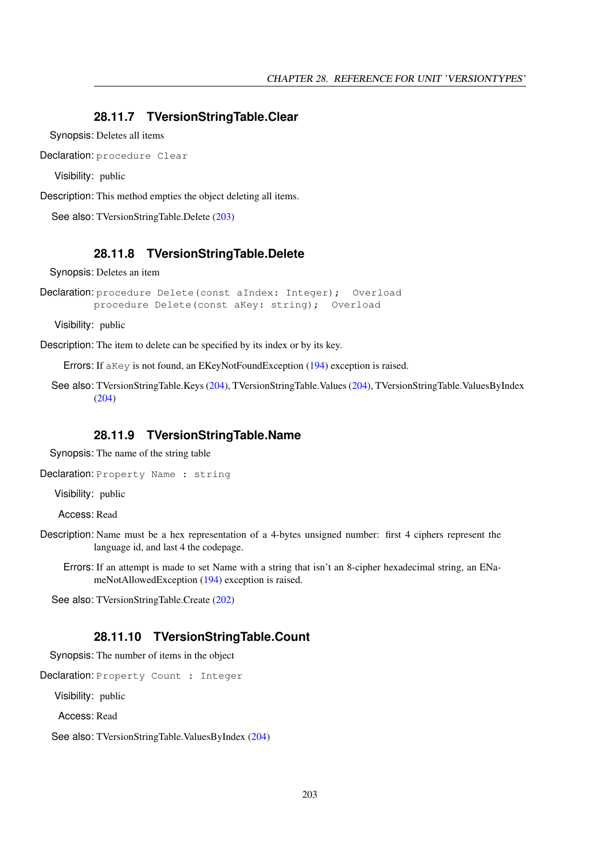#### <span id="page-203-2"></span>**28.11.7 TVersionStringTable.Clear**

Synopsis: Deletes all items

Declaration: procedure Clear

Visibility: public

Description: This method empties the object deleting all items.

See also: TVersionStringTable.Delete [\(203\)](#page-203-0)

#### <span id="page-203-0"></span>**28.11.8 TVersionStringTable.Delete**

Synopsis: Deletes an item

Declaration: procedure Delete (const aIndex: Integer); Overload procedure Delete(const aKey: string); Overload

Visibility: public

Description: The item to delete can be specified by its index or by its key.

Errors: If aKey is not found, an EKeyNotFoundException [\(194\)](#page-194-2) exception is raised.

See also: TVersionStringTable.Keys [\(204\)](#page-204-1), TVersionStringTable.Values [\(204\)](#page-204-0), TVersionStringTable.ValuesByIndex [\(204\)](#page-204-2)

#### <span id="page-203-1"></span>**28.11.9 TVersionStringTable.Name**

Synopsis: The name of the string table

Declaration: Property Name : string

Visibility: public

Access: Read

- Description: Name must be a hex representation of a 4-bytes unsigned number: first 4 ciphers represent the language id, and last 4 the codepage.
	- Errors: If an attempt is made to set Name with a string that isn't an 8-cipher hexadecimal string, an ENameNotAllowedException [\(194\)](#page-194-0) exception is raised.

See also: TVersionStringTable.Create [\(202\)](#page-202-1)

#### <span id="page-203-3"></span>**28.11.10 TVersionStringTable.Count**

Synopsis: The number of items in the object

Declaration: Property Count : Integer

Visibility: public

Access: Read

See also: TVersionStringTable.ValuesByIndex [\(204\)](#page-204-2)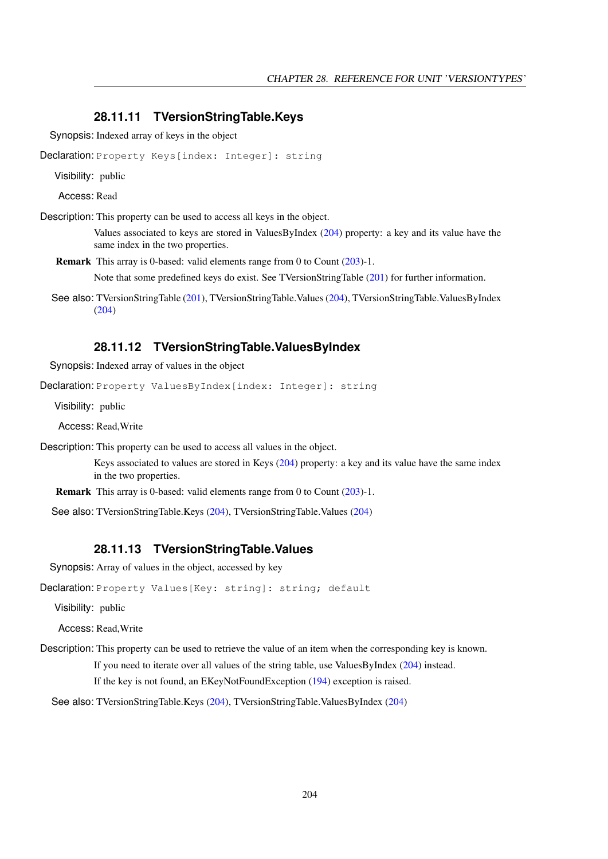#### <span id="page-204-1"></span>**28.11.11 TVersionStringTable.Keys**

Synopsis: Indexed array of keys in the object

Declaration: Property Keys[index: Integer]: string

Visibility: public

Access: Read

Description: This property can be used to access all keys in the object.

Values associated to keys are stored in ValuesByIndex [\(204\)](#page-204-2) property: a key and its value have the same index in the two properties.

Remark This array is 0-based: valid elements range from 0 to Count [\(203\)](#page-203-3)-1.

Note that some predefined keys do exist. See TVersionStringTable [\(201\)](#page-201-0) for further information.

See also: TVersionStringTable [\(201\)](#page-201-0), TVersionStringTable.Values [\(204\)](#page-204-0), TVersionStringTable.ValuesByIndex [\(204\)](#page-204-2)

#### <span id="page-204-2"></span>**28.11.12 TVersionStringTable.ValuesByIndex**

Synopsis: Indexed array of values in the object

Declaration: Property ValuesByIndex[index: Integer]: string

Visibility: public

Access: Read,Write

Description: This property can be used to access all values in the object.

Keys associated to values are stored in Keys [\(204\)](#page-204-1) property: a key and its value have the same index in the two properties.

Remark This array is 0-based: valid elements range from 0 to Count [\(203\)](#page-203-3)-1.

See also: TVersionStringTable.Keys [\(204\)](#page-204-0), TVersionStringTable.Values (204)

#### <span id="page-204-0"></span>**28.11.13 TVersionStringTable.Values**

Synopsis: Array of values in the object, accessed by key

Declaration: Property Values [Key: string]: string; default

Visibility: public

Access: Read,Write

Description: This property can be used to retrieve the value of an item when the corresponding key is known. If you need to iterate over all values of the string table, use ValuesByIndex [\(204\)](#page-204-2) instead. If the key is not found, an EKeyNotFoundException [\(194\)](#page-194-2) exception is raised.

See also: TVersionStringTable.Keys [\(204\)](#page-204-1), TVersionStringTable.ValuesByIndex [\(204\)](#page-204-2)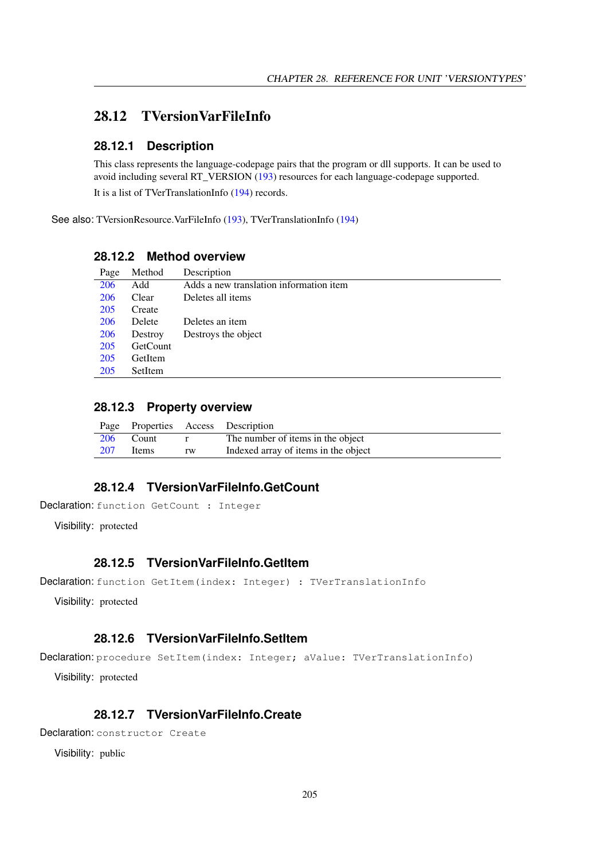## <span id="page-205-0"></span>28.12 TVersionVarFileInfo

#### **28.12.1 Description**

This class represents the language-codepage pairs that the program or dll supports. It can be used to avoid including several RT\_VERSION [\(193\)](#page-193-0) resources for each language-codepage supported.

It is a list of TVerTranslationInfo [\(194\)](#page-194-3) records.

See also: TVersionResource.VarFileInfo [\(193\)](#page-193-0), TVerTranslationInfo [\(194\)](#page-194-3)

#### **28.12.2 Method overview**

| Page       | Method   | Description                             |
|------------|----------|-----------------------------------------|
| 206        | Add      | Adds a new translation information item |
| <b>206</b> | Clear    | Deletes all items                       |
| 205        | Create   |                                         |
| 206        | Delete   | Deletes an item                         |
| 206        | Destroy  | Destroys the object                     |
| 205        | GetCount |                                         |
| 205        | GetItem  |                                         |
| 205        | SetItem  |                                         |

#### **28.12.3 Property overview**

|     |           |                               | Page Properties Access Description   |
|-----|-----------|-------------------------------|--------------------------------------|
|     | 206 Count | $\mathbf{r}$ and $\mathbf{r}$ | The number of items in the object    |
| 207 | Items     | rw                            | Indexed array of items in the object |

#### <span id="page-205-2"></span>**28.12.4 TVersionVarFileInfo.GetCount**

Declaration: function GetCount : Integer

Visibility: protected

#### <span id="page-205-3"></span>**28.12.5 TVersionVarFileInfo.GetItem**

Declaration: function GetItem(index: Integer) : TVerTranslationInfo

Visibility: protected

#### <span id="page-205-4"></span>**28.12.6 TVersionVarFileInfo.SetItem**

Declaration: procedure SetItem(index: Integer; aValue: TVerTranslationInfo)

Visibility: protected

## <span id="page-205-1"></span>**28.12.7 TVersionVarFileInfo.Create**

Declaration: constructor Create

Visibility: public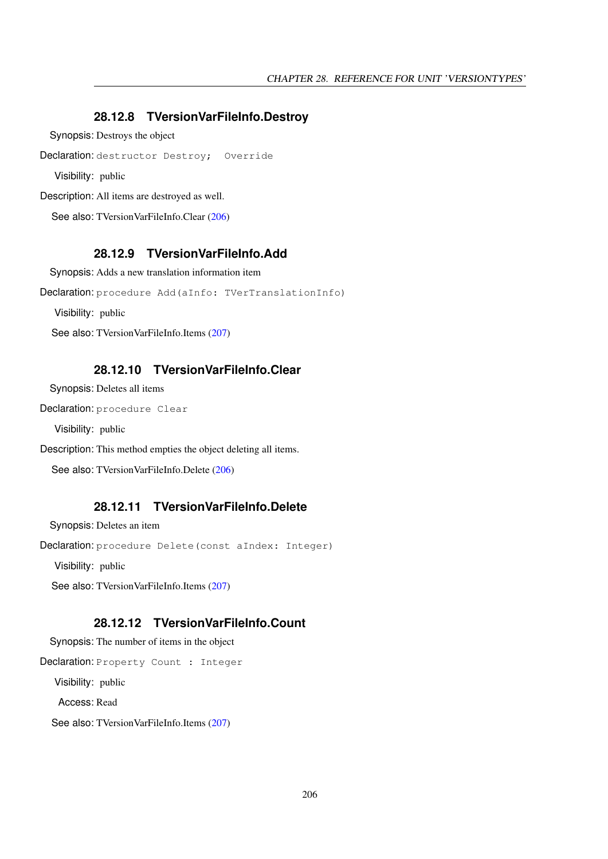#### <span id="page-206-3"></span>**28.12.8 TVersionVarFileInfo.Destroy**

Synopsis: Destroys the object

Declaration: destructor Destroy; Override

Visibility: public

Description: All items are destroyed as well.

See also: TVersionVarFileInfo.Clear [\(206\)](#page-206-1)

#### <span id="page-206-0"></span>**28.12.9 TVersionVarFileInfo.Add**

Synopsis: Adds a new translation information item

Declaration: procedure Add(aInfo: TVerTranslationInfo)

Visibility: public

See also: TVersionVarFileInfo.Items [\(207\)](#page-207-0)

#### <span id="page-206-1"></span>**28.12.10 TVersionVarFileInfo.Clear**

Synopsis: Deletes all items

Declaration: procedure Clear

Visibility: public

Description: This method empties the object deleting all items.

See also: TVersionVarFileInfo.Delete [\(206\)](#page-206-2)

#### <span id="page-206-2"></span>**28.12.11 TVersionVarFileInfo.Delete**

Synopsis: Deletes an item

Declaration: procedure Delete(const aIndex: Integer)

Visibility: public

See also: TVersionVarFileInfo.Items [\(207\)](#page-207-0)

## <span id="page-206-4"></span>**28.12.12 TVersionVarFileInfo.Count**

Synopsis: The number of items in the object

Declaration: Property Count : Integer

Visibility: public

Access: Read

See also: TVersionVarFileInfo.Items [\(207\)](#page-207-0)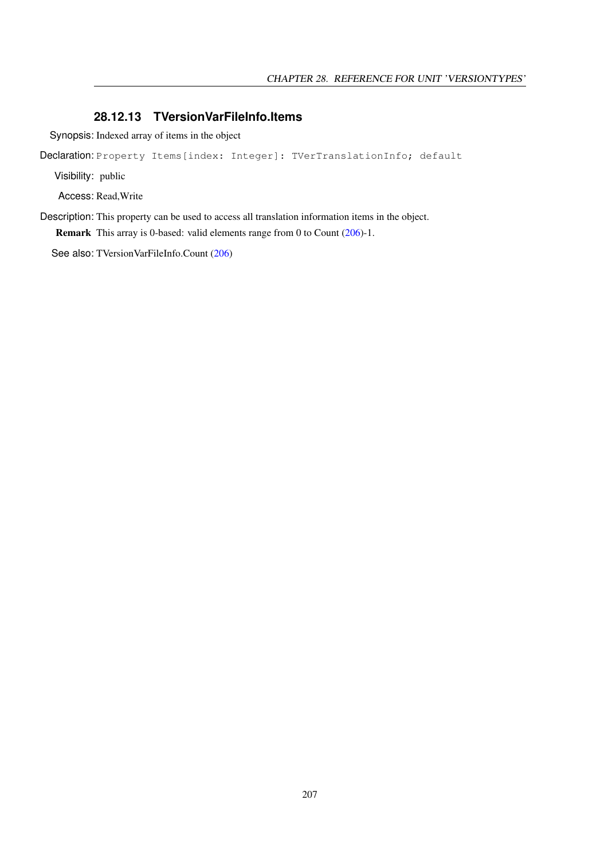#### <span id="page-207-0"></span>**28.12.13 TVersionVarFileInfo.Items**

Synopsis: Indexed array of items in the object

Declaration: Property Items[index: Integer]: TVerTranslationInfo; default

Visibility: public

Access: Read,Write

Description: This property can be used to access all translation information items in the object. Remark This array is 0-based: valid elements range from 0 to Count [\(206\)](#page-206-4)-1.

See also: TVersionVarFileInfo.Count [\(206\)](#page-206-4)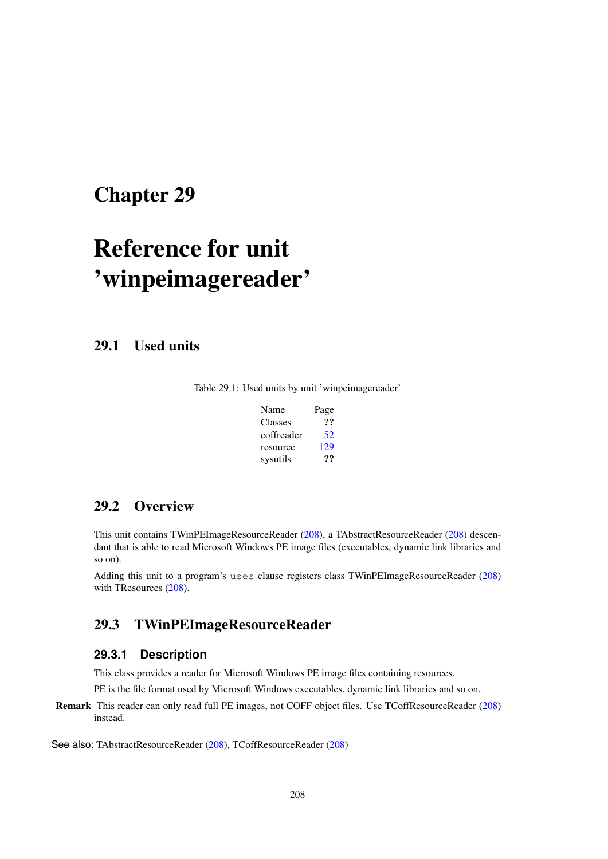## <span id="page-208-1"></span>Chapter 29

# Reference for unit 'winpeimagereader'

29.1 Used units

Table 29.1: Used units by unit 'winpeimagereader'

| Name       | Page |
|------------|------|
| Classes    | 99   |
| coffreader | 52   |
| resource   | 129  |
| sysutils   | …    |

## 29.2 Overview

This unit contains TWinPEImageResourceReader [\(208\)](#page-208-0), a TAbstractResourceReader [\(208\)](#page-208-1) descendant that is able to read Microsoft Windows PE image files (executables, dynamic link libraries and so on).

Adding this unit to a program's uses clause registers class TWinPEImageResourceReader [\(208\)](#page-208-0) with TResources [\(208\)](#page-208-1).

## <span id="page-208-0"></span>29.3 TWinPEImageResourceReader

#### **29.3.1 Description**

This class provides a reader for Microsoft Windows PE image files containing resources.

PE is the file format used by Microsoft Windows executables, dynamic link libraries and so on.

Remark This reader can only read full PE images, not COFF object files. Use TCoffResourceReader [\(208\)](#page-208-1) instead.

See also: TAbstractResourceReader [\(208\)](#page-208-1), TCoffResourceReader [\(208\)](#page-208-1)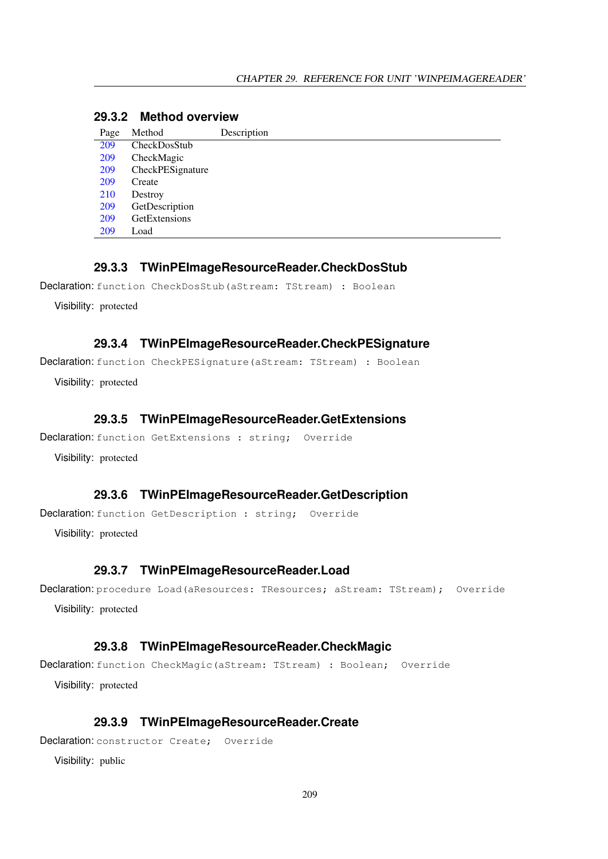|  | 29.3.2 Method overview |
|--|------------------------|
|  |                        |

| Page | Method           | Description |
|------|------------------|-------------|
| 209  | CheckDosStub     |             |
| 209  | CheckMagic       |             |
| 209  | CheckPESignature |             |
| 209  | Create           |             |
| 210  | Destroy          |             |
| 209  | GetDescription   |             |
| 209  | GetExtensions    |             |
| 209  | Load             |             |
|      |                  |             |

#### <span id="page-209-0"></span>**29.3.3 TWinPEImageResourceReader.CheckDosStub**

Declaration: function CheckDosStub(aStream: TStream) : Boolean

Visibility: protected

#### <span id="page-209-2"></span>**29.3.4 TWinPEImageResourceReader.CheckPESignature**

Declaration: function CheckPESignature (aStream: TStream) : Boolean

Visibility: protected

#### <span id="page-209-5"></span>**29.3.5 TWinPEImageResourceReader.GetExtensions**

```
Declaration: function GetExtensions : string; Override
```
Visibility: protected

#### <span id="page-209-4"></span>**29.3.6 TWinPEImageResourceReader.GetDescription**

Declaration: function GetDescription : string; Override

Visibility: protected

#### <span id="page-209-6"></span>**29.3.7 TWinPEImageResourceReader.Load**

Declaration: procedure Load (aResources: TResources; aStream: TStream); Override Visibility: protected

#### <span id="page-209-1"></span>**29.3.8 TWinPEImageResourceReader.CheckMagic**

Declaration: function CheckMagic(aStream: TStream) : Boolean; Override Visibility: protected

#### <span id="page-209-3"></span>**29.3.9 TWinPEImageResourceReader.Create**

Declaration: constructor Create; Override

Visibility: public